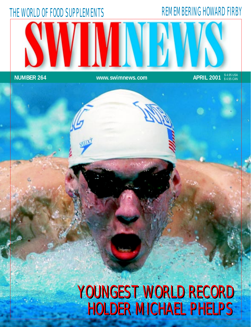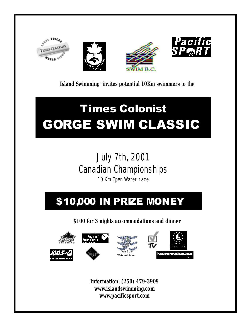







10 Km swimmers to the ... **Island Swimming invites potential 10Km swimmers to the**

# Times Colonist GORGE SWIM CLASSIC

### $1.1, 716, 2001$ **Canadian Championships** July 7th, 2001

10 Km Open Water race

# \$10,000 IN PRZE MONEY

**\$100 for 3 nights accommodations and dinner** 









**Information: (250) 479-3909 www.islandswimming.com www.pacificsport.com**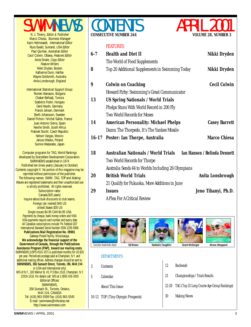SWIMNEWS Marco Chiesa, Business Manager Karin Helmstaedt, International Editor Russ Ewald, Sunland, USA Editor Paul Quinlan, Australian Editor Cecil Colwin, Ottawa, Features Editor Anita Smale, Copy Editor Feature Writers Nikki Dryden, Boston Katharine Dunn, Halifax Wayne Goldsmith, Australia Anita Lonsbrough, England

International Statistical Support Group: Rumen Atanasov, Bulgaria Chaker Belhadj, Tunisia Szabolcs Fodor, Hungary Gerd Heydn, Germany Franck Jensen, Denmark Berth Johansson, Sweden Daniel Pichon / Michel Salles, France Juan Antonio Sierra, Spain Neville Smith, South Africa Fratisek Stochl, Czech Republic Nelson Vargas, Mexico Janusz Wasko, Poland Sumire Watanabe, Japan

Computer programs for TAG, World Rankings developed by EveryWare Development Corporation. SWIMNEWS established in 1974 Published ten times yearly (January to October) Contents copyright © No portion of this magazine may be reprinted without permission of the publisher. The following names: SWIM, TAG, TOP and Making Waves are registered trademarks and their unauthorized use is strictly prohibited. All rights reserved. Subscription rates: Canada \$35 yearly Inquire about bulk discounts to club teams. Foreign (air mailed) \$45 US United States \$35 US Single issues \$4.95 CAN \$4.95 USA Payments by cheque, bank money orders and VISA VISA payments require card number and expiry date All Canadian subscriptions include 7% Federal GST International Standard Serial Number ISSN 1209-5966 **Publications Mail Registration No. 09981** Gateway Postal Facility, Mississauga. **We acknowledge the financial support of the Government of Canada, through the Publications Assistance Program (PAP), toward our mailing costs.** SWIMNEWS (USPS #015-207) is published monthly for US \$35 per year. Periodicals postage paid at Champlain, N.Y. and additional mailing offices. Address changes should be sent to: **SWIMNEWS, 356 Sumach Street, Toronto, ON, M4X 1V4** or (USA and International only) IMS of N.Y., 100 Walnut St. #3, P.O.Box 1518, Champlain, N.Y. 12919-1518. For details call: IMS at 1 (800) 428-3003 Editorial Offices: SWIMNEWS, 356 Sumach St., Toronto, Ontario, M4X 1V4, CANADA Tel: (416) 963-5599 Fax: (416) 963-5545 E-mail: swimnews@inforamp.net http://www.swimnews.com



Cover photo: Donald Miralle, Allsport **Ed Moses Nathalie Coughlin Grant McGregor Alison Sheppard** 

#### **DEPARTMENTS**

| 3 | Contents                           | 12        | Backwash                                    |
|---|------------------------------------|-----------|---------------------------------------------|
| 5 | Calendar                           | 21        | Championships / Trials Results              |
|   | About This Issue                   | $22 - 28$ | TAG (Top 25 Long Course Age Group Rankings) |
|   | 10-12 TOP (Tiny Olympic Prospects) | 30        | <b>Making Waves</b>                         |
|   |                                    |           |                                             |



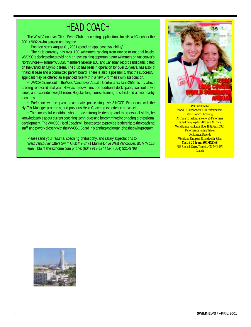### HEAD COACH

The West Vancouver Otters Swim Club is accepting applications for a Head Coach for the 2001/2002-swim season and beyond.

• Position starts August 01, 2001 (pending applicant availability).

• The club currently has over 100 swimmers ranging from novice to national levels. WVOSC is dedicated to providing high level training opportunities to swimmers on Vancouver's North Shore — former WVOSC members have set B.C. and Canadian records and participated on the Canadian Olympic team. The club has been in operation for over 25 years, has a solid financial base and a committed parent board. There is also a possibility that the successful applicant may be offered an expanded role within a newly-formed swim association.

• WVOSC trains out of the West Vancouver Aquatic Centre, a six-lane 25M facility which is being renovated next year. New facilities will include additional deck space, two cool down lanes, and expanded weight room. Regular long course training is scheduled at two nearby locations.

• Preference will be given to candidates possessing level 3 NCCP. Experience with the Hy-Tek Manager programs, and previous Head Coaching experience are assets.

•The successful candidate should have strong leadership and interpersonal skills, be knowledgeable about current coaching techniques and be committed to ongoing professional development. The WVOSC Head Coach will be expected to provide leadership to the coaching staff, and to work closely with the WVOSC Board in planning and organizing the swim program.

Please send your resume, coaching philosophy, and salary expectations to: West Vancouver Otters Swim Club # 9-2471 Marine Drive West Vancouver, BC V7V 1L3 email: blairfisher@home.com phone: (604) 913-1944 fax: (604) 921-9798



AVAILABLE NOW World 150 Performers + 10 Performances World Record Chronolgy All Time 10 Performances  $+25$  Performers Fastest relay legs for 2000 and All Time World Junior Rankings Boys 1982, Girls 1984 **Performance Rating Tables Continental Records** World and European Records with Splits **Cost \$ 25 from SWIMNEWS** 356 Sumach Street, Toronto, ON, M4X 1V4 Canada

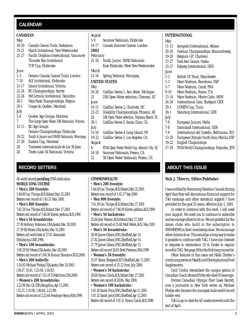#### <span id="page-4-0"></span>**CALENDAR**

#### **CANADIAN**

| <b>CANADIAN</b> |                                              | August       |
|-----------------|----------------------------------------------|--------------|
| May             |                                              | $5-9$        |
| 18-20           | Canada Games Trials, Saskatoon               | 14-17        |
| 19-21           | Hyack Invitational, New Westminster          | 2002         |
| 25-27           | Pacific Dolphins International, Vancouver    | Februa       |
|                 | Thunder Bay Invitational                     | 21-24        |
|                 | TOP Cup, Etobicoke                           |              |
| June            |                                              | March        |
| $1-3$           | Ontario Canada Games Trials, London          | $12 - 16$    |
| $7-10$          | AGI Invitational, Etobicoke                  | <b>UNITE</b> |
| 15-17           | Island Invitational, Victoria                | May          |
| 22-24           | <b>BC Championships, Surrey</b>              | $20 - 20$    |
| 22-24           | McCormick Invitational, Hamilton             | 21           |
| 28-1            | Man/Sask Championships, Regina               | June         |
| $29-1$          | Coupe du Quebec, Montreal                    | $10 - 11$    |
| July            |                                              | 23-23        |
| $5-8$           | Quebec Age Groups, Montreal                  | 24           |
| 7               | The Gorge Open Water 10K Nationals, Victoria | $30-1$       |
| $12-15$         | <b>BC</b> Age Groups                         | July         |
|                 | Ontario Championships, Etobicoke             | $15 - 16$    |
| 19-22           | Youth & Junior and SWAD Nationals, Winnipeg  | 19-22        |
| $27 - 29$       | Eastern Cup, Montreal                        | August       |
| 28              | Traversee internationale de Lac St-Jean      | 4            |
| 28              | Thetis Lake 5K Nationals, Victoria           | 14-18        |

All world records **pending** FINA ratification **WORLD LONG COURSE** • **Men's 200 freestyle:** 1:44.69 Ian Thorpe,AUS,Hobart,Mar 25,2001 Betters own record of 1:45.51 May 2000. • **Men's 800 freestyle:** 7:41.59 Ian Thorpe,AUS,Hobart,Mar 27,2001 Betters old record of 7:46.00 Kieren perkins,AUS,1994 • **Men's 50 breaststroke:** 27.49 Anthony Robinson,USA,Austin,Mar 29,2001 27.39 Ed Moses,USA,Austin,Mar 31,2001 Betters old world best of 27.61 Alexander Dzhaburiya,UKR,1996. • **Men's 100 breaststroke:** 1:00.29 Ed Moses,USA,Austin,Mar 28,2001 Betters old record of 1:00.36 Roman Sloudnov,RUS,2000. • **Men's 200 butterfly:** 1:54.92 Michael Phelps,USA,Austin,Mar 29,2001. (26.47, 55.61, 1:25.04, 1:54.92) Betters old record of 1:55.19 ToMalchow USA 2000. • **Women's 200 breaststroke:** 2:22.99 Hui Qi,CHN,Hangzhou,Apr 13,2001 (33.37, 1:10.00, 1:46.64, 2:22.99) Betters old record of 2:23.64 Penelope Heyns,RSA,1999.

| 5-9       | Summer Nationals, Etobicoke                  |
|-----------|----------------------------------------------|
| 14-17     | Canada Summer Games, London                  |
| 2002      |                                              |
| February  |                                              |
| 21-24     | Youth, Junior, SWAD Nationals                |
|           | East-Etobicoke, West-New Westminster         |
| March     |                                              |
| $12 - 16$ | Spring National, Winnipeg                    |
|           | <b>UNITED STATES</b>                         |
| May       |                                              |
| $20 - 20$ | Cadillac Series 1, Ann Arbor, Michigan       |
| 21        | 25K Open Water selection, Clemson, SC        |
| June      |                                              |
| $10 - 11$ | Cadillac Series 2, Charlotte, NC             |
| 23-23     | Disability Championships, Phoeniz, AZ        |
| 24        | 10K Open Water selection, Daytona Beach, FL  |
| $30-1$    | Cadillas Series 3, Santa Clara, CA           |
| July      |                                              |
| $15 - 16$ | Cadillac Series 4, Long Island, NY           |
| 19-22     | Cadillac Series 5, Los Angeles, CA           |
| August    |                                              |
| 4         | FINA Open Water World Cup, Atlantic City, NJ |
| 14-18     | Summer Nationals, Fresno, CA                 |
| 22        | 5K Open Water Nationals, Fresno, CA          |
|           |                                              |

#### **COMMONWEALTH**

• **Men's 200 freestyle:** 1:44.69 Ian Thorpe,AUS,Hobart,Mar 25,2001 Betters own record of 1:45.37 Sep 2000.

• **Men 800 freestyle:** 7:41.59 Ian Thorpe,AUS,Hobart,Mar 27,2001 Betters old record of 7:46.00 Kieren perkins,AUS,1994 • **Men's 50 backstroke:** 25.66 Josh Watson,AUS,Hobart,Mar 27,2001

Betters old record of 25.68 Matt Welsh,AUS, May 2001 • **Men's 50 breaststroke:** 28.00 James Gibson,ENG,Sheffield,Apr 14.

27.82 James Gibson,ENG,Sheffield,Apr 14. 27.79 James Gibson,ENG,Sheffield,Apr 15. Betters old record 28.05 Brett Peterson,RSA,1999

• **Women's 50 freestyle:** 25.07 Alison Sheppard,SCO,Sheffield,Apr 11,2001

Betters own record of 25.12 from July 2000. • **Women's 50 backstroke:** 28.68 Dyana Calub,AUS,Hobart,Mar 27,2001 Betters own record of 28.86, May 2000.

• **Women's 100 backstroke:** 1:01.36 Sarah Price,ENG,Sheffield,Apr 11,2001 1:01.32 Sarah price,ENG,Sheffield,Apr 12,2001 Betters old record of 1:01.51 Dyana Calub,AUS,1999.

#### **INTERNATIONAL**

#### *May*

- 11-13 Acropolis International, Athens
- 20-20 German Championships, Braunschweig
- 19-20 Belgium GP, Charleroi
- 27-27 East Asia Games, Osaka
- 25-27 Esbjerg International, DEN
- *June*
	- 1-3 British GP Final, Manchester
	- 1-3 Mare Nostrum, Barcelona, ESP
	- 5-7 Mare Nostrum, Canet, FRA
	- 9-10 Mare Nostrum, Rome, ITA
	- 13-14 Mare Nostrum, Monte Carlo, MON
	- 24-24 International Gala, Stuttgart, GER
	- 29-1 COMEN Cup, Tunis
	- 30-1 Hamburg International, GER
	- *July*
	- 7-8 European Juniors, Malta
	- 7-8 Darmstadt International, GER
	- 7-8 International del Castello, Bellinzona, SUI
	- 13-20 European Olympic Youth Days, Murcia, ESP
	- 19-22 English Chapionships
	- 17-29 FINA World Championships, Fukuoka, JPN

#### **RECORD SETTERS ABOUT THIS ISSUE**

#### **Nick J. Thierry, Editor/Publisher**

I was notified by Swimming Natation Canada during April that they will discontinue financial support for TAG rankings and other statistical support I have provided for the past 25 years, effective July 1, 2001.

In order to continue with this work I will need your support. We need you to continue to subscribe and encourage others to do so. We are grateful for the dozen clubs who build in the subscription to SWIMNEWS in their membersip dues. We encourage other clubs to do so. This would go a long way to make it possible to continue with TAG. I have also listened to requests to reintroduce 10 & Under to regular monthly TAG. See page 28 for the first long course list.

Other features in this issue are Nikki Dryden's continuing series on Health and Diet explaining Food Supplements.

Cecil Cowlin remembers the unique genius of Canadian Coach Howard Firby who died 10 years ago.

Former Canadian Olympic flyer Casey Barrett, now a journalist in New York writes on Michael Phelps who became the youngest male world record holder ever.

TAG is up-to-date for all meets received until the end of April.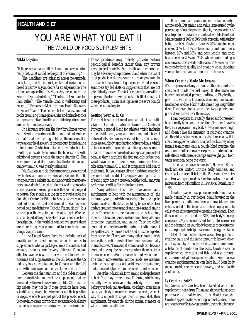#### <span id="page-5-0"></span>**HEALTH AND DIET**

### YOU ARE WHAT YOU EAT II THE WORLD OF FOOD SUPPLEMENTS

#### **Nikki Dryden**

"If there was a magic pill that could make you swim really fast, what would be the point of swimming?"

The headlines are splashed across newsstands, bookstores, and the internet, making declarations as broad or narrow as your desire for an edge may be. The claims are appealing: "A Major Advancement in the Science of Sports Nutrition," "The Natural Solution for Pain Relief," "The Miracle Road to Well-Being and Success," "Perhaps the Most Important Health Discovery in Recent Years." The endless list of magazines and books promising us magical elixirs and miracle tonics to improve our lives, health, and athletic performance are bombarding us at every turn.

In a January article in *The New York Times,* writer Sara Siwolop reported on the thousands of wonder cure-alls that have sprung to life on the internet. She wrote about the discovery of one product found online called vitamin O, which maintained a myriad of benefits resulting in its ability to enrich the bloodstream with additional oxygen (hence the name vitamin O). But when investigated, it turns out that the ten-dollar-anounce vitamin O was merely saltwater!

Ms. Siwolop's article also introduced us to a retired psychiatrist and consumer advocate, Stephen Barrett, who now runs a website called Quackwatch that tries to track down doubtful medical claims. And it is probably a good place to research products that sound too good to be true. You should also log on to the website for the Canadian Centre for Ethics in Sports, where you can find out all of the legal and banned substances from herbal cold medicines to "Mocha Frappucinos." It is your responsibility to find out what is legal. Whether you can buy it at the grocery store or you need a doctor's prescription, in the world of competitive sports, there are more things you cannot put in your body than things that you can.

In the United States, there is a definite lack of quality and content control when it comes to supplements. What a package claims to contain, and actually contains, can be very different. Canadian athletes have been warned for years not to buy their vitamins and supplements in the US, because the US industry has no regulations. In Canada and the US, stick with brands and names you know and trust.

Between the charlatanism and the old-fashioned home remedies fall many of the supplements that are favoured by the world's swimming elite. Of course the big debate may not be if these products have been scientifically proven, but whether or not their positive or negative effects are just part of the placebo effect. Some swimmers are convinced that certain foods, dietary regimens, or supplements improve their performance.

These products may merely provide certain psychological benefits rather than any proven physiological benefits. And health and performance may be adversely compromised if and when the use of these products replaces a sound nutrition program. In the search for a safe and legal competitive edge, some swimmers try fad diets or supplements that are not scientifically proven. The fact is, many of us are willing to pay out the ten or twenty bucks a bottle for many of these products, just in case it gives us the extra oomph we've been looking for.

#### **Getting Your A, B, Cs**

The most basic supplement you can take is a multivitamin. Canada's national teams use Centrum Protegra, a special blend for athletes, which includes minerals like iron, zinc, and selenium, and a bevy of antioxidants. Swimmers work out hard, and exercise increases our body's production of free radicals, which in turn cause the muscle damage that gives us sore and inflamed muscles. Antioxidants are especially important because they neutralize the free radicals before they wreak havoc on our muscles. Some swimmers like to take extra vitamin C, E, and B complex in addition to their multi. But you can get all you need from your food if you eat a balanced diet. Taking a vitamin pill instead of eating right doesn't create a healthy body, and your performance will suffer in the long term.

Many athletes these days take amino acid supplements to help with the maintenance of the immune system, and with muscle building and repair. Amino acids are the basic building blocks of protein and are grouped into essential and non-essential amino acids. There are nine essential amino acids: histidine, isoleucine, leucine, lysine, methionine, phenylalanine, threonine, tryptophan, and valine. They are called essential because they are the amino acids that cannot be synthesized by human cells and must be ingested from your diet. There are many other amino acids besides the essential ones that the human body normally manufactures. Nonessential amino acids can become essential during disease or stress when there is either increased need and/or increased breakdown of them. The main non-essential amino acids are alanine, arginine, asparagine, aspartic acid, cysteine, glutamine, glutamic acid, glycine, proline, serine, and tyrosine.

Use of the individual L form amino acid supplement is best. You may come across D forms, which may actually have to be converted by the body to the L forms before your body can use them. Most high-stress times cause your body to require more amino acids, which is why it is important to get them in your diet, then supplement, for example, during exams, at meets, or while training at altitude.

Both animal and plant proteins contain essential amino acids. But amino acid value is measured by the percentage of usable protein; that is, the proportion of usable protein in relation to the total weight of the food. Meats consist of 20% to 30% usable protein, with turkey being the best. Soybean flour is 40% protein; most cheeses 30% to 35% protein; many nuts and seeds between 20% and 30%; and peas, lentils, and dried beans between 20% and 25%. Whole grains and eggs contain about 12%, while milk is about 4%. So remember to consider both quality and quantity when choosing your protein-rich and amino-acid-rich foods.

#### **When Creatine Made Me Insane**

It's true, you can ask my teammates, the last time I tried creatine it made me feel crazy. It also made me borderline violent, depressed, and hostile. Physically, it gave me severe muscle cramps, diarrhea, nausea, and headaches. And no, I didn't take some huge weightlifter dose. These symptoms came after two separate onegram doses spread over three days.

I can't explain this totally; the scientific research hasn't really been done on creatine. One idea I have is that, as a vegetarian, my body already makes enough and doesn't like the intrusion of synthetic creatine. Another idea is that women just don't react as well to creatine supplementation. In a pool deck survey of my female teammates, only a couple liked creatine; the rest, like me, suffer from adverse physical and emotional side effects, with muscle cramps and weight gain from water retention being the worst.

The creatine craze began in 1992 when British track athletes Linford Christie, Sally Gunnele, and Colin Jackson used it before the Barcelona Olympics and two won gold medals. Creatine sales in Canada increased from \$15 million in 1994 to \$180 million in 1998.

Creatine is an energy-producing substance that is made naturally in our bodies. Manufactured in the liver, pancreas, and kidneys from amino acids, creatine is transported in the blood and grabbed up by muscle cells where it is converted to creatine phosphate. Then it is used to help produce ATP, the body's energy compound. As you do more short-term, intense exercise and the demand on your body becomes more extreme; creatine phosphate helps make more energy available.

Most of our bodies make about two grams of creatine daily and the same amount is broken down and lost/used by the body each day, thus maintaining a balance of creatine in the body. Creatine can be supplemented by meats and fish, and also through creatine monohydrate supplementation. Some believe creatine supplementation can help build lean body mass, provide energy, speed recovery, and be a lactic acid buffer.

#### **Is Creatine Safe?**

In Canada, creatine has been classified as a food supplement, not a drug. This means it never has to pass pharmaceutical safety tests from Health Canada. Creatine appears safe; according to most studies, there are no adverse effects except gastric upset or intolerance.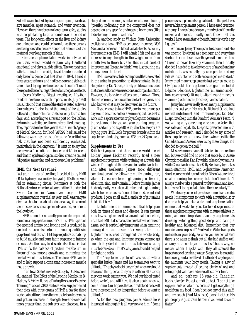Side effects include: dehydration, cramping, diarrhea, sore muscles, upset stomach, and water retention. However, there have been no long-term safety studies with people taking large amounts over a period of years. The long-term effects on the liver and kidney are unknown and could be harmful as these organs are being forced to process abnormal amounts of the material over long periods of time.

Creatine supplementation works in only two of ten users, which would explain why I suffered emotional and physical side effects. The weirdest part is that the first time I used it, I loved it and encountered only benefits. Since that first dose in 1994, I tried it three separate times, and had been sore and sick each time. I kept trying creatine because I couldn't resist the reported benefits, regardless of any negative effects.

*Sports Medicine Digest* investigated fifty-four random creatine research reports in its July 1998 issue. It found that some of the studies tested as few as four subjects. It also found that most of the studies followed up their clinical trials for only four to five days. And, according to a recent post on the Italian Swimming website, creatine may be quite damaging. They reported earlier this year that the French Agency of Medical Security for Food (AFSSA) had issued the following warning: the use of creatine "constitutes a risk that has not been sufficiently evaluated, particularly in the long term." It went on to say that there was a "potential carcinogenic risk" for users, and that in epidemiological studies, creatine caused "digestive, muscular and cardiovascular problems."

#### **HMB, the Next Creatine?**

Last year, in lieu of creatine, I decided to try HMB (Beta-hydroxy beta-methyl butyrate). It's the newest fad in swimming circles. Swimmers at both the National Swim Centre in Calgary and the Thunderbird Swim Centre in Vancouver began HMB supplementation over the last year, and I was ready to give it a shot too. At about a dollar a day, it is one of the most expensive supplements around, so here is the lowdown.

HMB is another naturally produced compound, found in a large part in mother's milk. HMB is part of the essential amino acid leucine and is produced in our bodies. It can also be found in small quantities in grapefruit and catfish. HMB up-regulates our ability to build muscle and burn fat in response to intense exercise. Another way to describe its effects is that HMB shifts the balance of protein metabolism in favour of new muscle growth and minimizes the breakdown of muscle tissue. Therefore HMB can be said to help support a consistent increase in muscle tissue growth.

In an Iowa State University Study by Dr. Nissen et al., entitled 'The Effect of the Leucine Metabolite B-Hydroxy B-Methyl Butyrate During Resistance Exercise Training," about 2100 athletes who supplemented their diets with three grams of HMB a day for three weeks gained three times their muscle lean body mass and got an increase in strength two-and-one-half times greater than the subjects with placebos. In a study done on women, similar results were found, "possibly indicating that the compound does not depend on any specific androgenic hormones (like testosterone) to exert its efforts."

In another study at Wichita State University, cyclists who took HMB experienced increased VO2 Max and a decrease in blood lactate levels. As for my four months on HMB, I will admit I felt and saw an increase in my strength in the weight room from month two to three; but after that initial burst of improvement I began to think I was just pouring my money down the toilet.

HMB is a water-soluble compound that is excreted in the urine in proportion to dietary intake. In the study done by Dr. Nissen, a safety profile was included that screened for adverse reactions and organ function. However, the long-term effects are unknown. These studies were only conducted in the last five years, and who knows what may be discovered in the future.

If you choose to take HMB, one to two grams per day would be sufficient for a swimmer, but it is best to work with a sports scientist or physiologist to determine the best amount for you and your training program. (I am certainly no expert!) Also, check to see you are buying pure HMB. Look for proven brands within the supplement industry, such as EAS or GNC products.

#### **Supplements In Use**

British Olympian and short-course world record holder James Hickman recently tried a new supplement program while training at altitude this winter. Throughout the day and in particular before and after workouts, James took different combinations of the following: multivitamins, iron, vitamin C, beta-carotene, L-glutamine, cod liver oil, selenium, zinc, and vitamin E. Before this trip, James had only really ever taken vitamins and L-glutamine, which he describes as "one of the most wonderful products. I get a small sniffle, and a bit of glutamine holds it at bay."

L-glutamine is an amino acid that helps your body in times of stress and disease. It can prevent muscle wasting because it has an anti-catabolic effect, i.e., like HMB, it decreases the breakdown of muscle tissue, so it is particularly important when repairing damaged muscle tissue after weight training. L-glutamine is used throughout the whole body, so when the gut and immune system cannot get enough they steal it from the muscle tissue, creating muscle breakdown. That's why James found it helpful for fighting colds.

The "supplement protocol" was set up with a specialist before James and his teammates went to altitude. "The physiologist prescribed when we should take each thing, because if you take them all at once, they can work against you. We had our blood tested before we left, and will have it taken again when we come home. Our hope is that our red blood cells will have increased and last longer than before we went to altitude."

As for this new program, James admits he is interested, although it is all very new to him. "Some people use supplements a great deal. In the past I was never a big supplement person. I have used creatine, although I haven't made up my mind yet on if it really makes a difference. I really don't know if all this works, I have swum fast without it, but it is worth a try I guess."

American Jenny Thompson first found out she was anemic (low iron) as a teenager, and every time she had her iron tested over the years it remained low. "I used to never take any vitamins, then I finally decided I needed to take better care of myself and my nutrition. It was actually my chiropractor and my Pilates instructor who both encouraged me to start." Jenny tried many supplements last year en route to Olympic gold; her supplement program included: L-lysine, L-leucine, L-glutamine (all amino acids), iron, co-enzyme Q-10, multi-vitamins and minerals, vitamin C, echinacea (for colds), and creatine.

Jenny had never really taken many supplements until this past year. Her coach, Richard Quick, had invited nutritionist and immunologist Dr. Glen Luepnitz to help with the Stanford Women's Team. "I was willing to try something to help me go faster, that was safe and legal. Dr. Luepnitz presented me with articles and research, and I decided to try some of these supplements. I knew other swimmers like the Canadians and Aussies were using these things, so I decided to get on the ball."

Most swimmers have all dabbled in the creatine fad, but we could find no one that swore by it. Aussie Olympic medallist, Dan Kowalski, takes only vitamins, while Canadian backstroker Kelly Stephanyshyn takes multi-vitamins, HMB, and L-glutamine. American short-course world record holder Alison Wagner tried creatine during her career, but didn't love it. "I always tried to take a general multivitamin and iron, but I wasn't too good at taking them regularly!"

Whatever you decide, each swimmer has specific needs. It is important to work with a nutritionist or doctor to help you plan a diet and supplementation regime that works for you. Doctors design most of these supplement programs with mature athletes in mind, and more important than any supplement is drinking water, getting good sleep, and eating a healthy and balanced diet. Remember that our muscles are composed 70% of water. Water transports nutrients in your body, so when you are dehydrated there is no water to flush out all the bad stuff as well as carry nutrients to your muscles. That is why, no matter whom I spoke with, they all stressed the importance of drinking water. Sleep, too, is essential to recovery, and a healthy diet is the best way to get all the nutrients your body needs. Taking a slew of supplements instead of getting plenty of rest and eating right will have adverse affects over time.

And so, perhaps 16-year-old Canadian backstroker Jen Fratesi sums it up best. "I do not take supplements or vitamins because I get everything I need from my food. I don't believe any of this stuff, and my coach (Bud McAllister) doesn't either. His philosophy is 'just train harder if you want to swim faster.'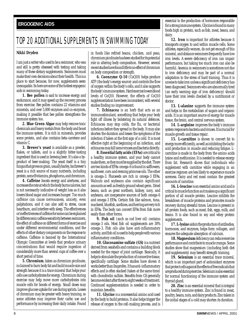#### <span id="page-7-0"></span>**ERGOGENIC AIDS**

### TOP 20 ADDITIONAL SUPPLEMENTS IN SWIMMING TODAY

#### **Nikki Dryden**

I am just a writer who used to be a swimmer, who was and still is pretty obsessed with testing and taking many of these dietary supplements. Swimmers must make their own decisions about their health. This is a place to start because, for now, supplements seem inescapable. So here are some of the hottest ergogenic aids in swimming today.

**1. Bee pollen** is said to increase energy and endurance, and it may speed up the recovery process from exercise. Bee pollen contains 22 vitamins and minerals, and over 5,000 enzymes and co-enzymes, making it possible that bee pollen strengthens the immune system too.

**2. Blue Green Algae** may help remove toxic chemicals and heavy metals from the body and boost the immune system. It is rich in minerals, provides some protein, and also contains beta-carotene and vitamin C.

**3. Brewer's yeast** is available as a powder, flakes, or tablets, and is a slightly bitter-tasting ingredient that is used in brewing beer. It's also a byproduct of beer-making. The yeast itself is a tiny fungus that grows on grain, usually barley, but brewer's yeast is a rich source of many nutrients, including protein, some B vitamins, phosphorus, and chromium.

**4. Caffeine** boosts energy and alertness, and increases the rate at which the body burns calories, but is not necessarily indicative of weight loss as it also lowers blood sugar and increases hunger. Too much caffeine can cause nervousness, anxiety, even palpitations, and it can also add to stress, cause heartburn, and interfere with sleep. The effectiveness or ineffectiveness of caffeine for some can be explained by differences in caffeine sensitivity between swimmers, the effect of caffeine on different forms of exercise and under different environmental conditions, and the effects of other dietary components on the response to caffeine. Caffeine is banned by the International Olympic Committee at levels that produce urinary concentrations that would require ingestion of considerably more than several cups of coffee over a short period of time.

**5. Chromium**, taken as chromium picolinate, is claimed to burn body fat and build muscle size and strength because it is a trace mineral that helps your cells use carbohydrates for energy. Chromium during exercise may help move more carbohydrates into muscle cells for boosts of energy. Small doses may improve glucose uptake for use during sprints. Losses of chromium may be greater with heavy training, so some athletes may improve their carbo use and performance by increasing their daily intake. Found in foods like refried beans, chicken, and peas, chromium picolinate has been studied for its potential role in altering body composition. However, several recent studies have found little to no effect of chromium on body composition or strength.

**6. Coenzyme Q-10** (CoQ10) helps produce ATP (the body's energy source) and controls the flow of oxygen within the body's cells, and it also supports the body's immune system. Hard exercise lowers blood levels of CoQ10. However, the effects of CoQ10 supplementation have been inconsistent, with several studies finding no improvement.

**7. Echinacea** is an herb that acts as an immunostimulant, something that helps your body fight off illness by bolstering its natural defences. Echinacea may stop colds, the flu, or bacterial infections before they spread in the body. It may also shorten the duration and lessen the symptoms of the infection if taken at the first sign of a cold. It is most effective right at the beginning of an infection, and echinacea may kill some viruses and bacteria directly.

**8. Essential fatty acids (EFAs)**are critical to a healthy immune system, and your body cannot make them, so they must be supplied by the diet. There are two kinds of EFAs: omega-6 is found in safflowers, sunflower, corn and evening primrose oils. The other is omega-3. Flaxseeds are rich in omega-3 EFAs. Walnuts and soybeans also contain significant amounts as well as freshly ground wheat germ. Dried beans, such as great northern, kidney, navy, and soybeans, are inexpensive sources of both omega-6 and omega-3 EFAs. Certain fish like salmon, tuna, mackerel, bluefish, sardines, and herring are very rich in EFAs. The body can convert EFAs from fish more easily than other forms.

**9. Fish oil** (such as cod liver oil) contains omega-3 oils. Most fish oil supplements are 30% omega-3. Fish oils also have anti-inflammatory activity, and fish oil is used to help people with various inflammatory conditions.

**10. Glucosamine sulfate (GS)** is a nutrient derived from seashells and contains a building block needed for the repair of joint cartilage. Basically, it helps to stimulate the production of connective tissue, specifically cartilage. Some studies have shown it works better than ibuprofen. It has anti-inflammatory effects and is often stacked (taken at the same time) with chondroitin sulfate. Benefits from GS generally become evident after three to eight weeks of treatment. Continued supplementation is needed in order to maintain benefits.

**11. Glycine** is a nonessential amino acid used by the body to build proteins. It also helps trigger the release of oxygen to the cell-making process, and is essential to the production of hormones responsible for a strong immune system. Glycine is found in many foods high in protein, such as fish, meat, beans, and dairy.

**12. Iron** is important for athletes because it transports oxygen to and within muscle cells. Some athletes, especially women, do not get enough of this mineral, and distance swimmers frequently have low iron levels. A severe deficiency of iron can impair performance, but taking too much iron can also be harmful. Anemia in swimmers is sometimes not due to iron deficiency and may be part of a normal adaptation to the stress of hard training. Thus it is unwise to take iron unless a significant deficiency has been diagnosed. Swimmers who are abnormally tired (an early warning sign of iron deficiency) should have their iron levels checked by a nutritionist or doctor.

13. L-**alanine** supports the immune system and helps in the metabolism of sugars and organic acids. It is an important source of energy for muscle tissue, the brain, and central nervous system.

**14. L-arginine** improves the body's immune system response to bacteria and viruses. It is crucial for muscle growth and tissue repair.

15. L-carnitine is shown to convert fat to energy more efficiently, as well as inhibiting the lactic acid production in muscle and reducing fatigue. Lcarnitine is made in the body from the amino acids lysine and methionine. It is needed to release energy from fat. Research shows that individuals who supplement with carnitine while engaging in an exercise regimen are less likely to experience muscle soreness. Dairy and red meat contain the greatest amounts of carnitine.

**16. L-leucine** is an essential amino acid and is critical to muscle function as it makes up a significant portion of all muscle protein. Leucine inhibits the breakdown of muscle proteins and promotes muscle recovery during stressful times. Leucine is present in all protein foods, such as meat, fish, eggs, milk, and beans. It is also found in soy and whey protein supplements.

**17. L-lysine**aids in the production of antibodies, hormones, and enzymes, helps form collagen, and ensures the adequate absorption of calcium.

**18. Magnesium**deficiency can reduce exercise performance and contribute to muscle cramps. Some studies show that magnesium (including both diet and supplements) may benefit strength training.

19. Selenium is an essential trace mineral, which is an important part of antioxidant enzymes that protect cells against the effects of free radicals that are produced during exercise. Selenium is also essential for normal functioning of the immune system and thyroid gland.

**20. Zinc**is an essential mineral that is integral to a healthy immune system. Zinc is found in meat, poultry, beans, nuts, and dairy products. Zinc taken in the initial stages of a cold may shorten its duration.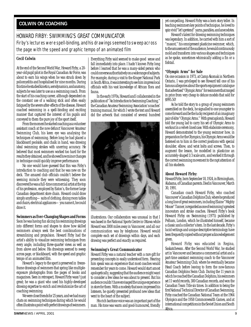#### <span id="page-8-0"></span>**COLWIN ON COACHING**

#### HOWARD FIRBY: SWIMMING'S GREAT COMMUNICATOR Firby's lectures were spell-binding, and his drawings seemed to sweep across the page with the speed and graphic tempo of an animated film

#### **Cecil Colwin**

At the end of the Second World War, Howard Firby, a 20 year-old pupil pilot in the Royal Canadian Air Force, was about to earn his wings when he was struck down by poliomyelitis and hospitalised for nine months. During this time he studied kinetics, aerodynamics, and anatomy, subjects he was later to use as a swimming coach. From the start of his coaching career, although dependent on the constant use of a walking stick and often easily fatigued by the severe after-effects of the disease, Howard coached swimming in a spell-binding and exciting manner that captured the interest of his pupils and conveyed to them the pure joy of the sport itself.

From the moment he started coaching as a volunteer assistant coach at the now defunct Vancouver Amateur Swimming Club, his keen eye was analysing the techniques of swimming. Before long he had placed a blackboard poolside, and chalk in hand, was drawing ideal swimming strokes with unerring accuracy. He believed that most swimmers worked too hard for the results they obtained, and he showed how minor changes in technique could quickly improve performance.

No one would have guessed that this was Firby's introduction to coaching and that he was new on the deck. The amazed club officials couldn't believe the seeming miracle they were witnessing. They soon discovered he was a full-time commercial artist at the top of his profession, employed by Eaton's, the former large Canadian department store chain. Howard could draw simply anything—suits of clothing, dining room tables and chairs, electrical appliances—you name it, he could draw it.

#### **Swimmers as Ever-Changing Shapes and Forms**

Soon he was having fun slicing his swimming drawings into different forms and shapes to show how skilled swimmers always seek the best combinations of streamlining and propulsion. Howard Firby had the artist's ability to visualize swimming techniques from every angle, including three-quarter views as well as from above and below. His drawings seemed to sweep across page, or blackboard, with the speed and graphic tempo of an animated film.

Howard's legacy to the sport is preserved in freezeframe drawings of swimmers that spring like multipleexposure photographs from the pages of books and magazines. Seen in retrospect, Howard Firby wasn't just great; he was a giant who used his highly-developed drawing expertise to enrich and revolutionize the art of coaching swimming.

We were close friends for 25 years, and we had many chats on swimming techniques during which he would often illustrate a point with perfect drawings of swimmers.

Everything Firby said seemed to make good sense and fall immediately into place. I hadn't known Firby long before I learned that he was a many-sided person who could converse authoritatively on a wide range of subjects. For example, during a visit to the Kruger National Park in South Africa, it was interesting to see him impress local officials with his vast knowledge of African flora and fauna.

In the early 1970s, Howard and I collaborated in the publication of "An Introduction to Swimming Coaching," the Canadian Amateur Swimming Association's coaches' training manual, for which I wrote the text and Howard did the artwork that consisted of several hundred



illustrations. Our collaboration was unusual in that I was based in the National Sports Centre in Ottawa while Howard was 3000 miles away in Vancouver, and all our communication was by telephone. Howard would complete each set of drawings within days, and each drawing was perfect and exactly as required.

#### **Swimming's Great Communicator**

Howard Firby was a natural teacher with a rare gift for presenting concepts in easily understood form. Hearing him speak was an experience that most coaches would remember for years to come. Howard would start amost apologetically, suggesting that the audience might want to consider a few ideas he was about to present. But his audience couldn't have envisaged the unique experience in store for them. With a modesty that soon impressed his listeners, he quietly presented profound new ideas that went to the heart of the subject.

His rich baritone voice was an important part of the man. His tone was warm and good-humoured, friendly yet compelling. Howard Firby was a born story teller. In teaching swimmers key points of techniqiue, he loved to spin vivid "let's pretend" yarns, parables, and anecodotes.

Howard's talent for drawing swimming techniques was legendary. In addition, he carried with him a sort of "mascot," his omnipresent plasticine swimmer, which, to the amusement of the audience, he would continuously mold and transform into various shapes and techniques as he spoke, sometimes whimsically adding a fin or a fishtail.

#### **"Olympic Arms" for Sale**

On one occasion in 1973, at Camp Akomak in Northern Ontario, I was privileged to see Howard tell one of his famous allegories about the sports equipment catalogue that advertised "Olympic Arms" for swimmers that ranged in price from very cheap to deluxe models that sold for \$995.50!

As he told the story to a group of young swimmers assembled on the deck, he signalled to one youngster to come forward and be the lucky recipient of an imaginary pair of elite "Olympic Arms." With great aplomb, Howard told the young lad to carry his set of Olympic Arms to workout in a velvet-lined case. With elaborate ceremony, Howard demonstrated to the young swimmer how, in preparation for the Olympics, his Olympic Arms would be fastened on to him in the correct positions with special shoulder, elbow, and wrist bolts and screws. Then, to augment the lesson, he modelled in plasticine an accurately-shaped 1/3 scale arm, and worked it through the correct swimming movement to the rapt attention of all his students.

#### **About Howard Firby:**

Howard Firby, born September 18, 1924, in Birmingham, Alabama, of Canadian parents. Died in Vancouver, March 30, 1991.

Canadian coach Howard Firby, who coached Vancouver's Canadian Dolphins Club, where he produced a long line of great swimmers, including Elaine "Mighty Mouse" Tanner, is regarded as one of swimming's greatest innovators and stroke coaches. Howard Firby's book *Howard Firby on Swimming* (1975) published by Pelham, London, which he illustrated himself, became a classic and a collector's item. In the last decade, Firby's lucid writings and unique descriptive terminology have been frequently copied without proper acknowledgement given.

Howard Firby was educated in Regina, Saskatchewan. After the Second World War, he studied art in Vancouver and became a commercial artist and a part-time assistant swimming coach to the Vancouver Amateur Swimming Club, where he eventually became Head Coach before leaving to form the now-famous Canadian Dolphins Swim Club. During the 11 years in which he coached the Canadian Dolphins, his swimmers set 11 world records, 300 Canadian records, and won the Canadian Team Title six times. In addition to being the first National Technical Director of Canadian Swimming, Firby coached the Canadian National Team at the 1964 Olympics and the 1958 Commonwealth Games, and at international competitions in the Soviet Union and South Africa.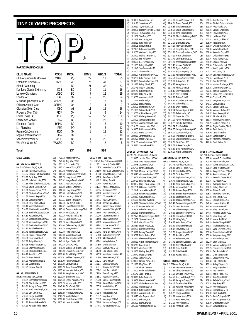<span id="page-9-0"></span>**TINY OLYMPIC PROSPECTS**

# **TOP**®

**PARTICIPATING CLUB** 

**CLUB NAME CODE PROV BOYS GIRLS TOTAL** Club Aquatique de Montreal CAMO PQ 22 13 35<br>Edmonton Keyano SC EKSC AB 26 31 57 Edmonton Keyano SC **EKSC** AB 26 31 Island Swimming IS BC 21 32 53 Kamloop Classic Swimming KCS BC 5 11 16 Langley Olympians LOSC BC 7 12 19 London AC LAC ON 9 25 34 Mississauga Aquatic Club MSSAC ON 8 18 26<br>Oshawa Aquatic Club OSHAC ON 3 4 7 Oshawa Aquatic Club OSHAC ON 3 4 7 Olympian Swim Club CSC AB 11 15 26 Pickering Swm Clib **PICK** ON 8 6 14 Pointe Claire SC **PCSC** PQ 52 50 102 Pacific Sea Wolves **PSW** BC 19 20 39 Richmond Rapids **RAPID** BC 7 3 10 Les Riverains **REG** PQ 6 6 12 Regina Opt. Dolphins **ROD** SK 8 13 21 Region of Waterloo SC 6 10 ROW 0N 5 5 5 10 Vancouver Pacific SC VPSC BC 14 26 40 West Van Otters SC MVOSC BC 3 2 5 **Total 234 292 526 GIRLS EVENTS GIRLS 7&U - 200 FREESTYLE** Rec: 2:55.04 Donna Wu,AQUA,85 1) 3:38.64 Patricia Jaros MSSAC 2) 3:44.35 Breanne Hart-Dowhun,OSC 3) 3:55.82 Sarah Assi,PCSC 4) 4:05.57 Isabelle Cloutier PCSC 5) 4:12.58 Alexe Grandin-Beaudet,REG 6) 4:19.00 Lauren Lougheed,PSW 7) 4:19.60 Caroline Parson,PCSC 8) 4:29.53 Stephanie Wilson, MSSAC<br>9) 4:31.62 Amanda Gagne. PCSC 9) 4:31.62 Amanda Gagne, PCSC<br>10) 5:15.82 Janica Lee MSSAC 10) 5:15.82 Janica Lee, MSSAC<br>11) 5:28.88 Katila Bonin MSSAC 11) 5:28.88 Katija Bonin, MSSAC<br>12) 5:30.10 Victoria Polyakova. IS 12) 5:30.10 Victoria Polyakova,IS 13) 5:30.82 Maddison McAnevin,PSW 14) 5:34.05 Stephanie Cassarato, PCSC<br>15) 5:35.50 Katie Moore. VPSC 15) 5:35.50 Katie Moore,VPSC 16) 5:37.67 Cassandra Blagrave, PCSC<br>17) 5:42.30 Vivianna Zampetti, VPSC 17) 5:42.30 Vivianna Zampetti, VPSC<br>18) 5:43.40 Stephanie Hillman, VPSC 18) 5:43.40 Stephanie Hillman,VPSC 19) 5:51.10 Patricia Pierse,EKSC 20) 5:52.76 Tatianna Zamozdra,PCSC 21) 5:54.00 Brooke Gallagher,PSW 22) 6:06.80 Laura Rosato,LAC 23) 6:07.82 Robyn Melville,IS 24) 6:19.26 Meagan Butters,PCSC 25) 6:33.00 Brianna Bolen, LOSC<br>26) 6:44.93 Stephanie Tadros.10 26) 6:44.93 Stephanie Tadros, LOSC<br>27) 7:08.10 Anna Nicol VPSC 27) 7:08.10 Anna Nicol,VPSC 28) 8:06.00 Rosie Beale,IS 29) 8:16.00 Ariana MacDonald, IS<br>30) 8:37.62 Julia Marks, IS 30) 8:37.62 Julia Marks, IS<br>31) 9:01.72 Katarina Bush. I 31) 9:01.72 Katarina Bush,IS **GIRLS 8 - 400 FREESTYLE** Rec: 5:49.44 Sandy Sabo,DDO,83 1) 6:48.27 Deanna Mathews,EKSC 2) 6:58.39 Christina Bosse,PCSC 3) 7:05.31 Ashley McGregor,PCSC 4) 7:15.11 Molly McCullough,PCSC 5) 7:16.56 Lori Kremer,OSC 6) 7:18.71 Saidye Assi,PCSC 7) 7:19.49 Dana Woodhall,ROW 8) 7:22.30 Fionnuala Pierse,EKSC 9) 7:25.24 Kelly Ann White,MSSAC 10) 7:35.10 Kajsa Heyes,VPSC 11) 7:48.34 Amy Allan,PCSC 12) 7:51.23 Courtney Fry, OSC<br>13) 8:03.87 Valerie Vionis, PCS 13) 8:03.87 Valerie Vionis,PCSC 14) 8:07.32 Anne Kerr,PCSC 15) 8:09.68 Elizabeth Guimond CAMO 16) 8:09.78 Haley Lippiatt,PCSC 17) 8:13.62 Morgan Donahue LOSC 18) 8:18.71 Kyla Centomo,PCSC 19) 8:19.82 Michelle Chan,VPSC 20) 8:22.96 Haley Tierney,PCSC 21) 8:25.00 Lydia Schramm,EKSC 22) 8:29.92 Lina Moghrabi,PCSC 23) 8:37.11 Sophie Tadros, LOSC<br>24) 9:02.40 Sara Belo MSSAC 24) 9:02.40 Sara Belo, MSSAC<br>25) 9:02.67 Olivier McMullen. 9:02.67 Olivier McMullen, PCSC 26) 9:03.30 Oleksandra Bershadskaya,CAMO 27) 9:04.50 Julia Casol, KCS<br>28) 9:11.10 Alexandra Tully. 9:11.10 Alexandra Tully,VPSC 29) 9:17.76 Laura Hossari,PCSC 30) 9:18.20 maude Dupuis,CAMO<br>31) 9:24.00 Catherine Crepniak.PS 9:24.00 Catherine Crepnjak, PSW 32) 9:24.20 Kinsey Beck, LAC 33) 9:32.30 Riche Leveille,KCS 34) 9:34.00 Mara Pritchard,LAC 35) 9:37.80 Kate Kirkpatrick,VPSC 36) 9:40.40 Alyson Walker LAC 37) 9:42.80 Gloria Ho,VPSC 38) 9:46.23 Madison Goldburger, PCSC<br>39) 9:54.00 Lynnaea Mulligan, PSW 9:54.00 Lynnaea Mulligan, PSW 40) 10:20.00 Rachel Phillips,VPSC 41) 10:25.51 Kathleen D'Aguuno,PCSC 42) 10:35.00 Rachel White,LOSC 43) 10:39.38 Carla Jarhaus, IS<br>44) 10:53.20 Jenna Beaudry. VF 44) 10:53.20 Jenna Beaudry, VPSC<br>45) 10:57.90 Mercedes Basford.KC 10:57.90 Mercedes Basford,KCS 46) 11:08.50 Kayly Patterson,MSSAC 47) 11:23.30 Shannon Nell, LAC<br>48) 11:24.40 Brigitte Youakim.CJ 48) 11:24.40 Brigitte Youakim,CAMO 49) 11:37.20 Michelle Miller,KCS 50) 11:40.50 Erica Baniuk,PICK 51) 11:46.90 Jennifer Zukiwski,EKSC 52) 11:55.20 Nicole LaChance EKSC 53) 12:03.70 Marika Reuben, IS<br>54) 12:50.00 Bronte Dureault LC 54) 12:50.00 Bronte Dureault, LOSC<br>55) 13:37.98 Laura SimandLIS 55) 13:37.98 Laura Simandl,IS **GIRLS 9 - 800 FREESTYLE** Rec: 10:45.42 Julie Bodenbender,AQUA,88 1) 12:36.21 Marie-P. Couillard,REG 2) 12:49.79 Alexandra Cloutier,PCSC 3) 13:18.60 Marie-S Jean-Lachapelle,CAMO 4) 13:36.30 Kirstyn McCasey,OSHAC 5) 13:39.38 Sonia Wiechec,CAMO 6) 13:41.12 Brittany Buna,IS 7) 14:04.54 Maxine Rist,PCSC 8) 14:19.34 Victoria Hanna,OSHAC 9) 14:25.54 Kyra Lippiatt, PCSC 10) 14:27.20 Amanda Johnston,LAC 11) 14:36.72 T.J. Hebert,PCSC 12) 14:37.13 Maura Lavoie, OSC<br>13) 14:40.38 Bianca Liang MSS 13) 14:40.38 Bianca Liang, MSSAC<br>14) 14:40.47 Jennifer Slongo, MSS 14) 14:40.47 Jennifer Slongo,MSSAC 15) 14:48.02 Alexandra Zatylny,PCSC 16) 14:56.00 Leeanne Midgley,LAC<br>17) 15:00.00 Kate Mittermaier.PSW 15:00.00 Kate Mittermaier,PSW 18) 15:14.00 Hilary Caldwell,PSW 19) 15:21.32 Aleksandra Couture,REG 20) 15:22.01 Lindsey Moore,VPSC 21) 15:24.68 Genevieve Couture,REG 22) 15:27.91 Marie-Eve Althot CAMO 23) 15:31.00 Kaelyn Armstrong,PSW 24) 15:31.10 Nikita Senay,LAC 25) 15:37.41 Andrey Polyakov,IS 26) 15:45.50 Sydney Adkin,LAC 27) 15:46.31 Grace Jauristo,VPSC 28) 16:15.90 Talia Ritondo,PCSC 29) 16:45.50 Amanda Vandenbrink,LAC 30) 16:48.00 Rebecca Britten,EKSC 31) 16:50.11 Kathy Tran,OSC 32) 16:51.17 Cristina Bravi, CAMO<br>33) 16:52.77 Stefania Strati.MSSA 33) 16:52.77 Stefania Strati, MSSAC<br>34) 17:07.42 Leah Ferhorst.ROD 17:07.42 Leah Ferhorst,ROD 35) 17:11.84 Teresa Shiang,VPSC 36) 17:18.31 Mackenzie Allen,OSC 37) 17:29.00 Kristina Tanninen,EKSC 38) 17:30.00 Bobbie Mielnichuk,EKSC 39) 17:30.30 Alex Orfanides, LAC<br>40) 17:33.73 Kylee Wilyman ROD 17:33.73 Kylee Wilyman,ROD 41) 17:35.40 Jordyn Bogetti,KCS 42) 17:36.71 Joey Shea,VPSC 43) 17:36.73 Anne Meyer,OSHAC 44) 17:38.60 Madison McGregor,KCS 45) 17:47.43 Margarett Marak,PCSC

46) 18:00.50 Sarah Rosato, LAC 47) 18:01.20 Sarah Kozak KCS 48) 18:05.30 Taylor Walsh,KCS 49) 18:09.56 Elizabeth Forrester-C.,PSW 50) 18:16.30 Tsue Andersen,EKSC 51) 18:16.32 Tina Tam,VPSC 52) 18:16.58 Erin Laidley,PICK 53) 18:24.19 Karla Hillis,ROD 54) 18:24.71 Kelley Sutton, IS<br>55) 18:29.95 Katie Jamieson. R 55) 18:29.95 Katie Jamieson,ROW 18:42.60 Gardiner Jordan, VPSC 57) 18:45.72 Melissa Teuton,PCSC 58) 18:50.07 Erin Hillis, ROD<br>59) 19:06.00 K C Kunsang P 59) 19:06.00 K.C. Kunsang,PSW 60) 19:15.03 Kaleigh Heard,PICK 61) 19:18.40 Sam Campanale,LAC 62) 19:20.00 Siobhan Niell,IS 63) 19:32.27 Carlolyn Hamilton,PCSC 64) 19:42.00 Katie Yurkovich,EKSC 65) 20:08.35 Samantha Bancescu,ROD 66) 20:13.83 Kelsey Kilbach,ROD 67) 20:17.41 Stefanie Danis,REG 68) 20:21.40 Kathleen Baker,IS 69) 20:40.10 Ruby Yeh,VPSC 70) 21:02.50 Andrea Vizsolyi,IS 71) 21:12.31 Hayley Bath, IS<br>72) 21:14.20 Emery Prette, IS 72) 21:14.20 Emery Prette, IS<br>73) 21:19.00 Michelle Chen. 73) 21:19.00 Michelle Chen,PSW 74) 21:19.99 Sabrina Novak,PCSC 75) 21:37.50 Calliste Flemming, ROD<br>76) 22:36.00 Kimberly Meerse, PSW 22:36.00 Kimberly Meerse, PSW 77) 22:46.00 Andrea Temple,PSW 78) 23:26.00 Andrea Bachewich,EKSC 79) 23:41.00 Jesseca Lucier,PSW 80) 24:09.00 Kaitlyn Kenvielle,PSW 81) 24:26.20 Hanna Igbn,VPSC 82) 25:08.10 Johanna Steyn,VPSC 83) 25:12.70 Maddy Brazil,ROD 84) 25:51.00 Amanda Newman EKSC 85) 26:56.84 Sandra Rijken PSW **GIRLS 10 - 1500 FREESTYLE** Rec: 19:12.09 Melanie Copple,AQUA,86 1) 21:39.15 Jennifer Wilson,MSSAC 2) 21:39.15 Anna Freeman,MSSAC 3) 21:55.45 Jovanna Ruffalo, IS 4) 21:57.90 Hind Chelfat, CAMO<br>5) 22:28.42 Melissa Larocque.P 5) 22:28.42 Melissa Larocque,PCSC 6) 22:56.23 Alexandra Centomo,PCSC 7) 23:03.07 Christine Edward, VPSC<br>8) 23:07:30 Lisa Alihrando PCSC 8) 23:07.30 Lisa Alibrando,PCSC 9) 23:08.37 Stacy Perrier-Armaos,PCSC 10) 23:12.81 Catherine Powell,PCSC 11) 23:28.49 Jemma Hinkley,PCSC 12) 23:34.05 Krista Morgado,MSSAC 13) 23:43.13 Geneva Murphy,ROD 14) 24:16.60 Christine Zwart LAC. 15) 24:35.12 Vanessa Niedzielski,MSSAC 16) 24:41.10 Kristine Walker,LAC 17) 25:00.09 Gabrielle Laurin,MSSAC 18) 25:10.16 Seana Sterner,PCSC 19) 25:20.73 Meghan Brockington,OSHAC 20) 25:29.69 Shawnee Landolt, IS<br>21) 25:35.42 Alex Williams.OSC 21) 25:35.42 Alex Williams, OSC<br>22) 25:36.57 Nicole Vincent. OSC 22) 25:36.57 Nicole Vincent,OSC 23) 25:42.09 Scarlett Smith,VPSC 24) 25:50.12 Brittany Vader,OSC 25) 26:07.17 Rachel Judges,ROW 26) 26:24.10 Eleanore Dalling,VPSC 27) 26:30.59 Caitlin Robinson,MSSAC 28) 26:42.13 Lisa Billson,IS 29) 26:43.30 Alex Cooper,LAC 30) 26:44.66 Lindsey Reed,PCSC 31) 27:00.42 Megan Chi,EKSC 32) 27:08.10 Abbey Oke,LAC 33) 27:09.00 Grainne Pierse,EKSC 34) 27:16.10 Meg Sloan LAC 35) 27:17.48 Nicole Che,VPSC 36) 27:30.00 Brielle Bukieda,EKSC 37) 27:55.40 Anna Francis, IS<br>38) 28:09.10 Katie Couglin JS 38) 28:09.10 Katie Couglin, IS<br>39) 28:09.61 Hannah Jones, L 39) 28:09.61 Hannah Jones,LOSC 40) 28:30.00 Aislinn Pattesron-M.,LAC<br>41) 28:32.12 Stephanie Zale.IS 41) 28:32.12 Stephanie Zale, IS<br>42) 28:39.31 Katie Beautilier, PC 42) 28:39.31 Katie Beautilier,PCSC 43) 28:40.00 Adrienne Funk,EKSC 44) 28:49.20 Alex Fergusson, LAC<br>45) 28:50.00 Daisy Jar. FKSC 28:50.00 Daisy Jar, EKSC 46) 28:50.00 Elaine Jar,EKSC 47) 28:55.16 Veronique Delisle,REG

48) 28:57.00 Kelsey Monaghan,EKSC 49) 29:00.01 Brenna Caldwell ROD 50) 29:19.53 Victoria Roduta,OSC 51) 29:28.62 Lauren Mothersell,OSC 52) 29:56.10 Taryn Harnack,EKSC 53) 30:00.80 Christine DeNobrega,RAPID 54) 30:01.00 Amanda Rosato,LAC 55) 30:12.00 Elaine Gross,EKSC 56) 30:34.19 Hilary Sergeany,ROW 57) 30:37.51 Brynja Clipsham,LOSC 58) 30:43.80 Dominique Boyer-Leblond,CAMO 59) 30:44.10 Megan Gilmour,LAC 60) 30:51.70 Colby Starman,EKSC 61) 31:07.29 brianna Cunningham,ROW 62) 31:12.42 Youssra Zaki,PCSC 63) 31:35.00 Jiyoon Oh,LOSC 64) 32:29.17 Sophie Bugoyne,LOSC 65) 32:33.80 Nicolette Harbridge,RAPID 66) 32:44.50 Jessica Moloney,LOSC 67) 33:22.60 Mallory Teal,LAC 68) 33:26.37 Kelsey Blake,IS 69) 33:27.78 Nicole Jarhaus,IS 70) 33:35.46 Brianne Porter,PICK 71) 33:50.37 Amy Hillis,ROD 72) 34:03.90 Tatiana Solis,IS 73) 34:10.61 Michelle Russell, VPSC<br>74) 34:24.40 Julie Hobby.LAC 74) 34:24.40 Julie Hobby, LAC<br>75) 34:25.42 Fmily Pearce IS 34:25.42 Emily Pearce, IS 76) 34:26.54 Celeena Sayani,MSSAC 77) 34:37.70 Talleah Haller,LAC 34:43.00 Cassie Hall,LOSC 79) 34:43.00 Ashley Pennington, ROD<br>80) 35:45.22 Daniella Bustos.OSC 80) 35:45.22 Daniella Bustos,OSC 81) 36:42.64 Erin Ennis,ROD 82) 38:00.07 Netanya Bushwensky,OSC 83) 38:15.00 Lucy Laychuck, EKSC 84) 38:48.00 Francesca Mariani,PSW 85) 38:59.00 Laurel Humberstone,EKSC 86) 39:26.71 Nicole Yeap,OSC 87) 39:55.02 Melanie Clarke PICK 88) 41:28.50 Ellisa Patterson,MSSAC 89) 50:26.00 Kirtsen Munroe,PSW **GIRLS 7&U - 100 IND. MEDLEY** Rec: 1:28.46 Donna Wu,AQUA,85 1) 1:51.72 Patricia Jaros,MSSAC 2) 2:08.89 Caroline Parson,PCSC 3) 2:10.00 Katie Caldwell,PSW 4) 2:10.70 Sarah Assi,PCSC 5) 2:15.37 Stephanie Wilson,MSSAC 6) 2:16.79 Isabelle Cloutier,PCSC 7) 2:18.43 Alexe Grandin-Beaudet,REG 2:23.45 Veronika Blach, PCSC 9) 2:29.54 Amanda Gagne,PCSC 10) 2:30.60 Breanne Hart-Dowhun,OSC 11) 2:30.81 Janica Lee,MSSAC 12) 2:33.83 Tatianna Zamozdra,PCSC 13) 2:45.43 Cassandra Blagrave,PCSC 14) 2:46.70 Laura Rosato,LAC 15) 2:47.69 Vivianna Zampetti,VPSC 16) 2:49.03 Stephanie Hillman,VPSC 17) 2:50.30 Patricia Pierse,EKSC 18) 2:56.00 Hillary Willy, IS<br>19) 2:56.65 Katila Bonin. MS 19) 2:56.65 Katija Bonin,MSSAC 20) 3:02.90 Victoria Polyakova,IS 21) 3:05.02 Robyn Melville,IS 22) 3:07.78 Meagan Butters,PCSC 23) 3:11.55 Anna Nicol,VPSC 24) 3:13.02 Katie Moore,VPSC 25) 3:14.71 Stephanie Cassarato, PCSC<br>26) 3:32.00 Ariana MacDonald.IS 26) 3:32.00 Ariana MacDonald,IS 27) 4:02.00 Rosie Beale,IS 28) 4:29.56 Julia Marks IS 29) 5:15.32 Katarina Bush IS **GIRLS 8 - 100 IND. MEDLEY** Rec: 1:27.52 Donna Wu, AOHA 85 1) 1:34.53 Deanna Mathews,EKSC 2) 1:41.39 Christina Bosse,PCSC 3) 1:43.69 Bryn Tod-Tims, WVOSC<br>4) 1:44.51 Molly McCullough PCS 4) 1:44.51 Molly McCullough,PCSC 5) 1:44.92 Ashley McGregor,PCSC 6) 1:46.14 Dana Woodhall,ROW 7) 1:47.08 Kelly Ann White, MSSAC<br>8) 1:47.60 Fionnuala Pierse. EKSC 1:47.60 Fionnuala Pierse,EKSC 9) 1:49.77 Saidye Assi, PCSC<br>10) 1:51.09 Valerie Vionis, PCS 1:51.09 Valerie Vionis, PCSC 11) 1:51.10 Kajsa Heyes,VPSC 12) 1:52.60 Amy Allan,PCSC 13) 1:55.38 Anne Kerr,PCSC

14) 1:58.74 Kyla Centomo,PCSC 15) 2:00:40 Elizabeth Guimond CAMO 16) 2:01.10 Alyson Walker LAC 17) 2:01.23 Michelle Chan,VPSC 18) 2:01.29 Haley Lippiatt,PCSC 19) 2:01.81 Lori Kremer,OSC 20) 2:03.91 Lina Moghrabi,PCSC 21) 2:05.00 Kinsey Beck,LAC 22) 2:05.50 Lynnaea Mulligan,PSW 23) 2:06.00 Mara Pritchard, LAC<br>24) 2:08.80 Alexandra Tully, VPS 2:08.80 Alexandra Tully,VPSC 25) 2:09.64 Lydia Schramm,EKSC 26) 2:10.46 Haley Tierney, PCSC<br>27) 2:11.00 Shannon Nell.I AC 2:11.00 Shannon Nell, LAC 28) 2:12.00 Catherine Crepnjak,PSW 29) 2:13.19 Kate Kirkpatrick,VPSC 30) 2:13.78 Julia Casol,KCS 31) 2:14.30 Oleksandra Bershadskaya,CAMO 32) 2:14.66 Laura Hossari, PCSC 33) 2:17.37 Sara Belo,MSSAC 34) 2:18.39 Madison Goldburger,PCSC 35) 2:18.92 Olivier McMullen,PCSC 36) 2:23.83 Kathleen D'Aguuno,PCSC 37) 2:26.26 Roxan Canty-Currie,PCSC 38) 2:35.68 Courtney Fry, OSC<br>39) 2:39.03 Kayly Patterson, M: 39) 2:39.03 Kayly Patterson, MSSAC<br>40) 2:40.12 Carla Jarhaus.IS 40) 2:40.12 Carla Jarhaus, IS<br>41) 2:43.91 Michelle Miller K 41) 2:43.91 Michelle Miller,KCS 42) 2:44.08 Mercedes Basford,KCS 43) 2:48.57 Jenna Beaudry,VPSC 44) 2:49.07 Erica Baniuk,PICK 45) 2:50.67 Jennifer Zukiwski,EKSC 46) 2:55.20 Nicole LaChance,EKSC 47) 3:05.40 Brigitte Youakim,CAMO 48) 3:27.00 Sarah Dominy,IS 49) 3:28.00 Laura Simandl,IS 50) 3:36.00 Marika Reuben,IS 51) 4:22.00 Amanda Comberbach,IS 52) 4:27.00 Sarah Hudson,IS **GIRLS 9 - 200 IND. MEDLEY** Rec: 2:50.84 Leslie Dowson,WISC,88 1) 3:07.66 Marie-P. Couillard,REG 2) 3:17.50 Kate Mittermaier,PSW 3) 3:20.25 Marie-S Jean-Lachapelle,CAMO 4) 3:21.50 Sonia Wiechec,CAMO 5) 3:22.53 Kirstyn McCasey,OSHAC 6) 3:23.30 Amanda Johnston,LAC 7) 3:24.19 Alexandra Cloutier,PCSC 8) 3:30.93 T.J. Hebert,PCSC 9) 3:32.61 Aleksandra Couture,REG 10) 3:32.70 Sydney Adkin,LAC 11) 3:32.80 Brittany Buna,IS 12) 3:35.37 Victoria Hanna,OSHAC 13) 3:37.08 Kyra Lippiatt,PCSC 14) 3:37.57 Rebecca Britten EKSC 15) 3:40.40 Leeanne Midgley, LAC 16) 3:41.00 Maura Lavoie,OSC 17) 3:42.80 Hilary Caldwell,PSW 18) 3:44.34 Alexandra Zatylny, PCSC<br>19) 3:44.70 Nikita Senav.LAC 3:44.70 Nikita Senay, LAC 20) 3:47.67 Maxine Rist, PCSC<br>21) 3:48.39 Jennifer Slongo.M 21) 3:48.39 Jennifer Slongo, MSSAC<br>22) 3:49.33 Kristina Tanninen. FKSC 22) 3:49.33 Kristina Tanninen,EKSC 23) 3:50.97 Marie-Eve Althot,CAMO 24) 3:51.34 Bobbie Mielnichuk,EKSC 25) 3:51.60 Kaelyn Armstrong,PSW 26) 3:52.19 Bianca Liang,MSSAC 27) 3:52.50 Sarah Kozak,KCS 28) 3:55.30 Madison McGregor,KCS 29) 3:55.73 Genevieve Couture,REG 30) 3:56.53 Talia Ritondo,PCSC 31) 3:58.13 Grace Jauristo VPSC 32) 3:59.72 Lindsey Moore,VPSC 33) 4:00.03 Leah Ferhorst,ROD 34) 4:01.18 Andrey Polyakov IS 35) 4:02.31 Jordyn Bogetti,KCS 36) 4:07.39 Tina Tam,VPSC 37) 4:08.72 Kaleigh Heard, PICK<br>38) 4:09.47 Anne Mever. OSHAC 4:09.47 Anne Meyer, OSHAC 39) 4:09.86 Stefania Strati,MSSAC 40) 4:11.98 Joey Shea,VPSC 41) 4:12.10 Alex Orfanides, LAC<br>42) 4:12.53 Teresa Shiang. VPS 4:12.53 Teresa Shiang, VPSC 43) 4:12.80 Sarah Rosato,LAC 44) 4:14.75 Jordie Dollinger, PCSC<br>45) 4:14.89 Fleni Rompotinos. PCS 45) 4:14.89 Eleni Rompotinos,PCSC 46) 4:15.20 Cristina Bravi,CAMO

47) 4:17.59 Stefanie Danis,REG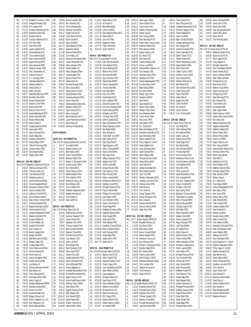40) 7:49.30 Amanda Rosato, LAC<br>41) 7:49.90 Megan Gilmour, LAC 41) 7:49.90 Megan Gilmour, LAC<br>42) 7:50.60 Aislinn Pattesron-M. 7:50.60 Aislinn Pattesron-M.,LAC 43) 7:56.50 Alex Fergusson, LAC 44) 7:58.00 Brielle Bukieda,EKSC

49) 4:19.53 Margarett Marak PCSC 50) 4:20.04 Frin Laidley PICK 51) 4:22.10 Amanda Vandenbrink, LAC<br>52) 4:29.08 Mackenzie Allen. OSC 52) 4:29.08 Mackenzie Allen, OSC<br>53) 4:30.20 Siobhan Niell IS 53) 4:30.20 Siobhan Niell,IS 54) 4:31.89 Carlolyn Hamilton,PCSC 55) 4:32.22 Erin Hillis,ROD 56) 4:34.22 Karla Hillis,ROD 57) 4:34.44 Lauren Ziedell, PCSC<br>58) 4:38.22 Kylee Wilyman, ROD 58) 4:38.22 Kylee Wilyman,ROD 59) 4:42.30 Tsue Andersen, EKSC<br>60) 4:44.00 Katie Yurkovich. FKSC 60) 4:44.00 Katie Yurkovich,EKSC 61) 4:45.00 Kaylea DeJong,EKSC 62) 4:45.62 Katie Jamieson,ROW 63) 4:48.12 Gardiner Jordan, VPSC<br>64) 4:50.10 Sam Campanale LAC 4:50.10 Sam Campanale,LAC 65) 4:51.70 Andrea Vizsolvi IS 66) 4:51.70 K.C. Kunsang,PSW 67) 4:53.31 Vahnessa Espie,KCS 68) 4:56.50 Kathleen Baker,IS 69) 4:58.06 Kelley Sutton,IS 70) 5:05.53 Kathy Tran,OSC 71) 5:05.77 Samantha Bancescu,ROD 72) 5:06.90 Michelle Chen,PSW 73) 5:09.00 Andrea Temple, PSW<br>74) 5:11.60 Jesseca Lucier, PSW 74) 5:11.60 Jesseca Lucier,PSW 75) 5:13.00 Sarita Good,PSW 76) 5:13.06 Melissa Teuton,PCSC 77) 5:14.00 Andrea Bachewich, EKSC<br>78) 5:18.10 Kaitlyn Kenvielle, PSW 5:18.10 Kaitlyn Kenvielle,PSW 79) 5:23.20 Kelsey Kilbach, ROD<br>80) 5:27.80 Emery Prette. IS 80) 5:27.80 Emery Prette, IS<br>81) 5:29.00 Amanda Newma 81) 5:29.00 Amanda Newman,EKSC 82) 5:37.80 Hanna Igbn,VPSC 83) 5:41.24 Sabrina Novak PCSC 84) 5:45.62 Sarah Stelte,OSC 85) 5:58.10 Kimberly Miller,EKSC 86) 6:07.30 Sandra Rijken,PSW 87) 6:14.87 Calliste Flemming ROD 88) 6:20.40 Johanna Steyn,VPSC 89) 6:22.40 Gina Nasseri, EKSC<br>90) 6:43.40 Maddy Brazil ROD 90) 6:43.40 Maddy Brazil,ROD **GIRLS 10 - 400 IND. MEDLEY** Rec: 5:36.76 Stephanie Shewchuk,PCSC,85 1) 6:09.03 Melissa Larocque, PCSC<br>2) 6:20.60 Christine Zwart. LAC 2) 6:20.60 Christine Zwart,LAC 3) 6:31.98 Lisa Alibrando,PCSC 4) 6:33.45 Shawnee Landolt,  $\vert S \vert$ <br>5) 6:36.22 Jennifer Wilson MS 5) 6:36.22 Jennifer Wilson,MSSAC 6) 6:38.21 Krista Morgado,MSSAC 7) 6:38.82 Alexandra Centomo, PCSC<br>8) 6:39.67 Jemma Hinklev, PCSC 8) 6:39.67 Jemma Hinkley,PCSC 9) 6:41.42 Catherine Powell, PCSC 10) 6:44.81 Anna Freeman MSSAC 11) 6:45.10 Stacy Perrier-Armaos PCSC 12) 6:46.17 Christine Edward,VPSC 13) 6:47.76 Meghan Brockington,OSHAC 14) 6:58.25 Tania Hurtubise,PCSC 15) 7:01.01 Vanessa Niedzielski,MSSAC 16) 7:03.21 Eleanore Dalling,VPSC 17) 7:03.38 Jovanna Ruffalo, IS<br>18) 7:04.10 Kristine Walker.LA 18) 7:04.10 Kristine Walker, LAC<br>19) 7:05.04 Scarlett Smith VPSC 19) 7:05.04 Scarlett Smith,VPSC 20) 7:07.60 Alex Cooper, LAC 21) 7:12.39 Rachel Judges,ROW 22) 7:15.00 Megan Chi,EKSC 23) 7:16.39 Gabrielle Laurin, MSSAC<br>24) 7:26.12 Brittany Vader, OSC 24) 7:26.12 Brittany Vader, OSC<br>25) 7:28.88 Lindsev Reed, PCSC 7:28.88 Lindsey Reed, PCSC 26) 7:30.48 Caitlin Robinson,MSSAC 27) 7:31.67 Nicole Vincent,OSC 28) 7:31.68 Anna Francis IS 29) 7:33.20 Kelsey Monaghan,EKSC 30) 7:34.00 Kirtsen Munroe,PSW 31) 7:34.21 Lisa Billson,IS 32) 7:34.45 Calindy Ramsden, WVOSC<br>33) 7:37.90 Mea Sloan. LAC 33) 7:37.90 Meg Sloan,LAC 34) 7:38.20 Taryn Harnack, EKSC<br>35) 7:38.75 Veronique Delisle.R 35) 7:38.75 Veronique Delisle,REG 36) 7:39.68 Katie Couglin,IS 37) 7:41.60 Candace Bergmann, RAPID<br>38) 7:45.94 Mahalia Coniah. EKSC 38) 7:45.94 Mahalia Coniah, EKSC<br>39) 7:46.34 Nicole Che. VPSC 7:46.34 Nicole Che,VPSC

48) 4:17.70 Elizabeth Forrester-C.,PSW

45) 7:59.48 Brenna Caldwell,ROD 46) 8:00.02 Alex Williams OSC 47) 8:04.24 Victoria Roduta,OSC 48) 8:05.00 Adrienne Funk,EKSC 49) 8:05.12 Angela Sullivan,IS 50) 8:05.30 Colby Starman,EKSC 51) 8:06.00 Elaine Jar,EKSC 52) 8:07.00 Daisy Jar,EKSC 53) 8:07.74 Katie Beautilier, PCSC<br>54) 8:09.14 Stephanie Zale.IS 54) 8:09.14 Stephanie Zale, IS<br>55) 8:11.00 Grainne Pierse.EK 8:11.00 Grainne Pierse,EKSC 56) 8:13.30 Julie Hobby,LAC 57) 8:18.25 brianna Cunningham, ROW<br>58) 8:22.91 Lauren Mothersell OSC 58) 8:22.91 Lauren Mothersell,OSC 59) 8:28.05 Patricia Manos,PICK 60) 8:38.30 Talleah Haller,LAC 61) 8:50.04 Hilary Sergeany,ROW 62) 8:50.13 Youssra Zaki,PCSC 63) 8:55.74 Brianne Porter PICK 64) 8:57.40 Tatiana Solis IS 65) 8:59.52 Michelle Russell,VPSC 66) 9:41.10 Molly Grove,EKSC 67) 9:44.92 Sabrina Dionisi,PCSC 68) 9:51.14 Daniella Bustos,OSC 69) 9:55.10 Francesca Mariani,PSW 70) 9:56.13 Nicole Yeap, OSC<br>71) 9:56.16 Netanya Bushwens 71) 9:56.16 Netanya Bushwensky, OSC<br>72) 10:30.37 Melanie Clarke PICK 72) 10:30.37 Melanie Clarke,PICK 73) 10:43.12 Tawni Omerod,KCS 74) 10:45.10 Nancy Truong, IS<br>75) 11:04.01 Becca Dickinson, I 11:04.01 Becca Dickinson,KCS 76) 11:09.00 Laurel Humberstone,EKSC 77) 11:20.15 Emily Pearce,IS 78) 11:53.60 Adrienne Findaly,EKSC **BOYS EVENTS BOYS 7&U - 200 FREESTYLE** Rec: 2:50.36 Joshua Hammervold,UCSC,97 1) 3:51.37 Guy Bach,CAMO 2) 4:18.10 Brayden Salmon,LAC 3) 4:18.41 Bilal Malik,CAMO 4) 4:25.94 Austin Yeung,MSSAC 5) 4:26.65 Brandon Reed,PCSC 6) 4:37.70 Rchard-O. Bouchard,CAMO 7) 4:52.23 Justine Lewis,CAMO 8) 5:06.20 Eric Grehan,EKSC 5:06.68 Trevor Paterson, PICK 10) 5:11.10 Robert Masters,PICK 11) 5:17.23 Chris Debiller, PCSC<br>12) 5:20.20 Andrea Di Cecco J AG 12) 5:20.20 Andrea Di Cecco,LAC 13) 5:25.32 Mac Williams,OSC 14) 5:57.41 Colin Laidley, PICK<br>15) 7:10.00 Matthew Kratzmann 7:10.00 Matthew Kratzmann.EKSC 16) 7:20.00 Stephen McInnes,IS 17) 8:44.10 Tyrell Harley,IS 18) 9:19.98 Aaron Griffin IS **BOYS 8 - 400 FREESTYLE** Rec: 5:22.65 Doug Wake,YLSC,86 1) 6:29.55 Matthew Emory,PCSC 2) 7:21.90 Nicholas Tatigian,PCSC 3) 7:28.34 Tanner Fisher,OSC 4) 7:30.67 Wayland Chen,VPSC 5) 7:40.85 Thomas Jirasek,PCSC 6) 7:42.49 Ryan Cornford,MSSAC 7) 7:42.52 Brandon Chan,EKSC 7:45.65 Michael Dionisi,PCSC 7:48.00 Clay Stewart,LOSC 10) 8:02.00 Jason Lai,EKSC 11) 8:04.67 Alex Zhang,PCSC 12) 8:08.10 Ryan Simonyik,PCSC 13) 8:08.60 Trevor Ayre,PCSC 14) 8:10.11 Jihyoon Oh, LOSC 15) 8:18.61 Joseph peplowski,PCSC 16) 8:28.52 Dylan Unterstab,PCSC 17) 8:32.42 Josh McDonald,PSW 18) 8:46.70 Jeremy Bagshaw,IS 19) 8:50.70 Jonathan Blumenthal,PCSC 20) 8:50.89 Michael Blumenthal, PCSC<br>21) 9:15.38 Stefan Tihanvi. PCSC 21) 9:15.38 Stefan Tihanyi,PCSC 22) 9:18.38 Antoine Grand'Maison,CAMO 23) 9:24.06 Anthony Tucan,CAMO 24) 9:33.12 Mark Storto, PICK<br>25) 9:39.32 Eugene Gusman.F 9:39.32 Eugene Gusman, PCSC 26) 9:52.34 Peter Wang,LOSC 27) 10:02.40 Nick Kostiuk,EKSC 28) 10:10.28 Zoltan Havas,OSC 29) 10:49.30 Mikhail Yerkovich,IS 30) 11:05.60 Hamza Malik,CAMO

#### 31) 11:15.53 Brady Reeve,LOSC 32) 11:21.00 Avi Kunen,IS 33) 11:56.00 Reid White EKSC 34) 11:56.00 Calvin Ho,EKSC 35) 11:57.00 Sam Hardwicke-Brown,EKSC 36) 12:41.75 Aidan Roth,IS 37) 12:49.00 Juno Kim,PSW 38) 14:06.00 Eugene Ho,PSW 39) 14:47.00 Taylor Riar, EKSC<br>40) 15:31.00 Austin Smith. IS 15:31.00 Austin Smith, IS **BOYS 9 - 800 FREESTYLE** Rec: 10:27.10 Doug Wake,YLSC,86 1) 12:38.90 Paul Zielinski,MSSAC 2) 12:43.28 Josh Bothelo,PCSC 3) 12:52.48 Grant Harding,ROW 4) 13:19.11 Marlow Nicol VPSC 5) 13:20.63 Ross Bennett,ROW 6) 13:28.53 Scott Johnston,PICK 7) 13:34.30 David Dotan RAPID 8) 13:35.20 Francis Fung,RAPID 9) 13:37.00 Thomas Rae,PSW 10) 14:00.00 Karl Wolk,EKSC 11) 14:02.86 Anoy Chu,VPSC 12) 14:09.98 Derek Engel,PCSC 13) 14:11.00 Kyle Crepnjak,PSW 14) 14:18.16 Mitchell Mueller, PSW<br>15) 14:25.00 Nils Smit-Anseeuw. P. 14:25.00 Nils Smit-Anseeuw, PSW 16) 14:26.30 Maxime Bourget,REG 17) 14:30.33 Michael Luck,PCSC 14:30.63 Christian Savu,PCSC 19) 14:30.84 Sammy Zayed,PCSC 20) 14:33.78 Aaron Blumenthal,PCSC 21) 14:35.10 Mikail Davidson,CAMO 22) 14:56.00 Ben Britten EKSC 23) 14:59.31 Riley Schwarz,IS 24) 15:05.63 Thanh Bach Hy,CAMO 25) 15:18.59 Ryan Gentry,PCSC 26) 15:49.24 Sean May,MSSAC 27) 15:55.22 Sage Sturgeon,LOSC 28) 15:56.10 Kelvin Cheung,RAPID 29) 16:06.10 David Leitch,RAPID 30) 16:16.15 Neil Peter, PCSC<br>31) 17:08.05 Jeffrey Steventon 31) 17:08.05 Jeffrey Steventon,PCSC 32) 17:46.95 Alastair Nicol,ROD 33) 17:54.32 Antoine Cote,REG 34) 18:02.39 Sylvain Boucher,REG 35) 18:05.60 John Mancini,PCSC 36) 18:09.26 Mark Thomas,ROD 37) 18:40.20 Martin Laurent,EKSC 38) 18:55.60 McKenzie Lefebvre,KCS 39) 19:05.02 Matthew Howe,PICK 40) 19:15.97 Michael Parsons,PCSC 41) 19:40.76 Francis Delisle,REG 42) 19:49.60 Philippe Provost,CAMO 43) 19:53.26 Josh Martin,VPSC 44) 20:27.00 Cory McAnerin,PSW 45) 20:52.20 Jeremy Ziemienski,IS 46) 21:00.00 Kishen Raja,PSW 47) 21:34.16 Matthew De Visser,VPSC 48) 22:01.48 Matthew Stevens,PSW 49) 22:14.00 Albert Kozak,PSW 50) 22:33.00 Aidan Sank, PSW<br>51) 22:52.00 Mark Stewart. PSV 51) 22:52.00 Mark Stewart, PSW<br>52) 23:11.07 Jonathan Chung.M 52) 23:11.07 Jonathan Chung,MSSAC 53) 23:38.90 Denis LaChance,EKSC 54) 27:16.00 John Mulvany,EKSC 55) 27:33.00 Grady Edge,PSW 56) 27:38.00 James Jarvis,PSW 57) 28:47.75 Martin Bol,IS **BOYS 10 - 1500 FREESTYLE** Rec: 18:41.93 Michael Calkins, VICO 89 1) 21:05.14 Spencer Ayre PCSC 2) 21:05.49 Karim Zayed,PCSC 3) 21:16.60 Abdollah Gandhi,PCSC 4) 21:32.50 Charlie Tapp LOSC 5) 22:00.29 Colin Donaldson,WVOSC 6) 22:45.70 Sean O'Beirn,MSSAC 7) 22:55.35 Craig Dagnall,IS 8) 22:56.01 Michael Clarke,OSC 9) 22:58.99 Evan Emory,PCSC 10) 23:18.49 Kairun Daikoku,MSSAC 11) 23:24.25 Robbie Irvine,OSHAC 23:38.30 Michael Brock,LAC 13) 23:45.40 Skyler McIndoe,LAC 14) 24:06.19 Erik Cheng, PCSC<br>15) 24:20.00 Daniel Jensen PCS 15) 24:20.00 Daniel Jensen,PCSC

16) 24:25.61 Gilbert Saumur,CAMO 17) 24:45.57 Ian Kendall,ROW

18) 24:55.70 Sean Leger,CAMO 19) 25:24.17 Devon Butters PCSC 20) 25:26.12 Trace Kremer OSC 21) 25:32.16 Nathan Kindrachuk,OSC 22) 25:35.31 Parker Lang,IS 23) 25:36.84 Felix Yeung,MSSAC 24) 25:45.30 Mark Bernotas,PCSC 25) 25:46.69 Frederic Blais-Chauvin,CAMO 26) 26:06.30 Matthew Peddie,OSC 27) 26:08.74 Matt Jamieson, ROW<br>28) 26:17.70 Davton Salmon, LAC 28) 26:17.70 Dayton Salmon,LAC 29) 26:29.35 Eric Ross,PCSC 30) 26:39.45 Erik Olsen,OSC 31) 26:49.00 Cameron Bailey,PSW 32) 26:53.70 Jimmy Lin,RAPID 33) 26:58.50 Andrew Bloch-Hansen,LAC 34) 27:05.00 Cole Stewart LOSC 35) 27:41.30 Nicholas Chien VPSC 36) 28:09.50 Matthew Kerr PCSC 37) 28:10.72 Cenna Ghaderpanah,PCSC 38) 28:15.80 Nicolas Hardy,CAMO 39) 28:18.71 Brent Svela,OSHAC 40) 28:18.80 Ian Leitch,RAPID 41) 28:26.66 Danny Taylor,VPSC 42) 28:32.00 Andrew Lai,EKSC 43) 28:32.71 Zach Relf, IS<br>44) 28:41.90 Scott Nuttall. 44) 28:41.90 Scott Nuttall, KCS<br>45) 28:45.77 Wilson Phan.CAN 45) 28:45.77 Wilson Phan,CAMO 46) 28:48.45 William Phan,CAMO 47) 28:50.09 Cory Pederson,ROW 28:57.00 Travis Hunter, PSW 49) 29:36.01 Kent Jones,VPSC 50) 29:42.08 Sam Starko,VPSC 51) 29:57.00 M.J. Sorba,KCS 52) 30:10.39 Riley Schmalhaus,PCSC 53) 31:03.30 Alexandra Zamozdra,PCSC 54) 31:15.57 Gary Dishington,ROD 55) 31:21.97 Patrick Laporte,PCSC 56) 32:01.00 Philip Hague-D,,CAMO 57) 32:33.50 Derek Sadden,KCS 58) 32:35.92 Greg Johnstone,ROD 59) 33:28.10 Adam Gomba,PICK 60) 33:28.69 Aaron Watson,ROD 61) 33:48.22 Thomas Morvan,CAMO 62) 33:51.60 Grady Gibson,EKSC 63) 34:30.30 Jason Berndt,IS 64) 35:03.02 Andrew Calibaba,ROD 65) 35:05.06 Ross MacKenzie,OSC 66) 35:22.00 John Yoo,PSW 67) 35:29.67 Khalifa-A Baouette,CAMO 68) 36:01.54 Jonathan Lariviere,PCSC 69) 37:01.05 Chelsea Zuber,VPSC 70) 37:09.70 David Russ,IS 71) 37:36.70 Chris Smith,IS 72) 38:19.21 Russel Sargent,VPSC 73) 38:50.25 Patrick McGuinty,PICK 74) 39:12.10 Ravi Grewal IS 75) 41:39.00 Andrew Fletcher,EKSC 76) 42:10.15 Dominic Rollet,CAMO 77) 45:35.00 Blake Allen,PSW **BOYS 7&U - 100 IND. MEDLEY** Rec: 1:29.77 Andrew Bignell,SSMAC,91 1) 2:01.90 Brayden Salmon,LAC 2) 2:12.80 Guy Bach,CAMO 3) 2:15.84 Bilal Malik,CAMO 4) 2:19.30 Austin Yeung,MSSAC 5) 2:24.28 Robert Masters,PICK 6) 2:27.40 Andrea Di Cecco,LAC 7) 2:30.15 Mac Williams,OSC 8) 2:31.00 Rchard-O. Bouchard.CAMO 9) 2:34.23 Brandon Reed PCSC 10) 2:39.02 Eric Grehan EKSC 11) 2:42.04 Justine Lewis CAMO 12) 2:47.60 David Stoykov,CAMO 13) 2:54.68 Matthew Kratzmann,EKSC 14) 3:04.21 Colin Laidley PICK 15) 3:12.00 Stephen McInnes,IS 16) 3:28.00 Tyrell Harley,IS 17) 4:06.29 Aaron Griffin,IS **BOYS 8 - 100 IND. MEDLEY** Rec: 1:21.38 Andrew Bignell,SSMAC,92 1) 1:32.19 Matthew Emory,PCSC 2) 1:46.42 Michael Dionisi,PCSC 3) 1:49.06 Wayland Chen,VPSC 4) 1:49.91 Thomas Jirasek, PCSC<br>5) 1:52.54 Brandon Chan EKSC 5) 1:52.54 Brandon Chan,EKSC 6) 1:53.19 Michael Blumenthal,PCSC 7) 1:56.30 Josh McDonald,PSW

8) 1:58.14 Trevor Ayre,PCSC 9) 1:58.31 Ryan Simonyik,PCSC 10) 1:58.88 Jonathan Blumenthal,PCSC 11) 1:59.15 Nicholas Tatigian,PCSC 12) 1:59.50 Jeremy Bagshaw,IS 13) 2:00.31 Jason Lai,EKSC 14) 2:02.89 Ryan Cornford,MSSAC 15) 2:03.87 Joseph peplowski,PCSC 16) 2:04.10 Alex Zhang,PCSC 17) 2:04.19 Jackson Forsythe, VPSC<br>18) 2:04.82 Dylan Unterstab.PCSC 2:04.82 Dylan Unterstab,PCSC 19) 2:07.38 Stefan Tihanyi,PCSC 20) 2:11.71 Tanner Fisher,OSC 21) 2:15.40 Antoine Grand'Maison,CAMO 22) 2:19.90 Hamza Malik,CAMO 23) 2:20.36 Mark Storto,PICK 24) 2:21.34 Caborn Connor,VPSC 25) 2:26.30 Anthony Tucan,CAMO 26) 2:28.62 Nick Kostiuk,EKSC 27) 2:29.00 Mikhail Verkovich IS 28) 2:33.56 Reid White,EKSC 29) 2:34.07 Sam Hardwicke-Brown,EKSC 30) 2:41.78 Zoltan Havas,OSC 31) 2:48.53 Taylor Riar,EKSC 32) 2:50.96 Aidan Roth,IS 33) 2:56.40 Eugene Ho, PSW<br>34) 3:04.50 Calvin Ho. EKSC 34) 3:04.50 Calvin Ho, EKSC<br>35) 3:18.00 Avi Kunen. IS 35) 3:18.00 Avi Kunen,IS 36) 4:03.00 Austin Smith,IS 37) 5:58.10 Colin Findlay,EKSC **BOYS 9 - 200 IND. MEDLEY** Rec: 2:41.91 Tobias Oriwol,PCSC,95 1) 3:11.01 Karl Wolk,EKSC 2) 3:13.66 Grant Harding,ROW 3) 3:14.29 Ross Bennett ROW 4) 3:14.40 Jeremy Leite,LAC 5) 3:15.05 Marlow Nicol,VPSC 6) 3:16.90 Derek Engel,PCSC 7) 3:19.14 Ben Britten,EKSC 8) 3:19.66 Paul Zielinski,MSSAC 9) 3:19.70 Thomas Rae,PSW 10) 3:24.79 Scott Johnston, PICK<br>11) 3:25.50 Mackenzie Salmon.1 3:25.50 Mackenzie Salmon,LAC 12) 3:26.51 Scott Donaldson,WVOSC 13) 3:29.26 Josh Bothelo, PCSC<br>14) 3:29.54 Anov Chu.VPSC 14) 3:29.54 Anoy Chu,VPSC 15) 3:34.70 Philip Jones,LAC 16) 3:34.94 Aaron Blumenthal,PCSC 17) 3:39.00 Kyle Crepnjak, PSW<br>18) 3:40.50 Nils Smit-Anseeuw 18) 3:40.50 Nils Smit-Anseeuw,PSW 19) 3:41.30 Francis Fung,RAPID 20) 3:42.38 Michael Luck,PCSC 21) 3:42.44 Ryan Gentry,PCSC 22) 3:42.60 Benjamin Christie,WVOSC 23) 3:48.70 Thanh Bach Hy,CAMO 24) 3:49.50 Kelvin Cheung,RAPID 25) 3:50.49 Maxime Bourget,REG 26) 3:50.81 Christian Savu,PCSC 27) 3:59.30 Neil Peter,PCSC 28) 4:00.31 Mikail Davidson,CAMO 29) 4:00.67 Alastair Nicol,ROD 30) 4:06.39 Sammy Zayed, PCSC<br>31) 4:07.28 Angus Straight. VPSC 31) 4:07.28 Angus Straight, VPSC<br>32) 4:09.76 Josh Tate OSHAC 32) 4:09.76 Josh Tate,OSHAC 33) 4:10.05 Eli Lubbel,PCSC 34) 4:13.31 Riley Schwarz,IS 35) 4:16.02 Malcom Milton,VPSC 36) 4:22.10 Francis Delisle,REG 37) 4:23.00 Jeffrey Steventon, PCSC<br>38) 4:24.80 McKenzie Lefebvre. KCS 38) 4:24.80 McKenzie Lefebvre,KCS 39) 4:27.57 Martin Laurent,EKSC 40) 4:27.91 Josh Martin,VPSC 41) 4:31.34 Michael Parsons, PCSC 42) 4:42.20 Cory McAnerin,PSW 43) 4:45.08 Ahmed Zaki,PCSC 44) 4:45.10 Mark Grehan EKSC 45) 4:50.60 Mark Thomas,ROD 46) 4:55.72 Matthew Howe,PICK 47) 5:02.14 John Mancini, PCSC<br>48) 5:03.70 Kishen Raia, PSW 48) 5:03.70 Kishen Raja,PSW 49) 5:05.00 Mark Stewart,PSW 50) 5:07.30 Jeremy Ziemienski,IS 51) 5:08.20 Philippe Provost, CAMO<br>52) 5:09.80 Matthew Stevens. PSW 52) 5:09.80 Matthew Stevens,PSW 53) 5:13.70 Fraser Phillips, EKSC<br>54) 5:16.73 Aidan Sank. PSW 54) 5:16.73 Aidan Sank, PSW<br>55) 5:34.60 Albert Kozak PSW 55) 5:34.60 Albert Kozak,PSW 56) 5:45.30 Grady Edge,PSW

57) 5:51.30 Nicholas Wenzl,EKSC

58) 5:58.60 Denis LaChance,EKSC 59) 5:59.00 James Jarvis,PSW 60) 6:23.50 Nolan Kelly,EKSC 61) 6:34.90 Clay Aboughoche,EKSC 62) 6:46.40 Jared Cathro,EKSC 63) 7:14.49 Martin Bol,IS 64) 8:52.00 John Mulvany,EKSC **BOYS 10 - 400 IND. MEDLEY** Rec: 5:29.10 Tobias Oriwol,PCSC,96 1) 6:05.67 Abdollah Gandhi,PCSC 2) 6:05.94 Spencer Ayre,PCSC 3) 6:17.77 Karim Zayed, PCSC<br> $A$ ) 6:21.84 Crain Dannall IS 4) 6:21.84 Craig Dagnall,IS 5) 6:25.79 Michael Clarke,OSC 6) 6:29.43 Colin Donaldson,WVOSC 7) 6:34.36 Daniel Jensen,PCSC 8) 6:34.57 Kairun Daikoku, MSSAC 9) 6:36.60 Sean O'Beirn MSSAC 10) 6:40.80 Michael Brock LAC 11) 6:41.05 Evan Emory,PCSC 12) 6:43.64 Robbie Irvine,OSHAC 13) 6:44.30 Skyler McIndoe,LAC 14) 6:47.46 Philippe Roy,PCSC 15) 6:48.57 Mark Bernotas,PCSC 16) 6:55.79 Erik Cheng,PCSC 17) 6:55.84 Trace Kremer, OSC<br>18) 6:56.92 Jan Kendall ROW 18) 6:56.92 Ian Kendall,ROW 19) 6:58.11 Sean Leger,CAMO 20) 6:59.08 Gilbert Saumur, CAMO<br>21) 7:03.59 Frederic Blais-Chauvin, C 21) 7:03.59 Frederic Blais-Chauvin,CAMO 22) 7:09.40 Erik Olsen,OSC 23) 7:10.42 Nathan Kindrachuk,OSC 24) 7:12.00 Stephen Wenzel,EKSC 25) 7:19.05 Matthew Peddie,OSC 26) 7:25.10 Wilson Phan,CAMO 27) 7:26.10 William Phan,CAMO 28) 7:26.60 Jimmy Lin,RAPID 29) 7:27.60 Dayton Salmon,LAC 30) 7:28.69 Felix Yeung,MSSAC 31) 7:29.50 Andrew Bloch-Hansen,LAC 32) 7:39.21 Nicholas Chien,VPSC 33) 7:39.48 Brent Svela, OSHAC<br>34) 7:40.63 7ach Relf. IS 34) 7:40.63 Zach Relf,IS 35) 7:41.58 Matthew Kerr,PCSC 36) 7:44.02 Devon Butters,PCSC 37) 7:47.60 Matthew Hanson, EKSC<br>38) 7:48.80 Nicholas Kamel, PCSC 7:48.80 Nicholas Kamel, PCSC 39) 7:51.92 Matt Jamieson,ROW 40) 7:54.18 Parker Lang,IS 41) 7:58.80 M.J. Sorba,KCS 42) 7:59.40 Travis Baum,RAPID 43) 8:02.23 Cenna Ghaderpanah,PCSC 44) 8:02.63 Sam Starko,VPSC 45) 8:06.14 Kent Jones,VPSC 46) 8:06.18 Danny Taylor,VPSC 47) 8:11.13 Zach Schmidt ROD 48) 8:12.00 Travis Hunter,PSW 49) 8:12.00 Cameron Bailey,PSW 50) 8:14.52 Scott Nuttall, KCS 51) 8:20.00 Andrew Lai,EKSC 52) 8:23.30 Nicolas Hardy,CAMO 53) 8:23.80 Adam Gomba,PICK 54) 8:24.23 Cory Pederson, ROW<br>55) 8:42.16 Alexandra Zamozdra 55) 8:42.16 Alexandra Zamozdra,PCSC 56) 8:42.66 Riley Schmalhaus,PCSC 57) 8:48.80 Aaron Watson,ROD 58) 8:49.27 Anthony Carr,PCSC 59) 9:06.34 Gary Dishington,ROD 60) 9:07.09 Julien Beaumont-T.,CAMO 61) 9:07.09 Khalifa-A Baouette,CAMO 62) 9:08.80 Philip Hague-D,,CAMO 63) 9:13.43 Matthieu Novak,PCSC 64) 9:35.60 Zach Bernier KCS 65) 9:42.20 Grady Gibson,EKSC 66) 9:43.55 Patrick McGuinty,PICK 67) 9:46.35 Jonathan Lariviere,PCSC 68) 9:49.80 Chris Smith,IS 69) 9:56.20 Justin Selner,OSC 70) 10:05.20 Jason Berndt,IS 71) 10:11.19 Maxime Lemire,CAMO 72) 11:10.00 David Russ,IS 73) 11:26.00 Andrew Fletcher,EKSC 74) 11:36.00 Ravi Grewal, IS<br>75) 11:45.32 Ross MacKenzi 75) 11:45.32 Ross MacKenzie,OSC 76) 11:51.60 Dominic Rollet,CAMO 77) 14:10.47 Matthew Brown,IS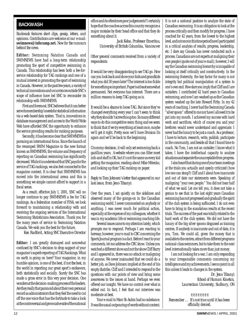#### <span id="page-11-0"></span>**BACKWASH**

*Backwash features short clips, gossip, letters, and opinions. Contributions are welcome at our e-mail:* **swimnews@inforamp.net.** *Now for the rumours behind the news.*

**Editor:** Swimming Natation Canada and SWIMNEWS have had a long-term relationship promoting the sport of competitive swimming in Canada. This relationship has been both a fee-forservice relationship for TAG rankings and one of a mutual interest in promoting the sport of swimming in Canada. However, in the past few years, a variety of technical innovations and occurrences outside SNC's scope of influence have led SNC to reconsider its relationship with SWIMNEWS.

First and foremost, SNC believes that it can better serve its membership's needs for statistical information via a web-based data system. That is, innovations in database management and access to the World Wide Web have afforded SNC the opportunity to enhance the service providing results for ranking purposes.

Secondly, it has become clear that SWIMNEWS is pursuing an international focus. Since the launch of the revamped SWIM Magazine to the new format known as SWIMNEWS, the volume and frequency of reporting on Canadian swimming has significantly decreased. While it is understood that SNC pays for the service of TAG rankings, we also feel connected to the magazine content. It is clear that SWIMNEWS has moved into the international arena and this is something we simple cannot afford to support in a fiscal sense.

As a result, effective July 1, 2001, SNC will no longer continue to pay SWIMNEWS a fee for TAG rankings. As a federation member of FINA, we look forward to maintaining a relationship with and receiving the ongoing services of the International Swimming Statisticians Association. Thank you for the many years of service to Swimming Natation Canada. We wish you the best for the future.

*Ken Radford, Acting SNC Executive Director*

**Editor:** I am greatly dismayed and somewhat confused by SNC's decision to drop support of your magazine's superb reporting of TAG Rankings. What on earth is going on here? Your magazine, in my humble opinion, is one of the best, if not *the*best, in the world in reporting our great sport's endeavors, both statistically and socially. Surely the SNC has made a gross error in this very poor decision. One wonders at the decision-making process of the leaders. Are they really that paranoid about their own personal record as administrators that they feel the need to cut off the one voice that has the fortitude to take a look at the controversial and provocative side of the national

office and its oftentimes poor judgements? I certainly hope that the coaches across this country recognize a major mistake by their head office and that they do something about it.

> *Jack Kelso, Professor Emeritus, University of British Columbia, Vancouver*

Other general comments received from a variety of respondents:

*It would be very disappointing*to see TAG go. How can you look back and show your kids and grandkids what you did 30 years later? The internet is too fickle for something so important. Paper is at least somewhat permanent. Not everyone has internet. There are a million reasons to keep TAG going as is.

*It would be a sham*e to loose TAG. But since they've changed everything every year I can't seem to think why they shouldn't screw this up too. So many different ways to do this competitive swim thing and we seem to think that if we try everything at least once, maybe we'll get it right. Pretty soon we'll have Division IIs again and we'll be back to the beginning.

*Crummy decision*, it will only set swimming back a gazillion years. A website where you can filter meet info and stuff is OK, but it's not the same as every kid getting the magazine, reading about Mike Mitenko, and looking up their TAG ranking on paper.

#### *Reply to Tom Johnson's letter that appeared in our last issue, from Jeno Tihanyi:*

Over the years, I sat quietly on the sidelines and observed many of the goings-on in the Canadian swimming world. I never commented on anybody or anything. I was never much for political action, especially at the expense of my colleagues, whether it was in my academic life or swimming coaching life.

Several issues came to my attention lately, which prompts me to respond. Perhaps I am reacting to heresay; however, your e-mail to CBC concerning the Sports Journal program is a fact. Before I react to your comments, let me address the CBC show. Unless you watched a different show and not the show Cliff Barry and I appeared in, there was no attack or maligning of anyone. We never insinuated that we could do a better job, as Dave Johnson implied at the end of his empty diatribe. Cliff and I intended to respond to the questions with our points of view and bring some awareness to the issues at hand. Perhaps we even offered our insight. We have no control over what is edited out. In fact, I feel that our interview was moderate at best.

Your e-mail to Marc St-Aubin had no substance. It was the usual outpouring of words without content. It is not a national pastime to analyze the state of Canadian swimming. It is an obligation to look at the process critically and then modify for progress. I have coached for 42 years, from the lowest to the highest level, and not once in this time period have I participated in a critical analysis of results, progress, leadership, etc. I dare say Canada has never conducted such a process. Canadians are not experts at maligning their own people (quote out of your e-mail); however, I will say the Canadian swimming hierarchy is incapable of looking at itself critically and constructively. In the swimming fraternity, the key factor for many is not integrity but political manipulation of a system to one's own end. How dare you imply that Cliff and I are outsiders. I contributed 42 hard years to Canadian swimming, and now I am washed up as the Canadian system washed up the late Howard Firby. In my 42 years of coaching, I never had the Swimming Canada "silver spoon" offered to me nor have I allowed it to be put into my mouth. I achieved my success with hard work and sacrifices, which of course you and your brethren would never understand and appreciate. I never had the luxury to be just a coach. As a professor, I have to lecture, research, write, publish, participate in the community, and beside all that I found time to coach. No Tom, I am not an outsider; I know what it takes; I have the intellectual capacity to analyse situations and separate the unacceptable from progress.

I also heard that during one of your team meetings at the trials you actually and openly criticized (how low one can stoop?) Cliff and I about how inaccurate and out of date our statements were. Speaking of maligning "your own people." You did not hear half of what we said. Let me tell you, it does not take a genius to see that in the last eight years Canadian swimming has not progressed and gradually the spirit of the club system is being suffocated. I do not even have to bring in the scandalous results at the recent trials. The success of the past was totally related to the hard work of the club system. We did not have the luxury of the big silver spoons disguised as training centres. If anybody is inaccurate and out of date, it is you, Tom. We could all, given the money that is available to the centres, attract from different programs national-class swimmers, but to take them to the next level internationally takes more than just money.

I am not looking for a war, I am only responding to your irresponsible comments concerning my intelligence and my achievements. I see no point in all this unless it leads to changes in the system.

> *Dr. Jeno Tihanyi School of Human Kinetics, Laurentian University, Sudbury, ON*

✌✌✌✌✌✌✌✌ *Remember … It's not true until it has been officially denied.*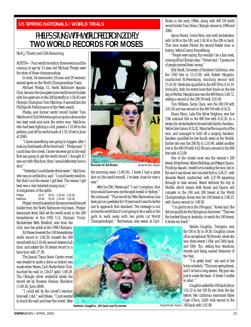#### <span id="page-12-0"></span>**US SPRING NATIONALS / WORLD TRIALS**

### PHELPS STUNS WITH WORLD RECORD IN 200 FLY **TWO WORLD RECORDS FOR MOSES**

Nick J, Thierry and USA Swimming

AUSTIN—Four world records in three events and the coming of age by 15-year-old Michael Phelps were the story of these championships.

In total, 44 swimmers (24 men and 20 women) earned spots on the World Championships Team.

Michael Phelps, 15, North Baltimore Aquatic Club, became the youngest male world record holder with his upset win in the 200 butterfly in 1:54.92 over Olympic Champion Tom Malchow. It earned him the Phillips 66 Performance of the Meet award.

Phelps and former world record holder Tom Malchow of Club Wolverine put on quite a show as the two kept neck-and-neck the entire race. Malchow, who had been fighting a cold, posted a 1:55.60 in the prelims, just off his world mark of 1:55.18 set in June of 2000.

"I knew something was going to happen after I took my first breath off the third wall," Phelps said. "I could hear the crowd. I knew whoever got to the wall first was going to get the world record. I thought if I was out with Malchow, then I would definitely have a shot."

"Yesterday I could barely drink water," Malchow, who was on antibiotics, said. "I could barely swallow. But that's not the reason I got beat. The reason I got beat was a very talented young man."

A comparison of the splits:<br>Phelps  $26.47$  55.6

Phelps 26.47 55.61 1:25.04 1:54.92<br>Malchow 25.69 55.04 1:24.60 1:55.46 Malchow 25.69 55.04 1:24.60 1:55.46

Phelps' record makes him the second world record holder from the North Baltimore club team. Phelps' teammate Anita Nall set the world mark in the 200 breaststroke at the 1992 U.S. Olympic Trials. Backstroker Beth Botsford, also from the club, won two golds at the 1996 Olympics.

Ed Moses lowered the 100 breaststroke world record to 1:00.29, missed the 200 record with his 2:10.40, second-fastest of all time, and added the 50 breast record in a time trial with 27.39.

The Jamail Texas Swim Center crowd was treated to quite a show as history was made when Moses, Curl-Burke Swim Club, touched the wall in (28.47 split) 1:00.29. The Olympic silver medallist broke the record set by Russian Roman Sloudnov (1:00.36, June 2000).

"I could tell by the crowd's reaction how well I did," said Moses. "I just wanted to touch the wall and hear the crowd. After



**Records for Ed Moses** Donald Miralle, Allsport

the morning swim (1:00.54), I knew I had a great shot at [the world record]. I've been close for over a year."

After his 200, Moses said "I can't complain, that time would have won me the gold medal in Sydney." He continued, "That record by Mike Barrowman has been put on a pedestal for 10 years and I want to be the one to approach that standard. The message is out across the world that it's not going to be a walk in the park to walk away with two golds (at World Championships)." Barrowman also swam at Curl-



**Nathalie Coughlin, 100 back and fly winner** 

Burke in the early 1990s, along with 400 IM world record holder Tom Dolan, Olympic winner in 1996 and 2000.

Aaron Peirsol, Irvine Nova, won both backstrokes, with 54.80 in the 100, and 1:56.56 in the 200-m back. That time makes Peirsol the second-fastest man in history, behind Lenny Krayzelburg.

"People were saying this wouldn't be a fast meet, coming off an Olympic year," Peirsol said. "I guess a lot of people proved them wrong."

Erik Vendt, University of Southern California, won the 1500 free in 15:13.00, with Robert Margalis, unattached St.Petersburg, touching second with 15:16.56. Vendt also qualified in the 400 IM in 4:14.19. Ironically, both his events have their finals on the last day at Worlds. Margalis also won the 400 free in 3:48.72, adding a second in the 200 IM with 2:01.69.

Tom Wilkens, Santa Clara, won the 200 IM with 2:01.58 and was second in the 400 IM with 4:14.52.

Diana Munz, Lake Erie Silver Dolphins, won her 15th national title in the 800 free with 8:32.20, in a stroke-for-stroke battle to the end with Kaitlin Sandeno, Nellie Gale Gators, 8:32.82. Munz led the majority of the race, and managed to hold off a surging Sandeno. Sandeno qualified for her fourth event at the Worlds. Earlier she won the 200 fly in 2:10.94, added another first in the 400 IM with 4:42.98 and a second in the 400 free with 4:12.09.

One of the closest races was the women's 200 breast. Kristy Kowal, Athens Bulldogs, and Megan Quann, Puyallup Aquatic, traded turns leading the race, but in the end it was Kowal who touched first in 2:26.57, with Amanda Beard, unattached, with 2:27,90 squeezing through to take second. Beard declined the trip to Worlds, which means both Kowal and Quann will compete in the 100 and 200 breast at the World Championships. Kowal won the 100 breast in 1:08.25, with Quann second in 1:08.58.

"I'm glad to be in the 100 again," Kowal said. She did not qualify for the Olympics in that event. "That was the hardest thing in Australia, to watch the 100 breast. It broke my heart."

> Natalie Coughlin, Terrapins, won the 100 m fly in 59.38. Coughlin comes off an exceptional NCAA meet, where she won three events (100y and 200y back, and 100y fly), setting four American records and being named Swimmer of the Year.

> "I'm pretty tired," she said of her hectic schedule. "This is my spring break, and I've had a long season. My goal was just to make the team. It doesn't matter in what. "

Coughlin added the 100 back title in 1:01.32 to her 100 fly win from the day before. Her California teammate Haley Cope (Chico, Calif) took second in the Donald Miralle, Allsport 100 back with 1:01.98.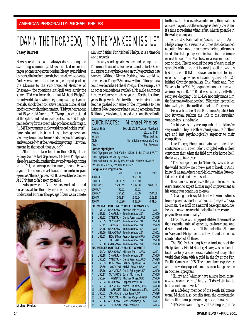## <span id="page-13-0"></span>"DAMN THE THORPEDO, IT'S THE YANKEE MISSILE"

#### **Casey Barrett**

News spread fast, as it always does among the swimming community. Mouses clicked on results pages; phones rang across borders; bleary-eyed athletes conversed in hushed tones before pre-dawn workouts. And everywhere—from the cold, cramped pools of the Ukraine to the sun-drenched stretches of Brisbane—the questions last April were surely the same: "Did you hear about that Michael Phelps?" Proud world-class swimmers, many owning Olympic medals, shook their collective heads in disbelief and briefly contemplated retirement. "Did you hear about that 15-year-old American?" Olympic coaches stared at the splits, laid out in pure perfection, and fought pains of envy for the coach who produced such magic. "1:54! The youngest male world record holder ever!" Parents looked to their own kids, to teenagers well on their way to national teams and college scholarships, and wondered what they were doing wrong. "How can anyone be that good, that young?"

After a fifth-place finish in the 200 fly at the Sydney Games last September, Michael Phelps was already a name butterfliers knew and were beginning to fear. Yet, no one expected so much, so soon. He was a young talent on the fast-track, someone to keep an eye on as Athens approached. But a world record now? At 15? It just didn't seem possible.

But somewhere in North Sydney, workouts carried on as usual for the only man who could possibly understand. For Ian Thorpe, age fifteen was a time to



win world titles. For Michael Phelps, it is a time for world records.

In any sport, greatness demands comparison. There must be context for any outlandish feat. Others must pave the way before we can truly appreciate new barriers. Without Kieran Perkins, how would we describe Ian Thorpe? And now, without Thorpe, how could we describe Michael Phelps? There simply are no other comparisons available. No male swimmers have ever done so much, so young. For the last three years, the powerful Aussie with those freakish fins for feet has pushed our sense of the impossible to new heights. Now it appears that a young American from Baltimore, Maryland, is poised to expand these limits

| QUICK FACTS:       | <b>Michael Phelps</b>                                         |
|--------------------|---------------------------------------------------------------|
| Date of Birth      | 30 JUN 1985, Towson, Maryland                                 |
| Height             | $191cm / 6'$ 3"                                               |
| Weight             | 75kg / 165 lbs                                                |
| Club               | North Baltimore Aquatic Club                                  |
| Coach              | <b>Bob Bowman</b>                                             |
| Career highlights: |                                                               |
|                    | 2000 Olympic trials: 2nd 200 fly 1:57.48, 11th 400 IM 4:25.97 |

2000 Olympics: 5th 200 fly 1:56.50 2001 Nationals: 1st 200 fly 1:54.92, 8th 1500 free 15:35.35,

3rd 200 IM 2:02.17, 3rd 400 IM 4:15.20

#### **Long Course Pogression**

|                |                  | 2001            | 2000                                 | 1999              |
|----------------|------------------|-----------------|--------------------------------------|-------------------|
|                | <b>400 FREE</b>  |                 | 3:58.80                              |                   |
|                | <b>800 FREE</b>  | 8:14.59         | 8:16.10                              |                   |
|                | <b>1500 FREE</b> | 15:35.43        | 15:39.08                             | 16:00.82          |
|                | <b>100 FLY</b>   | 55.61           | 55.01                                |                   |
|                | 200 FLY          | 1:54.92         | 1:56.50                              | 2:04.68           |
| 200 IM         |                  | 2:02.17         | 2:05.54                              | 2:22.13           |
| 400 IM         |                  | 4:15.20         | 4:23.86                              | 4:31.84           |
|                |                  |                 | 200 METRES BUTTERFLY 10 PERFORMANCES |                   |
| 1              | 1:54.92          | <b>USALCMAR</b> | Michael Phelps, USA                  | LCM <sub>01</sub> |
| $\overline{2}$ | 1:55.18          | CHARLJUN        | Tom Malchow.USA                      | LCM00             |
| 3              | 1:55.22          | CANETJUN        | Denis Pankratov, RUS                 | LCM95             |
| $\overline{4}$ | 1:55.35          | <b>OLYMPICS</b> | Tom Malchow, USA                     | LCM00             |
| 5              | 1:55.41          | PAC99AUG        | Tom Malchow, USA                     | LCM99             |
| 6              | 1:55.46          | <b>USALCMAR</b> | Tom Malchow, USA                     | LCM01             |
| 7              | 1:55.60          | <b>USALCMAR</b> | Tom Malchow, USA                     | LCM01             |
| 8              | 1:55.63          | <b>ROMEMAY</b>  | Franck Esposito, FRA                 | LCM00             |
| 9              | 1:55.67          | <b>USTRIALS</b> | Tom Malchow, USA                     | LCM00             |
| 10             | 1:55.68          | <b>ANNARMAY</b> | <b>Tom Malchow, USA</b>              | LCM00             |
|                |                  |                 | 200 METRES BUTTERFLY 25 PERFORMERS   |                   |
| 1              | 1:54.92          | <b>USALCMAR</b> | Michael Phelps, USA                  | LCM01             |
| $\overline{2}$ | 1:55.18          | CHARLJUN        | Tom Malchow, USA                     | LCM00             |
| 3              | 1:55.22          | CANETJUN        | Denis Pankratov, RUS                 | LCM95             |
| 4              | 1:55.63          | <b>ROMEMAY</b>  | Franck Esposito, FRA                 | LCM00             |
| 5              | 1:55.69          | WORLD91         | Melvin Stewart, USA                  | LCM91             |
| 6              | 1:55.76          | <b>OLYMPICS</b> | Denis Sylantyev, UKR                 | LCM00             |
| 7              | 1:56.17          | <b>OLYMPICS</b> | <b>Justin Norris, AUS</b>            | LCM00             |
| 8              | 1:56.24          | <b>FRGNATS</b>  | Michael Gross, GER                   | LCM86             |
| 9              | 1:56.34          | <b>USALCMAR</b> | Stephen Parry, GBR                   | LCM00             |
| 10             | 1:56.34          | <b>OLYMPICS</b> | Anatoli Poliakov, RUS                | LCM00             |
| 11             | 1:56.75          | <b>ASIADEC</b>  | Takashi Yamamoto, JPN                | LCM98             |
| 12             | 1:56.81          | <b>USNATAUG</b> | Ugur Taner, USA                      | LCM98             |
| 13             | 1:56.82          | <b>GERLCJUN</b> | Thomas Rupprath, GER                 | LCM00             |
| 14             | 1:56.86          | <b>AUSLCMAR</b> | Scott Goodman, AUS                   | LCM97             |
| 15             | 1:57.04          | SEASN84         | Jon Sieben, AUS                      | LCM84             |

further still. Their events are different, their nations an ocean apart, but the message is clearly the same: it's time to re-define what is fast, what is possible in the water, at any age.

At the U.S. Nationals in Austin, Texas, in April, Phelps compiled a resume of times that demanded attention from more than merely the butterfly ranks. In addition to toppling Olympic champion and former record holder Tom Malchow in a rousing recordsetting duel, Phelps opened the eyes of every medley specialist with times that loomed just off the world's best. In the 400 IM, he shaved an incredible eight seconds off his previous best, claiming third in 4:15.20 behind Olympic medallists Erik Vendt and Tom Wilkens. In the 200 IM, he grabbed another third with an impressive 2:02.17. But it was distinctly the fly that sent jaws dropping. His 1:54.92 not only made him the first man to dip under the 1:55 barrier, it propelled him swiftly into the rarified air of the Thorpedo.

His coach at the North Baltimore Aquatic Club, Bob Bowman, realizes the link to the Australian wonder-boy is inevitable.

"In his events, they're comparable. I think they're very similar. They're both extremely mature for their age and just psychologically superior to their competitors."

Like Thorpe, Phelps maintains an understated confidence in his own talent, coupled with a clear conviction that, when the field turns for home, he'll find a way to take over.

"The goal going in (to Nationals) was to break the world record—no time—just to break it. And I knew if I was anywhere near Malchow with a 50 to go, I'd get excited and have a shot."

Bowman also recognizes that, at fifteen, he has every reason to expect further rapid improvement as his young star continues to grow.

"On a regular basis, Michael will swim his times from a previous meet in workouts, in repeats," says Bowman. "He's still on a natural development curve. He's still nowhere near his potential in every area physically or emotionally."

Of course, as with any great athlete, there must be that essential mix of genetics, environment, and desire in order to truly fulfill this potential. At home in Maryland, Phelps seems to have found the perfect combination of all three.

The 200 fly has long been a trademark of the Phelps family. His oldest sister, Hillary, was a nationallevel flyer for years, while sister Whitney displayed her world-class form with a gold in the fly at the Pan Pacific Games in 1995. Their combined experience and unwavering support remains a constant presence in Michael's progress.

"Hillary and Whitney have always been there, always encouraged me," he says. "I'd say I still talk to both about once a week."

As a life-long member of the North Baltimore team, Michael also benefits from the comfortable, family-like atmosphere among his teammates.

"He's been swimming with the same group since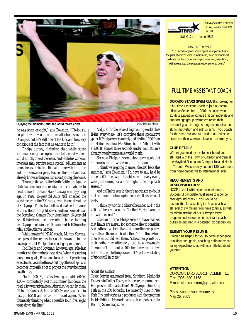

**Enjoying the moment—after the world record effort Example 2018** 2019 10 Donald Miralle, Allsport

he was seven or eight," says Bowman. "Obviously, people have given him more attention since the Olympics, but he's still one of the kids and he's very conscious of the fact that he wants to fit in."

Phelps agrees, claiming that while some teammates may look up to him a bit these days, he's still distinctly one of the team. And while his workout intervals may require some special adjustments at times, he's still sharing the same lane with the same kids he's known for years. Besides, this is a team that already knows a thing or two about young phenoms.

Through the years, the North Baltimore Aquatic Club has developed a reputation for its ability to produce world-shaking stars at a staggeringly young age. In 1992, 15-year-old Anita Nall smashed the world record in the 200 breast twice in one day at the U.S. Olympic Trials. Nall followed that performance with a collection of gold, silver, and bronze medals at the Barcelona Games. Four years later, 16-year-old Beth Botsford continued the youthful charge, claiming two Olympic golds in the 100 back and 4x100 medley relay at the Atlanta Games.

While masterful NBAC coach, Murray Stevens, has passed the reigns to Coach Bowman in the development of Phelps, the teen legacy remains.

For Phelps and Bowman, however, age is the last number on their minds these days. When discussing long term goals, Bowman stops short of predicting exact times, yet as he throws out hypothetical splits, it becomes impossible not to project the overwhelming possibilities.

"In the 400 IM, his first two legs should be 0:56, 1:00—comfortably. Not this summer, but down the road, a few years from now. After that, we can let them fill in the blanks. As for the 200 fly, our goal isn't to just go 1:54.8 and break the record again. We're ultimately thinking what's possible four, five, eight years down the line."

And just for the sake of frightening world-class IMers everywhere, let's complete these speculative splits. If Phelps were to merely add his final 200 from the Nationals onto a 1:56.5 front half, he'd be left with a 4:08.8, almost three seconds under Tom Dolan's already hugely impressive world mark.

For now, Phelps has some short-term goals that are sure to stir the waters in the meantime.

"I think we're going to unveil the 200 back this summer," says Bowman. "I'd have to say, he'd be under 2:00 if he swam it right now. In every event, we're just aiming for a meaningful time drop each season."

And as Phelps sees it, there's no reason to doubt that he'll continue to chop full seconds off his personal bests.

"I think by Worlds, I'd like to be under 1:54 in the 200 fly," he says casually. "In the IM, right around the world record."

Like Ian Thorpe, Phelps seems to have realized that limits are merely for someone else to consider. And as these two teen titans continue their respective assaults on the record books, there's no telling where their talent could lead them. As Bowman points out, their paths may ultimately lead to a crossroads: "I wouldn't rule out a 400 free between the two before this whole thing is over. He's got a whole bag of tricks still in there."

#### *About the author:*

Casey Barrett graduated from Southern Methodist Univesity in Dallas, Texas, with a degree in journalism. He represented Canada at the 1996 Olympics, finishing 11th in the 200 butterfly. He currently lives in New York City and works as a producer with the program *Inside Edition*. His work has also been published in *Rolling Stone* magazine.



C/O Mayfield Rec. Complex R.R. #4, Caledon East, ON L0N 1E0

SWIM CLUB since 1972

MISSION STATEMENT

"To provide appropriate competitive opportunities in the pursuit of excellence in swimming, in an environment dedicated to the promotion of sportsmanship, friendship, self esteem, and the achievement of personal goals."

#### FULL TIME ASSISTANT COACH

**DORADO STARS SWIM CLUB** is looking for

a full time Assistant Coach to join our team effective September 1, 2001. A coach who exhibits a positive attitude that can motivate and support age group swimmers reach their personal goals through strong communication skills, motivation and enthusiasm. If you coach for the same reasons as listed in our mission statement then we would love to hear from you.

#### **CLUB DETAILS:**

We are governed by a volunteer board and affiliated with the Town of Caledon and train at the Mayfield Recreation Complex located North of Toronto. We currently support 130 swimmers from non-competitive to International level.

#### **REQUIREMENTS AND RESPONSIBILITIES:**

NCCP Level 1 with experience minimum. Successful candidate must agree to a police "background check." You would be responsible for assisting the head coach with all level of swimmers from time to time, as well as administration of our "Olympic Way" program and various other assistant coach duties as outlined in a detailed job description.

#### **SUBMIT YOUR RESUME:**

It would be helpful for you to detail experience, qualifications, goals, coaching philosophy and salary expectations as well as a little bit about yourself.

#### **ATTENTION:**

DORADO STARS SEARCH COMMITTEE Fax: (905) 880-1168 E-mail: stan.cameron@sympatico.ca

Please submit your resume by May 26, 2001 .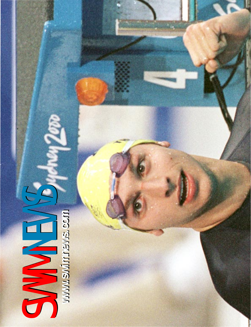<span id="page-15-0"></span>**www.swimnews.com www.swimnews.com** SWIMM.SWIMNEWS.COM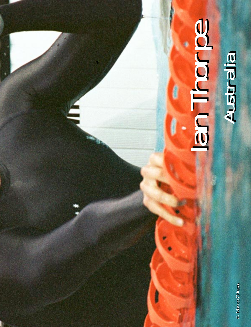# **Budien** Australia **Buchen** Australia

IAN

© Marco Chiesa © Marco Chiesa © Marco Chiesa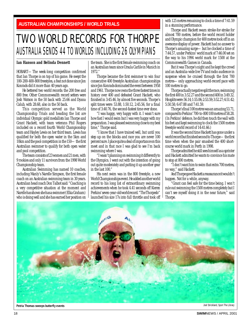#### <span id="page-17-0"></span>**AUSTRALIAN CHAMPIONSHIPS / WORLD TRIALS**

## AUSTRALIA SENDS 44 TO WORLDS INCLUDING 26 OLYMPIANS TWO WORLD RECORDS FOR THORPE

#### **Ian Hanson and Belinda Dennett**

HOBART—The week-long competition confirmed that Ian Thorpe is on top of his game. He swept the 100-200-400-800 freestyles, a feat not done since Jon Konrads did it more than 40 years ago.

He bettered two world records: the 200 free and 800 free. Other Commonwealth record setters were Josh Watson in the 50 back with 25.66 and Dyana Calub, with 28.68, also in the 50 back.

This competition served as the World Championship Trials and heading the list are individual Olympic gold medallists Ian Thorpe and Grant Hackett, with team veterans Phil Rogers included on a record fourth World Championship team and Hayley Lewis on her third team. Lewis has qualified for both the open water in the 5km and 10km and the pool competition in the 150—the first Australian swimmer to qualify for both open water and pool competition.

The team consists of 23 women and 21 men, with 9 rookies and only 11 survivors from the 1998 World Championship team.

Australian Swimming has named 10 coaches, including Manly's Narelle Simpson, the first female coach on an Australian swimming team in 30 years. Australian head coach Don Talbot said: "Coaching is a very competitive situation at the moment and Narelle has shown she has a swimmer (Elka Graham) who is doing well and she has earned her position on

the team. She is the first female swimming coach on an Australian team since Ursula Carlile in Munich in 1972."

Thorpe became the first swimmer to win four consecutive 400 freestyle Australian championships since Jon Konrads dominated the event between 1958 and 1961. Thorpe now owns the three fastest times in history over 400 and defeated Grant Hackett, who finished in 3:45.46, by almost five seconds. Thorpe's split times were: 53.88, 1:50.12, 2:45.56, for a final time of 3:40.76, the second-fastest time ever done.

"I was happy, very happy with it. I wasn't sure how fast I would swim but I was very happy with my preparation. I was pleased swimming close to my best time," Thorpe said.

"I know that I have trained well, but until you step up on the blocks and race you are never 100 percent sure. I place quite a deal of importance on this meet and in that race I was glad to see I'm back swimming where I was.

"I wasn't planning on swimming it differently to the Olympics. I went out with the intention of going out quite moderately and putting it up another gear in the last 100."

His next swim was in the 800 freestyle, a new World Championships event. He added another world record to his long list of extraordinary swimming achievements when he took 4.41 seconds off Kieren Perkins' seven-year-old world record. "The Thorpedo" launched his size 17s into full throttle and took off

with 125 metres remaining to clock a time of 7:41.59 in a stunning performance.

Thorpe and Hackett swam stroke-for-stroke for almost 700 metres, before the world record holder and Olympic champion for 400 metres took off in an awesome display of power. Hackett had no answer to Thorpe's amazing surge—but he clocked a time of 7:44.57, under Perkins' world mark of 7:46.00 set on the way to his 1994 world mark for 1500 at the Commonwealth Games in Canada.

But it was Thorpe's night and he kept the crowd and an Australia-wide live TV and radio audience in suspense when he cruised through the first 700 metres—only approaching world-record pace with 100 metres to go.

Thorpe actually negative split the race, swimming the first 400 in 3:52.27 and the second 400 in 3:49.32. His splits were: 56.14; 1:55.06; 2:53.59; 3:52.27; 4:51.42; 5:50.58; 6:47.88 and 7:41.59.

Thorpe's final 100 metres was an amazing 53.71, compared to Perkins' 700-to-800 100 metres of 58.28. (In Perkins' defence, he did then touch the wall with his feet and kept swimming to clock the 1500 metres freestyle world record of 14:41.66.)

It was the second time Hackett has gone under a world record but finished second to Thorpe—the first time when when the pair smashed the 400 shortcourse world mark in Perth in 1998.

Thorpe admitted he still sees himself as a sprinter and Hackett admitted he wants to convince his mate to stop at 800 metres.

"I don't want him to swim that extra 700 metres, no way," said Hackett.

And Thorpe gave Hackett a reassurance it wouldn't happen. Not for a while, anyway.

"Grant can feel safe for the time being. I won't rule out swimming the 1500 metres completely but I can't see myself doing it in the near future," said Thorpe.

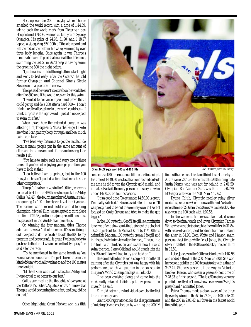Next up was the 200 freestyle, where Thorpe smashed the world record with a time of 1:44.69, taking back the world mark from Pieter van den Hoogenband (NED), winner at last year's Sydney Olympics. His splits of 24.96, 51.90, and 1:18.27 lopped a staggering 65/100th off the old record and left the rest of the field in his wake, winning by over three body lengths. Once again it was Thorpe's remarkable turn of speed that made all the difference, swimming the last 50 in 26.42 despite having swum the grueling 800 the night before.

"I just made sure I did the right things last night and went to bed early, after the Oscars," he told former Olympian and Channel Nine's Nicole Stevenson in a poolside interview.

Thorpe said he wasn't too sure how he would feel after the 800 and if he would recover for this swim.

"I wanted to convince myself and prove that I could get up and do a 200 after a hard 800—I don't think it really affected me in any way I could see—I think surprise is the right word. I just did not expect to swim this fast."

When asked how the extended program was affecting him, Thorpe said: "It is a challenge. I like to see what I can put my body through and how much pain I can take.

"I've been very fortunate to get the results I do because many people put in the same amount of effort and the same amount of time and never get the results I do.

"You have to enjoy each and every one of these times. If you're not enjoying your preparation you have to look at that.

"I do believe I am a sprinter, but in the 100 freestyle I haven't posted a time that matches the other competitors."

Thorpe's final swim was in the 100 free, where his personal best time of 49.05 was too quick for Ashley Callus (49.46), the fourth member of Australia's allconquering 4 x 100 m freestyle relay at the Olympics. The former world record holder and defending champion, Michael Klim, was relegated to third place in a time of 49.53, and in a major upset will now miss his pet event in the World Championships.

On winning the four national titles, Thorpe admitted it was a "bit of a dream. It's something I didn't expect to do. To be able to add the 800 to my program and be successful is great. I've been lucky to get back to the form I was in before the Olympics," he said after the race.

"To be mentioned in the same breath as Jon Konrads is an honour and I'm just pleased to be in the kind of form which allowed me to add the 100 metres time tonight.

"Michael Klim wasn't at his best but Ashley and I were equal to or better to our best."

Callus summed up the thoughts of everyone at the Tattersall's Hobart Aquatic Centre. "I knew that Thorpie would be coming home fast, and boy, did he do that."

Other highlights: Grant Hackett won his fifth



**Grant McGregor won 200 and 400 IMs Joel Strickland, Sport The Library** Joel Strickland, Sport The Library

consecutive 1500 free national title on the final night. His time of 14:49.30 was less than one second outside the time he did to win the Olympic gold medal, and it makes Hackett the only person in history to swim under 14:50.00 on four occasions.

"It's a good time. To get under 14:50.00 is great, I'm really satisfied," Hackett said after the race. "It was pretty hard to be out there on my own so I sort of focused on Craig Stevens and tried to make the gap bigger."

In the 100 butterfly, Geoff Huegill, swimming in lane two after a slow semi-final, stopped the clock at 52.23 to just out-touch Michael Klim by 11/100ths to defend his National 100 butterfly crown. Huegill said in his poolside interview after the race, "I went into the final with blinkers on and swam how I like to swim the race. I knew Michael would attack it in the last 50 and I knew I had to try and hold on."

He admitted he had taken a couple of months off training after the Olympics but was happy with his performance, which will put him in the box seat for this year's World Championships in Fukuoka.

"I've been cruising along and came into the meet really relaxed. I didn't put any pressure on myself," he said.

Klim did not win any individual event for the first time in recent years.

Grant McGregor atoned for the disappointment of missing Olympic selection by winning the 200 IM

final with a personal best and third-fastest time by an Australian of 2:01.54. He defeated his AIS trainingmate Justin Norris, who was not far behind in 2:01.59. Olympian Rob Van der Zant was third in 2:02.79. McGregor also won the 400 IM in 4:17.62.

Dyana Calub, Olympic medley relay silver medallist, set a new Commonwealth and Australian record time of 28.68 in the 50 metres backstroke. She also won the 100 back with 1:02.56.

In the women's 50 breaststroke final, it came down to the final touch and it was Olympian Tarnee White who was able to stretch to the wall first in 31.84, with Brooke Hanson, the defending champion, taking the silver in 31.90. Both White and Hanson swam personal-best times while Leisel Jones, the Olympic silver medallist in the 100 breaststroke, finished third in 32.59.

Leisel Jones won the 100 breaststroke with 1:07.96 and added a third in the 200 IM in 2:18.08. She won her second gold in the 200 breaststroke with a time of 2:27.41. She was pushed all the way by Victorian Brooke Hanson, who swam a personal-best time of 2:28.83 to finish second. "The last 50 metres was very painful. I really don't know how I ever swam 2:26, it's pretty hard," admitted Jones.

Petria Thomas made a clean sweep of the three fly events, winning the 50 in 27.06, the 100 in 58.24 and the 200 in 2:07.42, all three in the fastest world times this year.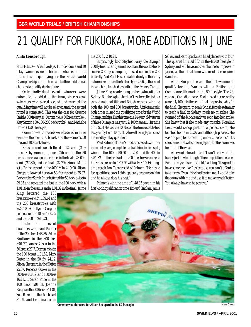# <span id="page-19-0"></span>21 QUALIFY FOR FUKUOKA, MORE ADDITIONS IN JUNE

#### **Anita Lonsbrough**

SHEFFIELD—After five days, 11 individuals and 10 relay swimmers were chosen in what is the first round toward qualifying for the British World Championship team. There will be three additional chances to qualify during June.

Only individual event winners were automatically added to the team, since several swimmers who placed second and reached the qualifying time will not be selected until the second round is completed. This was the case for Graeme Smith (800 freestyle), Darren Mew (50 breaststroke), Katy Sexton (50-100-200 backstroke), and Nathalie Brown (1500 freestyle).

Commonwealth records were bettered in three events—the men's 50 breast, and the women's 50 free and 100 backstroke.

British records were bettered in 12 events (2 by men, 8 by women). James Gibson, in the 50 breaststroke, was good for three: in the heats (28.00), semis (27.82), and the finals (27.79). Simon Militis set a British record in the 400 IM in 4:19.90. Alison Sheppard lowered her own 50-free record to 25.07. Backstroker Sarah Price bettered the 50 back twice to 29.35 and repeated the feat in the 100 back with a 1:01.36 in the semis and a 1:01.32 in the final. Jaime

King bettered the 100 breaststroke with 1:09.64 and the 200 breaststroke with 2:28.10. And flyer Georgina Lee bettered the 100 in 1:00.37 and the 200 in 2:10.21.

Individual event qualifiers were Paul Palmer in the 200 free 1:48.85, Adam Faulkner in the 800 free 8:01.77, James Gibson in the 50 breast 27.7, Darren Mew in the 100 breast 1:01.52, Mark Foster in the 50 fly 24.12, Alison Sheppard in the 50 free 25.07, Rebecca Cooke in the 800 free 8:34.91and 1500 free 16:21.75, Sarah Price in the 100 back 1:01.32, Joanna Fargus in the 200 back 2:11.81, Zoe Baker in the 50 breast 31.99, and Georgina Lee in the 200 fly 2:10.21.

Surprisingly, both Stephen Parry, the Olympic 200 fly finalist, and James Hickman, the world shortcourse 200 fly champion, missed out in the 200 butterfly. And Mark Foster qualified only in the 50 fly as he missed out in the 50 freestyle (22.62), the event in which he finished seventh at the Sydney Games.

Jaime King nearly hung up her swimsuit after Sydney. But she's glad she didn't as she collected her second national title and British records, winning both the 100 and 200 breaststroke. Unfortunately, both times missed the qualifying time for the World Championships. But this time the 24-year-old veteran of three Olympics was just 12/100ths away. Her time of 1:09.64 shaved 28/100ths off the time established last year by Heidi Earp. But she will be in Japan since the medley relay qualified.

Paul Palmer, Britain's most successful swimmer in recent years, completed a hat trick in freestyle, winning the 100 in 50.50, the 200, and the 400 in 3:51.82. In the heats of the 200 free, he was close to his British record of 1:47.95 with a 1:48.10. His longtime coach Ian Turner said of Palmer, "He has to feel good these days. I didn't put any pressure on him and he always does his best."

Palmer's winning time of 1:48.85 gave him his first World qualification time. Edward Sinclair, Jamie Salter, and Marc Spackman filled places two to four. This quartet finished fifth in the 4x200 freestyle in Sydney and will have another chance to improve in Japan, as their total time was inside the required standard.

Alison Sheppard became the first swimmer to qualify for the Worlds with a British and Commonwealth mark in the 50 freestyle. The 28 year-old Canadian-based Scot missed her record by a mere 1/100th in the semi-final the previous day. In the final, Sheppard, the only British female swimmer to reach a final in Sydney, made no mistakes. She stormed off the blocks and was soon into her stroke. She knew that if she made any mistake, Rosalind Brett would swoop past. In a perfect swim, she touched home in 25.07 and although pleased, she was "hoping for something under 25 seconds." But she claims that will come in Japan, for this swim was her first of the year.

Afterwards she admitted "I can't believe it, I'm happy just to win though. The competition between Ros and myself is really tight," adding "It's great to have someone like Ros because you can't afford to take it easy. Even if she had beaten me, I would take that away with me and use it to make myself better. You always have to be positive."



**Commonwealth record for Alison Sheppard in the 50 freestyle** Marco Chiesa Marco Chiesa Marco Chiesa Marco Chiesa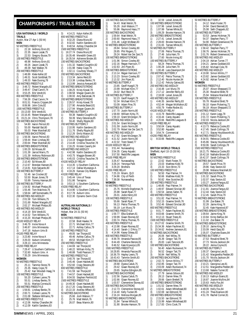#### <span id="page-20-0"></span>**CHAMPIONSHIPS / TRIALS RESULTS**

**USA NATI0NALS / WORLD TRIALS** Austin, Mar 27-Apr 1 (50 M) **MEN** 50 METRES FREESTYLE 1) 22.18 Anthony Ervin, 81<br>2) 22.35 Jason Lezak, 75 2) 22.35 Jason Lezak, 75<br>3) 22.53 Gregory Busse, 22.53 Gregory Busse,79 100 METRES FREESTYLE<br>1) 48.98 Anthony Er 48.98 Anthony Ervin,81 2) 49.26 Jason Lezak,75 3) 49.39 Neil Walker,76 200 METRES FREESTYLE 1) 1:48.89 Klete Keller,82 2) 1:49.31 Scott Goldblatt, 79<br>3) 1:49.33 Nate Dusing, 78 3) 1:49.33 Nate Dusing,78 400 METRES FREESTYLE<br>1) 3:48.72 Robert Mar 1) 3:48.72 Robert Margalis,82 2) 3:49.47 Chad Carvin, 74<br>3) 3:53.25 Frik Vendt 81 3) 3:53.25 Erik Vendt,81 800 METRES FREESTYLE<br>1) 7:56.39 Chad Carvi 1) 7:56.39 Chad Carvin, 74<br>2) 8:01.51 Francis Crippen 2) 8:01.51 Francis Crippen,84 3) 8:06.96 John Cole,82 1500 METRES FREESTYLE 1) 15:13.00 Erik Vendt,81 2) 15:16.45 Robert Margalis,82 3) 15:21.24 Chris Thompson,78 100 METRES BACKSTROKE<br>1) 54.80 Aaron Peirsol 1) 54.80 Aaron Peirsol, 83<br>2) 55.00 Randall Bal, 80 2) 55.00 Randall Bal, 80<br>3) 55.03 Peter Marshall, 55.03 Peter Marshall 82 200 METRES BACKSTROKE 1) 1:56.56 Aaron Peirsol,83 2) 1:59.44 Marc Lindsay,80 3) 2:00.64 Peter Marshall,82 100 METRES BREASTSTROKE<br>1) 1:00.29 Fd Moses.80 1) 1:00.29 Ed Moses, 80<br>2) 1:01.39 Jarrod Marrs, 2) 1:01.39 Jarrod Marrs,75 3) 1:01.39 Anthony Robinson,80 200 METRES BREASTSTROKE 1) 2:10.40 Ed Moses,80 2) 2:12.67 Brendan Hansen,81 3) 2:14.81 Kyle Salyards,80 100 METRES BUTTERFLY<br>100 METRES BUTTERFLY<br>1) 52.46 Ian Crocker 1) 52.46 Ian Crocker, 82<br>2) 53.50 Bryan Jones, 78 2) 53.50 Bryan Jones,78 3) 53.89 Tommy Hannan,80 200 METRES BUTTERFLY 1) 1:54.92 Michael Phelps,85 2) 1:55.46 Tom Malchow, 76<br>3) 1:58.64 Jeff Somensatto, 7 3) 1:58.64 Jeff Somensatto,79 200 METRES IND.MEDLEY<br>1) 2:01.58 Tom Wilkens 1) 2:01.58 Tom Wilkens, 75<br>2) 2:01.69 Robert Margalis, 2) 2:01.69 Robert Margalis,82 3) 2:02.17 Michael Phelps,85 400 METRES IND.MEDLEY 1) 4:14.19 Erik Vendt,81 2) 4:14.52 Tom Wilkens, 75<br>3) 4:15.20 Michael Phelps. 3) 4:15.20 Michael Phelps,85 4X100 MEDLEY RELAY<br>1) 3:46.79 Irvine No 1) 3:46.79 Irvine Nova A 2) 3:46.87 Univ.Minnesota 3) 3:47.18 Auburn Univ.B 4X100 FREE RELAY 1) 3:23.80 Irvine Nova A 2) 3:26.03 Auburn University<br>3) 3:28.13 Univ.Minnesota 3) 3:28.13 Univ.Minnesota 4X200 FREE RELAY<br>1) 7:28.47 U.So 1) 7:28.47 U.Southern California<br>2) 7:32.60 Auburn Univ. A 2) 7:32.60 Auburn Univ. A 3) 7:35.29 Univ.Minnesota **WOMEN** 50 METRES FREESTYLE<br>1) 25.11 Tammie S 1) 25.11 Tammie Stone, 76<br>2) 25.35 Haley Cope. 79 2) 25.35 Haley Cope, 79<br>3) 25.42 Kari Woodall-H 3) 25.42 Kari Woodall-Haag,74 100 METRES FREESTYLE 1) 55.20 Colleen Lanne,79 2) 55.51 Lindsay Benko,76 3) 55.51 Maritza Correia,81 200 METRES FREESTYLE<br>1) 1:59.81 Lindsay Be 1) 1:59.81 Lindsay Benko, 76<br>2) 2:00.71 Colleen Lanne, 79 2) 2:00.71 Colleen Lanne, 79<br>3) 2:01.08 Stefanie Williams, 3) 2:01.08 Stefanie Williams,79 400 METRES FREESTYLE 1) 4:12.06 Ashley Chandler, 84<br>2) 4:12.09 Kaitlin Sandeno. 83 2) 4:12.09 Kaitlin Sandeno,83

3) 4:14.21 Kalyn Keller,85 800 METRES FREÉSTYLE<br>1) 8:32.20 Diana Mun 1) 8:32.20 Diana Munz,82 2) 8:32.82 Kaitlin Sandeno,83 3) 8:40.54 Ashley Chandler,84 1500 METRES FREESTYLE<br>1) 16:27.74 Diana Munz, 1) 16:27.74 Diana Munz,82 2) 16:35.48 Meredith Green,83 3) 16:35.54 Adrienne Binder,85 100 METRES BACKSTROKE 1) 1:01.32 Natalie Coughlin,82 2) 1:01.98 Haley Cope,79 3) 1:02.11 Courtney Shealy,77 200 METRES BACKSTROKE<br>1) 2:13.34 Jamie Reid.83 1) 2:13.34 Jamie Reid,83 2) 2:13.38 Lindsay Benko, 76<br>3) 2:13.99 Jessica Avevard.8 3) 2:13.99 Jessica Aveyard,80 100 METRES BREASTSTROKE 1) 1:08.25 Kristy Kowal,78 2) 1:08.58 Megan Quann,84 3) 1:08.93 Amy Balcerzak,78 200 METRES BREASTSTROKE<br>1) 2:26.57 Kristy Kowal, 78 1) 2:26.57 Kristy Kowal,78 2) 2:27.90 Amanda Beard,81 3) 2:27.94 Megan Quann,84 100 METRES BUTTERFLY 1) 59.38 Natalie Coughlin,82 2) 59.39 Mary Descenza,85 3) 59.40 Shelly Ripple,80 200 METRES BUTTERFLY<br>1) 2:10.95 Kaitlin San 1) 2:10.95 Kaitlin Sandeno,83 2) 2:11.76 Shelly Ripple,80<br>3) 2:12.26 Emily Mason 82 3) 2:12.26 Emily Mason,82 200 METRES IND.MEDLEY 1) 2:14.19 Maggie Bowen,80 2) 2:14.48 Cristina Teuscher,78 3) 2:16.25 Kristen Caverly,84 400 METRES IND.MEDLEY<br>1) 4:42.98 Kaitlin Sand 1)  $4:42.98$  Kaitlin Sandeno, 83<br>2)  $4:43.75$  Maggie Bowen 80 2) 4:43.75 Maggie Bowen,80 3) 4:45.03 Cristina Teuscher 78 4X100 MEDLEY RELAY 1) 4:14.35 U.Southern California 2) 4:17.14 Dallas Mustangs A<br>3) 4:18.26 Kansas City Blazers 3) 4:18.26 Kansas City Blazers 4X100 FREE RELAY<br>1) 3:45.44 Univ. 1)  $3:45.44$  Univ. of Texas<br>2)  $3:51.86$  Terranins 2) 3:51.86 Terrapins 3) 3:53.13 U.Southern California 4X200 FREE RELAY 1) 8:14.90 U.Southern California 2) 8:17.78 Auburn Univ.<br>3) 8:22.30 Dynamo Swin 3) 8:22.30 Dynamo Swim Club **AUTRALIAN NATIONALS / WORLD TRIALS** Hobart, Mar 24-31 (50 M) **MEN** 50 METRES FREESTYLE<br>1) 22.58 Brett Hawk 1) 22.58 Brett Hawke, 74<br>2) 22.71 Michael Klim. 7. 2) 22.71 Michael Klim,77 22.71 Ashley Callus, 79 100 METRES FREESTYLE 1) 49.05 Ian Thorpe,82 2) 49.46 Ashley Callus,79 3) 49.53 Michael Klim,77 200 METRES FREESTYLE<br>1) 1:44.69 Ian Thorpe 1) 1:44.69 Ian Thorpe, 82<br>2) 1:48.22 William Kirby. 2) 1:48.22 William Kirby,75 3) 1:48.88 Todd Pearson,77 400 METRES FREESTYLE 1) 3:40.76 Ian Thorpe,82 2) 3:45.46 Grant Hackett,80 3) 3:52.60 Craig Stevens,80 800 METRES FREESTYLE<br>1) 7:41.59 Ian Thorpe, 1) 7:41.59 Ian Thorpe, 82<br>2) 7:44.57 Grant Hackett 8 2) 7:44.57 Grant Hackett,80 3) 8:04.55 Stephen Penfold,82 1500 METRES FREESTYLE 1) 14:49.30 Grant Hackett,80 2) 15:17.20 Craig Stevens,80 3) 15:22.33 Andrew Affleck,83 50 METRES BACKSTROKE<br>1) 25.66 Josh Watsor 1) 25.66 Josh Watson, 77<br>2) 25.76 Matt Welsh 76 2) 25.76 Matt Welsh,76

3) 26.07 Beau Mannix,80

100 METRES BACKSTROKE 1) 54.43 Matt Welsh, 76<br>2) 55.26 Josh Watson, 7  $\frac{2}{3}$  55.26 Josh Watson, 77<br>3) 55.96 Raymond Hass. 3) 55.96 Raymond Hass,77 200 METRES BACKSTROKE<br>1) 1:59.64 Matt Welsh.7 1) 1:59.64 Matt Welsh, 76<br>2) 2:00.60 Raymond Hass 2) 2:00.60 Raymond Hass,77 3) 2:01.46 Leigh McBean,83 50 METRES BREAŠTSTROKE<br>1) 28.84 Simon Cowley 1) 28.84 Simon Cowley, 80<br>2) 28.85 Phil Rogers. 71 2) 28.85 Phil Rogers, 71<br>3) 29.24 Robert Van Der Z 3) 29.24 Robert Van Der Zant,75 100 METRES BREASTSTROKE 1) 1:01.96 Simon Cowley, 80<br>2) 1:02.16 Regan Harrison 7 1:02.16 Regan Harrison, 77 3) 1:02.63 Jim Piper,81 200 METRES BREASTSTROKE 2:13.14 Regan Harrison, 77 2) 2:13.23 Simon Cowley, 80<br>3) 2:13.32 Jim Piper.81 3) 2:13.32 Jim Piper,81 50 METRES BUTTERFLY 1) 23.85 Geoff Huegill, 79<br>2) 23.99 Michael Klim 77 23.99 Michael Klim, 77 3) 24.02 Burl Reid,78 100 METRES BUTTERFLY<br>1) 52.23 Geoff Hueg 1) 52.23 Geoff Huegill,79 2) 52.34 Michael Klim, 77<br>3) 53.09 Adam Pine. 76 3) 53.09 Adam Pine,76 200 METRES BUTTERFLY<br>1) 1:57.70 Justin Norr 1) 1:57.70 Justin Norris,80 2) 1:58.69 William Kirby,75 3) 1:59.10 Grant McGregor,78 200 METRES IND.MEDLEY<br>1) 2:01.54 Grant McGre 1) 2:01.54 Grant McGregor, 78<br>2) 2:01.59 Justin Norris.80 2) 2:01.59 Justin Norris,80 3) 2:02.79 Robert Van Der Zant,75 400 METRES IND.MEDLEY 1) 4:17.62 Grant McGregor,78 2) 4:21.52 Justin Norris,80 3) 4:22.02 Trent Steed,77 4X100 MEDLEY RELAY<br>1) 3:51.44 Nunawad 1) 3:51.44 Nunawading<br>2) 3:54.35 Carev Aquation 2) 3:54.35 Carey Aquatic 3) 3:57.50 Redcliffe Leagues 4X100 FREE RELAY<br>1) 3:26.47 Nuna<br>2) 3:28.24 Yeron 1) 3:26.47 Nunawading 2) 3:28.24 Yeronga Park 3) 3:29.20 Brothers 4X200 FREE RELAY<br>1) 7:25.19 Miam 1) 7:25.19 Miami, QLD  $\begin{array}{ll}\n 2 & 7:34.86 & \text{City of Perth} \\
 3 & 7:38.08 & \text{Nunawadina}\n \end{array}$ 7:38.08 Nunawading **WOMEN** 50 METRES FREESTYLE<br>1) 25.76 Michelle E 1) 25.76 Michelle Engelsman, 79<br>2) 25.98 Sarah Ryan 77 2) 25.98 Sarah Ryan, 77<br>3) 26.01 Jodie Henry. 83 26.01 Jodie Henry, 83 100 METRES FREESTYLE 1) 55.66 Sarah Ryan,77 56.13 Petria Thomas, 75<br>56.19 Lori Munz, 79 3) 56.19 Lori Munz,79 200 METRES FREESTYLE 1) 1:59.77 Elka Graham, 81<br>2) 1:59.99 Giaan Rooney.8 2) 1:59.99 Giaan Rooney,82 3) 2:00.74 Petria Thomas,75 400 METRES FREESTYLE 1) 4:13.98 Giaan Rooney,82 2) 4:14.40 Sarah-J. D'Arcy,77 3) 4:14.96 Kasey Giteau,82 800 METRES FREESTYLE 1) 8:39.78 Amanda Pascoe,85 2) 8:44.49 Charlene Benzie, 81<br>3) 8:46.52 Kate Krywulycz.85 3) 8:46.52 Kate Krywulycz,85 1500 METRES FREESTYLE 1) 16:28.85 Amanda Pascoe,85<br>2) 16:36.79 Hayley Lewis,75<br>3) 16:43.43 Tammie Smith,83 2) 16:36.79 Hayley Lewis,75 3) 16:43.43 Tammie Smith,83 50 METRES BACKSTROKE<br>1) 28.68 Dyana Calub 1) 28.68 Dyana Calub, 75<br>2) 29.42 Giaan Roonev. 8.  $2)$  29.42 Giaan Rooney, 82<br>3) 29.65 Sophie Edington. 3) 29.65 Sophie Edington,85 100 METRES BACKSTROKE 1) 1:02.56 Dyana Calub,75 2) 1:02.66 Giaan Rooney,82 3) 1:03.57 Clementine Stoney,82 200 METRES BACKSTROKE<br>1) 2:12.73 Clementine S 1) 2:12.73 Clementine Stoney,82 2) 2:14.40 Kelly Tucker, 85<br>3) 2:16.24 Melissa Morgan 3) 2:16.24 Melissa Morgan,85 50 METRES BREASTSTROKE 1) 31.84 Tarnee White,81 2) 31.90 Brooke Hanson,78

3) 32.59 Leisel Jones,85 100 METRES BREASTSTROKE<br>1) 1:07.96 Leisel Jones.85 1) 1:07.96 Leisel Jones, 85<br>2) 1:07.99 Tarnee White. 8 2) 1:07.99 Tarnee White,81 3) 1:09.29 Brooke Hanson,78 200 METRES BREASTSTROKE<br>1) 2:27.41 Leisel Jones,85 1) 2:27.41 Leisel Jones,85 2) 2:28.83 Brooke Hanson,78 3) 2:31.65 Tarnee White,81 50 METRES BUTTERFLY 1) 27.06 Petria Thomas, 75<br>2) 27.46 Julia Ham. 79  $\frac{2}{}{}$  27.46 Julia Ham, 79<br>3) 27.60 Nicole Irving. 27.60 Nicole Irving,82 100 METRES BUTTERFLY 1) 58.24 Petria Thomas,75 2) 1:00.28 Julia Ham,79 3) 1:00.48 Lara Davenport,84 200 METRES BUTTERFLY<br>1) 2:07.42 Petria Thon 1) 2:07.42 Petria Thomas, 75<br>2) 2:12.40 Nicole Hunter, 84 2) 2:12.40 Nicole Hunter,84 3) 2:12.42 Felicity Galvez,85 200 METRES IND.MEDLEY<br>1) 2:16.48 Lori Munz, 7 1) 2:16.48 Lori Munz,79 2) 2:17.12 Jennifer Reilly,83 3) 2:18.08 Leisel Jones,85 400 METRES IND.MEDLEY<br>1) 4:46.35 Jennifer Rei 1) 4:46.35 Jennifer Reilly,83<br>2) 4:52.44 Megan McMahon 2) 4:52.44 Megan McMahon,82<br>3) 4:55.79 Yvette Rodier.81 3) 4:55.79 Yvette Rodier,81 4X100 MEDLEY RELAY 1) 4:15.79 Redcliffe Leagues<br>2) 4:16.44 Carey Aquatic  $2)$  4:16.44 Carey Aquatic<br>3) 4:20.66 Redcliffe League 3) 4:20.66 Redcliffe Leagues B 4X100 FREE RELAY<br>1) 3:50.04 Carey 1) 3:50.04 Carey Aquatic 2) 3:52.80 Aquadot 3) 3:54.74 Commercial 4X200 FREE RELAY 1) 8:33.66 Redcliffe Leagues **BRITISH WORLD TRIALS** Sheffield, April 10-15 (50 M) **MEN** 50 METRES FREESTYLE 1) 22.62 Mark Foster, 70<br>2) 23.03 Matthew Kidd, 7 2) 23.03 Matthew Kidd, 79<br>3) 23.33 Sion Brinn, 73 3) 23.33 Sion Brinn,73 100 METRES FREESTYLE<br>1) 50.50 Paul Palme 1) 50.50 Paul Palmer, 74<br>2) 50.66 Matthew Kidd. 7 2) 50.66 Matthew Kidd, 79<br>3) 50.82 Alex Scotcher, 80 50.82 Alex Scotcher, 80 200 METRES FREESTYLE 1) 1:48.85 Paul Palmer,74 2) 1:49.97 Edward Sinclair, 80<br>3) 1:50.54 James Salter 76 3) 1:50.54 James Salter,76 400 METRES FREESTYLE<br>1) 3:51.82 Paul Palme 1) 3:51.82 Paul Palmer, 74<br>2) 3:52.15 Graeme Smith, 7 2) 3:52.15 Graeme Smith, 76<br>3) 3:52.46 Edward Sinclair, 8 3) 3:52.46 Edward Sinclair,80 800 METRES FREESTYLE 1) 8:01.77 Adam Faulkner,81 2) 8:03.66 Graeme Smith, 76<br>3) 8:12.13 Stuart Trees.81 3) 8:12.13 Stuart Trees,81 1500 METRES FREESTYLE<br>1) 15:27.02 Graeme Smi 1) 15:27.02 Graeme Smith,76 2) 15:34.36 Adam Faulkner,81 3) 15:34.62 Andrew Jameson,81 50 METRES BACKSTROKE<br>1) 26.06 Neil Willey. 1) 26.06 Neil Willey, 76<br>2) 26.39 Gregor Tait, 79 2) 26.39 Gregor Tait, 79<br>3) 26.83 Liam Tancock. 26.83 Liam Tancock, 85 100 METRES BACKSTROKE 1) 56.40 Adam Ruckwood, 74<br>2) 56.52 Gregor Tait, 79 2) 56.52 Gregor Tait, 79<br>3) 56.84 Neil Willey, 76 3) 56.84 Neil Willey,76 200 METRES BACKSTROKE<br>1) 2:02.73 Simon Militis 1) 2:02.73 Simon Militis, 77<br>2) 2:02.85 Gregor Tait, 79 2) 2:02.85 Gregor Tait,79 3) 2:03.09 Adam Ruckwood,74 50 METRES BREASTSTROKE 1) 27.79 James Gibson,80 2) 28.13 Darren Mew,79 3) 28.66 Gavin Brettell,76 100 METRES BREASTSTROKE 1) 1:01.52 Darren Mew, 79<br>2) 1:02.61 Adam Whitehea 2) 1:02.61 Adam Whitehead,80 3) 1:02.69 Ian Edmond,78 200 METRES BREASTSTROKE<br>1) 2:15.50 Ian Edmond, 78 1) 2:15.50 Ian Edmond, 78<br>2) 2:15.99 Adam Whitehea 2) 2:15.99 Adam Whitehead,80 3) 2:17.83 Chris Cook,79

50 METRES BUTTERFLY 1) 24.12 Mark Foster, 70<br>2) 24.94 David Bennett.8 2) 24.94 David Bennett, 81<br>3) 25.08 Seth Chappels. 82 3) 25.08 Seth Chappels,82 100 METRES BUTTERFLY 1) 53.53 James Hickman, 76<br>2) 54.37 Stephen Parry, 77 54.37 Stephen Parry, 77 3) 54.90 Robert Greenwood,79 200 METRES BUTTERFLY<br>1) 1:58.42 Stephen Par 1) 1:58.42 Stephen Parry, 77<br>2) 1:58.76 James Hickman.7 2) 1:58.76 James Hickman, 76<br>3) 2:01.76 Robert Greenwood. 3) 2:01.76 Robert Greenwood,79 200 METRES IND.MEDLEY 1)  $2:04.19$  Adrian Turner, 77<br>2)  $2:04.21$  James Goddard 8 2) 2:04.21 James Goddard,83 3) 2:05.82 Michael Cole,78 400 METRES IND.MEDLEY<br>1) 4:19.90 Simon Militi 1) 4:19.90 Simon Militis,77 2) 4:23.82 James Goddard, 83<br>3) 4:24.92 Adrian Turner. 77 3) 4:24.92 Adrian Turner,77 **WOMEN** 50 METRES FREESTYLE<br>1) 25.07 Alison Sh 25.07 Alison Sheppard,72 2) 25.30 Rosalind Brett, 79<br>3) 25.94 Melanie Marshall 3) 25.94 Melanie Marshall,82 100 METRES FREESTYLE<br>1) 55.78 Rosalind Br 1) 55.78 Rosalind Brett, 79<br>2) 56.10 Karen Pickering. 7 2) 56.10 Karen Pickering, 71<br>3) 56.19 Alison Sheppard, 72 56.19 Alison Sheppard, 72 200 METRES FREESTYLE 1) 2:01.12 Karen Legg,78 2) 2:01.72 Karen Pickering,71<br>3) 2:02.03 Nicola Jackson.84 3) 2:02.03 Nicola Jackson,84 400 METRES FREESTYLE<br>1) 4:13.73 Rebecca Co 1) 4:13.73 Rebecca Cooke, 83<br>2) 4:17.45 Sarah Collings 78 2) 4:17.45 Sarah Collings, 78<br>3) 4:17.71 Stacev Houldswort 3) 4:17.71 Stacey Houldsworth,81 800 METRES FREESTYLE 1) 8:34.91 Rebecca Cooke,83  $2)$  8:45.86 Stacey Houldsworth,81<br>3) 8:50.06 Sarah Collings 78 3) 8:50.06 Sarah Collings,78 1500 METRES FREESTYLE<br>1) 16:21.75 Rebecca Cor 1) 16:21.75 Rebecca Cooke,83 2) 16:42.18 Nathalie Brown,83 3) 16:42.37 Sarah Collings,78 50 METRES BACKSTROKE 1) 29.57 Sarah Price, 79<br>2) 29.86 Katy Sexton. 82 2) 29.86 Katy Sexton, 82<br>3) 29.98 Melanie Marsh 3) 29.98 Melanie Marshall,82 100 METRES BACKSTROKE<br>1) 1:01.32 Sarah Price.7 1) 1:01.32 Sarah Price, 79<br>2) 1:02.07 Katy Sexton.82 2) 1:02.07 Katy Sexton,82 3) 1:03.27 Joanna Fargus,82 200 METRES BACKSTROKE<br>1) 2:11.81 Joanna Fargu 1) 2:11.81 Joanna Fargus, 82<br>2) 2:12.44 Katy Sexton 82 2) 2:12.44 Katy Sexton, 82<br>3) 2:12.45 Sarah Price. 79 3) 2:12.45 Sarah Price,79 50 METRES BREASTSTROKE 1) 31.99 Zoe Baker, 76<br>2) 32.28 Jaime King. 7 2) 32.28 Jaime King, 76<br>3) 32.45 Kate Haywood, 32.45 Kate Haywood.87 100 METRES BREASTSTROKE<br>1) 1:09.64 Jaime King.76 1) 1:09.64 Jaime King, 76<br>2) 1:10.84 Kirsty Balfour.8 2) 1:10.84 Kirsty Balfour, 84<br>3) 1:11.02 Zoe Baker. 76 3) 1:11.02 Zoe Baker,76 200 METRES BREASTSTROKE 1) 2:28.10 Jaime King, 76<br>2) 2:33.09 Heidi Farp. 80 2:33.09 Heidi Earp, 80 3) 2:35.07 Charlotte Evans,84 50 METRES BUTTERFLY 1) 27.53 Rosalind Brett, 79<br>2) 27.73 Nicola Jackson.84 2) 27.73 Nicola Jackson, 84<br>3) 28.22 Jenna Covne. 81 3) 28.22 Jenna Coyne,81 100 METRES BUTTERFLY 1) 1:00.37 Georgina Lee, 81<br>2) 1:01.42 Margaretha Pedd 2) 1:01.42 Margaretha Pedder,80 3) 1:01.70 Nicola Jackson,84 200 METRES BUTTERFLY 1) 2:10.21 Georgina Lee,81 2) 2:12.51 Margaretha Pedder, 80<br>3) 2:13.68 Natalie Turner. 82 3) 2:13.68 Natalie Turner,82 200 METRES IND.MEDLEY 1) 2:18.13 Kathryn Evans,81 2) 2:18.87 Joanne Mullins,84 3) 2:20.63 Holly Fox,84 400 METRES IND.MEDLEY<br>1) 4:49.09 Holly Fox,84 1) 4:49.09 Holly Fox,84 2) 4:51.24 Thea Evanson,80 3) 4:51.78 Rachel Corner,81

**SWIM**NEWS / APRIL 2001 21 2001 22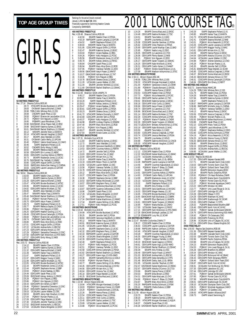Rankings for the period (results received) January 1,2001 **to April 30**, 2001 Financially supported by Swimming Natation Canada

#### GIRI S 11-12 **50 METRES FREESTYLE** Rec: 27.16 Shauna Collins,ROD,90 28.72 HTACAPR Brooke Buckland, 11, WTSC 2 28.83 OYOMAR Seanna Mitchell,12,NKB 3 28.98 TORLCJAN Whitney Rich,12,ISS 4 29.08 CNOAPR Sarah Phee,12,GO 5 29.50 PQIMAY Elianne de Larochellier,12,UL 6 29.72 PQIMAY Kim Nguyen,12,DDO 7 29.95 PGBAPR Laura Woodman, 1.2.PN<br>8 29.98 DAVISMAR Jillian Peace-Hall, 1.2.RISC<br>9 29.98 EKSCMAR Katerina Symes, 1.2.EKSC<br>10 30.01 DAVISMAR Rachel Shallhorn, 1.2.OSHAC<br>12 30.14 HTACAPR Hannah Vaughan, 1.2.EAST<br>12 30.14 H 13 30.17 EKIAPR Jessi Wardale,12,CASC 14 30.31 OYOMAR Caitlin Reilly,12,UPCAN 15 30.40 PQIMAY Valerie Grand'maison,12,CAMO<br>16 30.46 ISAPR Stephanie Pollard,12,IS<br>17 30.52 CNOAPR Emily Wong,12,NKB 18 30.55 EKIAPR Rebecca Sayles,12,CASC 19 30.58 ODIV3APR Erin Lunney,12,ABSC 20 30.65 ODIV2APR Courtney Kehoe,12,PERTH 21 30.73 EKIAPR Mackenzie Jones,12,UCSC 22 30.76 DAVISMAR Fay Yachetti,12,HWAC 23 30.80 CDSCAPR August Griffin,12,PDSA 24 30.83 RAPIDJAN Alaina Den Hartog,12,CHENA 25 30.83 CDSCAPR Lauren Lavigna,12,GATOR **100 METRES FREESTYLE** Rec: 58.04 Shauna Collins,ROD,90<br>1 1:02.83 EKIAPR Natalie Chan,12,PDSA 2 1:03.12 EKIAPR Katerina Symes,12,EKSC 3 1:03.28 ODIV1APR Seanna Mitchell,12,NKB 4 1:03.47 HTACAPR Brooke Buckland,12,WTSC 5 1:04.06 EKIAPR Mackenzie Jones,12,UCSC 6 1:04.82 ODIV1APR Nadine McAdam,12,TSC 7 1:05.00 EKIAPR Jessi Wardale,12,CASC 8 1:05.47 MMAPR Hailee Traa,12,MANTA<br>9 1:05.48 DAVISMAR Rachel Shallhorn,12,OSHAC<br>10 1:05.53 PQIMAY Myriam Plante,11,UL 11 1:05.70 ODIV3APR Aaryn Fraser,12,MMST 12 1:05.73 ISAPR Stephanie Pollard,12,IS 13 1:05.77 EKIAPR Rebecca Sayles,12,CASC 14 1:05.96 PQIMAY Kim Nguyen,12,DDO 15 1:06.25 ODIV3APR Heather Gosling,12,CYC 16 1:06.49 CDSCAPR Emma Cartwright,12,PDSA 17 1:06.60 PQIMAY Elianne de Larochellier,12,UL 18 1:06.74 OYOMAR Caitlin Reilly, 12, UPCAN<br>19 1:06.80 EKIAPR Mary Alice Ennis, 12, ROI<br>20 1:07.01 CDSCAPR August Griffin, 12, PDSA 19 1:06.80 EKIAPR Mary Alice Ennis,12,ROD 20 1:07.01 CDSCAPR August Griffin,12,PDSA 21 1:07.22 UCSAJAN Andrea Kells,11,RDCSC 22 1:07.23 ODIV1APR Adriana Hinson,12,TAT 23 1:07.29 PQIIIMAY Samantha Cheverton,12,DSC 24 1:07.50 ODIV3APR Karli Mckinnon,12,FFA-NWO 25 1:07.57 ODIV1APR Emily Wong,12,NKB **200 METRES FREESTYLE** Rec: 2:03.72 Shauna Collins,ROD,90 1 2:14.12 EKIAPR Natalie Chan,12,PDSA 2 2:18.72 EKIAPR Katerina Symes,12,EKSC 3 2:21.32 ODIV1APR Seanna Mitchell,12,NKB 4 2:21.49 MMAPR Hailee Traa,12,MANTA 2:21.87 ISAPR Stephanie Pollard, 12, IS<br>2:21.97 ODIV1APR Maggie Young, 12, WAC 6 2:21.97 ODIV1APR Maggie Young,12,WAC 7 2:21.99 ODIV1APR Nadine McAdam,12,TSC 8 2:22.05 HTACAPR Brooke Buckland,12,WTSC 9 2:22.16 EKIAPR Mackenzie Jones,12,UCSC 10 2:22.44 PQIIAPR Stephanie Horner,12,BBF 11 2:23.93 PQIMAY Ariane Nadeau,12,REG 12 2:24.49 ODIV1APR Sarah Phee,12,GO 225.09 EKSCMAR Kelsey Jenkins, 11, FMSC<br>
14 225.28 POIMAY Kim Paquet, 12, REG<br>
15 2:25.86 POIMAY Kim Nguyen, 12, DDO<br>
16 2:26.43 ODIV2APR Erin Emery, 12, DDO<br>
17 2:26.43 ODIV2APR Erin Emery, 12, DDO<br>
17 2:26.47 ODIV3APR He 22 2:27.09 ODIV1APR Paige Warden,12,SCAR 23 2:27.30 UCSAJAN Jennifer Tkachuk,12,OSC 22 226.53 EKIAPR Jenny Hart-Downton,11,<br>21 2:27.04 POIMAY Myriam Plane,11,UL<br>22 2:27.09 ODIVIAPR Paige Warden,12,SCAR<br>2:27.30 UCSAJAN Jennifer Tkachuk,12,0S<br>227.52 EKSCMAR Andrea Kells,11,RDCSC<br>227.54 UCSAJAN Sharla Winger **40**<br>Ref **80**<br>Rec **100** Rec

25 2:27.64 UCSAJAN Sharla Wingerter,12,EXST

|                     | Compiled by SWIMNEWS    |                                       |                                                                                                                                                                                                 |
|---------------------|-------------------------|---------------------------------------|-------------------------------------------------------------------------------------------------------------------------------------------------------------------------------------------------|
|                     |                         | <b>400 METRES FREESTYLE</b>           |                                                                                                                                                                                                 |
| 1                   | 4:42.50                 | Rec: 4:28.48 Shauna Collins, ROD, 90  | EKIAPR Natalie Chan, 12, PDSA                                                                                                                                                                   |
| $\overline{c}$      | 4:53.19                 |                                       | RAPIDAPR Lauren Lavigna, 12, GATOR                                                                                                                                                              |
| 3                   | 4:54.52                 |                                       | ISAPR Stephanie Pollard, 12, IS                                                                                                                                                                 |
| 4<br>5              | 5:00.04<br>5:01.95      |                                       | MMAPR Hailee Traa, 12, MANTA<br>CDSCAPR August Griffin, 12, PDSA                                                                                                                                |
| 6                   | 5:02.47                 |                                       |                                                                                                                                                                                                 |
| 7                   | 5:03.04                 |                                       | EKIAPR Katerina Symes, 12, EKSC<br>PQIMAY Ariane Nadeau, 12, REG<br>PQIMAY Kelly Hodgson, 12, PCSC                                                                                              |
| 8<br>9              | 5:04.26<br>5:05.56      |                                       | EKIAPR Mackenzie Jones, 12, UCSC                                                                                                                                                                |
| 10                  | 5:05.70                 |                                       | EKIAPR Kelsey Jenkins, 12, FMSC                                                                                                                                                                 |
| 11                  | 5:06.84                 |                                       | CNOAPR Sarah Phee, 12, GO                                                                                                                                                                       |
| 12<br>13            | 5:06.94<br>5:07.95      |                                       | EKIAPR Mary Alice Ennis, 12, ROD<br>PQIMAY Vanessa Taillefer, 11, DDO                                                                                                                           |
| 14                  |                         |                                       | 5:09.56 GMACMAR Aaryn Fraser, 12, MMST                                                                                                                                                          |
| 15                  |                         |                                       | 5:10.27 GMACMAR Adriana Hinson, 12, TAT                                                                                                                                                         |
| 16<br>17            | 5:10.45<br>5:10.78      |                                       | POIMAY Kim Paquet, 12, REG<br>EKSCMAR Sheena Gross, 12, EKSC                                                                                                                                    |
| 18                  | 5:11.20                 |                                       | UCSAJAN Lauren Walker, 12, OSC                                                                                                                                                                  |
| 19                  | 5:11.44                 |                                       | EKIAPR Jennifer Winfield, 12, UCSC                                                                                                                                                              |
| 20                  |                         | 800 METRES FREESTYLE                  | 5:11.69 DAVISMAR Rachel Shallhorn, 12, OSHAC                                                                                                                                                    |
|                     |                         | Rec: 9:12.83 Shannon Smith, VANPK, 74 |                                                                                                                                                                                                 |
| 1                   | 9:45.17<br>10:05.27     |                                       | EKIAPR Natalie Chan, 12, PDSA                                                                                                                                                                   |
| $\overline{c}$<br>3 |                         |                                       | MMAPR Hailee Traa, 12, MANTA                                                                                                                                                                    |
| 4                   |                         |                                       | 10.28.51 September Pollard, 12, ISBN 976-2014-0-2014<br>10.29.47 POIMAY Ariane Nadeau, 12, RMS<br>10.30.81 CDSCAPR August Griffin, 12, PDSA<br>10.33.23 EKIAPR Sheena Gross 13, FMS<br>10.41.33 |
| 5                   |                         |                                       |                                                                                                                                                                                                 |
| 6<br>7              |                         |                                       |                                                                                                                                                                                                 |
| 8                   | 10:41.72                |                                       | HTACAPR Stefanie Donnelly, 11, EAST                                                                                                                                                             |
| 9                   | 10:42.69                |                                       | CDSCAPR Jennifer Self, 12, PDSA                                                                                                                                                                 |
| 10<br>11            | 10:43.37<br>10:44.98    |                                       | PQIMAY Kelly Hodgson, 12, PCSC<br>EKIAPR Lindsay Charles, 12, ESWIM                                                                                                                             |
| 12                  | 10:47.40                |                                       | EKIAPR Mary Alice Ennis, 12, ROD                                                                                                                                                                |
| 13                  | 10:47.41                |                                       | PQIMAY Kim Paquet, 12, REG                                                                                                                                                                      |
| 14<br>15            | 10:49.27<br>10:57.64    |                                       | EKIAPR Jennifer Winfield, 12, UCSC<br>EKIAPR Kristie Carter, 12, UCSC                                                                                                                           |
|                     |                         | <b>100 METRES BACKSTROKE</b>          |                                                                                                                                                                                                 |
|                     | Rec: 1:07.31            | Michelle Cruz, ACE, 93                |                                                                                                                                                                                                 |
| 1<br>$\overline{c}$ | 1:11.83<br>1:12.72      |                                       | EKIAPR Katerina Symes, 12, EKSC<br>EKIAPR Jessi Wardale, 12, CASC                                                                                                                               |
| 3                   |                         |                                       | 1:13.10 ODIV2APR Genvieve Handforth, 12, EBSC                                                                                                                                                   |
| 4                   |                         |                                       | 1:14.53 ODIV2APR Courtney Kehoe, 12, PERTH                                                                                                                                                      |
| 5<br>6              | 1:14.72                 |                                       | EKIAPR Jennifer Self, 12, PDSA<br>1:15.03 ODIV1APR Victoria Tan,12,WAC                                                                                                                          |
| 7                   |                         |                                       | 1:15.04 ODIV1APR Miriam Kim, 11, TSO                                                                                                                                                            |
| 8                   | 1:15.10                 |                                       | MMAPR Hailee Traa, 12, MANTA<br>CDSCAPR Robyn Thom, 11, GATOR                                                                                                                                   |
| 9<br>10             | 1:15.19<br>1:15.56      |                                       | UCSAJAN Lauren Walker, 12, OSC                                                                                                                                                                  |
| 11                  | 1:15.58                 |                                       | PQIMAY Vanessa Taillefer, 11, DDO                                                                                                                                                               |
|                     | 1:15.78                 |                                       | CDSCAPR Emma Cartwright, 12, PDSA                                                                                                                                                               |
| 12<br>13<br>14      | 1:16.12                 |                                       | EKIAPR Mary Alice Ennis, 12, ROD                                                                                                                                                                |
| 15                  | 1:16.37<br>1:16.38      |                                       | CDSCAPR Natalie Chan, 12, PDSA<br>PQIIAPR Stephanie Horner, 12, BBF                                                                                                                             |
| 16                  | 1:16.53                 |                                       | ODIV3APR Kelsey McDonald, 12, LASR                                                                                                                                                              |
| 17<br>18            | 1:16.57                 |                                       | ODIV1APR Meghann Percy, 12, WAC<br>PQIMAY Genevieve Bouchard, 12, CNO                                                                                                                           |
| 19                  | 1:16.67<br>1:16.87      |                                       | ODIV3APR Suzanna Celkowska,12,MAC                                                                                                                                                               |
| 20                  | 1:16.96                 |                                       | CNOAPR Sarah Phee, 12, GO                                                                                                                                                                       |
| 21                  | 1:17.29                 |                                       | UCSAJAN Sharla Wingerter, 12, EXST                                                                                                                                                              |
| $^{22}$<br>23       | 1:17.30<br>1:17.34      |                                       | ISAPR Stephanie Pollard, 12, IS<br>DAVISMAR Kailee MacKinnon, 12, HWAC                                                                                                                          |
| 24                  | 1:17.34                 |                                       | EKIAPR Joanie Stilling, 12, GL-BRSA                                                                                                                                                             |
| 25                  | 1:17.51                 |                                       | POIMAY Kelly Hodgson, 12, PCSC                                                                                                                                                                  |
|                     |                         | 200 METRES BACKSTROKE                 |                                                                                                                                                                                                 |
| $\frac{1}{2}$       |                         |                                       | Rec: 2:24.64 Michelle Cruz, ACE, 93<br>1 2:34.99 HTACAPR Brooke Buckland, 12, WTSC<br>2010 12:25 12:45 12:45 12:45 12:51 12:00 12:45                                                            |
| 3                   | 2:35.25<br>2:38.84      | EKIAPR                                | Jennifer Self, 12, PDSA<br>ODIV2APR Genvieve Handforth, 12, EBSC                                                                                                                                |
| 4                   | 2:40.12                 |                                       | MMAPR Hailee Traa, 12, MANTA                                                                                                                                                                    |
| 5                   | 2:40.91                 |                                       | EKSCMAR Katerina Symes, 12, EKSC                                                                                                                                                                |
| 6<br>7              | 2:41.05<br>2:41.95      |                                       | UCSAJAN Lauren Walker, 12, OSC<br>EKIAPR Stephanie Davis, 12, UCSC                                                                                                                              |
| 8                   | 2:42.32                 |                                       | ODIV1APR Meghann Percy, 12, WAC                                                                                                                                                                 |
| 9                   | 2:42.33                 |                                       | RAPIDAPR Lauren Lavigna, 12, GATOR                                                                                                                                                              |
| 10<br>11            | 2:42.36<br>2:42.39      |                                       | UCSAJAN Sharla Wingerter, 12, EXST<br>ODIV2APR Courtney Kehoe, 12, PERTH                                                                                                                        |
| 12                  | 2:42.40                 |                                       | ISAPR Stephanie Pollard, 12, IS                                                                                                                                                                 |
| 13                  | 2:42.47                 |                                       | PQIMAY Kelly Hodgson, 12, PCSC                                                                                                                                                                  |
| 14<br>15            | 2:42.51                 |                                       | PQIMAY Vanessa Taillefer, 11, DDO                                                                                                                                                               |
| 16                  | 2:42.58<br>2:42.82      |                                       | CDSCAPR Emma Cartwright, 12, PDSA<br>DAVISMAR Rachel Shallhorn,12,0SHAC                                                                                                                         |
| 17                  | 2:43.27                 |                                       | ODIV1APR Karen Ingo, 12, KSS-NWO                                                                                                                                                                |
| 18                  | 2:43.30                 |                                       | EKIAPR Samantha Morrice, 12, GOLD                                                                                                                                                               |
| 19<br>20            | 2:43.59<br>2:43.77      |                                       | PQIMAY Myriam Plante, 11, UL<br>EKIAPR Joanie Stilling, 12, GL-BRSA                                                                                                                             |
| 21                  | 2:44.45                 |                                       | ODIV1APR Christina Malinas, 12, NYAC                                                                                                                                                            |
| 22                  | 2:44.56                 |                                       | ODIV1APR Miriam Kim,11,TSC                                                                                                                                                                      |
| 23<br>24            | 2:45.04<br>2:45.10      |                                       | ODIV1APR Victoria Tan,12,WAC<br>ODIV1APR Paige Warden, 12, SCAR                                                                                                                                 |
| 25                  | 2:45.25                 |                                       | EKSCMAR Donna MacLeod, 12, EKSC                                                                                                                                                                 |
|                     |                         | 100 METRES BREASTSTROKE               |                                                                                                                                                                                                 |
| 1                   | Rec: 1:10.94<br>1:18.94 | Allison Higson, ESC, 86               | HTACAPR Morgan Kierstead, 12, AQUA                                                                                                                                                              |
| $\overline{c}$      | 1:19.03                 |                                       | PQIIIMAY Genevieve Crevier, 12, CNHR                                                                                                                                                            |
| 3                   | 1:19.29                 |                                       | PQIIIMAY Claudia Bonsant, 12, EXCEL                                                                                                                                                             |
| 4<br>5              | 1:22.26<br>1:22.54      |                                       | EKIAPR Hanna Pierse, 12, EKSO<br>CDSCAPR Natalie Chan, 12, PDSA                                                                                                                                 |
| 6                   | 1:23.11                 |                                       | ODIV1APR Vicki Curtis, 12, GMAC                                                                                                                                                                 |
| 7                   | 1:23.40                 |                                       | ODIV1APR Sacha Lambert, 12, TSC                                                                                                                                                                 |
| 8<br>9              | 1:23.69<br>1:23.88      |                                       | UCSAJAN Lauren Walker, 12, OSC<br>PQIMAY Alicia Neasmith, 12, PCSC                                                                                                                              |
|                     |                         |                                       |                                                                                                                                                                                                 |

### <span id="page-21-0"></span>TOP AGE GROUP TIMES **FRANCE SECROPER AGE AGENCY SUBSTRANCE** 10 1:24.26 EKIAPR Donna MacLeod,12,EKSC

| 12                  | 1:24.48            |                                      | ODIV1APR Nadine McAdam, 12, TSC                                                                                                         |  |
|---------------------|--------------------|--------------------------------------|-----------------------------------------------------------------------------------------------------------------------------------------|--|
|                     | 1:24.51            |                                      | EKIAPR Tara Hahto, 11, CASC                                                                                                             |  |
| 13                  | 1:24.67            |                                      | EKIAPR Lisa Kenke, 12, GOLD                                                                                                             |  |
| 14<br>15            | 1:25.62            |                                      | 1:25.08 CDSCAPR Jennifer Gardiner, 12, PDSA                                                                                             |  |
| 16                  | 1:25.69            |                                      |                                                                                                                                         |  |
| 17                  | 1:25.95            |                                      |                                                                                                                                         |  |
| 18                  | 1:26.05            |                                      | CDSCAPR Vicky Pearson, 12, PDSA<br>ODIV3APR Laurel MacKay-Case, 12, BAD<br>POIMAY Nadia Long, 12, DDO<br>ODIV3APR Jy Lawrence, 12, CT33 |  |
| 19                  | 1:26.06            |                                      | ODIV1APR Penny Baxter, 12, NKB                                                                                                          |  |
| 20<br>21            | 1:26.15<br>1:26.17 |                                      | PQIMAY Kim Nguyen, 12, DDO<br>ODIV2APR Sarah Turgeon, 12, SSMAC                                                                         |  |
| 22                  | 1:26.25            |                                      | ODIV3APR Katie McIntosh, 12, MAC                                                                                                        |  |
| 23                  | 1:26.31            |                                      | ODIV1APR Caitlin Nolan, 11, CHAMP                                                                                                       |  |
| 24                  | 1:26.87            |                                      | PQIMAY Amelie Grand'Maison, 12, UL<br>EKIAPR Madison Achtymichuk, 11, STSC                                                              |  |
| 25                  | 1:27.09            | 200 METRES BREASTSTROKE              |                                                                                                                                         |  |
|                     |                    | Rec: 2:34.11 Allison Higson, ESC, 86 |                                                                                                                                         |  |
| 1                   | 2:46.58            |                                      | TORLCJAN Whitney Rich, 12, ISS                                                                                                          |  |
| 2                   | 2:50.32            |                                      | HTACAPR Morgan Kierstead, 12, AQUA                                                                                                      |  |
| 3                   | 2:51.44            |                                      | PQIIIMAY Genevieve Crevier, 12, CNHR                                                                                                    |  |
| 4<br>5              | 2:51.89<br>2:52.09 |                                      | POIIIMAY Claudia Bonsant, 12, EXCEL<br>EKIAPR Hanna Pierse, 12, EKSC                                                                    |  |
| 6                   |                    |                                      | 2:54.53 CDSCAPR Natalie Chan, 12, PDSA                                                                                                  |  |
| 7                   | 2:57.73            |                                      | PQIMAY Alicia Neasmith, 12, PCSC                                                                                                        |  |
| 8                   |                    |                                      | 2:59.46 ODIV1APR Sacha Lambert, 12, TSC<br>2:59.52 EKSCMAR Katerina Symes, 12, EKSC                                                     |  |
| 9<br>$10 \,$        |                    |                                      |                                                                                                                                         |  |
| 11                  |                    |                                      | 3:00.18 ODIV1APR Vicki Curtis, 12, GMAC<br>3:00.66 ODIV3APR Aaryn Fraser, 12, MMST                                                      |  |
| 12                  |                    |                                      | 3:00.74 ODIV3APR Jy Lawrence, 12, CT33                                                                                                  |  |
| 13                  | 3:00.89            |                                      | EKSCMAR Donna MacLeod, 12, EKSC                                                                                                         |  |
| 14                  |                    |                                      | 3:01.14 ODIV1APR Nadine McAdam, 12, TSC                                                                                                 |  |
| 15<br>16            | 3:02.29<br>3:02.37 |                                      | CDSCAPR Annika Schmuck, 12, PSW<br>PQIIIMAY Marie-P Ouellet, 11, CNDR                                                                   |  |
| 17                  |                    |                                      | 3:02.39 ODIV2APR Sarah Turgeon, 12, SSMAC                                                                                               |  |
| 18                  |                    |                                      | 3:02.73 LEDUCMAY Brittany Achtymichuk, 12, STSC<br>3:03.19 ODIV3APR Katie McIntosh, 12, MAC<br>3:03.19 CMARR Katie McIntosh, 12, MAC    |  |
| 19                  |                    |                                      |                                                                                                                                         |  |
| $\frac{20}{5}$      | 3:03.50            |                                      | 3:03.50 EKIAPR Tara Hahto, 11, CASC<br>3:03.60 CDSCAPR Jessica Crepjnak, 11, PSW<br>3:03.74 CDSCAPR Jessica Renshaw, 12, PDSA           |  |
| 21<br>22            |                    |                                      |                                                                                                                                         |  |
| 23                  | 3:04.75            |                                      | EKIAPR Lisa Kenke, 12, GOLD                                                                                                             |  |
| 24                  | 3:04.89            |                                      | PQIIAPR Sabrina McKinnon, 12, CNCB                                                                                                      |  |
| 25                  | 3:05.30            |                                      | HTACAPR Hannah Vaughan, 12, EAST                                                                                                        |  |
|                     |                    | 100 METRES BUTTERFLY                 |                                                                                                                                         |  |
| 1                   | 1:12.12            | Rec: 1:05.51 Shauna Collins,ROD,90   | CDSCAPR Natalie Chan, 12, PDSA                                                                                                          |  |
| $\overline{c}$      | 1:12.32            |                                      | DAVISMAR Kailee MacKinnon, 12, HWAC<br>UCSAJAN Andrea Kells, 11, RDCSC                                                                  |  |
| 3                   | 1:13.70            |                                      |                                                                                                                                         |  |
| 4                   | 1:13.86            |                                      | EKIAPR Darby Jack, 12, GL-BRSA                                                                                                          |  |
| 5<br>6              | 1:14.28<br>1:14.46 |                                      | RAPIDAPR Lauren Lavigna, 12, GATOR<br>EKIAPR Courtney Kapustianyk, 12, GOLD                                                             |  |
| 7                   | 1:14.65            |                                      | POIIIMAY Marie-P. Bleau, 12, CNHR                                                                                                       |  |
| 8                   | 1:14.83            |                                      | EKIAPR Erika Brown, 12, ROD                                                                                                             |  |
| 9                   | 1:14.91            |                                      | ODIV2APR Courtney Kehoe, 12, PERTH                                                                                                      |  |
| $10 \,$             | 1:14.93            |                                      | OYOMAR Caitlin Reilly, 12, UPCAN<br>EKIAPR Mackenzie Jones, 12, UCSC                                                                    |  |
| 11<br>12            | 1:14.99<br>1:15.10 |                                      | UCSAJAN Glenna Young, 12, FMSC                                                                                                          |  |
| 13                  | 1:15.32            |                                      |                                                                                                                                         |  |
| 14                  |                    |                                      | ISAPR Stephanie Pollard, 12, IS<br>EKIAPR Amy Findlay, 11, KSC                                                                          |  |
|                     | 1:15.32            |                                      | ODIV3APR Sara Gardhouse, 12, MUSAC                                                                                                      |  |
| 15                  | 1:16.01            |                                      |                                                                                                                                         |  |
| 16                  | 1:16.03            |                                      | ODIV2APR Megan Heaney, 12, LSC                                                                                                          |  |
| 17                  | 1:16.05            |                                      | HTACAPR Brooke Buckland, 12, WTSC                                                                                                       |  |
| 18<br>19            |                    |                                      | 1:16.65 GMACMAR Kalli Buchanan, 12, COBRA                                                                                               |  |
| 20                  | 1:16.73<br>1:16.81 |                                      | MMAPR Ellyn Barnlund, 11, MANTA<br>ODIV2APR Sarah Turgeon, 12, SSMAC                                                                    |  |
| 21                  | 1:16.95            |                                      |                                                                                                                                         |  |
| 22                  | 1:17.00            |                                      | PQIMAY Marta Marzec, 12, CAMO<br>UCSAJAN Sarah Gagnon, 12, FMSC                                                                         |  |
| $\frac{23}{2}$      | 1:17.21            |                                      | ODIV3APR Karli Mckinnon, 12, FFA-NWO                                                                                                    |  |
| 24<br>25            |                    |                                      | 1:17.28 GMACMAR Emileigh Laidlaw, 12, TAT<br>1:17.28 ESWIMAPR Lucy Wu,12,SCAR                                                           |  |
|                     |                    | 200 METRES BUTTERFLY                 |                                                                                                                                         |  |
|                     |                    |                                      | Rec: 2:22.47 Michelle Coulombe,CNMN,77                                                                                                  |  |
| 1<br>2              | 2:36.17            |                                      | CDSCAPR Natalie Chan, 12, PDSA<br>CDSCAPR Lauren Lavigna, 12, GATOR                                                                     |  |
| 3                   | 2:36.63<br>2:39.68 |                                      |                                                                                                                                         |  |
| 4                   | 2:42.49            |                                      | RAPIDJAN Kathryn Johnson, 12, PDSA<br>HTACAPR Hannah Vaughan, 12, EAST                                                                  |  |
| 5                   | 2:44.28            |                                      | EKIAPR Courtney Kapustianyk, 12, GOLD                                                                                                   |  |
| 6<br>7              | 2:45.35            |                                      | ODIV1APR Maggie Young, 12, WAC                                                                                                          |  |
| 8                   | 2:46.05<br>2:49.19 |                                      | PQIMAY Vanessa Taillefer, 11, DDO<br>EKSCMAR Sarah Gagnon, 12, FMSC                                                                     |  |
| 9                   | 2:49.61            |                                      | ODIV1APR Karen Ingo,12,KSS-NWO                                                                                                          |  |
| 10                  | 2:50.14            |                                      | DAVISMAR Rachel Shallhorn, 12, OSHAC                                                                                                    |  |
| 11                  | 2:50.39            |                                      | EKIAPR Amy Findlay, 11, KSC                                                                                                             |  |
| 12<br>13            | 2:50.48<br>2:51.03 |                                      | ODIV3APR Aaryn Fraser, 12, MMST<br>EKSCMAR Andrea Kells, 11, RDCSC                                                                      |  |
| 14                  | 2:51.05            |                                      | ODIV1APR Dana Serwotka, 12, CYPS                                                                                                        |  |
| 15                  | 2:51.48            |                                      | EKSCMAR Darby Jack, 12, GL-BRSA                                                                                                         |  |
| 16                  | 2:51.95            |                                      | UCSAJAN Jennifer Tkachuk, 12, OSC                                                                                                       |  |
| 17                  | 2:52.47            |                                      | DAVISMAR Kailee MacKinnon, 12, HWAC                                                                                                     |  |
| 18<br>19            | 2:52.97<br>2:53.66 |                                      | ODIV3APR Aleisha O'Connor, 10, CT33<br>EKIAPR Hanna Pierse, 12, EKSC                                                                    |  |
| 20                  | 2:54.03            |                                      | EKIAPR Erika Brown, 12, ROD                                                                                                             |  |
| 21                  | 2:54.31            |                                      | ODIV2APR Katie MacLean, 12, OYO                                                                                                         |  |
| 22                  | 2:54.66            |                                      | PQIIIMAY Marie-P. Bleau, 12, CNHR                                                                                                       |  |
| 23<br>24            | 2:54.87<br>2:55.20 |                                      | EKIAPR Mary Alice Ennis, 12, ROD                                                                                                        |  |
| 25                  | 2:55.41            |                                      | RAPIDAPR Annika Schmuck, 12, PSW<br>PQIIAPR Chella Dubois, 12, BBF                                                                      |  |
|                     |                    | 200 METRES IND.MEDLEY                |                                                                                                                                         |  |
|                     |                    | Rec: 2:21.55 Allison Higson,ESC,86   |                                                                                                                                         |  |
| 1<br>$\overline{c}$ | 2:33.70<br>2:38.20 |                                      | EKIAPR Natalie Chan, 12, PDSA<br>EKIAPR Katerina Symes, 12, EKSC                                                                        |  |

4 2:40.07 CNOAPR Sarah Phee,12,GO 5 2:40.26 DAVISMAR Rachel Shallhorn,12,OSHAC

|                       |                        |                                                          |                                                                                                                                                |  | œ |
|-----------------------|------------------------|----------------------------------------------------------|------------------------------------------------------------------------------------------------------------------------------------------------|--|---|
| 6                     | 2:40.29                |                                                          | ISAPR Stephanie Pollard, 12, IS                                                                                                                |  |   |
| 7                     | 2:40.85                |                                                          | MMAPR Hailee Traa, 12, MANTA                                                                                                                   |  |   |
| 8<br>9                | 2:41.73<br>2:42.41     |                                                          | HTACAPR Brooke Buckland, 11, WTSC<br>CNOAPR Seanna Mitchell, 12, NKB                                                                           |  |   |
| 10                    | 2:43.01                |                                                          | PQIMAY Alicia Neasmith, 12, PCSC                                                                                                               |  |   |
| 11<br>12              | 2:43.26<br>2:43.67     |                                                          | CDSCAPR Lauren Lavigna, 12, GATOR                                                                                                              |  |   |
| 13                    | 2:43.81                |                                                          | ODIV1APR Maggie Young,12,WAC<br>ODIV1APR Miriam Kim,11,TSC<br>EKIAPR Hanna Pierse,12,EKSC<br>ODIV3APR Aleisha O'Connor,10,CT33                 |  |   |
| 14<br>15              | 2:44.09<br>2:44.54     |                                                          |                                                                                                                                                |  |   |
| 16                    | 2:44.64                |                                                          | UCSAJAN Lauren Walker, 12, OSC                                                                                                                 |  |   |
| 17<br>18              | 2:44.98<br>2:45.28     |                                                          | PQIMAY Andree Genereux, 12, CNO<br>PQIMAY Myriam Plante, 11, UL                                                                                |  |   |
| 19                    | 2:45.35                |                                                          | EKIAPR Jennifer Self, 12, PDSA                                                                                                                 |  |   |
| 20                    | 2:45.81<br>2:45.95     |                                                          | ESWIMAPR Paige Warden, 12, SCAR                                                                                                                |  |   |
| 21<br>22              | 2:46.07                |                                                          | CDSCAPR Jessica Crepjnak,11,PSW<br>EKSCMAR Donna MacLeod, 12, EKSC                                                                             |  |   |
| 23                    | 2:46.43                |                                                          |                                                                                                                                                |  |   |
| 24<br>25              | 2:46.51<br>2:46.84     |                                                          | CMACMAR Adriana Hinson, 12, TAT<br>CDSCAPR Emma Cartwright, 12, PDSA<br>ODIV2APR Erin Emery, 12, NBYT                                          |  |   |
|                       |                        | 400 METRES IND.MEDLEY                                    |                                                                                                                                                |  |   |
| 1                     | 5:24.29                | Rec: 5:02.71 Joanne Malar, HWAC, 88                      | TORLCJAN Whitney Rich, 12, ISS                                                                                                                 |  |   |
| $\overline{c}$        | 5:31.79                |                                                          | EKIAPR Natalie Chan, 12, PDSA                                                                                                                  |  |   |
| 3<br>4                | 5:34.28<br>5:37.94     |                                                          | MMAPR Hailee Traa, 12, MANTA<br>EKIAPR Katerina Symes, 12, EKSC                                                                                |  |   |
| 5                     | 5:38.37                |                                                          | ISAPR Stephanie Pollard, 12, IS                                                                                                                |  |   |
| 6<br>7                | 5:38.67<br>5:38.88     |                                                          | PRIPIDAPR Lauren Lavigna, 12, GATOR<br>RAPIDAPR Michelle Jung, 11, CHENA<br>POIMAY Vanessa Taillefer, 11, DDO<br>EKIAPR Hanna Pierse, 12, EKSC |  |   |
| 8                     | 5:42.42                |                                                          |                                                                                                                                                |  |   |
| 9                     | 5:49.13                |                                                          |                                                                                                                                                |  |   |
| 10<br>11              | 5:50.06<br>5:50.49     |                                                          | CDSCAPR Jessica Crepjnak,11,PSW<br>PQIMAY Myriam Plante, 11, UL                                                                                |  |   |
| 12                    | 5:50.50                |                                                          | DAVISMAR Kailee MacKinnon, 12, HWAC                                                                                                            |  |   |
| 13<br>14              | 5:50.88<br>5:52.10     |                                                          | CNOAPR Sarah Phee, 12, GO<br>CDSCAPR Hilary Todd, 12, PDSA                                                                                     |  |   |
| 15                    | 5:52.62                |                                                          | PGBAPR Laura Woodman, 12, PN                                                                                                                   |  |   |
| 16<br>17              | 5:53.49<br>5:53.90     |                                                          | PQIMAY Stephanie Malfara, 12, DDO                                                                                                              |  |   |
| 18                    | 5:54.19                |                                                          | CDSCAPR Annika Schmuck, 12, PSW<br>POIMAY Alicia Neasmith, 12, PCSC<br>UCSAJAN Glenna Young, 12, FMSC                                          |  |   |
| 19                    | 5:56.25                |                                                          |                                                                                                                                                |  |   |
| 20<br>21              | 5:58.26<br>5:58.80     |                                                          | GMACMAR Adriana Hinson, 12, TAT<br>EKIAPR Sheena Gross, 12, EKSC                                                                               |  |   |
| 22                    | 5:59.15                |                                                          | CDSCAPR August Griffin, 12, PDSA                                                                                                               |  |   |
| 23<br>24              | 5:59.94<br>5:59.95     |                                                          | UCSAJAN Andrea Kells,11,RDCSC<br>UCSAJAN Lauren Walker, 12, OSC                                                                                |  |   |
|                       | 4X50 MEDLEY RELAY      |                                                          |                                                                                                                                                |  |   |
|                       |                        | Rec: 2:10.53 Regina OD,ROD,90<br>1 2:17.33 ODIV1APR Nepe | ODIV1APR Nepean Kanata, NKB                                                                                                                    |  |   |
| $\overline{c}$        | 2:17.71                |                                                          | EKIAPR Cascade Swim Club, CASC                                                                                                                 |  |   |
| 3<br>4                | 2:19.03<br>2:19.16     |                                                          | ODIV1APR Toronto Swim Club, TSC<br>PQIMAY Dollard Swim Team, DDO                                                                               |  |   |
| 5                     | 2:19.43                |                                                          | EKIAPR Edmonton Keyano, EKSC                                                                                                                   |  |   |
| 6<br>7                | 2:20.34<br>2:20.91     |                                                          | <b>EKIAPR Pacific Dolphins, PDSA</b><br>PQIIIMAY CN Haut-Richelieu, CNHR                                                                       |  |   |
| 8                     | 2:21.20                |                                                          | MMAPR Manta Swim Club, MANTA                                                                                                                   |  |   |
| 9<br>10               | 2:21.84                |                                                          | PQIMAY Pointe Claire SC, PCSC<br>POIMAY Montreal Aquatique, CAMO                                                                               |  |   |
| 11                    | 2:22.27<br>2:23.22     |                                                          |                                                                                                                                                |  |   |
| 12                    | 2:23.77                |                                                          | ODIV1APR Windsor AC, WAC<br>POIMAY Univ.Laval Rouge & Or, UL<br>ODIV1APR Uxbridge SC, USC                                                      |  |   |
| 13<br>14              | 2:23.97<br>2:24.28     |                                                          | ODIV2APR Ottawa Y,OYO                                                                                                                          |  |   |
| 15                    | 2:24.29                |                                                          | ODIV3APR Markham AC, MAC                                                                                                                       |  |   |
| 16<br>17              | 2:24.95<br>2:25.55     |                                                          | ODIV1APR Scarborough SC, SCAR<br>ODIV1APR Chatham Y, CYPS                                                                                      |  |   |
| 18                    | 2:26.02                |                                                          | PQIIAPR Beaconsfield Bluefins, BBF                                                                                                             |  |   |
| 19                    | 2:26.46                |                                                          | ODIV1APR North York AC, NYAC<br>PQIMAY Samak de Brossard, SAMAK                                                                                |  |   |
| $\frac{20}{21}$       | $2:26.53$<br>$2:26.76$ |                                                          | PUINTAT Salitak de Diossal de Jeruzian<br>ODIV1APR Kenora Swimming, KSS-NWO<br>POIMAY CN Outaouais, CNO                                        |  |   |
| 22                    | 2:26.92                |                                                          |                                                                                                                                                |  |   |
| 23<br>24              | 2:26.94<br>2:26.96     |                                                          | ODIV2APR Pickering SC, PICK<br>UCSAJAN Univ.of Calgary SC,UCSC                                                                                 |  |   |
| 25                    | 2:27.24                |                                                          | ODIV1APR Glouc-Ottawa Kingfish, GO                                                                                                             |  |   |
| Rec: 1:55.93          | 4X50 FREE RELAY        |                                                          | Regina Opt.Dolphins, ROD, 95                                                                                                                   |  |   |
| 1                     | 2:01.36                |                                                          | ODIV1APR Nepean Kanata, NKB                                                                                                                    |  |   |
| $\overline{c}$<br>3   | 2:01.68<br>2:02.03     |                                                          | EKIAPR Cascade Swim Club, CASC<br>ODIV1APR Toronto Swim Club, TSC                                                                              |  |   |
| 4                     | 2:02.99                |                                                          | EKIAPR Pacific Dolphins, PDSA                                                                                                                  |  |   |
| 5<br>6                | 2:03.98<br>2:04.23     |                                                          | EKIAPR Univ.of Calgary SC,UCSC<br>EKIAPR Edmonton Keyano, EKSC                                                                                 |  |   |
| 7                     | 2:04.53                |                                                          | PQIMAY Univ.Laval Rouge & Or,UL                                                                                                                |  |   |
| 8<br>9                | 2:05.28                |                                                          | ODIV1APR Brantford AC, BRANT<br>ODIV1APR Windsor AC, WAC                                                                                       |  |   |
| 10                    | 2:05.54<br>2:06.42     |                                                          | ODIV1APR Richmond Hill AC, RHAC                                                                                                                |  |   |
| 11                    | 2:06.43                |                                                          | ODIV2APR Perth Stingrays, PERTH                                                                                                                |  |   |
| 12<br>13              | 2:06.46<br>2:06.87     |                                                          | PQIMAY Dollard Swim Team, DDO<br>ODIV1APR North York AC, NYAC                                                                                  |  |   |
| $\overline{14}$       | 2:06.91                |                                                          | UCSAJAN Fort McMurray SC, FMSC                                                                                                                 |  |   |
| 15<br>16              | 2:07.35<br>2:07.44     |                                                          | ODIV2APR Lakeshore SC,LSC<br>ODIV1APR Uxbridge SC,USC                                                                                          |  |   |
| 17                    | 2:07.61                |                                                          | PQIMAY Samak de Brossard, SAMAK                                                                                                                |  |   |
| 18                    | 2:07.85                |                                                          | PQIMAY Pointe Claire SC, PCSC                                                                                                                  |  |   |
| 19<br>20              | 2:07.99<br>2:08.01     |                                                          | MMAPR Manta Swim Club, MANTA<br>ODIV1APR Scarborough SC, SCAR                                                                                  |  |   |
| 21                    | 2:08.10                |                                                          | UCSAJAN Olympian Swim Club, OSC                                                                                                                |  |   |
| $\overline{22}$<br>23 | 2:08.21<br>2:08.24     |                                                          | POIMAY Montreal Aquatique, CAMO<br>POIMAY CS Quebec, CSQ                                                                                       |  |   |
| 24                    | 2:08.63                |                                                          | HTACAPR Eastern Alliance, EAST                                                                                                                 |  |   |
| 25                    | 2:08.73                |                                                          | ISAPR Island Swimming, IS                                                                                                                      |  |   |
|                       |                        |                                                          |                                                                                                                                                |  |   |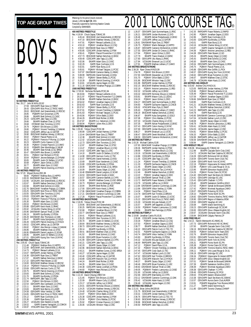## 11-12 **50 METRES FREESTYLE** Rec: 26.17 John M.Mills, GO, 92<br>1 27.59 ODIV3APR Ryan 1 27.59 ODIV3APR Ryan Gow,12,TRENT 2 28.43 ODIV2APR Nick Price,12,TMSC-NWO 3 28.63 EKSCMAR Joel Greenshields,12,RDCSC

BOYS

28.85 PGBAPR Kurt Grossman, 12, PN<br>28.86 EKIAPR Brett Schmid, 12, CASC<br>29.23 CDSCAPR Jake Tapp, 12, LOSC<br>29.66 EKIAPR Matthew Chan, 12, STS 5 28.86 EKIAPR Brett Schmid,12,CASC 6 29.23 CDSCAPR Jake Tapp,12,LOSC 7 29.66 EKIAPR Matthew Chan,12,STSC 29.68 OYOMAR Glen Torontow, 12,010<br>29.79 PQIMAY Erik Brisson, 12,000 9 29.79 POIMAY Erik Brisson, 12, DDO<br>10 29.80 POIMAY Vincent Tremblay, 12, SAMAK<br>11 29.82 CDSCAPR Jeffrey Lau, 12, GATOR<br>29.90 EKSCMAR Matthew Verwey, 12, RDCSC<br>30.02 POIIMAY Francois-P Murray, 12, CNDR<br>30.22 POIIMAY Franc 15 30.23 MMAPR Curtis Cawson, 12, SD.<br>16 30.30 POIMAY Cristian Popovici, 12, CAMO<br>17 30.33 PGBAPR Glen Wooldridge, 12, WLBF<br>18 30.46 EKIAPR Sean Kimak, 12, GL-BRSA<br>20 30.51 POIMAY Karl Richard, 12, PCSC 21 30.64 PQIIIMAY Jerome Belanger,12,DYNAM 22 30.65 EKIAPR Justin Di Stefano,12,UCSC 23 30.68 PQIMAY Jason Ochiai, 11, DDO<br>24 30.77 EKIAPR Adam Szoo, 12, CASC<br>25 30.84 EKIAPR Patrick Downing. 12.H' 24 30.77 EKIAPR Adam Szoo,12,CASC 25 30.84 EKIAPR Patrick Downing,12,HYACK **100 METRES FREESTYLE** Rec: 57.20 Miguel Munoz,ESC,86 1 58.60 PQIIIMAY Mathieu Bois,12,HIPPO 2 1:00.33 DAVISMAR Ryan Gow,12,TRENT 3 1:02.66 UCSAJAN Joel Greenshields,12,RDCSC 4 1:02.67 EKIAPR Nathan Demchuk,12,EKSC 5 1:02.68 EKIAPR Brett Schmid,12,CASC 6 1:02.76 GMACMAR Yonathan Prajogo,12,COBRA 7 1:03.25 ODIV2APR Nick Price,12,TMSC-NWO 8 1:03.55 ODIV2APR Glen Torontow,12,OYO 9 1:03.83 CDSCAPR Jake Tapp,12,LOSC 10 1:04.13 PQIIIMAY Francois-P Murray,12,CNDR 11 1:05.30 EKIAPR Adam Szoo,12,CASC 12 1:05.53 PQIMAY Erik Brisson,13,DDO 11 1:05.30 EKIAPR Adam Szoo, 12, CASC<br>12 1:05.53 POIMAY Erik Brisson, 13, DDO<br>13 1:05.88 ODIV1APR Kevin Kwok, 11, RHAC<br>15 1:05.96 DAVISMAR Samuel Thrall, 12, OA<br>16 1:06.19 EKIAPR IIV, Brotzky, 12, PDS<br>17 1:06.28 DAVISMAR A 14 1:05.92 UCSAJAN Charles Wong,12,UCSC 15 1:05.96 DAVISMAR Samuel Thrall,12,OAK 16 1:06.19 EKIAPR Ilya Brotzky,12,PDSA 17 1:06.28 DAVISMAR Alex Thompson,12,OAK 18 1:06.47 EKIAPR Kuba Szmigielski,12,GOLD<br>19 1:06.49 CDSCAPR Patrick Downing,12,HYACK<br>20 1:06.52 CDSCAPR Jeffrey Lau,12,GATOR<br>21 1:06.82 PQIMAY Alex Mercier-Linteau,12,SAMAK 22 1:06.86 EKIAPR Matthew Chan,12,STSC 23 1:06.95 ESWIMAPR Daniel Langlois,12,SCAR 24 1:06.95 EKIAPR Justin Di Stefano,12,UCSC 25 1:07.01 ODIV1APR Kyung Soo Yoon,10,NYAC **200 METRES FREESTYLE** Rec: 2:05.83 Chuck Sayao,TOMAC,95 1 2:11.48 PQIIIMAY Mathieu Bois,12,HIPPO 2:12.08 EKSCMAR Joel Greenshields,12,RDCSC<br>2:14.73 POIMAY Renaud Laliberte 12 LIL 3 2:14.73 PQIMAY Renaud Laliberte,12,UL 4 2:15.07 RAPIDAPR Jordan Hartney,12,PSW 5 2:16.38 ODIV3APR Ryan Gow,12,TRENT 6 2:17.07 EKIAPR Nathan Demchuk,12,EKSC 7 2:17.22 ODIV1APR Peter Bowen,12,GO 8 2:19.00 EKSCMAR Matthew Verwey,12,RDCSC 9 2:19.14 PQIIIMAY Francois-P Murray,12,CNDR 10 2:20.69 ODIV1APR Harrison Curtis,12,TSC 11 2:20.75 EKIAPR Patrick Downing,12,HYACK 12 2:20.83 EKIAPR Brett Schmid,12,CASC 13 2:21.70 EKIAPR Ilya Brotzky,12,PDSA 14 2:21.74 RAPIDAPR Jake Tapp,12,LOSC 15 2:22.50 PQIMAY Erik Brisson,12,DDO 16 2:22.54 ODIV3APR Alex Cambareri,12,CPAC 17 2:23.11 EKIAPR Adam Szoo,12,CASC 18 2:23.83 EKIAPR Nick Berrns,12,LASER 19 2:24.58 ODIV3APR Viktor Verblac,12,YORK 20 2:24.65 ODIV2APR Nick Price,12,TMSC-NWO 21 2:25.12 ISAPR Ryan Cochrane,12,IS 22 2:25.36 ISAPR Ryan Buna,12,IS 23 2:26.27 UCSAJAN Glen Nesbitt,12,GLEN 22 2:25.36 ISAPR Ryan Buna,12,15<br>
22 2:26.52 UCSAJAN Glen Nesbitt,12,GLEN<br>
24 2:26.52 ISAPR Graeme Yamagishi,12,CLEN<br>
25 2:26.52 ISAPR Graeme Yamagishi,12,COMOX<br>
25 2:26.52 HTACAPR Marc Pvle 12 SWAT

2001 LONG COURSE TAG® **TOP AGE GROUP TIMES** January 1,2001 **to April 30**, 2001 Financially supported by Swimming Natation Canada Compiled by SWIMNEWS **400 METRES FREESTYLE** Rec: 4:19.04 Chuck Sayao,TOMAC,95 1 4:45.44 EKSCMAR Joel Greenshields,12,RDCSC 2 4:47.33 EKSCMAR Matthew Verwey,12,RDCSC 3 4:47.91 PQIMAY Renaud Laliberte,12,UL 4 4:53.10 PQIMAY Jonathan Blouin,12,CSQ 5 4:55.67 DAVISMAR Ryan Gow, 12, TRENT<br>4:55.85 CDSCAPR Jordan Hartney, 12, P.<br>7 4:56.41 PQIMAY Pascal Provencher-F 6 4:55.85 CDSCAPR Jordan Hartney,12,PSW 7 4:56.41 PQIMAY Pascal Provencher-F,12,DDO 8 4:57.73 EKSCMAR Nathan Demchuk, 12, EKSC<br>9 4:59.49 CDSCAPR Jake Tapp. 12.1 OSC 9 4:59.49 CDSCAPR Jake Tapp,12,LOSC<br>10 5:02.06 FKIAPR Adam Szon 12 CAS 10 5:02.06 EKIAPR Adam Szoo, 12, CASC 11 5:02.29 ISAPR Ryan Cochrane,12,IS 12 5:02.81 ISAPR Ryan Buna,12, IS<br>13 5:05.81 POIMAY Michael Tatinian 13 5:05.81 PQIMAY Michael Tatigian, 11, PCSC<br>14 5:07.97 DAVISMAR Cameron Bailey.11. HWAC 14 5:07.97 DAVISMAR Cameron Bailey,11,HWAC<br>15 5:08.99 RAPIDJAN Daniel Kennedy,12,KISU<br>16 5:09.17 POIMAY Steven Bielby,11,PCSC 15 5:08.99 RAPIDJAN Daniel Kennedy,12,KISU 16 5:09.17 PQIMAY Steven Bielby,11,PCSC 17 5:10.39 EKIAPR Patrick Downing,12,HYACK 18 5:10.81 UCSAJAN Jayme Hagen,12,OSC GMACMAR Yonathan Prajogo,12,COBRA **19 5:11.16 GMACMAR Y<br><b>1500 METRES FREESTYLE** Rec: 17:05.50 Nicholas Richards,PCSC,84 1 18:43.84 PQIMAY Renaud Laliberte,12,UL 2 19:21.97 PQIMAY Pascal Provencher-F,12,GAMIN 3 19:35.96 EKIAPR Nathan Demchuk,12,EKSC 4 19:54.02 PQIMAY Jonathan Gagne,12,DDO 5 20:02.63 ISAPR Ryan Cochrane,12,IS 6 20:37.67 PQIMAY Steven Bielby,11,PCSC 7 20:37.91 PQIMAY Vincent Tremblay,12,SAMAK 8 20:41.63 PQIMAY Michael Tatigian, 11, PCSC<br>9 20:43.56 PQIMAY Dillon Babb, 12, DDO 9 20:43.56 PQIMAY Dillon Babb,12,DDO<br>10 20:44.29 EKIAPR Brett Richter 12 ROD 10 20:44.29 EKIAPR Brett Richter,12,ROD 11 20:47.87 EKIAPR A.J. Halverson,12,KSC 12 20:58.94 PQIMAY Julien Alie,11,DDO **100 METRES BACKSTROKE** Rec: 1:05.60 Tobias Oriwol,PCSC,98 1 1:06.89 CDSCAPR Jordan Hartney,12,PSW 2 1:10.44 DAVISMAR Ryan Gow,12,TRENT 3 1:12.38 EKIAPR Brett Schmid,12,CASC 4 1:12.42 UCSAJAN Joel Greenshields,12,RDCSC 5 1:12.73 ODIV2APR Glen Torontow,12,OYO 6 1:12.97 EKIAPR Matthew Chan,12,STSC 7 1:13.47 PQIMAY Jonathan Blouin,12,CSQ 8 1:14.02 CDSCAPR Jake Tapp,12,LOSC 9 1:14.10 EKIAPR Justin Di Stefano, 12, UCSC<br>10 1:14.98 ODIV1APR Harrison Curtis, 12, TSC 10 1:14.98 ODIV1APR Harrison Curtis, 12, TSC<br>11 1:15.07 RAPID JAN Daniel Kennedy 12 KISI 11 1:15.07 RAPIDJAN Daniel Kennedy,12,KISU 12 1:15.69 EKIAPR Evan Vanderven,12,CASC 13 1:15.80 CDSCAPR Ilya Brotzky,12,PDSA 14 1:16.09 EKIAPR Sean Kimak,12,GL-BRSA 15 1:16.09 EKIAPR Zacary Odger,12,CASC 16 1:16.48 ESWIMAPR Daniel Langlois,12,SCAR 17 1:16.53 ODIV3APR David Grubb,12,MAC 18 1:16.57 ODIV1APR Cameron Bartlett,12,CYPS<br>19 1:16.58 EKIAPR Matthew Cunes 12 KSC-RI 1:16.58 EKIAPR Matthew Cunes, 12, KSC-BRSA<br>1:16.73 POIIIMAY Jerome Belanger. 12. DYNAM 20 1:16.39 ERM R Matthew Sands, 12, 12, 12, 12, 116.94 FKIAPR Brett Richter. 12, ROD 21 1:16.94 EKIAPR Brett Richter, 12, ROD<br>22 1:17.00 ODIV1APR Kevin Kwok, 11, RHAC<br>23 1:17.06 GMACMAR Yonathan Prajogo, 12 22 1:17.00 ODIV1APR Kevin Kwok,11,RHAC 23 1:17.06 GMACMAR Yonathan Prajogo,12,COBRA 1:17.21 DAVISMAR Cameron Cummings,12,0AK<br>1:17.28 POIMAY Pascal Provencher-E 12 GAMIL 25 1:17.28 PQIMAY Pascal Provencher-F,12,GAMIN **200 METRES BACKSTROKE** Rec: 2:18.05 Tobias Oriwol, PCSC, 98<br>1 2:29.95 EKSCMAR Joel Green 1 2:29.95 EKSCMAR Joel Greenshields,12,RDCSC 2 2:30.25 RAPIDJAN Jordan Hartney,12,PSW 3 2:32.68 PQIMAY Jonathan Blouin,12,CSQ 4 2:33.77 DAVISMAR Ryan Gow,12,TRENT 5 2:34.41 PQIMAY Renaud Laliberte,12,UL 6 2:35.25 ODIV2APR Glen Torontow,12,OYO 6 2:35.25 ODIV2APR Glen Torontow, 12, 0YO<br>7 2:35.70 EKIAPR Justin Di Stefano, 12, UCSC 8 2:38.64 EKSCMAR Matthew Verwey,12,RDCSC 9 2:38.73 ODIV1APR Harrison Curtis,12,TSC 10 2:39.14 EKIAPR Ilya Brotzky,12,PDSA 11 2:39.41 EKSCMAR Matthew Chan,12,STSC 12 2:41.52 EKIAPR Brett Schmid,12,CASC<br>13 2:41.69 ODIV1APR Bryan Fumerton,11,US<br>14 2:41.99 ODIV1APR Cameron Bartlett,12,C' 13 2:41.69 ODIV1APR Bryan Fumerton,11,USC 14 2:41.99 ODIV1APR Cameron Bartlett,12,CYPS 15 2:42.21 CDSCAPR Jake Tapp,12,LOSC 16 2:42.33 EKIAPR Zacary Odger,12,CASC 17 2:42.96 EKSCMAR Nathan Demchuk,12,EKSC 18 2:43.21 EKIAPR Matthew Cunes,12,KSC-BRSA 19 2:43.27 UCSAJAN Jayme Hagen,12,OSC 20 2:43.40 CDSCAPR Jeffrey Lau,12,GATOR 21 2:43.89 CDSCAPR Malcolm Tan, 12, HYACK<br>22 2:44.24 EKIAPR Brett Richter, 12, ROD 22 2:44.24 EKIAPR Brett Richter, 12, ROD<br>23 2:44.35 EKIAPR Adam Szon 12 CASC 23 2:44.35 EKIAPR Adam Szoo, 12, CASC<br>24 2:44.38 CDSCAPR Sandy Lockhart 12 P 24 2:44.38 CDSCAPR Sandy Lockhart, 12, PDSA<br>25 2:44.60 POIMAY Hans Richard 12 PCSC PQIMAY Hans Richard,12,PCSC **100 METRES BREASTSTROKE** Rec: 1:12.24 David Cheung,CREST,94 1 1:21.65 PQIMAY Erik Brisson,12,DDO 1:22.09 EKIAPR Mason Cully, 12, LEDUC<br>1:23.17 UCSA JAN Jeffrey Lai.12. EKSC 3 1:23.17 UCSAJAN Jeffrey Lai,12,EKSC 4 1:24.01 ODIV2APR Nicholas Shoust,12,SSMAC 5 1:24.25 UCSAJAN Matthew Verwey,12,RDCSC 6 1:24.40 UCSAJAN Charles Wong,12,UCSC 7 1:24.87 PQIMAY Dillon Babb,12,DDO 8 1:25.38 CDSCAPR Jordan Hartney,12,PSW 9 1:25.58 PQIMAY Chris Waldau,12,PCSC 10 1:25.92 PQIMAY Cristian Popovici,12,CAMO

11 1:26.06 UCSAJAN Winston Yeap,12,OSC

RRankings for the period (results received)

#### 12 1:26.07 ODIV3APR Zach Summerhayes,11,RISC 13 1:26.21 ODIV3APR Jordan Murtonen,12,SYD 13 1:26.21 ODIV3APR Jordan Murtonen, 12,SYD<br>14 1:26.46 EKIAPR Adrian Podjarkowski, 12,EKSC<br>15 1:26.47 CDSCAPR Jeffrey Lau, 12,CATOR<br>16 1:26.61 DAVISMAR Ryan Gow, 12,TRENT 15 1:26.47 CDSCAPR Jeffrey Lau,12,GATOR 16 1:26.61 DAVISMAR Ryan Gow,12,TRENT 17 1:26.75 PQIIIMAY Martin Belanger,12,HIPPO 18 1:26.87 ODIV3APR Cameron McKendrick,12,MAC 19 1:27.55 ODIV1APR Jordan Di Cresce, 11, RHAC<br>20 1:27.64 PQIMAY Jason Ochiai, 11, DDO 20 1:27.64 PQIMAY Jason Ochiai,11,DDO 21 1:27.79 EKIAPR Travis Hnatiuk, 12, GWSC<br>22 1:27.80 ODIV1APR Uko Abara.11. RHAC 22 1:27.80 ODIV1APR Uko Abara,11,RHAC 23 1:27.84 UCSAJAN Emanuel Lys,12,UCSC 24 1:27.91 PQIIAPR Mathias Leblanc,27,CAMO **200 METRES BREASTSTROKE** Rec: 2:36.28 Ryan Chiew,HYACK,99 1 2:54.78 PQIMAY Erik Brisson,12,DDO 2 2:57.93 DAVISMAR Alexander Lai,12,MYSC 3 3:01.70 PQIMAY Dillon Babb,12,DDO 4 3:01.86 EKSCMAR Winston Yeap,12,OSC 5 3:01.98 RAPIDAPR Jordan Hartney,12,PSW 6 3:02.15 EKSCMAR Matthew Verwey,12,RDCSC 7 3:02.19 PQIMAY Antoine Lamoureux,11,REG 8 3:02.32 UCSAJAN Jeffrey Lai,12,EKSC 9 3:03.32 ODIV2APR Nicholas Shoust,12,SSMAC 10 3:03.81 EKIAPR Mason Cully,12,LEDUC 11 3:04.24 PQIMAY Jason Ochiai,11,DDO 12 3:04.27 ODIV3APR Zach Summerhayes,11,RISC 13 3:04.83 PQIIAPR Guillaume Gagnon,12,CNCB 14 3:05.02 HTACAPR Marc Pyle,12,SWAT 15 3:05.63 PQIIAPR Mathias Leblanc,27,CAMO 16 3:06.18 EKSCMAR Nathan Demchuk,12,EKSC 17 3:06.87 EKIAPR Kuba Szmigielski,12,GOLD 18 3:07.08 PQIMAY Chris Waldau,12,PCSC 19 3:07.33 UCSAJAN Charles Wong, 12, UCSC<br>20 3:07.35 EKIAPR Adrian Podiarkowski.12 20 3:07.35 EKIAPR Adrian Podjarkowski,12,EKSC 21 3:07.43 ODIV1APR Calvin Kwong,12,NYAC<br>22 3:07.69 ODIV3APR Jordan Murtonen.12.S 22 3:07.69 ODIV3APR Jordan Murtonen,12,SYD<br>23 3:08.27 EKIAPR Emanuel Lys,12,UCSC<br>24 3:08.47 ODIV1APR Derek Woodhall,11,ROW 23 3:08.27 EKIAPR Emanuel Lys,12,UCSC 24 3:08.47 ODIV1APR Derek Woodhall,11,ROW 25 3:08.59 ODIV3APR Cameron McKendrick,12,MAC **100 METRES BUTTERFLY** Rec: 1:03.26 Michael Calkins,IS,90 1 1:07.83 GMACMAR Yonathan Prajogo,12,COBRA 2 1:09.36 RAPIDAPR Jordan Hartney,12,PSW 3 1:09.69 PQIMAY Jonathan Blouin,12,CSQ 1:10.16 UCSAJAN Joel Greenshields, 12, RDCSC<br>5 1:10.86 CDSCAPR IIya Brotzky, 12, PDSA 5 1:10.86 CDSCAPR Ilya Brotzky,12,PDSA 6 1:11.05 CDSCAPR Jake Tapp,12,LOSC 7 1:11.24 PQIMAY Vincent Tremblay,12,SAMAK 8 1:11.33 PQIIAPR Guillaume Gagnon,12,CNCB 9 1:11.45 EKIAPR Zacary Odger,12,CASC 10 1:11.83 CDSCAPR Malcolm Tan,12,HYACK 11 1:12.46 EKIAPR Nathan Demchuk,12,EKSC 12 1:13.22 PQIMAY Jonathan Gagne, 12, DDO<br>13 1:13.69 DAVISMAR Samuel Thrall, 12, OAK<br>14 1:13.72 RAPIDAPR Fraser Roberts. 12, RAPID 1:13:22<br>1:13.69 DAVISMAR Samuel Thrall,12,0AK<br>1:13.72 RAPIDAPR Fraser Roberts 12 RAP 14 1:13.72 RAPIDAPR Fraser Roberts, 12, RAPID<br>15 1:13.79 UCSAJAN Jeffrey Lai, 12, EKSC 15 1:13.79 UCSAJAN Jeffrey Lai,12,EKSC<br>16 1:13.84 DAVISMAR Cameron Cummings 16 1:13.84 DAVISMAR Cameron Cummings,12,0AK<br>17 1:13.96 ODIV3APR Viktor Verblac,12,YORK<br>18 1:14.34 POIMAY David Plezu,12,UL 1:13.96 DIVISHAR Viktor Verblac, 12, YORK<br>1:14.34 POIMAY David Plezu, 12, YORK 18 1:14.34 PQIMAY David Plezu, 12, UL<br>19 1:14.78 ODIV2APR Karl Trimble, 12, BR 19 1:14.78 ODIV2APR Karl Trimble,12,BROCK 20 1:15.07 EKIAPR Justin Di Stefano,12,UCSC 21 1:15.22 ODIV2APR Nick Price,12,TMSC-NWO 22 1:15.30 UCSAJAN McLean Eubank,12,CP<br>23 1:15.57 EKIAPR Jeff Saganski.12.GOLD 23 1:15.57 EKIAPR Jeff Saganski, 12, GOLD<br>24 1:16.50 POIIIMAY Frederic Lamoureux. 12 24 1:16.50 PQIIIMAY Frederic Lamoureux,12,CASE 25 1:16.56 EKIAPR Ben Partridge,12,PDSA **200 METRES BUTTERFLY** Rec: 2:19.88 Jonathan Cantin,PLUS,91<br>1 2:30.68 CDSCAPR Jordan Hartney,12,PSW<br>2 2:33.34 POIMAY Jonathan Blouin,12,CSQ<br>2:37.53 POIMAY Jonathan Gagne,12,DDO<br>4 2:39.77 EKIAPR Nathan Demchuk,12,EKSC 2:40.22 ODIV1APR Patrick Cuch,12,TSC-TO<br>6 2:42.01 POIIAPR Patrick Cuch,12,TSC-TO<br>7 2:43.74 ODIV3APR Viktor Verblac.12.YORK 6 2:42.01 PQIIAPR Guillaume Gagnon,12,CNCB 7 2:43.74 ODIV3APR Viktor Verblac,12,YORK 8 2:43.83 EKIAPR Ilya Brotzky,12,PDSA 9 2:44.32 UCSAJAN McLean Eubank,12,CP 10 2:46.69 RAPIDAPR Jake Tapp,12,LOSC 11 2:47.12 PQIMAY David Plezu,12,UL 12 2:47.32 PQIMAY Vincent Tremblay,12,SAMAK 13 2:47.45 ODIV1APR Cody Gault,12,TSC 14 2:47.47 UCSAJAN Nathan Lynch,12,OSC 15 2:47.62 ODIV2APR Karl Trimble,12,BROCK 16 2:48.25 CDSCAPR Malcolm Tan, 12, HYACK<br>17 2:48.37 EKIAPR Zacary Odger, 12, CASC 17 2:48.37 EKIAPR Zacary Odger, 12, CASC<br>18 2:48.46 ODIV1APR Bryan Fumerton, 11, US<br>19 2:48.63 DAVISMAR Samuel Thrall, 12, OAK 18 2:48.46 ODIV1APR Bryan Fumerton,11,USC 19 2:48.63 DAVISMAR Samuel Thrall,12,OAK 20 2:49.05 POILIMAY Frederic Lamoureux,12,CASE<br>21 2:51.90 LICSA JAN Jeffrey Lai 12 EKSC 21 2:51.90 UCSAJAN Jeffrey Lai,12,EKSC 22 2:52.66 ODIV1APR Matt Earley,12,CYPS 23 2:53.12 DAVISMAR Cameron Cummings,12,OAK 24 2:55.42 UCSAJAN Adam Kautz,12,CASC 25 2:56.49 UCSAJAN Jayme Hagen,12,OSC **200 METRES IND.MEDLEY** Rec: 2:21.81 Brian Johns,RACER,95 1 2:31.75 EKSCMAR Joel Greenshields,12,RDCSC 2 2:33.31 CDSCAPR Jordan Hartney,12,PSW 3 2:36.76 ODIV1APR Patrick Cuch,12,TSC-TO 4 2:38.63 EKSCMAR Matthew Verwey,12,RDCSC 5 2:39.96 EKSCMAR Nathan Demchuk,12,EKSC 6 2:40.50 RAPIDAPR Jake Tapp,12,LOSC

7 2:42.35 RAPIDAPR Fraser Roberts,12,RAPID 8 2:42.85 PQIMAY Jonathan Gagne,12,DDO 9 2:42.85 ISAPR Ryan Cochrane, 12, 13<br>9 2:42.86 ISAPR Ryan Cochrane, 12, 13<br>10 2:43.00 CDSCAPR IIya Brotzky, 12, PDSA 10 2:43.00 CDSCAPR Ilya Brotzky,12,PDSA 11 2:43.01 ISAPR Ryan Buna,12,IS 12 2:43.16 UCSAJAN Charles Wong,12,UCSC 13 2:43.87 ISAPR Graeme Yamagishi,12,COMOX 14 2:44.36 PQIMAY Antoine Lamoureux, 11, REG<br>15 2:44.38 ODIV1APR Peter Bowen, 12, GO 15 2:44.38 ODIV1APR Peter Bowen, 12, GO<br>16 2:45.24 EKIAPR Zacary Odger, 12, CA<br>17 2:45.43 EKIAPR Brett Schmid, 12, CA 16 2:45.24 EKIAPR Zacary Odger,12,CASC 17 2:45.43 EKIAPR Brett Schmid,12,CASC 18 2:45.50 EKIAPR Adam Szoo,12,CASC 19 2:45.54 ODIV3APR Zach Summerhayes,11,RISC 20 2:45.75 PQIMAY Pascal Plante,12,UL 21 2:45.88 ODIV2APR Alex Griffith,11,PICK 22 2:46.57 ODIV1APR Kyung Soo Yoon,10,NYAC 23 2:46.62 ODIV1APR Bryan Fumerton,11,USC 24 2:46.67 EKIAPR Matthew Chan,12,STSC 25 2:46.79 UCSAJAN Adam Kautz,12,CASC **400 METRES IND.MEDLEY** Rec: 5:03.60 Andrew Cho,HYACK,91 1 5:23.05 RAPIDJAN Jordan Hartney,12,PSW 2 5:25.96 PQIMAY Renaud Laliberte,12,UL 3 5:35.49 PQIMAY Pascal Provencher-F,12,DDO 4 5:37.59 PQIMAY Jonathan Gagne,12,DDO 5 5:39.66 DAVISMAR Ryan Gow,12,TRENT 6 5:40.95 ISAPR Ryan Cochrane,12,IS 7 5:41.21 UCSAJAN Matthew Verwey,12,RDCSC 8 5:41.75 EKIAPR Nathan Demchuk, 12, EKSC<br>9 5:42.23 RAPIDAPR Jake Tapp, 12, LOSC 9 5:42.23 RAPIDAPR Jake Tapp, 12, LOSC<br>10 5:44.78 ISAPR Ryan Runa 12 IS 10 5:44.78 ISAPR Ryan Buna,12,IS<br>11 5:45.95 DAVISMAR Cameron Cummings,12,OAK<br>12 5:47.04 UCSAJAN Nathan Lynch,12,OSC<br>13 5:48.08 EKIAPR Zacary Odger,12,CASC 14 5:48.78 PQIMAY Antoine Lamoureux,11,REG 11 5:15:16<br>15 5:50.41 UCSAJAN Adam Kautz,12,CASC<br>16 5:54.03 UCSAJAN Javme Hagen.12.0SC 16 5:54.03 UCSAJAN Jayme Hagen,12,OSC 17 5:54.81 PQIMAY Steven Bielby,11,PCSC 18 5:56.33 PQIMAY Dillon Babb,12,DDO 19 5:56.99 RAPIDAPR Jeffrey Lau,12,GATOR 20 5:58.59 DAVISMAR Drew Grey,12,OAK 21 5:58.94 ISAPR Graeme Yamagishi,12,COMOX **4X50 MEDLEY RELAY** Rec: 2:06.96 Mississauga AC,TOMAC,92 1 2:12.98 EKIAPR Cascade Swim Club,CASC 2 2:14.72 UCSAJAN Red Deer Catalina SC,RDCSC 3 2:18.28 ODIV1APR Richmond Hill AC,RHAC 4 2:18.54 ODIV1APR Toronto Swim Club,TSC 5 2:18.84 ODIV1APR North York AC,NYAC 6 2:22.19 PQIIIMAY Hippocame St-Hubert,HIPPO 7 2:22.98 PQIMAY Univ.Laval Rouge & Or,UL 8 2:23.95 EKIAPR Edmonton Keyano,EKSC 9 2:24.26 PQIMAY Pointe Claire SC,PCSC 10 2:24.40 ODIV2APR Sault Ste.Marie AC, SSMAC<br>11 2:24.91 ODIV1APR Uxbridge SC, USC 10 2:24.91 ODIV1APR Uxbridge SC,USC<br>12 2:24.91 ODIV1APR Uxbridge SC,USC 12 2:25.43 ODIV1APR Chatham Y,CYPS<br>13 2:26.40 EKIAPR Saskatoon Goldfir 12 2:25:45 GENERAL Gramman Romes<br>13 2:26.40 EKIAPR Saskatoon Goldfins, GOLD<br>14 2:27.02 POIMAY Samak de Brossard. SAMA 14 2:27.02 PQIMAY Samak de Brossard, SAMAK<br>15 2:27.42 PQIMAY Montreal Aquatique, CAMO<br>16 2:28.07 ODIV2APR Pickering SC, PICK 15 2:27.42 PQIMAY Montreal Aquatique,CAMO 16 2:28.07 ODIV2APR Pickering SC,PICK 17 2:28.10 PGBAPR Points North SC, PN<br>18 2:28.82 ODIV2APR Timmins Marlins. Th 18 2:28.82 ODIV2APR Timmins Marlins, TMSC-NWO<br>19 2:28.90 ODIV1APR Region of Waterloo, ROW 19 2:28.90 ODIV1APR Region of Waterloo, ROW<br>20 2:29.50 ODIV2APR Vaughan AC. VAC 20 2:29.50 ODIV2APR Vaughan AC,VAC<br>21 2:30.08 ISAPR Island Swimming,IS<br>22 2:30.23 ODIV1APR Scarborough SC,SCAR<br>23 2:30.65 ODIV1APR Glouc-Ottawa Kingfish,GO<br>24 2:30.67 UCSAJAN Olympian Swim Club,OSC 25 2:30.84 EKSCMAR Calgary Patriots,CP **4X50 FREE RELAY** Rec: 1:54.21 Hamilt-Wentworth AC, HWAC, 91<br>1 1:57.73 ODIV1APR Richmond Hill AC 1:57.73 ODIV1APR Richmond Hill AC, RHAC<br>1:57.73 DDIV1APR Richmond Hill AC, RHAC 2 1:57.93 EKIAPR Cascade Swim Club,CASC 3 1:58.19 EKSCMAR Red Deer Catalina SC,RDCSC 4 2:00.55 PQIMAY Dollard Swim Team, DDO<br>5 2:02.76 EKIAPR Edmonton Keyano, EKSC 2:02.76 EKIAPR Edmonton Keyano, EKSC<br>2:02.76 EKIAPR Edmonton Keyano, EKSC<br>2:02.81 ODIV1APR Toronto Swim Club TSC 6 2:02.81 ODIV1APR Toronto Swim Club,TSC 7 2:04.11 ODIV1APR North York AC,NYAC 8 2:05.31 PGBAPR Points North SC,PN 9 2:05.38 PQIMAY Pointe Claire SC,PCSC 10 2:05.39 ODIV2APR Timmins Marlins,TMSC-NWO 11 2:06.11 PQIMAY Univ.Laval Rouge & Or,UL 12 2:06.19 ODIV1APR Uxbridge SC,USC 13 2:06.34 PQIIIMAY Hippocame St-Hubert,HIPPO 14 2:06.67 ODIV1APR Glouc-Ottawa Kingfish, GO<br>15 2:07.01 PQIMAY Samak de Brossard, SAMA 15 2:07.01 POIMAY Samak de Brossard, SAMAK<br>16 2:07.39 EKIAPR Saskatoon Goldfins, GOLD<br>17 2:08.39 POIMAY Montreal Aquatique, CAMO 2:07.39 EKIAPR Saskatoon Goldfins, GOLD<br>2:08.39 POIMAY Montreal Aquatique.CAMC 17 2:08.39 PQIMAY Montreal Aquatique,CAMO<br>18 2:09.39 PQIMAY Montreal Aquatique,CAMO 18 2:09.38 ODIV1APR Chatham Y,CYPS<br>19 2:09.46 ODIV2APR Pickering SC PIC 19 2:09.46 ODIV2APR Pickering SC,PICK 20 2:09.63 HTACAPR Eastern Alliance,EAST 21 2:10.38 ODIV2APR Sault Ste.Marie AC,SSMAC 22 2:10.57 ODIV3APR Aurora Swim Club,AUROR 23 2:10.91 PQIIAPR Megophias Trois Rivieres,MEGO 24 2:11.27 ISAPR Island Swimming,IS 25 2:11.80 ODIV1APR Toronto Champs,CHAMP

#### **SWIM**NEWS APRIL 2001 23

25 2:26.97 HTACAPR Marc Pyle,12,SWAT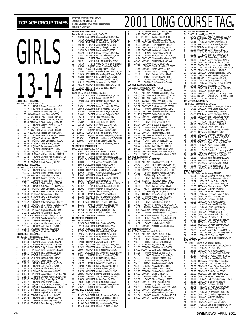|                                              | Rec:<br>1                                                                          |  |
|----------------------------------------------|------------------------------------------------------------------------------------|--|
|                                              | 2                                                                                  |  |
|                                              | 3                                                                                  |  |
|                                              | 4<br>5                                                                             |  |
|                                              | 6                                                                                  |  |
|                                              | 7                                                                                  |  |
|                                              | 8<br>9                                                                             |  |
|                                              | 10                                                                                 |  |
|                                              | 11                                                                                 |  |
|                                              | 12<br>13                                                                           |  |
|                                              | 14                                                                                 |  |
|                                              | 15                                                                                 |  |
|                                              | 16<br>17                                                                           |  |
|                                              | 18                                                                                 |  |
|                                              | 19                                                                                 |  |
|                                              | 20<br>800                                                                          |  |
|                                              | Rec:                                                                               |  |
|                                              | 1                                                                                  |  |
| <b>50 METRES FREESTYLE</b>                   | $\overline{a}$<br>3                                                                |  |
| Rec: 26.51<br>Lori Melien, AAC, 86           | 4                                                                                  |  |
| 28.12<br>1                                   | 5<br>EKIAPR Kirsten Pomerleau, 13, DEL                                             |  |
| $\overline{a}$<br>28.17<br>3<br>28.27        | 6<br>ODIV3APR Julia Wilkinson, 13, SKY<br>7<br>MMAPR Julianne Toogood, 13, MM      |  |
| 4                                            | 8<br>28.29 CANLCMAR Laura Wise,14,COBRA                                            |  |
| 5<br>28.46                                   | 9<br>PQCUPFEB Emily Gillespie, 13, PERTH                                           |  |
| 6<br>28.60                                   | EKIAPR Shannon Hackett, 14, PDSA<br>10                                             |  |
| 7<br>28.66<br>8<br>28.75                     | GMACMAR Kristin McIlroy, 14, MMST<br>EKIAPR Sabrina Taylor, 14, HYACK<br>11<br>12  |  |
| 9<br>28.76                                   | PQIMAY Caitlin Babb, 14, DDO<br>13                                                 |  |
| 10<br>28.77                                  | TORLCJAN Allison Bennett, 14, NYAC<br>14                                           |  |
| 11<br>28.77                                  | 15<br>DAVISMAR Melissa Bartlett, 14, CYPS                                          |  |
| 12<br>28.87<br>13<br>28.88                   | ODIV2APR Shannon Hazelton, 14, SSMAC<br>16<br>PQIMAY Alice Chow, 13, PCSC<br>17    |  |
| 14<br>28.93                                  | PQIMAY Chani Davidson, 14, CAMO<br>18                                              |  |
| 15<br>29.05                                  | HTACAPR Kayla Graham, 14, EAST<br>19                                               |  |
| 16<br>29.06<br>29.08                         | 100<br>PQIIIMAY Suzanne Vary, 14, CNDR<br>ISAPR Jessica Aspinall, 14, RAC<br>Rec:  |  |
| 17<br>18<br>29.08                            | PQIMAY Catherine Savoie-Laberge, 14, CNO<br>1                                      |  |
| 19                                           | 29.09 LEDUCMAY Melyssa Kallusky, 13, EDSON<br>$\overline{a}$                       |  |
| 20<br>29.22                                  | 3<br>ISAPR Genevieve Poirier-Leroy, 14, NRST                                       |  |
| 21<br>29.22<br>29.25<br>22                   | 4<br>PQIIAPR Anne-M. L-Frechette, 13, CNB<br>5<br>CDSCAPR Heidi Claasen, 14, PSW   |  |
| <b>100 METRES FREESTYLE</b>                  | 6                                                                                  |  |
| Rec: 56.91                                   | 7<br>Julie Howard, BRANT, 91                                                       |  |
| 1<br>1:00.15<br>2<br>1:00.45                 | EKIAPR Kirsten Pomerleau, 13, DEL<br>8<br>9<br>ODIV1APR Allison Bennett, 14, NYAC  |  |
| 3                                            | 1:00.50 CANLCMAR Laura Wise, 14, COBRA<br>10                                       |  |
| 4<br>1:01.07                                 | EKIAPR Sabrina Taylor, 14, HYACK<br>11                                             |  |
| 5<br>1:01.07                                 | MMAPR Julianne Toogood, 13, MM<br>12                                               |  |
| 6<br>1:01.31<br>7<br>1:01.45                 | ODIV3APR Kristin McIlroy, 14, MMST<br>13<br>14<br>EKIAPR Kelly Timmons, 14, OSC-UA |  |
| 8<br>1:01.54                                 | 15<br>PQIMAY Chani Davidson,14,CAMO                                                |  |
| 9<br>1:01.79                                 | EKIAPR Shannon Hackett, 14, PDSA<br>16                                             |  |
| 10<br>1:01.88<br>11<br>1:01.90               | PQIIIMAY Suzanne Vary, 14, CNDR<br>17<br>HTACAPR Kayla Graham, 14, EAST<br>18      |  |
| 12<br>1:02.09                                | 19<br>PQIMAY Caitlin Babb, 14, DDO                                                 |  |
| 13<br>1:02.42                                | ODIV1APR Victoria Clarridge, 14, BTSC<br>20                                        |  |
| 14<br>1:02.44                                | PQIMAY Catherine Savoie-Laberge, 13, CNO<br>21                                     |  |
| 15<br>1:02.63<br>16<br>1:02.63               | ODIV1APR Brittney Scott, 14, ROW<br>22<br>23                                       |  |
| 17<br>1:02.72                                | PQIMAY Stephanie Ross, 14, CAMO<br>ODIV3APR Julia Wilkinson, 13, SKY<br>24         |  |
| 18<br>1:02.78                                | 25<br>PQCUPFEB Joan Brouillard, 14, ELITE                                          |  |
| 19<br>1:02.91<br>20                          | PQIIAPR Pamela Filiatreaux, 14, RCA<br>200                                         |  |
| 1:03.03<br>21<br>1:03.07                     | ISAPR Jessica Aspinall, 14, RAC<br>Rec:<br>HTACAPR Jennifer Brown, 14, TCSC        |  |
| 22<br>1:03.45                                | EKIAPR Jody Jelen, 13, ESWIM<br>2                                                  |  |
| 23                                           | 3<br>1:03.50 PQCUPFEB Andrea Zarins, 14, NKB                                       |  |
| 24<br>1:03.50<br><b>200 METRES FREESTYLE</b> | PQIMAY Alice Chow, 13, PCSC<br>4<br>5                                              |  |
| Rec: 2:03.35                                 | 6<br>Julie Barbeau, ELITE, 89                                                      |  |
| 1                                            | 7<br>2:10.48 CANLCMAR Shannon Hackett, 14, PDSA                                    |  |
| $\overline{a}$<br>2:12.30<br>3<br>2:12.30    | ODIV1APR Allison Bennett, 14, NYAC<br>8<br>ODIV1APR Hilary Jackson, 14, STARS<br>9 |  |
| 4                                            | 2:13.30 PQCUPFEB Emily Gillespie, 13, PERTH<br>10                                  |  |
| 5<br>2:13.41                                 | PQIMAY Chani Davidson,14,CAMO<br>11                                                |  |
| 6<br>2:13.57                                 | RAPIDAPR Brittany Reimer, 13, SKSC<br>12                                           |  |
| 7<br>2:13.77<br>8<br>2:13.88                 | 13<br>HTACAPR Bevan Haley, 13, WTSC<br>RAPIDAPR Anne Schmuck, 13, PSW<br>14        |  |
| 9<br>2:14.19                                 | POIMAY Caitlin Babb, 14, DDO<br>15                                                 |  |
| 10<br>2:14.22                                | EKIAPR Sabrina Taylor, 14, HYACK<br>16                                             |  |
| 11<br>2:14.63                                | EKIAPR Jody Jelen, 13, ESWIM<br>17<br>18                                           |  |
| 12<br>2:14.88<br>13<br>2:15.28               | HTACAPR Jennifer Brown, 14, TCSC<br>PQIIIMAY Suzanne Vary, 14, CNDR<br>19          |  |
| 14<br>2:15.99                                | PQIIAPR Myriam Roy-L'Ecuyer, 14, CNB<br>20                                         |  |
| 15<br>2:16.44                                | ISAPR Genevieve Poirier-Leroy, 14, NRST<br>21                                      |  |
| 16<br>2:16.47<br>17                          | CDSCAPR Darcy Goodridge, 14, PDSA<br>22<br>23                                      |  |
| 2:16.77<br>18<br>2:16.89                     | EKIAPR Avery Kremer, 14, OSC<br>PQIMAY Catherine Savoie-Laberge, 14, CNO<br>24     |  |
| 19<br>2:16.93                                | PQIIAPR Pamela Filiatreaux, 14, RCA<br>25                                          |  |
| 20<br>2:17.15                                | 100<br>PQCUPFEB Andrea Zarins, 14, NKB                                             |  |
| 21<br>2:17.42<br>22                          | ISAPR Stephanie Bigelow, 14, IS<br>Rec:<br>1                                       |  |
| 2:17.54<br>23<br>2:17.92                     | ODIV1APR Alyssa Hubert, 13, CYPS<br>EKIAPR Sara Murphy, 14, ESWIM<br>2             |  |
| 24<br>2:17.92                                | MMAPR Julianne Toogood, 13, MM<br>3                                                |  |
| 25<br>2:18.88                                | 4<br>CDSCAPR Kayla Rawlings, 13, PSW                                               |  |

|                     | COMPREG DA OAARRIJKE AAS |                                                               |                                                                                                                                    |
|---------------------|--------------------------|---------------------------------------------------------------|------------------------------------------------------------------------------------------------------------------------------------|
|                     |                          | 400 METRES FREESTYLE                                          |                                                                                                                                    |
|                     |                          | Rec: 4:14.60 Shannon Smith, HYACK, 76                         |                                                                                                                                    |
| 1<br>$\overline{c}$ |                          |                                                               | 4:32.26 CANLCMAR Shannon Hackett, 14, PDSA<br>4:34.26 CANLCMAR Elyse Dudar, 14, MSSAC-TO                                           |
| 3                   |                          |                                                               | 4:37.08 RAPIDAPR Brittany Reimer, 13, SKSC                                                                                         |
| 4                   | 4:37.95                  |                                                               | CDSCAPR Anne Schmuck, 13, PSW                                                                                                      |
| 5                   |                          |                                                               | 4:37.99 CANLCMAR Emily Gillespie, 13, PERTH                                                                                        |
| 6<br>7              | 4:44.19                  |                                                               | 4:37.99 CANLCMAR Bevan Haley, 13, WTSC<br>CDSCAPR Darcy Goodridge, 14, PDSA                                                        |
| 8                   | 4:45.43                  |                                                               |                                                                                                                                    |
| 9                   | 4:46.04                  |                                                               | ODIV3APR Martha Ziolkowski, 14, YORK<br>EKIAPR Thea Norton, 14, OSC<br>EKIAPR Sabrina Taylor, 14, HYACK                            |
| 10                  | 4:47.07                  |                                                               |                                                                                                                                    |
| 11<br>12            | 4:47.16<br>4:47.40       |                                                               | ISAPR Genevieve Poirier-Leroy, 14, NRST<br>PQIMAY Chani Davidson, 14, CAMO                                                         |
| 13                  |                          |                                                               | 4:48.77 POCUPFEB Andrea Zarins, 14, NKB                                                                                            |
| 14                  | 4:48.94                  |                                                               | PQIMAY Catherine Savoie-Laberge, 14, CNO                                                                                           |
| 15                  |                          |                                                               | 4:49.26 PQCUPFEB Myriam Roy-L'Ecuyer, 13, CNB                                                                                      |
| 16<br>17            | 4:50.00<br>4:50.66       |                                                               | ODIV3APR Kristin McIlroy, 14, MMST                                                                                                 |
| 18                  | 4:51.12                  |                                                               | POIMAY Nirmeen Gandhi, 14, PCSC<br>POCUPFEB Suzanne Vary, 14, CNDR                                                                 |
| 19                  | 4:51.76                  |                                                               | ODIV2APR Roberta Gillespie, 14, PERTH                                                                                              |
| 20                  | 4:51.84                  | 800 METRES FREESTYLE                                          | RAPIDAPR Amanda Bell, 13, SPART                                                                                                    |
|                     |                          | Rec: 8:44.45 Michelle Sallee, CDSC, 88                        |                                                                                                                                    |
| 1                   |                          |                                                               | 9:13.74 CANLCMAR Shannon Hackett, 14, PDSA                                                                                         |
| $\overline{c}$      | 9:16.42                  |                                                               | HTACAPR Bevan Haley, 13, WTSC                                                                                                      |
| 3<br>4              | 9:36.47                  |                                                               | 9:23.60 CANLCMAR Elyse Dudar, 14, MSSAC-TO<br>ISAPR Stephanie Bigelow, 14, IS                                                      |
| 5                   |                          |                                                               |                                                                                                                                    |
| 6                   |                          |                                                               | 9:37.81 CDSCAPR Darcy Goodridge, 14, PDSA<br>9:39.75 CANLCMAR Kelly Timmons, 14, OSC-UA<br>9:47.40 EKIAPR Michelle Mange, 14, PDSA |
| 7                   |                          |                                                               |                                                                                                                                    |
| 8<br>9              | 9:49.62<br>9:51.76       |                                                               | HTACAPR Ainsley McFadgen, 14, CBD                                                                                                  |
| 10                  | 9:52.74                  |                                                               | EKIAPR Thea Norton, 14, OSC<br>PQIMAY Allyson Germain, 14, UL                                                                      |
| 11                  | 9:53.03                  |                                                               | EKIAPR Jody Jelen, 13, ESWIM                                                                                                       |
| 12<br>13            | 9:57.29                  |                                                               | CDSCAPR So Yoon Lee, 14, HYACK                                                                                                     |
| 14                  | 9:58.01<br>10:02.77      |                                                               | EKIAPR Avery Kremer, 14, OSC<br>PQIMAY Nirmeen Gandhi, 14, PCSC                                                                    |
| 15                  | 10:04.12                 |                                                               | CDSCAPR Sabrina Taylor, 14, HYACK                                                                                                  |
| 16                  | 10:06.89                 |                                                               | POIMAY Genevieve De Repentigny, 14, SAMAK<br>EKIAPR Mallory Hoekstra, 13, EKSC-UA                                                  |
| 17<br>18            | 10:07.61<br>10:09.83     |                                                               |                                                                                                                                    |
| 19                  | 10:12.13                 |                                                               | EKIAPR Sara Murphy, 14, ESWIM<br>PQIMAY Chani Davidson, 14, CAMO                                                                   |
|                     |                          | <b>100 METRES BACKSTROKE</b>                                  |                                                                                                                                    |
| 1                   |                          | Rec: 1:03.28 Nancy Garapick, HTAC, 76                         |                                                                                                                                    |
| $\overline{c}$      |                          |                                                               | 1:06.21 CANLCMAR Katie Smith, 14, COBRA<br>1:07.21 CANLCMAR Melissa Bartlett, 14, CYPS                                             |
| 3                   | 1:07.59                  |                                                               | EKIAPR Kirsten Pomerleau, 13, DEL                                                                                                  |
| 4                   |                          |                                                               | 1:07.91 CANLCMAR Mallory Hoekstra, 13, EKSC-UA                                                                                     |
| 5                   |                          |                                                               |                                                                                                                                    |
| 6<br>7              |                          |                                                               | 1:08.71 CANLCMAR Kelsey Rush, 14, RAYS                                                                                             |
| 8                   |                          |                                                               | 1:08.83 ODIV3APR Kristin McIlroy, 14, MMST                                                                                         |
| 9                   | 1:09.36                  |                                                               | PQIMAY Genevieve Saumur, 13, CAMO                                                                                                  |
| 10                  |                          |                                                               | 1:09.43 ODIV1APR Alyssa Hubert, 13, CYPS                                                                                           |
| 11<br>12            | 1:10.14                  |                                                               | 1:09.66 ODIV1APR Hilary Jackson, 14, STARS<br>CDSCAPR Anne Schmuck, 13, PSW                                                        |
| 13                  | 1:10.38                  |                                                               | PQIMAY Michelle-A Bouchard, 14, CAMO                                                                                               |
| 14                  | 1:10.41                  |                                                               | EKIAPR Kimberly Kabesh, 13, STSC                                                                                                   |
| 15<br>16            | 1:10.62                  |                                                               | POIMAY Stephanie Ross, 14, CAMO<br>EKIAPR Thea Norton, 14, OSC                                                                     |
| 17                  | 1:10.82<br>1:11.00       |                                                               | MMAPR Landice Yestrau, 13, MM                                                                                                      |
| 18                  | 1:11.08                  |                                                               | ODIV3APR Martha Ziolkowski, 14, YORK                                                                                               |
| 19                  | 1:11.53                  |                                                               | TORLCJAN Kristin Cloutier, 14, CAJ                                                                                                 |
| 20<br>21            | 1:11.81                  |                                                               | 1:11.78 CANLCMAR Blair Holmes, 14, COBRA<br>MMAPR Julianne Toogood, 13, MM                                                         |
| 22                  | 1:12.15                  |                                                               | EKIAPR Carol Starratt, 13, CASC                                                                                                    |
| 23                  | 1:12.28                  |                                                               | CDSCAPR Emily Barnett, 14, PDSA                                                                                                    |
| 24                  | 1:12.35                  |                                                               | ODIV3APR Christine Sadler, 13, MAC                                                                                                 |
| 25                  | 1:12.46                  | 200 METRES BACKSTROKE                                         | OYOMAR Tara Baxter, 13, NKB                                                                                                        |
|                     |                          | Rec: 2:15.60 Nancy Garapick, HTAC, 76                         |                                                                                                                                    |
| 1                   |                          |                                                               | 2:24.78 CANLCMAR Katie Smith, 14, COBRA                                                                                            |
| $\overline{c}$<br>3 | 2:27.26                  |                                                               | 2:27.19 CANLCMAR Kelsey Rush, 14, RAYS<br>TORLCJAN Laura Wise, 14, COBRA                                                           |
| 4                   |                          |                                                               | 2:27.87 CANLCMAR Melissa Bartlett, 14, CYPS                                                                                        |
| 5                   | 2:28.12                  |                                                               | CDSCAPR Anne Schmuck, 13, PSW                                                                                                      |
| 6                   | 2:28.95                  |                                                               | ODIV1APR Hilary Jackson, 14, STARS                                                                                                 |
| 7<br>8              | 2:29.30<br>2:29.50       |                                                               | EKIAPR Thea Norton, 14, OSC<br>ODIV1APR Alyssa Hubert, 13, CYPS                                                                    |
| 9                   | 2:29.92                  |                                                               | POCUPFEB Julia Guay-Racine, 14, CAMO                                                                                               |
| 10                  | 2:29.92                  |                                                               | POCUPFEB Genevieve Saumur, 13, CAMO                                                                                                |
| 11                  | 2:30.04                  |                                                               | ODIV3APR Kristin McIlroy, 14, MMST<br>2:30.47 CANLCMAR Mallory Hoekstra, 13, EKSC-UA                                               |
| 12<br>13            | 2:30.81                  |                                                               | UCSAJAN Kirsten Pomerleau, 13, DEL                                                                                                 |
| 14                  | 2:30.99                  |                                                               | RAPIDAPR Brittany Reimer, 13, SKSC                                                                                                 |
| 15                  | 2:31.09                  |                                                               | ISAPR Jessica Aspinall, 14, RAC                                                                                                    |
| 16<br>17            | 2:31.22<br>2:32.35       |                                                               | MMAPR Landice Yestrau, 13, MM<br>POCUPFEB Emily Gillespie, 13, PERTH                                                               |
| 18                  | 2:32.48                  |                                                               | HTACAPR Bevan Haley, 13, WTSC                                                                                                      |
| 19                  | 2:32.78                  |                                                               | ODIV3APR Christine Sadler, 13, MAC                                                                                                 |
| 20                  | 2:32.83                  |                                                               | ODIV3APR Martha Ziolkowski, 14, YORK                                                                                               |
| 21<br>22            | 2:33.00<br>2:33.70       |                                                               | PQIMAY Stephanie Ross, 14, CAMO<br>ODIV1APR Brittney Scott, 14, ROW                                                                |
| 23                  | 2:34.01                  |                                                               | TORLCJAN Kristin Cloutier, 14, CAJ                                                                                                 |
| 24                  | 2:34.10                  |                                                               | CNOAPR Shannon McQueen, 14, NKB                                                                                                    |
| 25                  | 2:34.27                  |                                                               | POIIAPR Roxane Cote, 14, CNCB                                                                                                      |
|                     |                          | 100 METRES BREASTSTROKE<br>Rec: 1:09.84 Allison Higson,ESC,86 |                                                                                                                                    |
| 1                   |                          |                                                               | 1:14.73 CANLCMAR Kelly Timmons, 14, OSC-UA                                                                                         |
| $\overline{c}$      |                          |                                                               | 1:16.24 CANLCMAR Emily Gillespie, 13, PERTH                                                                                        |
| 3<br>4              |                          |                                                               | 1:16.29 CANLCMAR Kim Labbett, 14, OAK-TO<br>1:16.42 CANLCMAR Haylee Johnson, 14, PDSA                                              |
| 5                   |                          |                                                               | 1:16.76 CANLCMAR Michelle Mange, 14, PDSA                                                                                          |

| TOP AGE GROUP TIMES I | Rankings for the period (results received)<br>January 1,2001 to April 30, 2001<br>Financially supported by Swimming Natation Canada<br>Compiled by SWIMNEWS                                      |                      | 2001                                                                                                                                                                                                             | <b>LONG COURSE TAG.</b>                                                                                                                                                                     |
|-----------------------|--------------------------------------------------------------------------------------------------------------------------------------------------------------------------------------------------|----------------------|------------------------------------------------------------------------------------------------------------------------------------------------------------------------------------------------------------------|---------------------------------------------------------------------------------------------------------------------------------------------------------------------------------------------|
|                       | <b>400 METRES FREESTYLE</b><br>Rec: 4:14.60 Shannon Smith.HYACK.76<br>4:32.26 CANLCMAR Shannon Hackett.14.PDSA<br>4:34.26 CANLCMAR Elyse Dudar, 14, MSSAC-TO<br>$1.27.00$ DADIDADD D.HD.L40 CKCO | $^{\circ}$<br>$\sim$ | :17.75 RAPIDJAN Anne Schmuck.13.PSW<br>1:18.79 ODIV2APR Whitnev Rich.13.ISS<br>1:18.85 POCUPFEB Caitlin Babb.14.DDO<br>:18.86<br><b>EKIAPR Carol Starratt.13.CASC</b><br>$1.10.22$ CDBH ADD CL.  ILL  ILL 12 BBC | 200 METRES IND.MEDLEY<br>Rec: 2:18.08 Allison Higson, ESC, 88<br>2:24.76 CANLCMAR Kelly Timmons, 14, OSC-UA<br>2:27.65 PQCUPFEB Emily Gillespie, 13, PERTH<br>DOIMAV Allycon Cormoin 14 LIL |

| x                                             |                                                                                   |                                                                                                | 1:18.85 PUCUPFEB Caitlin Badd, 14,DDU                                                                                                                                                                                                                                            |
|-----------------------------------------------|-----------------------------------------------------------------------------------|------------------------------------------------------------------------------------------------|----------------------------------------------------------------------------------------------------------------------------------------------------------------------------------------------------------------------------------------------------------------------------------|
| 9<br>10                                       | 1:18.86                                                                           |                                                                                                | EKIAPR Carol Starratt, 13, CASC<br>1:19.22 ODIV1APR Chantelle Lonsdale, 13, WAC                                                                                                                                                                                                  |
| 11                                            |                                                                                   |                                                                                                |                                                                                                                                                                                                                                                                                  |
| 12                                            |                                                                                   |                                                                                                | 1:19.26 ODIV3APR Julia Wilkinson, 13, SKY<br>1:19.54 ODIV1APR Elizabeth Engs, 14, CAJ<br>1:19.87 ODIV3APR Heather McMaster 14 M                                                                                                                                                  |
| $\begin{array}{c} 13 \\ 14 \end{array}$       | 1:19.87<br>1:19.94                                                                |                                                                                                | ODIV3APR Heather McMaster, 14, MAC<br>PQIMAY Jasmine Kastner, 13, DDO<br>EKIAPR So Yoon Lee, 14, HYACK                                                                                                                                                                           |
|                                               |                                                                                   |                                                                                                |                                                                                                                                                                                                                                                                                  |
| 15<br>16                                      | 1:20.15                                                                           |                                                                                                |                                                                                                                                                                                                                                                                                  |
| 17                                            | $\begin{array}{r} 1.2013 \\ 1.20184 \\ 1.21097 \\ 1.21103 \\ 1.21103 \end{array}$ |                                                                                                | 1:20.74 ODIV1APR Meaghan Nicholson, 14, NKB<br>ODIV2APR Allison McCabe, 14, GGST                                                                                                                                                                                                 |
| 18                                            |                                                                                   |                                                                                                | UCSAJAN Thea Norton, 14, OSC                                                                                                                                                                                                                                                     |
| 19                                            |                                                                                   |                                                                                                | PQIIAPR Mireille Tremblay, 13, CNCB                                                                                                                                                                                                                                              |
| 20                                            | 1:21.44                                                                           |                                                                                                | ODIV3APR Susan Miner, 14, HHAC                                                                                                                                                                                                                                                   |
| 21                                            | 1:21.48                                                                           |                                                                                                | EKIAPR Catherine Kasongo, 13, EKSC                                                                                                                                                                                                                                               |
| 22                                            | 1:21.51                                                                           |                                                                                                | EXIAPR Carleen Ready, 13, LASC<br>CNOAPR Katrina Obas, 13, NKB<br>EXIAPR Dana Williams, 14, STSC                                                                                                                                                                                 |
| $\begin{array}{c} 23 \\ 24 \\ -1 \end{array}$ | 1:21.53<br>1:21.59                                                                |                                                                                                |                                                                                                                                                                                                                                                                                  |
| 25                                            | 1:21.60                                                                           |                                                                                                | PQIMAY Julie Vincent, 14, CAMO                                                                                                                                                                                                                                                   |
|                                               |                                                                                   | 200 METRES BREASTSTROKE                                                                        |                                                                                                                                                                                                                                                                                  |
|                                               |                                                                                   |                                                                                                | Rec: 2:29.18 Courtenay Chuy, HYACK, 98                                                                                                                                                                                                                                           |
| 1                                             |                                                                                   |                                                                                                | 2:39.63 CANLCMAR Kim Labbett, 14, OAK-TO                                                                                                                                                                                                                                         |
| $\overline{c}$<br>3                           |                                                                                   |                                                                                                | 2:40.33 CANLCMAR Michelle Mange, 14, PDSA<br>2:40.66 CANLCMAR Kelly Timmons, 14, OSC-UA                                                                                                                                                                                          |
| 4                                             |                                                                                   |                                                                                                |                                                                                                                                                                                                                                                                                  |
| 5                                             |                                                                                   |                                                                                                | 2:40.90 CANLCMAR Haylee Johnson, 14, PDSA<br>2:45.49 CDSCAPR Anne Schmuck, 13, PSW<br>2:45.49 CDSCAPR Anne Schmuck, 13, PSW<br>2:46.63 CANLCMAR Elizabeth Hendrick, 13, NCS-BRSA<br>2:47.37 ODIV2APR Emily Gillespie, 13, PERTH                                                  |
| 6                                             |                                                                                   |                                                                                                |                                                                                                                                                                                                                                                                                  |
| 7                                             |                                                                                   |                                                                                                |                                                                                                                                                                                                                                                                                  |
| 8                                             | 2:48.23                                                                           |                                                                                                | PQIMAY Jasmine Kastner, 13, DDO                                                                                                                                                                                                                                                  |
| 9<br>10                                       |                                                                                   |                                                                                                | 2:49.61 ODIV1APR Chantelle Lonsdale, 13, WAC<br>2:51.23 PQCUPFEB Caitlin Babb, 14, DDO                                                                                                                                                                                           |
| 11                                            |                                                                                   |                                                                                                |                                                                                                                                                                                                                                                                                  |
| 12                                            |                                                                                   |                                                                                                |                                                                                                                                                                                                                                                                                  |
| 13                                            |                                                                                   |                                                                                                |                                                                                                                                                                                                                                                                                  |
| 14                                            |                                                                                   |                                                                                                | 2:51.27 ODIV2APR Whitney Rich, 13, ISS<br>2:51.74 ODIV3APR Julia Wilkinson, 13, SKY<br>2:52.68 EKIAPR Thea Norton, 14, OSC<br>2:52.74 ODIV1APR Elizabeth Engs, 14, CAJ                                                                                                           |
| 15                                            |                                                                                   |                                                                                                | 2.52.78 POIIAPR Mirelle Tremblay, 13, CNCB<br>2.53.02 UCSAJAM Megan Bird, 14, UCSC<br>2.53.02 UCSAJAM Megan Bird, 14, UCSC<br>2.54.06 ODIV1APR Katrina Obas, 13, NKB                                                                                                             |
| 16                                            |                                                                                   |                                                                                                |                                                                                                                                                                                                                                                                                  |
| 17<br>18                                      | 2:54.71                                                                           |                                                                                                | ODIV3APR Rachel Robinson, 13, MMST                                                                                                                                                                                                                                               |
| 19                                            |                                                                                   |                                                                                                | 2:54.85 PQCUPFEB Andrea Zarins, 14, NKB                                                                                                                                                                                                                                          |
| 20                                            | 2:55.01                                                                           |                                                                                                | EKIAPR Dana Williams, 14, STSC                                                                                                                                                                                                                                                   |
| 21                                            | 2:55.29                                                                           |                                                                                                | EKIAPR So Yoon Lee, 14, HYACK                                                                                                                                                                                                                                                    |
| 22                                            | 2:55.77                                                                           |                                                                                                | UCSAJAN Carol Starratt, 13, CASC                                                                                                                                                                                                                                                 |
| 23                                            | 2:56.29<br>2:56.33                                                                |                                                                                                | PQIMAY Julie Pamerleau, 14, CNO<br>ODIV3APR Heather McMaster, 14, MAC                                                                                                                                                                                                            |
| 24                                            |                                                                                   |                                                                                                | 2:56.50 ODIV1APR Meaghan Nicholson, 14, NKB                                                                                                                                                                                                                                      |
|                                               |                                                                                   |                                                                                                |                                                                                                                                                                                                                                                                                  |
|                                               |                                                                                   | 25 2:56.50 U.S.<br>100 METRES BUTTERFLY<br>100 102.87 Julie Howard,<br>Julie Howard, BRANT, 91 |                                                                                                                                                                                                                                                                                  |
| 1                                             |                                                                                   |                                                                                                | 1:06.41 CANLCMAR Blair Holmes, 14, COBRA                                                                                                                                                                                                                                         |
| $\overline{c}$                                | 1:06.47                                                                           |                                                                                                | EKIAPR Kelly Timmons, 14, OSC-UA                                                                                                                                                                                                                                                 |
| 3<br>4                                        |                                                                                   |                                                                                                | 1:06.72 PQCUPFEB Julia Guay-Racine, 14, CAMO                                                                                                                                                                                                                                     |
| 5                                             | 1:07.72                                                                           |                                                                                                | 1:07.11 ODIV2APR Emily Gillespie, 13, PERTH<br>EKIAPR Shannon Hackett, 14, PDSA                                                                                                                                                                                                  |
| 6                                             | 1:07.81                                                                           |                                                                                                | FORMY Allyson Germain, 14.0L<br>EKIAPR Avery Kremer, 14.0SC<br>CDSCAPR Kayla Rawlings, 13, PSW<br>EKIAPR Kimberly Kabesh, 13.STSC<br>EKIAPR Carleen Ready, 13, LASC<br>MAAPR Carleen Ready, 13, LASC                                                                             |
| 7                                             | 1:07.96                                                                           |                                                                                                |                                                                                                                                                                                                                                                                                  |
| 8                                             | 1:08.21                                                                           |                                                                                                |                                                                                                                                                                                                                                                                                  |
| 9                                             | 1:08.46                                                                           |                                                                                                |                                                                                                                                                                                                                                                                                  |
| 10                                            | 1:08.96                                                                           |                                                                                                |                                                                                                                                                                                                                                                                                  |
| 11<br>12                                      | 1:09.60<br>1:09.62                                                                |                                                                                                | MMAPR Stefanie Andruchuk, 14, MANTA<br>UCSAJAN Ally Jack, 14, GLEN                                                                                                                                                                                                               |
|                                               | 1:09.79                                                                           |                                                                                                | CDSCAPR Teresa Au Yeung, 14, PDSA                                                                                                                                                                                                                                                |
| 13<br>14<br>15                                | 1:10.11                                                                           |                                                                                                | POIMAY Marie-C. Dionne, 13, UL                                                                                                                                                                                                                                                   |
| 15                                            | 1:10.14                                                                           |                                                                                                | ODIV2APR Devon Sioui,14,TD                                                                                                                                                                                                                                                       |
| 16                                            | 1:10.15                                                                           |                                                                                                | EKIAPR Haley Kremer, 13, OSC                                                                                                                                                                                                                                                     |
| 17<br>18                                      |                                                                                   |                                                                                                |                                                                                                                                                                                                                                                                                  |
|                                               |                                                                                   |                                                                                                |                                                                                                                                                                                                                                                                                  |
| 19<br>20<br>--                                |                                                                                   |                                                                                                |                                                                                                                                                                                                                                                                                  |
| 21                                            |                                                                                   |                                                                                                |                                                                                                                                                                                                                                                                                  |
|                                               |                                                                                   |                                                                                                |                                                                                                                                                                                                                                                                                  |
| 22                                            |                                                                                   |                                                                                                | 110.32 MMAPR Tiffany Monkman, 14, MANTA<br>110.42 POIMAY Genevieve De Repentigny, 14, SAMAK<br>110.48 GMACMAR Starth Porchak, 14, 14, 1<br>110.51 POIMAY Genevieve Saumur, 13, CAMO<br>110.55 GMACMAR Kristin Mellroy, 14, MMST<br>10.54<br>PQIIAPR Anne-M. L-Frechette, 13, CNB |
| 23                                            |                                                                                   |                                                                                                |                                                                                                                                                                                                                                                                                  |
| 24                                            |                                                                                   |                                                                                                |                                                                                                                                                                                                                                                                                  |
| 25                                            |                                                                                   |                                                                                                |                                                                                                                                                                                                                                                                                  |
|                                               |                                                                                   | 200 METRES BUTTERFLY<br>Rec: 2:15.76 Sandra Marchand, ENL, 88                                  |                                                                                                                                                                                                                                                                                  |
| 1                                             |                                                                                   |                                                                                                |                                                                                                                                                                                                                                                                                  |
|                                               | 2:28.63                                                                           |                                                                                                | 1:10.42<br>1:10.42<br>1:10.51 POIMAN Genevic<br>1:10.55 GMACMAR Kristin McIlroy,<br>1:10.54 POIMAPR Anne-M. L-Frechetle, 13.0.<br>1:10.65 DAVISMAR Amanda Gordon, 14, HWAC<br>1:10.82 EKIAPR Linda Duare, 13, ROD<br>1:10.82 EKIAPR L<br>EKIAPR Avery Kremer, 14, OSC            |
| $\frac{2}{3}$                                 | 2:28.81                                                                           | <b>EKIAPR</b>                                                                                  | Shannon Hackett, 14, PDSA                                                                                                                                                                                                                                                        |
| 4                                             | 2:28.88                                                                           |                                                                                                | TORLCJAN Brittney Scott, 14, ROW                                                                                                                                                                                                                                                 |
| 5                                             | 2:28.94                                                                           |                                                                                                | CDSCAPR Kayla Rawlings, 13, PSW                                                                                                                                                                                                                                                  |
| 6<br>7                                        | 2:29.88<br>2:30.59                                                                |                                                                                                | TORLCJAN Blair Holmes, 14, COBRA<br>PQCUPFEB Julia Guay-Racine, 15, CAMO                                                                                                                                                                                                         |
| 8                                             | 2:31.73                                                                           |                                                                                                | PQIMAY Allyson Germain, 14, UL                                                                                                                                                                                                                                                   |
| 9                                             | 2:31.84                                                                           |                                                                                                | ISAPR Stephanie Bigelow, 14, IS                                                                                                                                                                                                                                                  |
| 10                                            | 2:31.99                                                                           |                                                                                                | EKIAPR Kimberly Kabesh, 13, STSC                                                                                                                                                                                                                                                 |
| 11                                            | 2:32.09                                                                           |                                                                                                | EKIAPR Haley Kremer, 13, OSC                                                                                                                                                                                                                                                     |
| 12<br>13                                      | 2:34.30<br>2:34.40                                                                |                                                                                                | HTACAPR Amy Longobardi, 14, EAST                                                                                                                                                                                                                                                 |
| 14                                            | 2:35.37                                                                           |                                                                                                | UCSAJAN Megan Bird, 14, UCSC<br>ODIV1APR Robyn Pimm, 14, RHAC                                                                                                                                                                                                                    |
| 15                                            | 2:35.95                                                                           |                                                                                                | TORLCJAN Melissa Bartlett, 14, CYPS                                                                                                                                                                                                                                              |
| 16                                            | 2:36.93                                                                           |                                                                                                | ODIV2APR Devon Sioui, 14, TD                                                                                                                                                                                                                                                     |
| 17                                            | 2:37.74                                                                           |                                                                                                | PQIMAY Marie-C. Dionne, 13, UL                                                                                                                                                                                                                                                   |
| 18                                            | 2:37.89                                                                           |                                                                                                | EKIAPR Glenna Young, 13, FMSC                                                                                                                                                                                                                                                    |
| 19                                            | 2:38.45                                                                           |                                                                                                | ODIV1APR Katie Davis, 14, BRANT                                                                                                                                                                                                                                                  |
| 20<br>21                                      | 2:38.64<br>2:38.66                                                                |                                                                                                | EKIAPR Jody Jelen, 13, ESWIM<br>PQIMAY Genevieve Saumur, 13, CAMO                                                                                                                                                                                                                |
|                                               | 2:38.96                                                                           |                                                                                                |                                                                                                                                                                                                                                                                                  |
| $\begin{array}{c} 22 \\ 23 \end{array}$       | 2:39.28                                                                           |                                                                                                | ODIV1APR Emily Victory, 14, STARS<br>ISAPR Shizuka Kikuchi, 14, CRKW                                                                                                                                                                                                             |
| 24<br>25                                      | 2:39.34<br>2:39.39                                                                |                                                                                                | PQIIAPR Anne-M. L-Frechette, 13, CNB<br>ODIV1APR Juliana Gonzalez, 14, NYAC                                                                                                                                                                                                      |

|                      |                                   |                                                 | ଞ                                                                                                                                                                                                                                             |
|----------------------|-----------------------------------|-------------------------------------------------|-----------------------------------------------------------------------------------------------------------------------------------------------------------------------------------------------------------------------------------------------|
|                      |                                   | 200 METRES IND.MEDLEY                           |                                                                                                                                                                                                                                               |
| 1                    | Rec: 2:18.08                      | Allison Higson ESC 88                           |                                                                                                                                                                                                                                               |
| 2                    |                                   |                                                 | 2:24.76 CANLCMAR Kelly Timmons,14,0SC-UA<br>2:27.65 POCUPFEB Emily Gillespie,13,PERTH                                                                                                                                                         |
| 3<br>4               | 2:29.44<br>2:30.63                |                                                 | POIMAY Allyson Germain, 14, UL<br>RAPIDJAN Anne Schmuck, 13, PSW                                                                                                                                                                              |
| 5                    |                                   |                                                 | 2:31.01 CANLCMAR Kelsey Rush, 14, RAYS                                                                                                                                                                                                        |
| 6<br>7               | 2:31.80                           |                                                 | 2:31.19 PQCUPFEB Caitlin Babb,14,DDO                                                                                                                                                                                                          |
| 8                    | 2:31.81                           |                                                 | EKIAPR Carleen Ready, 13, LASC<br>ISAPR Stephanie Bigelow, 14, IS                                                                                                                                                                             |
| 9                    | 2:32.15                           |                                                 | HTACAPR Bevan Haley, 13, WTSC                                                                                                                                                                                                                 |
| 10<br>11             | 2:32.31<br>2:33.42                |                                                 | EKIAPR Michelle Mange, 14, PDSA<br>ODIV1APR Melissa Bartlett, 14, CYPS                                                                                                                                                                        |
| 12                   | 2:33.87                           |                                                 | CDSCAPR Shannon Hackett, 14, PDSA                                                                                                                                                                                                             |
| 13<br>14             | 2:34.23<br>2:34.26                |                                                 | EKIAPR Mallory Hoekstra, 13, EKSC-UA<br>ODIV1APR Katie Davis, 14, BRANT                                                                                                                                                                       |
| 15                   | 2:34.39                           |                                                 | ODIV1APR Chantelle Lonsdale, 13, WAC                                                                                                                                                                                                          |
| 16<br>17             | 2:34.42<br>2:34.49                |                                                 | CDSCAPR Kayla Rawlings, 13, PSW<br>PQCUPFEB Andrea Zarins, 14, NKB                                                                                                                                                                            |
| 18                   | 2:34.52                           |                                                 | EKIAPR Carol Starratt, 13, CASC                                                                                                                                                                                                               |
| 19                   | 2:34.93<br>2:34.96                |                                                 | PQIMAY Genevieve Saumur, 13, CAMO<br>UCSAJAN Thea Norton, 14, OSC                                                                                                                                                                             |
| 20<br>21             | 2:35.05                           |                                                 | ODIV2APR Roberta Gillespie, 14, PERTH                                                                                                                                                                                                         |
| 22                   | 2:35.30                           |                                                 | ODIV2APR Whitney Rich, 13, ISS                                                                                                                                                                                                                |
| 23<br>24             | 2:35.99<br>2:36.05                |                                                 | RAPIDJAN Genevieve Poirier-Leroy, 13, NRST<br>PQCUPFEB Myriam Roy-L'Ecuyer, 13, CNB                                                                                                                                                           |
| 25                   | 2:36.12                           |                                                 | MMAPR Landice Yestrau, 13, MM                                                                                                                                                                                                                 |
|                      | Rec: 4:52.35                      | 400 METRES IND.MEDLEY<br>Joanne Malar, HWAC, 90 |                                                                                                                                                                                                                                               |
| 1                    |                                   |                                                 | 52.35 Joanne Malar, HWAC, 90<br>6.513 Joanne Malar, HWAC, 90<br>5.17.93 CANLCMAR Kelly Timmons, 14, OSC-UA<br>5.14.21 CDSCAPR Anne Schmuck, 13, PSW<br>5.17.51 - HTACAPR Bevan Haley, 13, WTSC<br>5.17.83 ODIVZAPR Emily Gillespie, 13, PERTH |
| $\overline{a}$       |                                   |                                                 |                                                                                                                                                                                                                                               |
| 3<br>4               |                                   |                                                 |                                                                                                                                                                                                                                               |
| 5                    |                                   |                                                 |                                                                                                                                                                                                                                               |
| 6<br>7               |                                   |                                                 |                                                                                                                                                                                                                                               |
| 8                    |                                   |                                                 |                                                                                                                                                                                                                                               |
| 9<br>10 <sup>1</sup> | 5:24.89                           |                                                 | ODIV3APR Kristin McIlroy, 14, MMST                                                                                                                                                                                                            |
| 11                   | 5:25.26                           |                                                 | UCSAJAN Thea Norton, 14, OSC                                                                                                                                                                                                                  |
| 12                   | 5:25.82                           |                                                 | CDSCAPR Shannon Hackett, 14, PDSA                                                                                                                                                                                                             |
| 13<br>14             | 5:26.03<br>5:26.14                |                                                 | RAPIDAPR Brittany Reimer, 13, SKSC<br>CDSCAPR Kayla Rawlings, 13, PSW                                                                                                                                                                         |
| 15                   | 5:26.62                           |                                                 | TORLCJAN Elyse Dudar, 14, MSSAC-TO                                                                                                                                                                                                            |
| 16<br>17             | 5:26.73<br>5:26.81                |                                                 | EKIAPR Avery Kremer, 14, OSC<br>ISAPR Kelsey Rush, 14, RAYS                                                                                                                                                                                   |
| 18                   | 5:26.91                           |                                                 | ISAPR Genevieve Poirier-Leroy, 14, NRST                                                                                                                                                                                                       |
| 19<br>20             | 5:27.43<br>5:27.85                |                                                 | RAPIDJAN Courtenay Mulhern, 14, PSW                                                                                                                                                                                                           |
| 21                   | 5:28.11                           |                                                 | ODIV1APR Brittney Scott, 14, ROW<br>PQIMAY Jasmine Kastner, 13, DDO                                                                                                                                                                           |
| 22                   | 5:29.64                           |                                                 | RAPIDJAN Valerie Pomaizl, 14, NRST                                                                                                                                                                                                            |
| 23<br>24             | 5:30.27<br>5:30.42                |                                                 | TORLCJAN Blair Holmes, 14, COBRA<br>RAPIDAPR Amanda Bell, 13, SPART                                                                                                                                                                           |
| 25                   | 5:30.58                           |                                                 | ODIV1APR Allison Bennett, 14, NYAC                                                                                                                                                                                                            |
|                      | 4X50 MEDLEY RELAY<br>Rec: 2:02.81 |                                                 | Etobicoke Swimming, ETOB, 97                                                                                                                                                                                                                  |
| 1                    | 2:07.54                           |                                                 | PQIMAY Montreal Aquatique, CAMO                                                                                                                                                                                                               |
| $\frac{2}{3}$        | 2:09.02                           |                                                 | EKIAPR Olympian Swim Club, OSC                                                                                                                                                                                                                |
| 4                    | 2:10.34<br>2:10.70                |                                                 | EKIAPR Pacific Dolphins, PDSA<br>PQIMAY Dollard Swim Team, DDO                                                                                                                                                                                |
| 5                    | 2:11.67                           |                                                 | UCSAJAN Edmonton Keyano, EKSC                                                                                                                                                                                                                 |
| 6<br>7               | 2:11.91<br>2:12.11                |                                                 |                                                                                                                                                                                                                                               |
| 8                    | 2:12.34                           |                                                 | ODIV3APR Markham AC, MAC<br>ODIV3APR Markham AC, MAC<br>POIMAY Univ.Laval Rouge & Or, UL<br>ODIV3APR Milton Marlins, MMST<br>TODIV3APR Milton Marlins, MMST                                                                                   |
| 9<br>10              | 2:12.78<br>2:12.86                |                                                 |                                                                                                                                                                                                                                               |
| 11                   | 2:13.01                           |                                                 | ODIV1APR Uxbridge SC,USC<br>ODIV1APR North York AC,NYAC                                                                                                                                                                                       |
| 12                   | 2:13.28                           |                                                 | MMAPR Manitoba Marlins, MM                                                                                                                                                                                                                    |
| 13<br>14             | 2:13.58<br>2:14.30                |                                                 | PQIMAY Pointe Claire SC, PCSC<br>EKIAPR Silver Tide SC, STSC                                                                                                                                                                                  |
| 15                   | 2:14.61                           |                                                 | ODIV1APR Chatham Y,CYPS                                                                                                                                                                                                                       |
| 16<br>17             | 2:14.63<br>2:14.71                |                                                 | ODIV1APR Toronto Swim Club, TSC<br>PQIMAY CN Outaouais, CNO                                                                                                                                                                                   |
| 18                   | 2:14.95                           |                                                 | ODIV1APR Region of Waterloo, ROW                                                                                                                                                                                                              |
| 19<br>20             | 2:14.99<br>2:15.03                |                                                 | <b>UCSAJAN Glencoe Gators, GLEN</b>                                                                                                                                                                                                           |
| 21                   | 2:15.04                           |                                                 | UCSAJAN Univ.of Calgary SC,UCSC<br>ODIV1APR Tillsonburg AT,TAT                                                                                                                                                                                |
| 22<br>23             | 2:15.22<br>2:15.23                |                                                 | MMAPR Manta Swim Club,MANTA<br>EKIAPR Etobicoke Swimming, ESWIM                                                                                                                                                                               |
| 24                   | 2:15.35                           |                                                 | PQIIAPR CN Beauport, CNCB                                                                                                                                                                                                                     |
| 25                   | 2:15.55                           |                                                 | PQIMAY Samak de Brossard, SAMAK                                                                                                                                                                                                               |
|                      | <b>4X50 FREE RELAY</b>            |                                                 | Rec: 1:50.15 Etobicoke Swimming, ETOB, 97                                                                                                                                                                                                     |
| 1                    | 1:54.49                           |                                                 | PQIMAY Montreal Aquatique, CAMO                                                                                                                                                                                                               |
| $\overline{a}$<br>3  | 1:55.61<br>1:56.38                |                                                 | POIIAPR CN Laval, LAVAL<br>ODIV1APR North York AC, NYAC                                                                                                                                                                                       |
| 4                    | 1:56.45                           |                                                 | EKIAPR Olympian Swim Club, OSC                                                                                                                                                                                                                |
| 5                    | 1:57.29<br>1:57.71                |                                                 | PQIMAY Univ.Laval Rouge & Or,UL                                                                                                                                                                                                               |
| 6<br>7               | 1:57.89                           | U                                               | MMAPR Manitoba Marlins, MM                                                                                                                                                                                                                    |
| 8                    | 1:57.96                           |                                                 | CSAJAN Cascade Swim Club, CASC<br>PQIMAY Pointe Claire SC, PCSC                                                                                                                                                                               |
| 9<br>10              | 1:58.83<br>1:58.93                |                                                 | ODIV1APR Glouc-Ottawa Kingfish, GO<br>EKIAPR Pacific Dolphins, PDSA<br>ODIV1APR Barrie Trojans, BTSC                                                                                                                                          |
| 11                   | 1:58.95                           |                                                 |                                                                                                                                                                                                                                               |
| 12                   | 1:59.00<br>1:59.38                |                                                 | UCSAJAN Edmonton Keyano, EKSC<br>ODIV1APR Nepean Kanata, NKB                                                                                                                                                                                  |
| 13<br>14             | 1:59.61                           |                                                 |                                                                                                                                                                                                                                               |
| 15                   | 1:59.63                           |                                                 | EKIAPR Etobicoke Swimming, ESWIM<br>ODIV1APR Brantford AC, BRANT                                                                                                                                                                              |
| 16<br>17             | 1:59.65<br>1:59.73                |                                                 | ODIV1APR Uxbridge SC,USC<br>EKIAPR Univ.of Calgary SC, UCSC                                                                                                                                                                                   |
| 18                   | 1:59.77                           |                                                 | EKIAPR Silver Tide SC, STSC                                                                                                                                                                                                                   |
| 19<br>20             | 1:59.77<br>1:59.89                |                                                 | PQIMAY Dollard Swim Team, DDO<br>ODIV1APR Cambridge Aquajets, CAJ                                                                                                                                                                             |
| 21                   | 2:00.00                           |                                                 | ODIV3APR Markham AC, MAC                                                                                                                                                                                                                      |
| 22<br>23             | 2:00.30<br>2:00.33                |                                                 | PQIMAY CN Outaouais, CNO<br>ODIV3APR Milton Marlins, MMST                                                                                                                                                                                     |
| 24                   | 2:00.47                           |                                                 | PQIMAY Samak de Brossard, SAMAK                                                                                                                                                                                                               |
| 25                   | 2:00.50                           |                                                 | ODIV1APR Toronto Swim Club, TSC                                                                                                                                                                                                               |

24 **SWIM**NEWS APRIL 2001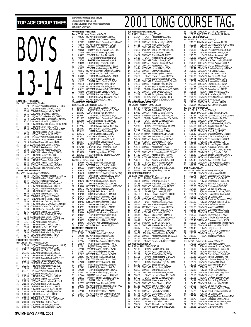# BOYS 13-14 **50 METRES FREESTYLE** Rec: 23.97 Kurtis Miller, SCAR, 0<br>1 25.23 POIMAY Vince 1 25.23 PQIMAY Vincent Boulanger-M.,14,CSQ 2 26.01 ODIV2APR Matteo Di Paolo,14,VAC 3 26.09 ODIV2APR Brannyn Hale,14,NBYT 4 26.11 ODIV2APR Jeff Byrne,13,SSMAC 5 26.35 PQIMAY Octavian Petre,14,CAMO 6 26.70 ODIV3APR Adam MacWilliam,14,MAKOS 7 26.87 DAVISMAR Julian Cino,14,HWAC

8 26.93 ODIV2APR Steven Posthumus,13,TBT-NWO 9 26.95 EKIAPR Darren Tso,14,LASC 10 26.96 ODIV3APR Jonathan Peace-Hall,14,RISC 11 26.96 EKIAPR Michael Smela,14,LASER 12 26.98 PQIMAY David Milot,13,PCSC 13 27.03 PQIMAY Wesley Newman,14,DDO 14 27.12 DAVISMAR James San Pedro,14,OAK 15 27.14 DAVISMAR Marco Monaco,14,0AK<br>16 27.15 DAVISMAR Aaron Donst,14,HWAC<br>17 27.21 CNOAPR Sean Dawson,13,GO 16 27.15 DAVISMAR Aaron Donst,14,HWAC 17 27.21 CNOAPR Sean Dawson,13,GO 18 27.22 PQIIAPR Alex Agostino,14,LAVAL 19 27.25 RAPIDJAN Jackson Wang,13,DELTA 20 27.27 EKIAPR Lee Grant,13,UCSC 21 27.35 CDSCAPR Dan Minster, 14, PDSA<br>22 27.36 EKIAPR Thomas Seibel, 14, GO 21 27.36 EKIAPR Thomas Seibel, 14, GOLD<br>23 27.38 CDSCAPR Tommy Yi.14, GATOR 23 27.38 CDSCAPR Tommy Yi,14,GATOR 24 27.38 PQIIIMAY Etienne Brillant,13,CNDR 25 27.44 DAVISMAR FranK Myslik,14,CYPS **100 METRES FREESTYLE**<br>Rec: 52.91 Yannick Lupien,CAGRA,94<br>1 56.48 PQIMAY Vincent Boulanger-M.,14,CSQ<br>2 57.27 ODIV2APR Matteo Di Paolo,14,VAC 37.27 BENDARK Marc Laliberte, 14, UL<br>57.47 PQIMAY Marc Laliberte, 14, UL<br>57.85 ODIV1APR Misha Vujaklija, 14, N 4 57.85 ODIV1APR Misha Vujaklija,14,NYAC 5 58.14 ODIV2APR Dave Spencer,14,GGST 6 58.14 PQIMAY Wesley Newman,14,DDO 7 58.49 EKIAPR Darren Tso,14,LASC 8 58.60 CNOAPR Sean Dawson,13,GO 9 58.63 ODIV2APR Jeff Byrne,13,SSMAC 10 58.67 CNOAPR Andrej Lenert,14,NKB 11 58.89 EKIAPR Jens Cuthbert,14,PDSA 12 59.06 ODIV3APR Adam MacWilliam,14,MAKOS 13 59.18 ODIV2APR Christian Carl,13,TBT-NWO 14 59.30 EKIAPR Jim Judiesch,14,CASC 15 59.31 ODIV3APR Stephen Louli,13,MAC 16 59.31 EKIAPR Pascal Wollach,13,CASC 17 59.44 DAVISMAR Aaron Donst,14,HWAC 18 59.46 POIIAPR Samuel Chartrand, 13, ELITE<br>19 59.51 ODIV3APR Michael Allain, 14, BST<br>20 59.63 EKIAPR Gavin D'Amico, 13, EKSC 19 59.51 ODIV3APR Michael Allain,14,BST 20 59.63 EKIAPR Gavin D'Amico,13,EKSC 21 59.68 EKIAPR Lee Grant,13,UCSC 22 59.69 PQCUPFEB Philippe Drolet,14,SAMAK 23 59.69 ODIV1APR FranK Myslik,14,CYPS 24 59.77 CDSCAPR Dan Minster,14,PDSA 25 59.79 ODIV1APR Hans Fracke, 14, USC **200 METRES FREESTYLE** Rec: 1:55.97 Brian Johns,RACER,97 1 2:04.09 PQIMAY Vincent Boulanger-M.,14,CSQ 2 2:05.54 ODIV2APR Buddy Green,14,LUSC 3 2:06.11 EKIAPR Jens Cuthbert,14,PDSA 4 2:06.96 ODIV2APR Dave Spencer,14,GGST 5 2:08.20 EKIAPR Pascal Wollach,13,CASC 6 2:08.24 PQIIAPR Samuel Chartrand,13,ELITE 7 2:08.65 RAPIDJAN James Monk,14,PDSA 8 2:08.99 CDSCAPR Sebastian Salas,14,PDSA 9 2:09.21 EKIAPR Alexander Love,13,ROD 10 2:09.68 ISAPR Richard Alexander,14,IS 11 2:09.71 PQIMAY Wesley Newman,14,DDO 12 2:09.78 ODIV1APR Hans Fracke,14,USC 13 2:10.69 EKIAPR Gavin D'Amico,13,EKSC 14 2:10.84 ODIV3APR Stephen Louli,13,MAC 15 2:11.29 PQIMAY Aubert Lachance-F.,13,UL 16 2:11.44 UCSAJAN Braden O'Neill, 13, 0SC<br>17 2:11.60 PGBAPR Alex Sherwood, 14, KCS<br>18 2:11.64 0DIV2APR Francesco Agued, 14, VAC<br>21 2:11.66 OENAPR Jesse Lund, 13, EKSC<br>21 2:11.68 ODIV1APR Kyle Piltman, 22 2:11.68 ODIV2APR Christian Carl,13,TBT-NWO 23 2:11.80 CDSCAPR Brad Reid,14,HYACK 21 2:11.68 ODIV2APR Christian Carl, 13, TBT-23 2:11.80 CDSCAPR Brad Reid, 14, HYACK<br>24 2:11.80 CDSCAPR Brad Reid, 14, HYACK<br>27 2:11.83 ODIV1APR Kyle Svara, 14, CHAMP<br>27 2:11.84 ODIV1APR Andrew Chaing 14 M/

Financially supported by Swimming Natation Canada Compiled by SWIMNEWS **400 METRES FREESTYLE** Rec: 4:05.63 Jamie Stevens, MANTA, 89 1 4:25.93 ODIV2APR Buddy Green,14,LUSC 2 4:27.04 EKIAPR Jens Cuthbert,14,PDSA 3 4:29.31 PQIMAY David Provencher-F,14,GAMIN 4 4:29.40 ODIV2APR Dave Spencer,14,GGST 5 4:29.66 RAPIDJAN James Monk,14,PDSA 6 4:30.35 PQIMAY Philip Brassard-G.,14,DDO 7 4:33.89 RAPIDJAN Simon Wing,14,PSW 8 4:34.39 CDSCAPR Brad Reid,14,HYACK 4:34.39 CDSCAPR Brad Reid, 14, HY-AV<br>4.34.39 CDSCAPR Richard Alexander, 14, IS<br>10 4:37.40 PGBAPR Alex Sherwood, 14, KCS 10 4:37.40 PGBAPR Alex Sherwood,14,KCS 11 4:39.99 CDSCAPR Ray Betuzzi,13,PDSA 12 4:40.11 PQIMAY Aubert Lachance-F.,13,UL 13 4:40.25 CDSCAPR Andrew Wagner,14,PDSA 14 4:40.42 ODIV2APR Anthony Orazietti,14,SSMAC 15 4:40.67 ODIV3APR Stephen Louli,13,MAC 16 4:40.85 EKIAPR Michael Smela,14,LASER 17 4:40.95 UCSAJAN Braden O'Neill,13,OSC 18 4:41.57 EKIAPR Gavin D'Amico,13,EKSC 19 4:41.75 CDSCAPR Matthew Sze,13,PDSA 20 4:41.57 UCSAJAN Braden O'Neill, 13, 052<br>18 4:41.57 EXIAPR Gavin D'Amico, 13,EKS<br>20 4:41.75 CDSCAPR Matthew Sze, 13,PDSA<br>21 4:41.91 ODIV2APR Sean Alexander, 13,TD<br>22 4:42.69 DAVISMAR Aaron Donst, 14, HWAC 21 4:41.91 ODIV2APR Christian Carl,13,TBT-NWO 22 4:42.69 DAVISMAR Aaron Donst,14,HWAC 23 4:42.90 DAVISMAR Brandon Holden, 13, HWAC<br>24 4:43.08 CDSCAPR Kris Yap-Chung, 13, HYACK 24 4:43.08 CDSCAPR Kris Yap-Chung, 13, HYACK<br>25 4:43.08 CDSCAPR Kris Yap-Chung, 13, HYACK 25 4:43.41 ODIV3APR Max Kwok,14,MAC **1500 METRES FREESTYLE** Rec: 16:00.93 Alex Baumann, LUSC, 79<br>1 17:46.53 FKIAPR Jens Cuthbe 1 17:46.53 EKIAPR Jens Cuthbert,14,PDSA 2 17:52.41 PQIMAY Philip Brassard-G.,14,DDO 3 17:55.52 CDSCAPR Brad Reid,14,HYACK 4 18:09.67 ISAPR Richard Alexander,14,IS 18:13.25 POIMAY David Provencher-F, 14, GAMIN<br>18:13.99 CDSCAPR Leonard Ho, 13, HYACK<br>18:17.18 EKIAPR Alexander Love, 13, ROD 6 18:13.99 CDSCAPR Leonard Ho,13,HYACK 7 18:17.18 EKIAPR Alexander Love,13,ROD 8 18:22.04 EKIAPR Edward Quinlan, 14, PDSA<br>9 18:34.51 EKIAPR Gavin D'Amico, 13, EKSC 9 18:34.51 EKIAPR Gavin D'Amico,13,EKSC<br>10 18:41.99 ISAPR Derek Westra-Lunev.14. 10 18:41.99 ISAPR Derek Westra-Luney,14,IS<br>11 18:45.42 EKIAPR Jesse Lund,13,EKSC<br>12 18:51.11 HTACAPR Chris Dever,14,TIDE 13 18:52.56 EKIAPR Tyler Burton,13,FMSC 14 18:53.34 ISAPR Ryan Clouston,13,IS 15 18:56.97 PQIMAY Maximilian Leger,14,CAMO 16 18:57.86 CDSCAPR Travis Redpath,12,PDSA 17 18:58.19 EKIAPR Tyson Larone,13,EKSC 18 18:58.20 EKIAPR Jayme Hagen,13,OSC 19 18:58.22 HTACAPR Mathieu Bouchard,13,AQUA **100 METRES BACKSTROKE** Rec: 58.92 Tobias Oriwol,ESWIM,0 1 1:04.96 ODIV3APR Michael Allain,14,BST 2 1:05.29 DAVISMAR Aaron Donst,14,HWAC 3 1:05.33 PQIMAY Wesley Newman,14,DDO 4 1:05.70 CNOAPR Andrej Lenert,14,NKB 5 1:05.78 PQIMAY Vincent Boulanger-M.,14,CSQ 6 1:05.80 EKIAPR Eric Gendron,14,KSC-BRSA 7 1:06.04 UCSAJAN Kyle Sorrenti,14,GLEN 8 1:06.12 ODIV1APR Colin Ackroyd,14,SCAR 9 1:06.57 EKIAPR Pascal Wollach,13,CASC 10 1:06.66 ODIV2APR Steven Posthumus,13,TBT-NWO 11 1:06.72 ODIV1APR Hans Fracke,14,USC 12 1:06.90 POIIAPR Felix Renaud, 13, CNB<br>13 1:07.05 POIIAPR Alex Desilets, 13, MEG 13 1:07.05 PQIIAPR Alex Desilets, 13, MEGO<br>14 1:07.34 PGBAPR Alex Sherwood.14, KCS 14 1:07.34 PGBAPR Alex Sherwood,14,KCS 15 1:07.47 ODIV2APR Dave Spencer,14,GGST 16 1:07.83 TORLCJAN Marco Monaco,14,OAK 16 1:07.83 TORLCJAN Marco Monaco, 14, 17 1:07.94 EKIAPR Lee Grant, 13, UCSC<br>18 1:07.97 CNOAPR Richard Shih, 12, NY 18 1:07.97 CNOAPR Richard Shih, 12, NYAC<br>19 1:07.98 FKIAPR John Lanins 13 EXST 19 1:07.98 EKIAPR John Lapins,13,EXST 20 1:08.06 PQIIIMAY Jean-P Martin,14,DYNAM 21 1:08.21 ISAPR Richard Alexander, 14, IS<br>22 1:08.31 EKIAPR Alexander Love, 13, ROD<br>23 1:08.52 PQIMAY Richard Zieba, 13, PCSC 22 1:08.31 EKIAPR Alexander Love,13,ROD 23 1:08.52 PQIMAY Richard Zieba,13,PCSC 24 1:08.63 UCSAJAN Tyler Dahlseide,14,LEDUC 25 1:08.67 ODIV1APR David Arcand,13,GO **25 1:08.67 ULIVIANALE**<br>**200 METRES BACKSTROKE** Rec: 2:05.16 Tobias Oriwol,ESWIM,0 1 2:20.85 EKIAPR Jesse Lund,13,EKSC 2 2:21.95 ODIV1APR Hans Fracke,14,USC 3 2:22.07 PQIIAPR Felix Renaud,13,CNB 4 2:22.64 EKIAPR Eric Gendron,14,KSC-BRSA 5 2:22.76 PGBAPR Alex Sherwood,14,KCS 6 2:22.81 PQIMAY Wesley Newman,14,DDO 6 2:22.81 PQIMAY Wesley Newman, 14, DD<br>7 2:22.85 DAVISMAR Aaron Donst, 14, HWAC<br>8 2:23.01 CNOAPR Andrej Lenert, 14, NKB 2:23.01 CNOAPR Andrej Lenert, 14, NKB<br>2:23.17 ODIV2APR Dave Spencer. 14, GGS 9 2:23.17 ODIV2APR Dave Spencer,14,GGST 10 2:23.91 ODIV3APR Michael Allain,14,BST 11 2:24.11 TORLCJAN Marco Monaco,14,OAK 12 2:24.58 PQIMAY Richard Zieba,13,PCSC 13 2:24.74 PQIIAPR Alex Desilets,13,MEGO 14 2:25.03 UCSAJAN Kyle Sorrenti,14,GLEN 15 2:25.06 EKIAPR Pascal Wollach,13,CASC 16 2:25.43 ODIV1APR Colin Ackroyd,14,SCAR 17 2:25.44 PQIIIMAY Jean-P Martin,14,DYNAM 18 2:26.12 PQIIIMAY Etienne Lavallee,13,EXCEL 19 2:26.55 EKIAPR John Lapins, 13, EXST<br>20 2:27.59 ODIV2APR Sean Alexander 13 TD 20 2:27.59 ODIV2APR Sean Alexander,13,TD 21 2:27.63 ODIV2APR Steven Posthumus,13,TBT-NWO 22 2:27.73 ODIV1APR Kyle Pittman,14,GO 23 2:27.83 CNOAPR Richard Shih,12,NYAC 24 2:28.33 ODIV1APR Brandon Connerty,14,BRANT 25 2:28.54 ODIV1APR Stephen Malinas,13,NYAC

RRankings for the period (results received) January 1,2001 **to April 30**, 2001

#### TOP AGE GROUP TIMES **FOR AN AND AND AND AGE GROUP TIMES 100 METRES BREASTSTROKE**<br>Rec: 1:04.53 Matthew Huang,PDSA,99<br>1 1:12.04 EKIAPR Rodale Estor,13,CASC<br>2 1:12.29 DAVISMAR Marco Monaco,14,OAK 3 1:12.51 ODIV1APR Misha Vujaklija,14,NYAC 4 1:13.31 PQIMAY Marc Laliberte,14,UL 1:13.35 ODIV1APR Alex Olsen, 14, SCAR<br>
113.96 DAVISMAR James San Pedro, 14<br>
114.25 POIMAY Max Dumont 12 RF 6 1:13.96 DAVISMAR James San Pedro,14,OAK 7 1:14.25 PQIMAY Max Dumont,12,REG 8 1:14.57 ODIV3APR Jamie Ross,12,AUROR 9 1:15.18 EKIAPR Michael Smela,14,LASER 10 1:15.37 ODIV3APR Daniel Vollmer,14,AAC 11 1:16.10 ODIV1APR Andrew Cheung,14,WAC 12 1:16.23 ODIV3APR Adam Dunn,14,AAC 13 1:16.24 CDSCAPR Leonard Ho,13,HYACK 14 1:16.36 ODIV2APR Brannyn Hale,14,NBYT 15 1:16.72 ODIV3APR Adam Sapelak,14,WAAC 15 1:16.72 ODIV3APR Adam Sapelak, 14, WAAC<br>16 1:16.86 EKIAPR Edward Quinlan, 14, PDSA<br>17 1:16.90 POIMAY Zachary Glassman. 14. CA 17 1:16.90 PQIMAY Zachary Glassman,14,CAMO 18 1:16.91 ODIV1APR Jonathan Caguiat,13,CHAMP 19 1:16.93 ODIV2APR Matteo Di Paolo,14,VAC 20 1:16.95 EKIAPR Sean Armstrong, 14, EKSC<br>21 1:17.29 PQIMAY Marc-A. Duchesneau, 13, 21 1:17.29 PQIMAY Marc-A. Duchesneau,13,CAMO<br>22 1:17.42 ODIV1APR Geoff Wyatt,14,CHAMP<br>23 1:17.89 EKIAPR Brody Fowler,14,LASER<br>24 1:18.14 PQIIIMAY Jean-S. Despatie,14,ENC 25 1:18.16 EKIAPR Andrew Malawski,14,ROD **200 METRES BREASTSTROKE** Rec: 2:19.95 Matthew Huang,PDSA,99 1 2:36.14 DAVISMAR Marco Monaco,14,OAK 2. 2:39.37 EKIAPR Rodale Estor, 13, CASC<br>2. 239.80 ODIVIAPR Misha Vujaklija, 14, NYAC<br>4. 2:40.26 DAVISMAR James San Pedro, 14, OAK<br>5. 2:40.50 POIMAY David Provencher-F, 14, GAMIN<br>6. 2:41.64 POIMAY Marc Laliberte, 14, UL<br>7. 8 2:42.18 POIMAY Zachary Glassman, 14, CAMO<br>9 2:42.29 ODIV1APR Alex Olsen, 14, SCAR<br>10 2:42.55 POIMAY Max Dumont, 12, REG 2:42.29 ODIV1APR Alex Olsen,14,SCAR<br>2:42.55 POIMAY Max Dumont.12.REC 10 2:42.55 PQIMAY Max Dumont,12,REG 11 2:43.34 RYMMMAR Michael Smela,14,LASER 12 2:44.65 ODIV3APR Jamie Ross,12,AUROR 13 2:45.02 ODIV1APR Andrew Cheung,14,WAC 14 2:45.99 CDSCAPR Leonard Ho,13,HYACK 15 2:46.23 PQIIIMAY Jean-S. Despatie,14,ENC 16 2:46.80 ODIV3APR Adam Dunn,14,AAC 17 2:46.96 PQIMAY Marc-A. Duchesneau,13,CAMO 18 2:47.06 ODIV1APR Jonathan Caguiat,13,CHAMP<br>19 2:47.12 ODIV3APR Adam Sapelak,14,WAAC 19 2:47.12 ODIV3APR Adam Sapelak, 14, WAAC<br>20 2:47.19 CDSCAPR Sebastian Salas.14, PDSA 20 2:47.19 CDSCAPR Sebastian Salas,14,PDSA<br>21 2:48.09 EKIAPR Andrew Malawski,14,ROD<br>22 2:48.59 EKIAPR Sean Armstrong,14,EKSC<br>2:49.31 POIIIMAY Etienne Lavallee,13,EXCEL<br>2:49.31 POIIIMAY Etienne Lavallee,13,EXCEL 25 2:49.55 ODIV1APR Kyle Palfrey,13,SCAR **100 METRES BUTTERFLY** Rec: 57.45 Philip Weiss, SKSC, 94 1:01.23 POIMAY David Milot,13,PCSC<br>2 1:03.21 ODIV2APR Jeff Byrne,13,SSMAC<br>4 1:03.66 POIMAY Maximilian Leger,14,CAMO<br>4 1:03.61 ODIV2APR Nathan Ferguson,14,EBSC<br>5 1:04.06 DAVISMAR Marco Monaco,14,OAK 6 1:04.47 EKIAPR Tyson Larone,13,EKSC 7 1:04.56 PQIIAPR Samuel Chartrand,13,ELITE 8 1:04.89 PQIIAPR Felix Renaud,13,CNB 9 1:05.50 CDSCAPR Simon Wing,14,PSW 10 1:05.54 PQIIAPR Alex Agostino,14,LAVAL 11 1:05.71 ODIV2APR Francesco Agueci,14,VAC 12 1:05.77 CDSCAPR Edward Quinlan,14,PDSA 13 1:05.91 PQIMAY Octavian Petre,14,CAMO 14 1:05.94 CDSCAPR Dan Minster, 14, PDSA<br>15 1:06.14 MMAPR Chris Jones.14, MANT 15 1:06.14 MMAPR Chris Jones, 14, MANTA<br>16 1:06.19 EKIAPR Kris Yap-Chung, 13, HY<br>17 1:06.27 EKIAPR Justin Allen, 13, EKSC 16 1:06.19 EKIAPR Kris Yap-Chung,13,HYACK 17 1:06.27 EKIAPR Justin Allen,13,EKSC 18 1:06.35 DAVISMAR Julian Cino,14,HWAC 19 1:06.47 ODIV2APR Matteo Di Paolo,14, VAC<br>
20 1:06.47 EKIAPR Jens Cuthbert,14, PDSA<br>
21 1:06.51 EKIAPR Matt Derochie.14, KSC-1:06.47 EKIAPR Jens Cuthbert, 14, PDSA<br>1:06.51 EKIAPR Matt Derochie 14 KSC-F 21 1:06.51 EKIAPR Matt Derochie,14,KSC-BRSA 22 1:06.69 PQIIIMAY Steven Marcoux,14,EXCEL 23 1:06.75 ODIV3APR Adam MacWilliam, 14, MAKOS<br>24 1:07.12 HTACAPR Brad Feicht, 14, TIDE 24 1:07.12 HTACAPR Brad Feicht,14,TIDE 25 1:07.48 PQIIAPR Pierre-Luc Leblanc,12,ELITE **200 METRES BUTTERFLY** Rec: 2:05.20 Philip Weiss,SKSC,94<br>1 2:21.19 PQIMAY David Milot,13,PCSC<br>2 2:21.26 EKIAPR Tyson Larone,13,EKSC 3 2:21.91 EKIAPR Jens Cuthbert,14,PDSA 4 2:21.91 PQIMAY Philip Brassard-G.,14,DDO 5 2:21.94 CDSCAPR Simon Wing,14,PSW 6 2:22.09 PQIMAY Maximilian Leger,14,CAMO 7 2:22.82 ODIV1APR Bryce Tung,14,TSC 8 2:23.01 ODIV1APR Zachary Hurd,14,BTSC 9 2:23.03 ODIV2APR Jeff Byrne,13,SSMAC 10 2:23.46 ODIV2APR Nathan Ferguson,14,EBSC 11 2:26.01 EKIAPR Kris Yap-Chung,13,HYACK 12 2:26.02 EKIAPR Edward Quinlan,14,PDSA 13 2:26.42 DAVISMAR Marco Monaco,14,OAK 14 2:26.67 ODIV1APR Brent Charlton,14,TAT 15 2:27.16 RAPIDJAN James Monk,14,PDSA 16 2:27.25 PQIIAPR Felix Renaud, 13, CNB<br>17 2:27.43 ODIV1APR Kyle Palfrey, 13, SCAR 17 2:27.43 ODIV1APR Kyle Palfrey,13, SCAR<br>18 2:27.48 CDSCAPR Leonard Ho, 13, HYAC<br>2:29.12 ODIV2APR Buddy Green, 14, LUS<br>20 2:29.54 ODIV2APR Francesco Agueci, 14, 18 2:27.48 CDSCAPR Leonard Ho,13,HYACK 19 2:29.12 ODIV2APR Buddy Green,14,LUSC 20 2:29.54 ODIV2APR Francesco Agueci,14,VAC 21 2:30.34 EKIAPR Justin Allen, 13, EKSC<br>22 2:30.37 EKIAPR Alexander Love, 13, R 22 2:30.37 EKIAPR Alexander Love, 13, ROD<br>23 2:30.81 POIJIMAY Etienne Lavallee 13 EX

23 2:30.81 PQIIIMAY Etienne Lavallee,13,EXCEL

|                       |                              |                         | œ                                                                                                                                                                         |  |  |
|-----------------------|------------------------------|-------------------------|---------------------------------------------------------------------------------------------------------------------------------------------------------------------------|--|--|
| 24<br>25              | 2:31.63<br>2:32.00           |                         | CDSCAPR Dan Minster, 14, PDSA<br>POCUPFEB Philippe Drolet, 14, SAMAK                                                                                                      |  |  |
| 200 METRES IND.MEDLEY |                              |                         |                                                                                                                                                                           |  |  |
| 1                     | Rec: 2:09.65                 | Tobias Oriwol, ESWIM, 0 | DAVISMAR Marco Monaco, 14, OAK                                                                                                                                            |  |  |
| $\overline{a}$        | 2:19.78<br>2:22.12           |                         | PQIMAY David Provencher-F,14,GAMIN                                                                                                                                        |  |  |
| 3                     | 2:23.31                      |                         | PQIMAY Marc Laliberte, 14, UL                                                                                                                                             |  |  |
| 4<br>5                | 2:25.33                      |                         | POIMAY Philip Brassard-G., 14, DDO<br>EKIAPR Alexander Love, 13, ROD                                                                                                      |  |  |
| 6                     | 2:25.57<br>2:25.72           |                         | ISAPR Richard Alexander, 14, IS                                                                                                                                           |  |  |
| 7                     | 2:25.86                      |                         | CDSCAPR Simon Wing, 14, PSW                                                                                                                                               |  |  |
| 8<br>9                | 2:26.01                      |                         | EKIAPR Matt Derochie, 14, KSC-BRSA                                                                                                                                        |  |  |
| 10                    | 2:26.02<br>2:26.07           |                         | CDSCAPR Andrew Wagner, 14, PDSA<br>RYMMMAR Michael Smela, 14, LASER                                                                                                       |  |  |
| 11                    | 2:26.44                      |                         | ODIV1APR Brandon Connerty, 14, BRANT                                                                                                                                      |  |  |
| 12<br>13              | 2:26.95<br>2:27.22           |                         | ODIV1APR Alex Olsen, 14, SCAR<br>CNOAPR Andrej Lenert,14,NKB                                                                                                              |  |  |
| 14                    | 2:27.32                      |                         | ODIV1APR Kyle Palfrey, 13, SCAR                                                                                                                                           |  |  |
| 15                    | 2:27.33                      |                         | EKIAPR Braden O'Neill, 14, OSC                                                                                                                                            |  |  |
| 16<br>17              | 2:27.54<br>2:27.87           |                         | ODIV2APR Brannyn Hale, 14, NBYT<br>CDSCAPR Leonard Ho, 13, HYACK                                                                                                          |  |  |
| 18                    | 2:27.88                      |                         | ODIV2APR Francesco Agueci, 14, VAC                                                                                                                                        |  |  |
| 19                    | 2:27.96                      |                         | EKIAPR Tyson Larone, 13, EKSC                                                                                                                                             |  |  |
| 20                    | 2:28.34                      |                         | EKIAPR Pascal Wollach, 13, CASC                                                                                                                                           |  |  |
| 21<br>22              | 2:28.48<br>2:28.70           |                         | EKIAPR Rodale Estor, 13, CASC<br>ODIV3APR Adam MacWilliam, 14, MAKOS                                                                                                      |  |  |
| 23                    | 2:28.77                      |                         | ODIV1APR Bryce Tung,14,TSC                                                                                                                                                |  |  |
| 24<br>25              | 2:29.08<br>2:29.17           |                         | CDSCAPR Dan Minster, 14, PDSA                                                                                                                                             |  |  |
|                       |                              | 400 METRES IND.MEDLEY   | UCSAJAN Kyle Sorrenti, 14, GLEN                                                                                                                                           |  |  |
|                       | Rec: 4:32.39                 | Tobias Oriwol, ESWIM, 0 |                                                                                                                                                                           |  |  |
| 1<br>$\overline{2}$   | 4:55.57<br>4:57.47           |                         | DAVISMAR Marco Monaco, 14, OAK<br>PQIMAY David Provencher-F, 14, GAMIN                                                                                                    |  |  |
| 3                     | 5:02.99                      |                         | ODIV1APR David Hughes, 14, ROW                                                                                                                                            |  |  |
| 4                     | 5:05.59                      |                         | CDSCAPR Simon Wing, 14, PSW                                                                                                                                               |  |  |
| 5<br>6                | 5:06.13<br>5:07.17           |                         | PQIMAY Philip Brassard-G., 14, DDO<br>CDSCAPR Jens Cuthbert, 14, PDSA                                                                                                     |  |  |
| $\overline{1}$        | 5:07.68                      |                         | ODIV2APR Jeff Byrne, 13, SSMAC                                                                                                                                            |  |  |
| 8                     | 5:08.37                      |                         | ODIV1APR Bryce Tung, 14, TSC<br>ODIV1APR Brandon Connerty, 14, BRANT<br>ODIV1APR Colin Ackroyd, 14, SCAR                                                                  |  |  |
| 9<br>10               | 5:08.40<br>5:09.13           |                         |                                                                                                                                                                           |  |  |
| 11                    | 5:11.04                      |                         |                                                                                                                                                                           |  |  |
| 12                    | 5:12.02                      |                         | CDSCAPR Sebastian Salas, 14, PDSA<br>PQIMAY Marc Laliberte, 14, UL                                                                                                        |  |  |
| 13<br>14              | 5:12.27<br>5:13.99           |                         | CDSCAPR Andrew Wagner, 14, PDSA<br>EKIAPR Alexander Love, 13, ROD                                                                                                         |  |  |
| 15                    | 5:15.25                      |                         | EKIAPR Matt Derochie, 14, KSC-BRSA                                                                                                                                        |  |  |
| 16                    | 5:16.37                      |                         | ODIV2APR Buddy Green, 14, LUSC                                                                                                                                            |  |  |
| 17<br>18              | 5:16.49<br>5:16.87           |                         | PQIMAY Zachary Glassman,14,CAMO<br>UCSAJAN Braden O'Neill, 13, OSC                                                                                                        |  |  |
| 19                    | 5:17.46                      |                         | ODIV1APR Kyle Palfrey, 13, SCAR                                                                                                                                           |  |  |
| 20                    | 5:18.13                      |                         | ODIV1APR Matthew Pariselli, 13, NYAC                                                                                                                                      |  |  |
| 21                    | 5:18.63<br>4X50 MEDLEY RELAY |                         | PQIMAY Richard Zieba, 13, PCSC                                                                                                                                            |  |  |
|                       | Rec: 1:54.59                 |                         | Etobicoke Swimming,ESWIM,98                                                                                                                                               |  |  |
| 1<br>2                | 2:01.44<br>2:01.78           |                         | ODIV1APR North York AC, NYAC<br>EKIAPR Cascade Swim Club, CASC<br>POIMAY Pointe Claire SC, PCSC<br>POIMAY Dollard Swim Team, DDO                                          |  |  |
| 3                     | 2:03.08                      |                         |                                                                                                                                                                           |  |  |
| 4                     | 2:03.39                      |                         |                                                                                                                                                                           |  |  |
| 5<br>6                | 2:03.60<br>2:03.63           |                         | UCSAJAN Edmonton Keyano, EKSC<br>ODIV1APR Scarborough SC, SCAR                                                                                                            |  |  |
| 7                     | 2:04.28                      |                         | EKIAPR Calgary Killarney, KSC                                                                                                                                             |  |  |
| 8                     | 2:05.41                      |                         | PQIMAY Montreal Aquatique, CAMO                                                                                                                                           |  |  |
| 9<br>10               | 2:05.74<br>2:06.11           |                         | ODIV1APR Glouc-Ottawa Kingfish, GO<br>PQIMAY CS Quebec, CSQ                                                                                                               |  |  |
| 11                    | 2:07.05                      |                         | ODIV2APR Ernestown Barracudas, EBSC                                                                                                                                       |  |  |
| 12                    | 2:07.10                      |                         | PQIMAY Univ.Laval Rouge & Or,UL                                                                                                                                           |  |  |
| 13<br>14              | 2:07.26<br>2:07.83           |                         | ODIV1APR Brantford AC, BRANT<br>ODIV3APR Markham AC,MAC                                                                                                                   |  |  |
| 15                    | 2:08.30                      |                         | ODIV1APR Guelph Marlin AC, GMAC                                                                                                                                           |  |  |
| 16                    | 2:08.44                      | ODIV1APR                | Toronto Cham<br>CHAMI<br>DS                                                                                                                                               |  |  |
| 17<br>18              | 2:08.50<br>2:08.50           |                         | ODIV2APR Thunder Bay, TBT-NWO<br>EKIAPR Univ.of Calgary SC, UCSC                                                                                                          |  |  |
| 19                    |                              |                         | 2:09.47 RYMMMAR Saskatoon Lasers, LASER                                                                                                                                   |  |  |
| 20<br>21              | 2:09.62<br>2:10.21           |                         | PQIIAPR Megophias Trois Rivieres, MEGO<br>ODIV1APR Richmond Hill AC, RHAC                                                                                                 |  |  |
| 22                    | 2:10.42                      |                         | PQIIAPR Longueuil, ELITE                                                                                                                                                  |  |  |
| 23                    | 2:10.81                      |                         | MMAPR Manta Swim Club, MANTA                                                                                                                                              |  |  |
| 24<br>25              | 2:11.05<br>2:11.10           |                         | ODIV2APR Vaughan AC, VAC<br>ISAPR Island Swimming, IS                                                                                                                     |  |  |
|                       | 4X50 FREE RELAY              |                         |                                                                                                                                                                           |  |  |
|                       | Rec: 1:42.23                 |                         | Etobicoke Swimming, ESWIM, 98<br>ODIV1APR North York AC, NYAC                                                                                                             |  |  |
| 1<br>$\overline{c}$   | 1:49.01<br>1:50.04           |                         | PQIMAY Montreal Aquatique, CAMO                                                                                                                                           |  |  |
| 3                     | 1:50.38                      |                         | PQIMAY Dollard Swim Team, DDO                                                                                                                                             |  |  |
| 4<br>5                | 1:51.23                      |                         | PUINATE DIMATE SURFACE EXAMPLE<br>EKIAPR Cascade Swim Club, CASC<br>EKIAPR Cascade Swim Club, CASC<br>ODIV1APR Toronto Champs, CHAMP<br>POIMAY Univ. Laval Rouge & Or, UL |  |  |
| 6                     | 1:51.31<br>1:51.43           |                         |                                                                                                                                                                           |  |  |
| 7                     | 1:51.72                      |                         |                                                                                                                                                                           |  |  |
| 8<br>9                | 1:51.79<br>1:52.06           |                         | ODIV1APR Brantford AC, BRANT<br>ODIV1APR Scarborough SC, SCAR                                                                                                             |  |  |
| 10                    | 1:52.37                      |                         | PQIIAPR Longueuil, ELITE                                                                                                                                                  |  |  |
| 11                    | 1:52.88                      |                         | PQIMAY Pointe Claire SC, PCSC                                                                                                                                             |  |  |
| 12<br>13              | 1:53.18<br>1:53.50           |                         | ODIV1APR Glouc-Ottawa Kingfish, GO<br>ODIV2APR Vaughan AC, VAC                                                                                                            |  |  |
| 14                    | 1:53.53                      |                         | EKIAPR Univ.of Calgary SC, UCSC                                                                                                                                           |  |  |
| 15                    | 1:54.39                      |                         | ODIV2APR Thunder Bay, TBT-NWO                                                                                                                                             |  |  |
| 16<br>17              | 1:54.46<br>1:54.62           |                         | ODIV1APR Richmond Hill AC, RHAC<br>EKIAPR Calgary Killarney, KSC                                                                                                          |  |  |
| 18                    | 1:54.64                      |                         | EKIAPR Saskatoon Goldfins, GOLD<br>POIMAY Samak de Brossard, SAMAK                                                                                                        |  |  |
| 19                    | 1:54.78                      |                         | POIMAY CS Quebec,CSQ                                                                                                                                                      |  |  |
| 20<br>21              | 1:55.69<br>1:55.75           |                         | PQIIAPR Megophias Trois Rivieres, MEGO                                                                                                                                    |  |  |
| 22                    | 1:55.76                      |                         | EKIAPR Saskatoon Lasers, LASER                                                                                                                                            |  |  |
|                       |                              |                         |                                                                                                                                                                           |  |  |
| 23<br>24              | 1:55.91<br>1:56.15           |                         | ODIV2APR Ernestown Barracudas, EBSC<br>ODIV1APR Toronto Swim Club, TSC                                                                                                    |  |  |

25 2:11.84 ODIV1APR Andrew Cheung,14,WAC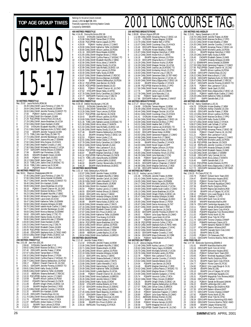

Rec: 25.92 Laura Nicholls,ROW,96 1 26.39 CANLCMAR Laura Pomeroy,17,OAK-TO 2 26.64 CANLCMAR Jenna Gresdal,16,ESWIM 3 26.93 CANLCMAR Jennifer Porenta,15,MMST-TO 4 27.00 PQIMAY Audrey Lacroix,17,CAMO 5 27.25 CANLCMAR Erin Kardash,15,MM 6 27.29 PQCUPFEB Victoria Poon,16,CALAC 7 27.29 CANLCMAR Jessie Bradshaw,16,UCSA 27.50 CANLCMAR Diane Kardash, 15, MM<br>27.55 SYDNJAN Elizabeth Wycliffe, 17, EBSC 9 27.55 SYDNJAN Elizabeth Wycliffe, 17, EBSC<br>10 27.61 CANLCMAR Stephanie Kulm, 15, TMSC-NWO<br>11 27.64 MMAPR Jennifer Toogood, 16, MM<br>27.73 TORLCJAN Kate Plyley, 15, OAK-TO<br>13 27.77 CANLCMAR Jennan McLean, 17, ESWIM<br>14 27.77 15 27.82 CANLCMAR Mila Zvijerac,15,HYACK 16 27.88 CANLCMAR Heather Crowdis,17,AAC 17 27.90 CANLCMAR Michaela Schmidt,17,UCSA 18 27.97 ODIV2APR Andrea Shoust,15,SSMAC 19 27.99 EKIAPR Kari Pomerleau,15,DEL 20 28.05 MMAPR Elizabeth Cleven,16,MM 21 28.05 PQIMAY Sarah Gault,15,DDO 22 28.12 CANLCMAR Jackie Garay,17,TSC-TO 23 28.15 TORLCJAN Jackie Chan, 15, MSSAC-TO<br>24 28.16 TORLCJAN Leanna Lee 15, SCAR 24 28.16 TORLCJAN Leanna Lee,15,SCAR 25 28.18 PQIIAPR Marie-P. Blais,15,MEGO **100 METRES FREESTYLE** Rec: 56.61 Shannon Shakespeare,MM,94 1 57.40 CANLCMAR Laura Pomeroy,17,OAK-TO 2 57.66 CANLCMAR Jenna Gresdal,16,ESWIM 3 58.27 CANLCMAR Jennifer Porenta,15,MMST-TO 58.40 CANLCMAR Erin Kardash, 15, MM<br>5 58.89 CANLCMAR Jessie Bradshaw 16 L 5 58.89 CANLCMAR Jessie Bradshaw,16,UCSA 6 59.18 PQIMAY Chanell Charron-W.,16,CNO 7 59.23 CANLCMAR Marieve De Blois,17,PPO 8 59.23 CANLCMAR Elizabeth Wycliffe,17,EBSC 9 59.38 CANLCMAR Adriana Koc-Spadaro,17,PDSA 10 59.43 CANLCMAR Laura Grant,16,UCSA 11 59.47 CANLCMAR Katherine Telfer,16,ESWIM 12 59.58 CANLCMAR Amanda Gillespie,16,NKB 13 59.76 CANLCMAR Isabelle Ascah-Coallier,17,CAMO 14 59.77 CANLCMAR Jennifer Beckberger,15,AAC 15 59.83 CANLCMAR Monica Wejman,16,ESWIM 16 59.92 ODIV1APR Jackie Garay,17,TSC-TO 17 59.94 CANLCMAR Hayley Doody,15,UCSA 18 59.95 CANLCMAR Joanna McLean, 17, ESWIM<br>19 1:00.00 CANLCMAR Diane Kardash, 15, MM<br>20 1:00.23 CANLCMAR Francine Ling, 17, DELTA 19 1:00.00 CANLCMAR Diane Kardash,15,MM 20 1:00.23 CANLCMAR Francine Ling,17,DELTA 21 1:00.25 CANLCMAR Elizabeth Cleven, 16, MM<br>22 1:00.48 PQCUPFEB Veronick Cullen, 17, RCA<br>23 1:00.48 ODIV2APR Stephanie Kuhn, 15, TMSC 22 1:00.48 PQCUPFEB Veronick Cullen,17,RCA 23 1:00.48 ODIV2APR Stephanie Kuhn,15,TMSC-NWO 24 1:00.53 CANLCMAR Orlagh O'Kelly, 15, EKSC-UA 25 1:00.54 EKIAPR Elizabeth Amer,16,EKSC **200 METRES FREESTYLE** Rec: 2:01.08 Jane Kerr,ESC,85 1 2:06.60 SYDNJAN Danielle Bell,17,IS 2 2:06.62 CANLCMAR Marieve De Blois,17,PPO 207.40 ODIVIAPR Jennifer Fratesi, 17, ROW<br>207.97 CANLCMAR Tamee Ebri, 1,7 PDSA<br>5 2:08:10 CANLCMAR Tamee Tort, 17, PDSA<br>2:08:10 CANLCMAR Meghan Brown, 17, PDSA<br>7 2:08:70 CANLCMAR Cyntial Pearce: 17, MSSAC-TO<br>2:09:71 POIMAY 14 2:10.58 EKIAPR Allison Laidlow,16,PDSA 15 2:10.62 PQIIAPR Patricia Perreault,15,CNCB 16 2:11.06 EKIAPR Orlagh O'Kelly,15,EKSC-UA 17 2:11.09 EKIAPR Meghan Demchuk,17,ROD 18 2:11.25 CANLCMAR Jennifer Coombs,17,HYACK 19 2:11.32 MMAPR Erin Kardash,15,MM 20 2:11.45 ODIV1APR Chandra Engs,16,CAJ 21 2:11.70 CANLCMAR Monica Wejman,16,ESWIM 22 2:11.76 PQIIAPR Veronick Cullen,17,RCA 23 2:11.97 RAPIDJAN Amber Dykes,17,HYACK 23 2:28.52 CANLCMAR Amber Dykes,17,HYACK 24 2:28.96 EKIAPR Erin Prout,15,EKSC-UA

24 2:12.21 EKIAPR Taryn Lencoe,15,PDSA 25 2:12.34 PQIMAY Isabelle Ascah-Coallier,17,CAMO

Rankings for the period (results received) January 1,2001 **to April 30**, 2001 Financially supported by Swimming Natation Canada Compiled by SWIMNEWS **400 METRES FREESTYLE**

Rec: 4:14.45 Donna McGinnis, ESC, 86 1 4:23.03 SYDNJAN Danielle Bell,17,IS 2 4:23.98 CANLCMAR Tamee Ebert,17,PDSA 3 4:26.68 PQCUPFEB Karine Legault,22,PPO 4 4:28.09 PQIMAY Audrey Lacroix,17,CAMO 5 4:29.90 CANLCMAR Katherine Telfer,16,ESWIM 6 4:30.80 CANLCMAR Allison Laidlow,16,PDSA 7 4:31.16 ODIV2APR Rosie Meade,16,BOSC 8 4:31.65 CANLCMAR Meghan Brown,17,PDSA 9 4:31.76 CANLCMAR Cynthia Pearce,17,MSSAC-TO 10 4:32.45 CANLCMAR Elizabeth Wycliffe,17,EBSC 11 4:32.56 CANLCMAR Alicia Jobse, 17, MANTA<br>12 4:32.63 CANLCMAR Hayley Doody, 15, UCSA<br>13 4:32.99 CANLCMAR Fara McNally, 16, EKSC-UA<br>4:33.20 CANLCMAR Taryn Lencoe, 15, PDSA<br>15 4:33.87 CANLCMAR Kathy Siuda, 15, ROW<br>16 4:33. 20 4:36.05 PQCUPFEB Danielle Beland,16,GO 21 4:36.81 PQIMAY Chanell Charron-W.,16,CNO 22 4:37.62 HTACAPR Bevan Haley,13,WTSC 23 4:37.76 CANLCMAR Emily Carwithen,16,COMOX 24 4:37.77 RAPIDAPR Francine Ling,17,DELTA 25 4:38.45 PQIMAY Alex Lachance-F,16,UL **800 METRES FREESTYLE** Rec: 8:39.19 Debbie Wurzburger,LYAC,85 1 9:00.02 SYDNJAN Danielle Bell,17,IS 2 9:01.23 CANLCMAR Tamee Ebert,17,PDSA 3 9:13.26 CANLCMAR Taryn Lencoe,15,PDSA 4 9:19.37 PQCUPFEB Joan Bernier,16,CNCB 5 9:19.43 EKIAPR Allison Laidlow,16,PDSA 6 9:19.69 CANLCMAR Danielle Beland,16,GO 7 9:21.35 TORLCJAN Nathalie Lacoste,15,MSSAC-TO 8 9:21.38 CANLCMAR Alicia Jobse,17,MANTA 9 9:21.63 CANLCMAR Sara McNally, 16, EKSC-UA<br>10 9:21.86 CANLCMAR Hayley Doody, 15, UCSA<br>11 9:27.46 EKIAPR Deanna Stefanyshyn, 16, PDSA<br>12 9:31.16 EKIAPR Annamay Pierse, 17, EKSC-UA<br>14 9:32.51 CANLCMAR Amber Dykes, 17, HYAC 15 9:37.78 CANLCMAR Emily Carwithen,16,COMOX 16 9:38.32 CANLCMAR Kelsey Nemeth,15,AAC 17 9:39.13 PQIMAY Alex Lachance-F,16,UL 18 9:39.84 PQCUPFEB Angela Sloan,15,PCSC 19 9:40.87 EKIAPR Meghan Demchuk,17,ROD 20 9:41.24 PQCUPFEB Patricia Perreault,15,CNCB 21 9:43.73 TORLCJAN Alana Murphy,16,ESWIM 22 9:45.17 EKIAPR Cynthia Galfre,15,EKSC 23 9:46.02 EKIAPR Carolyn Skoworodko,16,STSC 24 9:46.29 EKIAPR Marla Breitkreutz,16,EKSC **100 METRES BACKSTROKE** Rec: 1:02.14 Kelly Stefanyshyn,PDSA,99 1 1:02.87 CANLCMAR Jennifer Fratesi,16,ROW 2 1:03.27 CANLCMAR Elizabeth Wycliffe,17,EBSC 3 1:04.62 PQCUPFEB Jennifer Carroll,19,CAMO 4 1:05.30 CANLCMAR Caitlin Meredith,17,KCS 5 1:06.35 ODIV1APR Sheena Martin, 16, ROW<br>1:06.38 CANLCMAR Erin Kardsh, 15, MM<br>1:06.54 POIMAY Audrey Lacroix, 17, CAMO<br>1:06.55 ODIV2APR Andrea Shoust, 15, SSMAC<br>10 1:06.69 CANLCMAR Amanda Gillespie, 16, NKB 11 1:06.82 ESWIMAPR Jenna Gresdal,16,ESWIM 12 1:06.88 EKIAPR Hania Kubas,15,EKSC-UA 13 1:06.90 CANLCMAR Amanda Leslie, 17, RAYS<br>14 1:07 16 CANLCMAR Randi Beaulieu 15 MSS 14 1:07.16 CANLCMAR Randi Beaulieu, 15, MSSAC-TO<br>15 1:07.83 CANLCMAR Elizabeth Cleven, 16, MM<br>16 1:07.87 CANLCMAR Erin Prout, 15, EKSC-UA<br>17 1:07.90 CANLCMAR Katherine Telfer, 16, ESWIM<br>19 1:07.94 CANLCMAR Diane Kardash, 1 20 1:08.04 PQCUPFEB Jessie Bradshaw, 16, UCSA<br>21 1:08.42 CANI CMAR Allison Laidlow. 16, PDSA 21 1:08.42 CANLCMAR Allison Laidlow, 16, PDSA 22 1:08.54 CANLCMAR Joanna McLean,17,ESWIM 23 1:08.55 CANLCMAR Jennifer Esford,17,ROW 24 1:08.69 ABSRJAN Lynette Bayliss,15,UCSA 25 1:08.94 CANLCMAR Anna Szaflarski,16,BROCK **200 METRES BACKSTROKE** Rec: 2:12.42 Jennifer Fratesi, ROW, 1<br>1 2:12.42 SYDNJAN Jennifer Fratesi, 16, ROW<br>2 2:15.06 CANLCMAR Elizabeth Wycliffe, 17, EBSC<br>3 2:21.49 CANLCMAR Allison Laidlow, 16, PDSA<br>5 2:21.49 CANLCMAR Amanda Gillespie, 16, NKB 6 2:22.14 ODIV1APR Amy Jacina,17,GMAC 7 2:22.53 CANLCMAR Shawna Bothwell,17,RDCSC 8 2:23.03 CANLCMAR Amanda Leslie,17,RAYS 9 2:23.66 CANLCMAR Caitlin Meredith,17,KCS 10 2:23.75 CANLCMAR Hania Kubas,15,EKSC-UA 11 2:24.09 CANLCMAR Katherine Telfer,16,ESWIM 12 2:24.40 CANLCMAR Lynette Bayliss,15,UCSA 13 2:24.98 PQIMAY Chanell Charron-W.,16,CNO 14 2:25.96 CANLCMAR Anna Szaflarski,16,BROCK 15 2:26.26 CANLCMAR Jennifer Esford,17,ROW 16 2:26.60 CANLCMAR Kathy Siuda,15,ROW 17 2:26.92 HTACAPR Andrea Roberts,16,TCSC 18 2:27.19 ODIV2APR Andrea Shoust,15,SSMAC 19 2:27.43 MMAPR Cindy Jobse,15,MANTA 20 2:27.45 CANLCMAR Randi Beaulieu,15,MSSAC-TO 21 2:27.97 ODIV3APR Diane Volpe,17,YORK 22 2:28.36 PQIMAY Kayleigh Donovan,15,DDO

25 2:29.16 RAPIDJAN Tina Hoang,15,HYACK

# TOP AGE GROUP TIMES **FOR A SOMET SO (COURS COURS COURS E** TAG<sub>®</sub>

|                              | 100 METRES BREASTSTROKE                          |                                                                                                                                                                                   |                     | 200 METRES IN               |
|------------------------------|--------------------------------------------------|-----------------------------------------------------------------------------------------------------------------------------------------------------------------------------------|---------------------|-----------------------------|
|                              | Allison Higson, EPS, 88<br>Rec: 1:08.86          |                                                                                                                                                                                   |                     | Rec: 2:15.61<br>Na          |
| 1<br>$\overline{\mathbf{c}}$ | 1:13.23                                          | 1:12.98 CANLCMAR Annamay Pierse, 17, EKSC-UA<br>SYDNJAN Tamara Wagner, 15, ROW                                                                                                    | 1<br>$\overline{a}$ | 2:18.70 C.<br>2:20.01 C.    |
| 3                            | 1:14.79 CANLCMAR Heather Bell, 17, BTSC          |                                                                                                                                                                                   | 3                   | 2:21.01 C.                  |
| 4                            | 1:15.40 ODIV1APR Renee Hober, 16, ROW            | 1:15.07 CANLCMAR Courtenay Chuy, 15, HYACK                                                                                                                                        | 4                   | 2:24.35 C                   |
| 5<br>6                       | 1:15.86                                          | SYDNJAN Kristen Bradley, 17, NEW                                                                                                                                                  | 5<br>6              | 2:25.44<br>2:26.07 C.       |
| 7                            |                                                  | 1:15.87 CANLCMAR Meghan Demchuk, 17, ROD                                                                                                                                          | 7                   | 2:26.11                     |
| 8                            | 1:16.12 CANLCMAR Ariane Kich, 17, GMAC           |                                                                                                                                                                                   | 8                   | 2:26.19 C                   |
| 9<br>10                      | 1:16.18<br>1:16.19                               | EKIAPR Haylee Johnson, 15, PDSA<br>ODIV1APR Shayna Burns, 17, CHAMP                                                                                                               | 9<br>10             | 2:26.45<br>2:26.71          |
| 11                           |                                                  | 1:16.29 CANLCMAR Shannon Kryhul, 15, ROW                                                                                                                                          | 11                  | 2:27.11 E                   |
| 12<br>13                     |                                                  | 1:16.30 CANLCMAR Meagan Sinclair, 16, UCSA                                                                                                                                        | 12<br>13            | 2:27.59 C.<br>2:27.95 F     |
| 14                           |                                                  | 1:16.36 CANLCMAR Joanna Lee, 16, MSSAC-TO<br>1:16.63 CANLCMAR Kimberley Hirsch, 15, STSC                                                                                          | 14                  | 2:27.96                     |
| 15                           |                                                  | 1:16.63 CANLCMAR Francine Ling, 17, DELTA                                                                                                                                         | 15                  | 2:28.00                     |
| 16<br>17                     | 1:16.70                                          | 1:16.64 CANLCMAR Genevieve Dack, 15, TBT-NWO                                                                                                                                      | 16<br>17            | 2:28.22 C                   |
| 18                           |                                                  | ABSRJAN Emma Spooner, 17, UCSA-UC<br>1:16.90 CANLCMAR Marcy Edgecumbe, 17, EKSC-UA                                                                                                | 18                  | 2:28.36<br>2:28.47 C        |
| 19                           | 1:16.92                                          | EKIAPR Mitra Chandler, 17, HYACK                                                                                                                                                  | 19                  | 2:28.47                     |
| 20                           |                                                  | 1:16.96 PQCUPFEB Marieve De Blois, 17, PPO                                                                                                                                        | 20                  | 2:28.75                     |
| 21<br>22                     | 1:17.06 CANLCMAR Norah Vogan, 16, GPP<br>1:17.76 | ISAPR Jenny Lock, 15, COMOX                                                                                                                                                       | 21<br>22            | 2:28.86<br>2:29.02 C.       |
| 23                           | 1:17.78 CANLCMAR Julie Marcotte, 17, UL          |                                                                                                                                                                                   | 23                  | 2:29.03                     |
| 24<br>25                     | 1:17.82                                          | PQIMAY Sarah Gault, 15, DDO                                                                                                                                                       | 24<br>25            | 2:29.28 C.<br>2:29.57       |
|                              | 1:17.86<br><b>200 METRES BREASTSTROKE</b>        | ODIV3APR Kathryn Chapman, 17, MMST                                                                                                                                                |                     | 400 METRES IN               |
|                              | Rec: 2:27.27 Allison Higson, EPS, 88             |                                                                                                                                                                                   |                     | Rec: 4:47.62 Na             |
| 1<br>2                       | 2:34.88                                          | SYDNJAN Tamara Wagner, 15, ROW<br>2:35.48 CANLCMAR Annamay Pierse, 17, EKSC-UA                                                                                                    | 1<br>2              | 4:54.70<br>4:58.32          |
| 3                            |                                                  | 2:40.44 CANLCMAR Meagan Sinclair, 16, UCSA                                                                                                                                        | 3                   | 5:00.45                     |
| 4                            |                                                  | 2:40.61 CANLCMAR Courtenay Chuy, 15, HYACK                                                                                                                                        | 4                   | 5:01.13 C.                  |
| 5<br>6                       | 2:41.41                                          | SYDNJAN Kristen Bradley, 17, NEW<br>2:42.84 CANLCMAR Marcy Edgecumbe, 17, EKSC-UA                                                                                                 | 5<br>6              | 5:02.17 C.<br>5:04.41       |
| 7                            |                                                  | 2:43.09 CANLCMAR Mariéve De Blois, 17, PPO                                                                                                                                        | 7                   | 5:07.07 C.                  |
| 8                            | 2:43.31 CANLCMAR Heather Bell, 17, BTSC          |                                                                                                                                                                                   | 8                   | 5:08.07 C.                  |
| 9<br>10                      | 2:43.75                                          | 2:43.43 CANLCMAR Joanna Lee,16,MSSAC-TO<br>ODIV2APR Genevieve Dack, 15, TBT-NWO                                                                                                   | 9<br>10             | 5:09.54 C.<br>5:09.63 F     |
| 11                           | 2:43.82                                          | ODIV1APR Renee Hober, 16, ROW                                                                                                                                                     | 11                  | 5:10.04                     |
| 12                           |                                                  | 2:43.92 CANLCMAR Genevieve Frappier 17 CAMO                                                                                                                                       | 12                  | 5:11.21                     |
| 13<br>14                     | 2:43.96 CANLCMAR Ariane Kich, 17, GMAC           |                                                                                                                                                                                   | 13<br>14            | 5:11.27 C.<br>5:11.32       |
| 15                           |                                                  | 2:44.42 CANLCMAR Shannon Kryhul, 15, ROW<br>2:44.58 EKIAPR Mitra Chandler, 17, HYACK                                                                                              | 15                  | F<br>5:11.99                |
| 16                           | 2:44.63 CANLCMAR Norah Vogan,16,GPP              |                                                                                                                                                                                   | 16                  | 5:12.18                     |
| 17<br>18                     | 2:45.30<br>2:45.51                               | EKIAPR Haylee Johnson, 15, PDSA<br>PQIMAY Micheline Dufour, 15, UL                                                                                                                | 17<br>18            | 5:13.37<br>5:14.22 C        |
| 19                           |                                                  | 2:45.85 CANLCMAR Kimberley Hirsch, 15, STSC                                                                                                                                       | 19                  | 5:14.38 C                   |
| 20<br>21                     | 2:46.46                                          | 2:46.29 CANLCMAR Julie Marcotte, 17, CSQ<br>PQIMAY Sarah Gault, 15, DDO                                                                                                           | 20<br>21            | 5:15.68<br>5:16.22 C        |
| 22                           | 2:46.54                                          | ABSRJAN Emma Spooner, 17, UCSA-UC                                                                                                                                                 | 22                  | 5:16.45                     |
| 23                           | 2:46.91                                          | ODIV3APR Kathryn Chapman, 17, MMST                                                                                                                                                | 23                  | 5:16.62 F                   |
| 24<br>25                     |                                                  | 2:46.98 CANLCMAR Meghan Demchuk, 17, ROD<br>2:47.86 ODIV1APR Danielle Gervais, 16, NKB                                                                                            | 24<br>25            | 5:17.55 C<br>5:17.72        |
|                              | 100 METRES BUTTERFLY                             |                                                                                                                                                                                   |                     | 4X50 MEDLEY F               |
| 1                            | Rec: 1:01.22 Audrey Lacroix, CAMO, 0<br>1:01.36  | SYDNJAN Jennifer Fratesi, 16, ROW                                                                                                                                                 | 1                   | Rec: 1:59.20 Pt-<br>2:03.79 |
| 2                            |                                                  | 1:01.41 CANLCMAR Audrey Lacroix, 17, CAMO                                                                                                                                         | 2                   | 2:04.47                     |
| $\frac{3}{4}$                |                                                  | 1:04.05 CANLCMAR Nancy Gajos, 16, ESWIM                                                                                                                                           | 3                   | 2:07.03                     |
| 5                            |                                                  | 1:04.17 CANLCMAR Michelle Landry, 16, PDSA<br>1:04.60 CANLCMAR Michaela Schmidt,17,UCSA                                                                                           | 4<br>5              | 2:07.29<br>2:07.36          |
| 6                            |                                                  | 1:04.64 CANLCMAR Isabelle Ascah-Coallier, 17, CAMO                                                                                                                                | 6                   | 2:07.81                     |
| 7<br>8                       |                                                  | 1:05.13 CANLCMAR Jessie Bradshaw, 16, UCSA                                                                                                                                        | 7                   | 2:07.88<br>2:08.12          |
| 9                            |                                                  | 1:05.36 CANLCMAR Orlagh O'Kelly, 15, EKSC-UA<br>1:05.47 CANLCMAR Amanda Gillespie, 16, NKB                                                                                        | 8<br>9              | 2:08.45                     |
| 10                           | 1:05.52                                          | PQIMAY Valerie Tcholkayan, 16, DDO                                                                                                                                                | 10                  | 2:09.12                     |
| 11                           |                                                  | 1:05.65 CANLCMAR Meghan Brown, 17, PDSA                                                                                                                                           | 11                  | 2:09.30<br>2:09.74          |
| 12<br>13                     |                                                  | 1:05.87 CANLCMAR Darcie Armstrong, 16, TAT                                                                                                                                        | 12<br>13            | 2:10.11                     |
| 14                           |                                                  | 1:05.87 CANLCMAR Jennifer Graf, 17, ROD<br>1:05.87 POIIAPR Joan Bernier, 16, CNCB<br>1:05.92 ODIV3APR Jennifer Porenta, 15, MMST-TO<br>1:06.02 POIMAY Julia Guay-Racine, 15, CAMO | 14                  | 2:10.16                     |
| 15                           |                                                  |                                                                                                                                                                                   | 15                  | 2:10.36                     |
| 16<br>17                     | 1:06.09 CANLCMAR Laura Grant, 16, UCSA           |                                                                                                                                                                                   | 16<br>17            | 2:11.02                     |
| 18                           | 1:06.37                                          | PQIIAPR Chrystele Roy-l'Ecuyer, 16, CNB                                                                                                                                           | 18                  | 2:11.45<br>2:11.74          |
| 19<br>20                     |                                                  | 1:06.38 PQCUPFEB Veronick Cullen, 17, RCA<br>1:06.42 CANLCMAR Stephanie Kuhn,15,TMSC-NWO                                                                                          | 19<br>20            | 2:12.02<br>2:12.04          |
| 21                           |                                                  | 1:06.52 CANLCMAR Danielle Gudgeon,17,NYAC                                                                                                                                         | 21                  | 2:12.07                     |
| 22                           |                                                  | 1:06.52 CANLCMAR Danielle Beland, 16, GO                                                                                                                                          | 22                  | 2:12.23                     |
| 23<br>24                     | 1:06.53<br>1:06.54                               | ODIV3APR Heather Crowdis, 17, AAC                                                                                                                                                 | 23<br>24            | 2:12.62<br>2:13.05          |
| 25                           | 1:06.54                                          | ODIV3APR Maya Ziolkowski, 16, YORK<br>PQIMAY Sarah Bartosh, 16, PCSC                                                                                                              | 25                  | 2:13.41                     |
|                              | <b>200 METRES BUTTERFLY</b>                      |                                                                                                                                                                                   |                     | 4X50 FREE REL               |
| 1                            | Rec: 2:11.26 Jessica Deglau, PDSA, 98            | 2:12.48 CANLCMAR Audrey Lacroix, 17, CAMO                                                                                                                                         | 1                   | Rec: 1:47.46 Etc<br>1:51.61 |
| 2                            |                                                  | 2:20.62 CANLCMAR Nancy Gajos,16,ESWIM                                                                                                                                             | 2                   | 1:53.16                     |
| 3<br>4                       |                                                  | 2:20.70 CANLCMAR Michaela Schmidt,17,UCSA                                                                                                                                         | 3<br>4              | 1:53.38<br>1:53.41          |
| 5                            | 2:22.78                                          | 2:20.76 CANLCMAR Michelle Landry,16,PDSA<br>PQIMAY Alex Lachance-F,16,UL                                                                                                          | 5                   | 1:53.65                     |
| 6                            |                                                  | 2:23.34 CANLCMAR Jennifer Coombs, 17, HYACK                                                                                                                                       | 6                   | 1:54.31                     |
| 7<br>8                       |                                                  | 2:23.62 CANLCMAR Danielle Beland, 16, GO                                                                                                                                          | 7<br>8              | 1:54.74<br>1:54.77          |
| 9                            | 2:24.04<br>2:24.48                               | PQIIAPR Joan Bernier, 16, CNCB<br>EKIAPR Meghan Demchuk, 17, ROD                                                                                                                  | 9                   | 1:54.82                     |
| 10                           |                                                  | 2:24.52 CANLCMAR Cynthia Pearce, 17, MSSAC-TO                                                                                                                                     | 10                  | 1:54.98                     |
| 11<br>12                     |                                                  | 2:24.81 CANLCMAR Meghan Brown, 17, PDSA<br>2:24.94 CANLCMAR Danielle Gudgeon, 17, NYAC                                                                                            | 11<br>12            | 1:55.10<br>1:55.20          |
| 13                           | 2:25.74                                          | PQIIAPR Veronick Cullen, 17, RCA                                                                                                                                                  | 13                  | 1:55.31                     |
| 14                           |                                                  | 2:26.02 CANLCMAR Tiffany Vincent, 15, BRANT                                                                                                                                       | 14                  | 1:55.64                     |
| 15<br>16                     | 2:26.25<br>2:26.53                               | EKIAPR Orlagh O'Kelly, 15, EKSC-UA<br>EKIAPR Deanna Stefanyshyn, 16, PDSA                                                                                                         | 15<br>16            | 1:56.13<br>1:56.22          |
| 17                           | 2:27.07                                          | TORLCJAN Gillian Coles, 15, BROCK                                                                                                                                                 | 17                  | 1:56.23                     |
| 18                           | 2:27.48                                          | PQIMAY Sarah Bartosh, 16, PCSC                                                                                                                                                    | 18                  | 1:57.35                     |
| 19<br>20                     | 2:28.19<br>2:28.90                               | PQIMAY Genevieve Frappier, 17, CAMO                                                                                                                                               | 19<br>20            | 1:57.72<br>1:57.92          |
| 21                           | 2:29.31                                          | POIMAY Julia Guay-Racine, 15, CAMO<br>ABSRJAN Brittney Kremer, 15, OSC                                                                                                            | 21                  | 1:58.10                     |
| 22<br>23                     | 2:29.47                                          | EKIAPR Kristin Anstey, 16, STSC                                                                                                                                                   | 22<br>23            | 1:58.34                     |
| 24                           | 2:29.98<br>2:30.58                               | PQIMAY Milaine Gervais, 16, DDO<br>ISAPR Meaghan McColl, 15, IS                                                                                                                   | 24                  | 1:58.52<br>1:58.69          |
| 25                           | 2:30.95                                          | POCUPFEB Chanell Charron-W., 16, CNO                                                                                                                                              | 25                  | 1:58.74                     |

200 METRES IND.MEDLEY<br>Rec: 2:15.61 Nancy Sweetnam,LLSC,90<br>1 2:18.70 CANLCMAR Jennifer Fratesi,16,ROW<br>2 2:20.01 CANLCMAR Marieve De Blois,17,PPO<br>3 2:21.01 CANLCMAR Kristen Bradley,17,NEW ANLCMAR Jennifer Coombs,17,HYACK 5 2:25.44 EKIAPR Annamay Pierse,17,EKSC-UA 226.07 CANLCMAR Michelle Landry, 16, PDSA<br>7 226.11 CEMBRR Meghan Demchuk, 17, ROD<br>8 226.19 CANLCMAR Kathy Siuda, 15, ROW<br>9 226.45 CNOAPR Elizabeth Osterer, 15, NKB<br>10 226.71 ESWIMAPR Jenna Gresdal, 16, ESWIM<br>11 227.11 ESWI 12 2:27.59 CANLCMAR Genevieve Frappier,17,CAMO 13 2:27.95 PQCUPFEB Chanell Charron-W.,16,CNO 14 2:27.96 EXIAPR Allison Laidlow, 16, PDSA<br>15 2:28.00 ODIV1APR Chandra Engs, 16, CAJ<br>16 2:28.22 CANLCMAR Marcia Bryon, 17, USC<br>17 2:28.36 ODIV2APR Stephanie Kuhn, 15, TMSC-NWO<br>18 2:28.47 ODIV3APR Jennifer Porenta, 15, AMS 20 2:28.75 PQIMAY Alex Lachance-F,16,UL 21 2:28.86 PQIMAY Sarah Gault,15,DDO 22 2:29.02 CANLCMAR Marcy Edgecumbe,17,EKSC-UA 23 2:29.03 PQIMAY Isabelle Ascah-Coallier,17,CAMO 24 2:29.28 CANLCMAR Katherine Telfer,16,ESWIM 25 2:29.57 ISAPR Danielle Bell,17,IS **400 METRES IND.MEDLEY D: WILDLET**<br>NGC Sweetnam, LLSC, 91 1 4:54.70 SYDNJAN Kristen Bradley,17,NEW 2 4:58.32 SYDNJAN Ashley Chandler,16,USA 3 5:00.45 ODIV1APR Jennifer Fratesi,17,ROW 4 5:01.13 CANLCMAR Allison Laidlow,16,PDSA 5 5:02.17 CANLCMAR Marieve De Blois,17,PPO 6 5:04.41 ODIV1APR Kathy Siuda,15,ROW 7 5:07.07 CANLCMAR Amber Dykes,17,HYACK 8 5:08.07 CANLCMAR Leah Schaab,17,UCSA 9 5:09.54 CANLCMAR Norah Vogan,16,GPP 10 5:09.63 PQCUPFEB Annamay Pierse,17,EKSC-SE 11 5:10.04 PQIMAY Chanell Charron-W.,16,CNO 12 5:11.21 POIMAY Alex Lachance-F,16,UL<br>13 5:11.27 CANLCMAR Genevieve Frappier,17,CAMO<br>14 5:11.32 RAPIDJAN Michelle Landry,16,PDSA<br>15 5:11.99 PQCUPFEB Joan Bernier,16,CNCB<br>16 5:12.18 RAPIDJAN Jennifer Coombs,17,HYACK 17 5:13.37 ODIV1APR Amanda Gillespie,16,NKB 18 5:14.22 CANLCMAR Elizabeth Osterer,15,NKB 19 5:14.38 CANLCMAR Julie Babin,17,ESWIM 20 5:15.68 ODIV1APR Carly Cermak,16,CAJ<br>21 5:16.22 CANLCMAR Alicia Jobse,17,MANTA<br>22 5:16.45 ISAPR Danielle Bell,17,IS 23 5:16.62 PQCUPFEB Aurelie Meziere,16,PPO 24 5:17.55 CANLCMAR Marcy Edgecumbe,17,EKSC-UA 25 5:17.72 ODIV2APR Genevieve Dack,15,TBT-NWO **4X50 MEDLEY RELAY CLAT**<br>Claire,PCSC,76 1 2:03.79 PQIMAY Dollard Swim Team,DDO 2 2:04.47 EKIAPR Edmonton Keyano,EKSC 3 2:07.03 PQIMAY Pointe Claire SC,PCSC 4 2:07.29 PQIMAY Montreal Aquatique,CAMO 5 2:07.36 EKIAPR Pacific Dolphins,PDSA 6 2:07.81 EKIAPR Regina Opt.Dolphins,ROD<br>7 2:07.88 EKIAPR Univ.of Calgary SC,UCSC<br>8 2:08.12 POIMAY Univ.Laval Rouge & Or,UL<br>9 2:08.45 ODIV1APR Chatham Y,CYPS 10 2:09.12 ODIV1APR North York AC,NYAC MMAPR Manitoba Marlins, MM 12 2:09:74 ODIVTAPR Cambridge Aquajets,CAJ<br>13 2:10.11 POIMAY Samak de Brossard,SAMAK<br>14 2:10.16 EKIAPR Hyack Swim Club,HYACK<br>15 2:10.36 POIIAPR Megophias Trois Rivieres,MEGO<br>16 2:11.45 EKIAPR Silver Tide SC,STSC 18 2:11.74 ODIV1APR Toronto Champs,CHAMP PGBAPR Kamloops Classic,KCS ISAPR Nanaimo Riptide ST,NRST 21 2:12.07 HTACAPR Eastern Alliance,EAST 22 2:12.23 EKIAPR Cascade Swim Club,CASC **EKIAPR Delta SC.DEL** 24 2:13.05 PQIMAY CN Outaouais,CNO 25 2:13.41 ODIV2APR Timmins Marlins,TMSC-NWO **4X50 FREE RELAY** Rec: 1:47.46 Etobicoke Swimming,ESWIM,0<br>1 1:51.61 MMAPR Manitoba Marlins,MM 2 1:53.16 ODIV1APR North York AC,NYAC 3 1:53.38 EKIAPR Edmonton Keyano,EKSC 4 1:53.41 PQIMAY Dollard Swim Team,DDO 5 1:53.65 PQIMAY Montreal Aquatique,CAMO 6 1:54.31 EKIAPR Pacific Dolphins,PDSA 7 1:54.74 EKIAPR Hyack Swim Club,HYACK 8 1:54.77 PQIMAY Pointe Claire SC,PCSC 9 1:54.82 PQIMAY Univ.Laval Rouge & Or,UL 10 1:54.98 EKIAPR Delta SC,DEL<br>11 1:55.10 EKIAPR Univ.of Calgary SC,UCSC<br>12 1:55.31 ODIV1APR Cambridge Aquajets,CAJ<br>13 1:55.31 POIIAPR Chatham Y,CYPS<br>14 1:55.64 ODIV1APR Chatham Y,CYPS 15 1:56.13 PQIMAY Samak de Brossard,SAMAK 16 1:56.22 EKIAPR Lethbridge ASC,LASC 17 1:56.23 EKIAPR Regina Opt.Dolphins,ROD HTACAPR Eastern Alliance EAST 19 1:57.72 ODIV1APR Toronto Champs,CHAMP 20 1:57.92 PGBAPR Points North SC,PN EKIAPR Silver Tide SC STSC 22 1:58.34 ODIV1APR Kenora Swimming,KSS-NWO 23 1:58.52 ODIV2APR Timmins Marlins,TMSC-NWO

24 1:58.69 EKIAPR Calgary Killarney,KSC 25 1:58.74 HTACAPR Truro Centurions,TCSC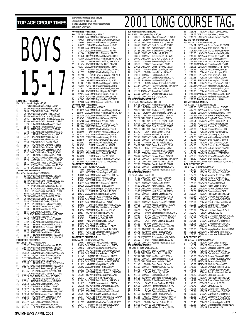# BOYS 15-17 **50 METRES FREESTYLE** Rec: 23.19 Yannick Lupien,GO,97 1 23.76 CANLCMAR Kurtis Miller,15,SCAR 2 24.29 CANLCMAR Brent Hayden,17,SPART 3 24.64 ODIV3APR Bill Cocks,17,TRENT 4 24.73 CANLCMAR Graeme Tozer,16,UCSA

5 24.84 CANLCMAR Chris Lukas,17,ESWIM 6 24.96 EKIAPR Devin Phillips,15,EKSC-UA 7 24.99 CANLCMAR Cedric Sureau-L.,17,PPO 25.24 ODIV2APR Stefano Caprara, 17, VAC<br>25.24 EKIAPR Trevor Neufeld, 16, CASC 9 25.24 EKIAPR Trevor Neufeld,16,CASC<br>10 25.26 RAPIDJAN Daniel Petrus,17,PDSA<br>11 25.28 ODIVZAPR Andrew Bignell,17,SSM<br>12 25.47 EKIAPR Trevor Coulman,16,GOL<br>13 25.47 PGBAPR Brian Verigin,17,PGB 10 25.26 RAPIDJAN Daniel Petrus,17,PDSA 11 25.28 ODIV2APR Andrew Bignell,17,SSMAC 12 25.47 EKIAPR Trevor Coulman,16,GOLD 13 25.47 PGBAPR Brian Verigin,17,PGB 14 25.57 MMAPR Ben Johnson,17,MM 15 25.58 ODIV3APR Chris Ford,17,CPAC<br>16 25.61 PQIIAPR Alex Chartrand,15,EI<br>17 25.62 EKIAPR Kevin Gillespie,15,EI 16 25.61 PQIIAPR Alex Chartrand,15,ELITE 17 25.62 EKIAPR Kevin Gillespie,15,EXST 18 25.62 PQIIAPR Kevin Laflamme,15,RCA 19 25.67 TORLCJAN Nathan Chang,15,SCAR 20 25.67 EKIAPR J.D. O'Connell,17,LASC 21 25.74 PQIMAY Nicolas Guillotte,17,CAMO 22 25.76 ABSRJAN Jian-Lok Chang,15,EKSC 23 25.77 TORLCJAN Tobias Oriwol, 15, ESWIM<br>24 25.77 POIIIMAY Hugues Bouchard, 16, CN<br>25 25.78 POCUPFEB Keith Beavers, 17, STARS 24 25.77 PQIIIMAY Hugues Bouchard,16,CNCI 25 25.78 PQCUPFEB Keith Beavers,17,STARS **100 METRES FREESTYLE**<br>Rec: 51.14 Yannick Lupien,CAGRA,96<br>1 52.08 CANLCMAR Brent Hayden,17,SPART<br>2 52.89 CANLCMAR Kurtis Miller,15,SCAR 3 53.38 CANLCMAR Devin Phillips,15,EKSC-UA 53.49 CANLCMAR Graeme Tozer, 16, UCSA<br>53.72 SYDNJAN Andrew Coupland, 17, G<br>53.91 SYDNJAN Chad Thomsen, 17, EKS 5 53.72 SYDNJAN Andrew Coupland,17,GO 6 53.91 SYDNJAN Chad Thomsen,17,EKSC-SE 7 54.01 PQIMAY Mark Thauvette,16,PCSC 8 54.08 ODIV2APR Stefano Caprara,17,VAC 9 54.20 CANLCMAR Darryl Rudolf,16,PDSA 10 54.33 CANLCMAR Cedric Sureau-L.,17,PPO 11 54.43 ODIV3APR Bill Cocks,17,TRENT 12 54.77 PQIIAPR Kevin Laflamme,15,RCA 13 55.39 EKIAPR Trevor Coulman,16,GOLD 14 55.39 EKIAPR Marc Sze,16,PDSA 15 55.67 ODIV2APR A.J. Bakker,17,BOSC 14 55.39 EKIAPR Marc Sze,16,PDSA<br>15 55.67 ODIV2APR A.J. Bakker,17,BOSC<br>16 55.70 PQCUPFEB Nicolas Guillotte,17,CAMO<br>17 55.75 ODIV1APR Erik Binga,17,TAT 17 55.75 ODIV1APR Erik Binga,17,TAT 18 55.76 POIIAPR Alex Chartrand, 15, ELITE<br>19 55.82 ODIV2APR Andrew Bignell, 17, SSM<br>20 55.89 EKIAPR Trevor Neufeld, 16, CASC 19 55.82 ODIV2APR Andrew Bignell,17,SSMAC 20 55.89 EKIAPR Trevor Neufeld,16,CASC 21 55.89 EKIAPR Kevin Gillespie,15,EXST 22 55.93 PQCUPFEB Kevin Rioux,15,CAMO 23 55.94 RAPIDJAN Daniel Petrus,17,PDSA 24 56.23 EKIAPR Brent Hankewich, 17, GOLD<br>25 56.41 POCLIPEER Jonathan Captia 22 CAMO 25 56.41 PQCUPFEB Jonathan Cantin,22,CAMO **200 METRES FREESTYLE** Rec: 1:50.34 Brian Johns,RAPID,0<br>1 = 1:53.82 SYDNJAN Andrew Coupland,17,GO<br>2 = 1:54.40 CANLCMAR Brent Hayden,17,SPART<br>3 = 1:55.00 CANLCMAR Brent O'Connor,17,PDSA<br>5 = 1:58.18 = POIMAY Mark Thauvette,16,PCSC<br>5 = 1:58.18 = PO 6 1:58.29 CANLCMAR Graeme Tozer,16,UCSA 7 1:58.61 CANLCMAR Chris Kula,17,CAJ 8 1:59.60 EKIAPR Devin Phillips,15,EKSC-UA 9 1:59.81 RYMMMAR Brent Hankewich,17,GOLD 10 2:00.10 CANLCMAR Steven Medaglia,16,NKB 11 2:00.45 PQIIAPR Jonathan Aubry,15,CNB 12 2:00.71 CANLCMAR Cedric Sureau-L.,17,PPO 13 2:00.74 PQCUPFEB Kevin Rioux,15,CAMO 14 2:00.79 EKIAPR Darryl Rudolf,16,PDSA 15 2:00.81 RAPIDAPR Elliot Rushton,17,RAPID 16 2:01.13 ODIV3APR Scott Chester,17,MAC<br>17 2:01.20 ODIV2APR A.J. Bakker,17,BOSC<br>18 2:01.27 ODIV3APR Elliot Burger,17,TRENT 17 2:01.20 ODIV2APR A.J. Bakker,17,BOSC 18 2:01.27 ODIV3APR Elliot Burger,17,TRENT 19 2:01.28 PQIMAY Nicolas Guillotte,17,CAMO 20 2:01.53 PQCUPFEB Michael Brown, 16, PERTH<br>21 2:01.86 POIIAPR Kevin Laflamme. 15, RCA 21 2:01.86 PQIIAPR Kevin Laflamme, 15, RCA<br>22 2:02.57 EKIAPR Justin Ho, 16, PDSA<br>23 2:02.77 ABSRJAN James Reid, 17, UCSA 22 2:02.57 EKIAPR Justin Ho,16,PDSA 23 2:02.77 ABSRJAN James Reid,17,UCSA 24 2:02.85 PQIIIMAY Benoit Huot,17,HIPPO

Financially supported by Swimming Natation Canada Compiled by SWIMNEWS **400 METRES FREESTYLE** Rec: 3:52.23 Andrew Hurd,MSSAC,0 1 4:00.05 CANLCMAR Brent O'Connor,17,PDSA 2 4:00.28 SYDNJAN Kurtis MacGillivary,17,ROW 3 4:05.65 SYDNJAN Keith Beavers,17,STARS 4 4:05.95 SYDNJAN Andrew Coupland,17,GO 5 4:10.69 CANLCMAR Darryl Rudolf,16,PDSA 6 4:10.78 CANLCMAR Ian MacLeod,17,ESWIM 7 4:12.04 PQIMAY Mark Thauvette, 16, PCSC<br>4:14.48 ODIV2APR Michael Brown, 16, PERTH 8 4:14.48 ODIV2APR Michael Brown,16,PERTH 9 4:14.86 CANLCMAR Matt Johnston,16,MSSAC-TO<br>10 4:14.94 FKIAPR Devin Phillins 15 FKSC-LIA 10 4:14.94 EKIAPR Devin Phillips, 15, EKSC-UA<br>11 4:15.14 RAPIDAPR Elliot Rushton 17 RAPID 11 4:15.14 RAPIDAPR Elliot Rushton,17,RAPID 12 4:15.17 CANLCMAR Don Nicholson,17,TSUN 13 4:16.40 PQIMAY Nicolas Guillotte,17,CAMO<br>14 4:17.59 PQIMAY Charles Rodrigue.16.UL 14 4:17.59 POIMAY Charles Rodrigue, 16, UL<br>15 4:17.96 ISAPR Travis Musgrave, 17, COM<br>16 4:17.99 ODIV3APR Elliot Burger, 17, TRENT 15 4:17.96 ISAPR Travis Musgrave,17,COMOX 16 4:17.99 ODIV3APR Elliot Burger,17,TRENT 17 4:18.09 ABSRJAN Graeme Tozer,15,UCSA 18 4:18.87 PQCUPFEB Michael Ruggiero,16,CAMO 19 4:18.88 PQCUPFEB Steven Medaglia,16,NKB 20 4:19.37 EKIAPR Brent Hankewich,17,GOLD 21 4:19.80 RAPIDAPR Brent Hayden,17,SPART 22 4:20.14 CANLCMAR Bentley Gaikis,17,TSC-TO 23 4:20.16 PQCUPFEB Jonathan Aubry,15,CNB 24 4:20.45 RAPIDJAN Bryce McRae,16,COMOX 25 4:20.68 CANLCMAR Spencer Laidley,17,PERTH **1500 METRES FREESTYLE** Rec: 15:12.70 Andrew Hurd,MSSAC,0 1 16:00.19 CANLCMAR Kurtis MacGillivary,17,ROW 2 16:37.57 CANLCMAR Matt Johnston,16,MSSAC-TO 3 16:41.85 CANLCMAR Don Nicholson,17,TSUN 16:42.45 SYDNJAN Brent O'Connor, 17, PDSA 5 16:57.83 CANLCMAR Karim Abdulla,17,ROD 16:59.69 CANLCMAR Bentley Gaikis, 17, TSC-TO<br>17:16.84 RAPIDJAN Darryl Rudolf, 16, PDSA 17:16.84 RAPIDJAN Darryl Rudolf, 16, PDSA<br>17:19.63 POIMAY Charles Rodrigue. 16.UL 8 17:19.63 PQIMAY Charles Rodrigue,16,UL 9 17:20.69 EKIAPR Devin Phillips,15,EKSC-UA 10 17:21.23 CANLCMAR Andy Andrew,17,WVOSC<br>11 17:21.23 CANLCMAR Andy Andrew,17,WVOSC<br>11 17:21.92 PQCUPFEB Jonathan Aubry,15,CNB<br>12 17:28.49 FKIAPR William Walters.17.PDSA 11 17:21.92 PQCUPFEB Jonathan Aubry,15,CNB 12 17:28.49 EKIAPR William Walters,17,PDSA 13 17:32.52 EKIAPR Malcolm Lavoie,15,OSC 14 17:32.63 EKIAPR James Monk,15,PDSA 15 17:32.64 EKIAPR Michael Derban,16,UCSC 16 17:38.92 PQCUPFEB Andrew Baier,15,COBRA 17 17:47.29 PQCUPFEB David Fremeth,17,DDO 18 17:49.50 EKIAPR Aaron Blair, 15, CASC<br>19 17:56:40 ISAPR Travis Musqrave 17 0 19 17:56.40 ISAPR Travis Musgrave,17,COMOX 20 17:56.98 PQCUPFEB Stephan Dumont,17,REG **100 METRES BACKSTROKE** Rec: 56.49 Mark Tewksbury,UCSC,85 1 56.90 SYDNJAN Tobias Oriwol,15,ESWIM 2 59.12 ODIV2APR Stefano Caprara,17,VAC 3 1:00.09 CANLCMAR Adam Martinson,16,UCSA 1:00.51 CANLCMAR Devin Phillips, 15, EKSC<br>
4 1:00.51 CANLCMAR Devin Phillips, 15, EKSC 5 1:00.62 ODIV1APR Kurtis Miller,15,SCAR 6 1:01.17 CANLCMAR Mark Thauvette,16,PCSC 7 1:01.20 CANLCMAR Ryan Pallett,16,BRANT 8 1:01.21 CANLCMAR Douglas McQueen,16,PDSA 9 1:01.38 EKIAPR Maciek Zielnik,16,EKSC 10 1:01.43 CANLCMAR Chris Lukas,17,ESWIM 11 1:01.55 EKIAPR Trevor Coulman,16,GOLD 12 1:01.88 CANLCMAR Spencer Laidley,17,PERTH 13 1:01.97 CANLCMAR Chris Kula, 17, CAJ<br>14 1:02.02 EKIAPR Charles Turanich-N 14 1:02.02 EKIAPR Charles Turanich-N.,17,EKSC 15 1:02.22 ODIV2APR Marshall Holbrook,16,ROC 16 1:02.24 ESWIMAPR Ryan Atkinson,15,LAC 17 1:02.34 ODIV3APR Chris Ford,17,CPAC 18 1:02.69 EKIAPR Callum Ng, 15, CASC 10 1:02.09 ENAPR Calium Ng, 13, CASC<br>19 1:02.89 EKIAPR Ryan Dube, 17, EKSC<br>20 1:03.07 ARSR JAN Crain Gillis 17 LICS 20 1:03.07 ABSRJAN Craig Gillis,17,UCSA 21 1:03.08 ODIV1APR Erik Binga,17,TAT 22 1:03.14 CANLCMAR Ciaran Dickson, 17, ROD<br>23 1:03.29 ODIV1APR Nathan French. 17, CYPS 23 1:03.29 ODIV1APR Nathan French, 17, CYPS<br>24 1:03.44 POCUPEER Jonathan Cantin 16 CAN 24 1:03.44 PQCUPFEB Jonathan Cantin,16,CAMO 25 1:03.59 ODIV2APR Jamie Ellerton,15,VEW **200 METRES BACKSTROKE** Rec: 2:00.03 Tobias Oriwol,ESWIM,1 1 2:00.03 SYDNJAN Tobias Oriwol,15,ESWIM 2 2:08.34 CANLCMAR Adam Martinson,16,UCSA 3 2:08.42 SYDNJAN Andrew Coupland,17,GO 4 2:09.45 ODIV1APR Kurtis MacGillivary,17,ROW 2:10.98 CANLCMAR Ciaran Dickson, 17, ROD<br>2:11.43 PQIMAY Mark Thauvette, 16, PCS 6 2:11.43 PQIMAY Mark Thauvette,16,PCSC 7 2:11.45 CANLCMAR Douglas McQueen,16,PDSA 8 2:13.26 CANLCMAR Spencer Laidley,17,PERTH 9 2:13.32 ABSRJAN Craig Gillis,17,UCSA 10 2:13.62 CANLCMAR Ryan Pallett,16,BRANT 11 2:15.22 ODIV1APR Milos Marjanovic,16,NYAC 12 2:15.57 ODIV3APR Quinton Sabourin,17,UPCAN 13 2:15.61 ODIV2APR Stefano Caprara,17,VAC 14 2:15.71 EKIAPR Callum Ng,15,CASC 15 2:16.01 CANLCMAR Devin Phillips,15,EKSC-UA 16 2:16.15 EKIAPR James Winfield,17,UCSA 17 2:16.19 ODIV1APR Oleg Chernukhin,16,NYAC 18 2:16.45 ODIV2APR Matt Hawes,15,KBM 19 2:16.57 PQCUPFEB Jonathan Cantin,16,CAMO 20 2:16.64 ODIV3APR Aaron Maszko,19,TRENT 21 2:16.77 PQCUPFEB Patrick Bourassa-F.,17,CAMO 22 2:16.98 CNOAPR Danny Carter,15,NKB 23 2:17.39 ABSRJAN Charles Turanich-N.,17,STSC 24 2:17.47 PQIMAY Michel Bertrand,15,CAMO<br>25 2:17.49 CANI CMAR Chris Kula.17.CAJ

25 2:17.49 CANLCMAR Chris Kula,17,CAJ

RRankings for the period (results received) January 1,2001 **to April 30**, 2001

#### TOP AGE GROUP TIMES  $\frac{12001 \text{ kg of the period (resolts) } 2001 \text{ kg of the period (resolts) } 2001 \text{ L0NG COURSE}$ **100 METRES BREASTSTROKE**<br>Rec: 1:02.53 Morgan Knabe,UCSC,99<br>1 1:03.93 SYDNJAN Chad Thomsen,17,EKSC-SE 2 1:03.98 SYDNJAN Michael Brown,16,PERTH 3 1:04.77 CANLCMAR Matthew Huang,16,PDSA 4 1:06.49 ODIV1APR Scott Dickens,16,BRANT 5 1:07.08 CANLCMAR Nathan Parker,17,MJKFF 6 1:07.88 CANLCMAR Thomas South,17,UCSA 7 1:08.23 ODIV2APR Pat Russell, 17, ROC<br>8 1:08.82 ODIV2APR lim Hinton 17 TRT-8 1:08.82 ODIV2APR Jim Hinton,17,TBT-NWO 9 1:09.42 CANLCMAR Jung Hun Choi, 16, PDSA<br>10 1:09.60 CNOAPR Steven Medaglia 16 NKB 10 1:09.60 CNOAPR Steven Medaglia, 16, NKB<br>11 1:09.99 PGBAPR Brian Verigin, 17, PGB PGBAPR Brian Verigin,17,PGB 12 1:10.06 CANLCMAR Devon Ackroyd, 17, SCAR<br>13 1:10.23 POILAPR Simon Letendre 15 SHEE 13 1:10.23 PQIIAPR Simon Letendre, 15, SHER<br>14 1:10.33 PQIMAY Kevin Rioux. 16. CAMO 14 1:10.23 POIMAY Suitin Eetime, 15, 251<br>14 1:10.93 POIMAY Kevin Rioux, 16, CAMO<br>15 1:11.28 ODIV3APR David McKechnie, 15, C 15 1:10.90 ODIV3APR Bill Cocks,17,TRENT 16 1:11.28 ODIV3APR David McKechnie,15,CYC 17 1:11.39 RAPIDJAN Ian Meredith,17,RAYS 18 1:11.61 PQIMAY Yohann Theriault-R.,15,CSQ 19 1:11.64 ODIV2APR Raymond Chow,15,TMSC-NWO 20 1:11.72 ODIV1APR Daniel Tracy,17,USC 21 1:11.88 ESWIMAPR Adam Kafka,16,LAC 22 1:11.88 ODIV3APR Dylan Pringle,16,UPCAN 23 1:11.91 ODIV3APR Eric Chan,16,AAC **200 METRES BREASTSTROKE** Rec: 2:15.45 Morgan Knabe,UCSC,99 1 2:16.35 CANLCMAR Michael Brown,16,PERTH 2 2:19.20 SYDNJAN Keith Beavers, 17, STARS<br>3 2:23.08 CANI CMAR Matthew Huang. 16. PDS/ 2:23.08 CANLCMAR Matthew Huang, 16, PDSA<br>4 2:23.37 SYDN JAN Chad Thomsen 17 EKSC 4 2:23.37 SYDNJAN Chad Thomsen, 17, EKSC-SE<br>5 2:26.69 MMAPR Nathan Parker, 17, MJKFF 5 2:26.69 MMAPR Nathan Parker, 17, MJKFF<br>6 2:25.69 MMAPR Nathan Parker, 17, MJKFF 6 2:27.52 CANLCMAR Thomas South,17,UCSA 2:27.69 CANLCMAR Jung Hun Choi, 16, PDSA<br>8 2:29.71 ODIV1APR Steven Medaglia.16.NKB 8 2:29.71 ODIV1APR Steven Medaglia,16,NKB 9 2:29.96 CANLCMAR Scott Dickens,16,BRANT 10 2:29.96 CANLCMAR Conrad Aach,16,ESWIM 11 2:31.42 PGBAPR Brian Verigin,17,PGB 12 2:31.54 PQIMAY Kevin Rioux, 16, CAMO<br>13 2:32.49 ODIV2APR Pat Russell, 17, ROC<br>14 2:32.85 ODIV2APR Jim Hinton, 17, TBT-NV 13 2:32.49 ODIV2APR Pat Russell,17,ROC 14 2:32.85 ODIV2APR Jim Hinton,17,TBT-NWO 15 2:34.86 PQIMAY Dominic Pelletier,16,UL 16 2:34.91 CANLCMAR Devon Ackroyd,17,SCAR 17 2:35.34 PQIIAPR Jonathan Aubry,15,CNB 18 2:35.58 PQIIAPR Maxime Samson,15,ELITE 19 2:35.95 TORLCJAN Warren Barnes,15,SCAR 20 2:36.42 RAPIDAPR Richard Taylor, 17, RAPID<br>21 2:36.76 ODIV2APR Raymond Chow 15 TMSC 21 2:36.76 ODIV2APR Raymond Chow, 15, TMSC-NWO<br>22 2:37.05 ODIV1APR Danny Parsons, 17, SCAR 22 2:37.05 ODIV1APR Danny Parsons,17,SCAR 23 2:37.16 TORLCJAN Donald Smith,16,COBRA 24 2:38.38 ODIV3APR David McKechnie, 15, CYC<br>25 2:38.80 ODIV3APR Kader EL-Eitvani 17 UPCA 25 2:38.80 ODIV3APR Kader El-Fityani,17,UPCAN **100 METRES BUTTERFLY** Rec: 54.50 Adam Sioui,TD,99 1 57.39 CANLCMAR Darryl Rudolf, 16, PDSA 2 58.21 PQIMAY Sean Zunini,17,CAMO 3 58.55 ODIV3APR Bill Cocks, 17, TRENT<br>4 58.59 CANI CMAR Karim Abdulla.17, RO 4 58.59 CANLCMAR Karim Abdulla, 17, ROD<br>5 59.08 CANLCMAR Ian MacLeod, 17, ESWIN 5 59.08 CANLCMAR Ian MacLeod, 17, ESWIM<br>59.08 CANLCMAR Ian MacLeod, 17, ESWIM<br>6 59.15 POCUPEEB Keith Beavers. 17, STARS 59.15 PQCUPFEB Keith Beavers, 17, STARS<br>59.50 ODIV2APR Stefano Caprara. 17, VAC 7 59.50 ODIV2APR Stefano Caprara,17,VAC 8 59.75 CNOAPR Steven Medaglia,16,NKB 9 59.86 ABSRJAN Graeme Tozer,15,UCSA 10 1:00.03 ODIV2APR Andrew Bignell, 17, SSMAC<br>11 1:00.21 PQIMAY Nicolas Guillotte, 17, CAMO 11 1:00.21 POIMAY Nicolas Guillotte,17,CAMO<br>12 1:00.50 ABSRJAN Craig Gillis,17,UCSA<br>13 1:00.60 EKIAPR Ryan Dube,17,EKSC 12 1:00.50 ABSRJAN Craig Gillis,17,UCSA 13 1:00.60 EKIAPR Ryan Dube,17,EKSC 14 1:00.71 PQIMAY Sofian Mohand-Cherif,15,CAMO EKIAPR Douglas McQueen,16,PDSA 16 1:00.82 EKIAPR William Johnson, 16, PDSA<br>16 1:00.82 EKIAPR William Johnson, 16, PDSA 17 1:00.93 EKIAPR Trevor Coulman,16,GOLD 18 1:01.11 ABSRJAN Callum Ng,15,CASC 19 1:01.19 EKIAPR Adam Martinson,16,UCSA 20 1:01.36 DAVISMAR Steven Caswell,17,HWAC 21 1:01.41 RAPIDJAN Daniel Petrus, 17, PDSA<br>22 1:01.61 DAVISMAR Alex Watson. 16. OSHAC 22 1:01.61 DAVISMAR Alex Watson, 16, OSHAC<br>23 1:01.67 POCUPEEB Jonathan Cantin 16. CAN 23 1:01.67 PQCUPFEB Jonathan Cantin,16,CAMO 24 1:01.73 PQIIAPR Alex Chartrand,15,ELITE 25 1:01.75 ODIV3APR Kader El-Fityani,17,UPCAN **200 METRES BUTTERFLY** Rec: 2:00.78 Peter Ward,CDSC,81 1 2:04.87 CANLCMAR Brent O'Connor,17,PDSA 2 2:07.27 CANLCMAR Darryl Rudolf,16,PDSA 3 2:07.72 CANLCMAR Ian MacLeod,17,ESWIM 4 2:08.89 ODIV1APR Steven Medaglia, 16, NKB<br>5 2:09.53 CANLCMAR Karim Abdulla 17, ROD 2:09.53 CANLCMAR Karim Abdulla,17,ROD<br>
2.11.46 POIMAY Sean Zunini,17,CAMO<br>
2.11.16 POIMAY Sean Zunini,17,CAMO 6 2:11.46 PQIMAY Sean Zunini,17,CAMO 7 2:11.79 ODIV1APR Adam Peacey,25,TSC-TO 8 2:12.41 TORLCJAN Evan Jellie,17,ROW 9 2:13.76 EKIAPR Callum Ng,15,CASC 10 2:14.58 ODIV3APR Bill Cocks,17,TRENT 11 2:15.06 RAPIDJAN Chris Kargl-Simard,16,PDSA 12 2:15.67 PQIMAY Sofian Mohand-Cherif,15,CAMO 13 2:15.84 EKIAPR Trevor Coulman,16,GOLD 14 2:16.36 TORLCJAN Roman Margulis,16,NYAC 15 2:16.54 EKIAPR Ciaran Dickson,17,ROD 16 2:17.65 EKIAPR Douglas McQueen,16,PDSA 17 2:17.66 RAPIDJAN Daniel Petrus,17,PDSA 18 2:17.66 MMAPR Andrew Metcalfe,16,MANTA 19 2:17.83 DAVISMAR Steven Caswell,17,HWAC 20 2:18.30 PQIMAY Dominic Pelletier,16,UL

21 2:18.31 PQCUPFEB Dan Wright,16,CNB 22 2:18.33 EKIAPR William Johnson,16,PDSA

23 2:18.76 EKIAPR Malcolm Lavoie,15,OSC 24 2:19.76 TORLCJAN Kyle Welsh,16,OAK 25 2:19.79 RAPIDAPR Richard Taylor,17,RAPID **200 METRES IND.MEDLEY** Rec: 2:02.78 Alex Baumann,LUSC,81 1 2:04.04 SYDNJAN Tobias Oriwol,15,ESWIM 2 2:04.91 SYDNJAN Keith Beavers,17,STARS 3 2:08.89 CANLCMAR Michael Brown,16,PERTH 2:11.88 CNOAPR Steven Medaglia,16,NKB<br>2:13.99 SYDN JAN Andrew Countand 17.60 SYDNJAN Andrew Coupland,17,GO 6 2:14.62 CANLCMAR Scott Dickens,16,BRANT 7 2:14.97 CANLCMAR Devon Ackroyd,17,SCAR 8 2:15.91 CANLCMAR Conrad Aach, 16, ESWIM 9 2:16.06 ODIV2APR Jim Hinton,17,TBT-NWO 10 2:16.44 PQIMAY Timothy Ruse,15,PCSC 11 2:16.61 POIMAY Charles Rodrigue,16,UL<br>12 2:16.61 POIMAY Charles Rodrigue,16,UL<br>12 2:17.26 POIMAY Kevin Rioux,16,CAMO 12 2:16.83 PGBAPR Brian Verigin,17,PGB 13 2:17.26 PQIMAY Kevin Rioux,16,CAMO 14 2:17.32 RAPIDAPR Brent Hayden,17,SPART 15 2:17.44 EKIAPR Brent Hankewich,17,GOLD 16 2:17.64 CANLCMAR Jung Hun Choi,16,PDSA 17 2:17.75 ODIV1APR Roman Margulis,17,NYAC 18 2:17.93 PQIMAY Sean Zunini,17,CAMO 19 2:18.31 CANLCMAR Adam Martinson,16,UCSA 20 2:18.82 ODIV1APR Jamie Del Mastro,16,USC 21 2:18.93 DAVISMAR Kyle Welsh,16,OAK **400 METRES IND.MEDLEY** Rec: 4:22.39 Alex Baumann,LUSC,81 1 4:22.55 SYDNJAN Keith Beavers,17,STARS 2 4:24.27 SYDNJAN Tobias Oriwol,15,ESWIM 3 4:36.46 ODIV1APR Kurtis MacGillivary,17,ROW 4 4:40.29 CANLCMAR Steven Medaglia,16,NKB 5 4:42.07 CANLCMAR Douglas McQueen,16,PDSA 6 4:45.54 ODIV2APR Michael Brown,16,PERTH 4:46.31 TORLCJAN Conrad Aach, 15, ESWIM<br>4:49.31 ABSRJAN Graeme Tozer, 15, UCSA 4:49.31 ABSRJAN Graeme Tozer, 15, UCSA<br>4:49.87 POIMAY Dominic Pelletier. 16. UL 9 4:49.87 PQIMAY Dominic Pelletier, 16, UL<br>10 4:51.11 PQIMAY Charles Rodrigue, 16, UL<br>11 4:51.67 EKIAPR Callum Ng, 15, CASC 10 4:51.11 PQIMAY Charles Rodrigue,16,UL 11 4:51.67 EKIAPR Callum Ng,15,CASC 12 4:52.25 RAPIDJAN Matthew Huang,16,PDSA 13 4:52.48 RAPIDAPR Brent Hayden,17,SPART 14 4:53.96 EKIAPR Ciaran Dickson,17,ROD 15 4:54.00 ISAPR Bryce McRae,17,COMOX 16 4:54.01 RAPIDAPR Richard Taylor,17,RAPID 17 4:54.53 PQIMAY Timothy Ruse,15,PCSC 18 4:54.54 ODIV2APR Jim Hinton,17,TBT-NWO 19 4:55.15 ODIV1APR Roman Margulis, 17, NYAC<br>20 4:56.80 PGBAPR Brian Verigin 17 PGB 4:56.80 PGBAPR Brian Verigin,17,PGB<br>4:56.87 POCUPFEB Patrick Bourassa-F..11 21 4:56.87 PQCUPFEB Patrick Bourassa-F.,17,CAMO **4X50 MEDLEY RELAY** Rec: 1:46.72 Markham AC, MAC, 94<br>1 1:53.39 EKIAPR Edmont 1 1:53.39 EKIAPR Edmonton Keyano,EKSC 2 1:54.49 EKIAPR Cascade Swim Club,CASC 3 1:54.77 PQIMAY Montreal Aquatique,CAMO 1:54.77 Children Montreal Adama Pointe<br>
1:54.78 PQIMAY Pointe Claire SC,PCSC<br>
5 1:55.04 EKIAPR Saskatoon Goldfins GC 1:55.04 EKIAPR Saskatoon Goldfins, GOLD<br>1:55.15 ODIV1APR Brantford AC.BRANT 1:55.15 ODIV1APR Brantford AC, BRANT<br>1:56.65 FKIAPR Pacific Dolphins.PD: 1:56.65 EKIAPR Pacific Dolphins, PDSA<br>1:57.87 ODIV1APR Toronto Champs, CHAN<br>1:58.27 HTACAPR Eastern Alliance, EAST ODIV1APR Toronto Champs,CHAMP 9 1:58.27 HTACAPR Eastern Alliance, EAST<br>10 2:00.57 EKIAPR Regina Opt. Dolphins, R 10 2:00.57 EKIAPR Regina Opt.Dolphins,ROD<br>11 2:00.67 EKIAPR Univ.of Calgary SC.UCSC 11 2:00.67 EKIAPR Univ.of Calgary SC,UCSC 12 2:00.94 OYOMAR Upper Canada SC,UPCAN 13 2:01.19 PQIMAY Samak de Brossard,SAMAK 14 2:01.25 PQIMAY Dollard Swim Team,DDO 15 2:01.48 HTACAPR Wolfville Tritons,WTSC 15 2:01.48 HTACAPR Wolfville Tritons, WTSC<br>16 2:01.51 PQIMAY Univ.Laval Rouge & Or, UL<br>17 2:01.79 PQIIAPR Longueuil, ELITE 17 2:01.79 PQIIAPR Longueuil,ELITĔ<br>18 2:04.02 POIIIMAY Charleshourg-Lor 18 2:04.02 POIHMAY Charlesbourg-Loretteville, EXCEL<br>19 2:04.20 ISAPR Comox Valley AC, COMOX<br>20 2:04.44 MMAPR Manta Swim Club, MANTA<br>2:05.04 EKIAPR Olympian Swim Club, OSC<br>22 2:05.83 POIIAPR Megophias Trois Rivieres, MEGO 24 2:05.98 ODIV1APR Glouc-Ottawa Kingfish,GO 25 2:06.20 PQIIIMAY Hippocame St-Hubert,HIPPO **4X50 FREE RELAY** Rec: 1:35.93 Markham AC,MAC,94 1 1:41.46 EKIAPR Pacific Dolphins,PDSA 2 1:41.74 EKIAPR Edmonton Keyano,EKSC 3 1:42.79 EKIAPR Saskatoon Goldfins, GOLD<br>4 1:43.30 PQIMAY Pointe Claire SC, PCSC 1:43.30 PQIMAY Pointe Claire SC, PCSC<br>1:43.77 FKIAPR Cascade Swim Club.C 5 1:43.77 EKIAPR Cascade Swim Club, CASC<br>6 1:43.80 ODIV1APR Toronto Champs, CHAMP 1:43.80 ODIV1APR Toronto Champs,CHAMP<br>1:43.94 POIMAY Montreal Aquatique CAM 1:43.94 PQIMAY Montreal Aquatique,CAMO<br>1:45.02 HTACAPR Eastern Alliance,EAST 1.16.2.1<br>8 1:45.02 HTACAPR Eastern Alliance, EAST<br>9 1:45.82 HTACAPR Wolfville Tritons WTS 9 1:45.82 HTACAPR Wolfville Tritons, WTSC<br>10 1:46.23 PQIMAY Univ.Laval Rouge & Or 10 1:46.23 PQIMAY Univ.Laval Rouge & Or, UL<br>11 1:48.03 FKIAPR Univ.Laval Rouge & Or, UL 11 1:48.03 EKIAPR Univ.of Calgary SC,UCSC 12 1:48.16 PQIMAY Samak de Brossard,SAMAK 13 1:48.26 ODIV2APR Lakeshore SC,LSC 14 1:48.98 EKIAPR Regina Opt.Dolphins,ROD<br>15 1:49.43 ODIV1APR Glouc-Ottawa Kingfish,GO 15 1:49.43 ODIV1APR Glouc-Ottawa Kingfish,GO<br>16 1:49.50 PGBAPR Points North SC,PN<br>17 1:49.76 POIIAPR Longueuil,ELITE 16 1:49.50 PGBAPR Points North SC,PN 17 1:49.76 PQIIAPR Longueuil,ELITE 18 1:49.92 PQIMAY Dollard Swim Team,DDO 19 1:50.31 EKIAPR Olympian Swim Club,OSC 20 1:50.33 MMAPR Manta Swim Club,MANTA 21 1:50.51 ISAPR Comox Valley AC,COMOX 22 1:50.73 OYOMAR Upper Canada SC,UPCAN 23 1:51.43 PQIIAPR Chaudiere-Appalache,RCA 24 1:51.88 PQIIAPR Megophias Trois Rivieres,MEGO 25 1:52.08 EKIAPR Glencoe Gators,GL

#### **SWIM**NEWS APRIL 2001 27

25 2:03.61 ISAPR Bryce McRae,17,COMOX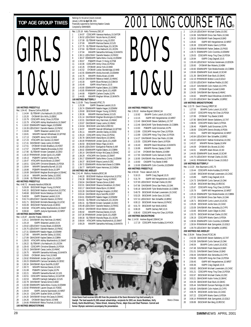# GIRI S 10&U

**100 METRES FREESTYLE** Rec: 1:04.42 Shauna Collins,ROD,88 1:14.84 ELITEMAR Lilia Hadouchi,10,LSCDN<br>1:15.20 OYOMAR Erin Mills.10.EBSC OYOMAR Erin Mills,10,EBSC 3 1:15.79 CDSCAPR Amity Chow, 10, PDSA<br>4 1:15.79 HTACAPR Ashley MacKendrick 1 4 1:15.79 HTACAPR Ashley MacKendrick,10,SWAT 5 1:16.02 ESWIMAPR Natalie Hagan,10,ESWIM 6 1:16.39 LEDUCMAY Danielle Newton,10,FMSC 1:16.60 ISAPR Shawnee Landolt, 10, IS<br>1:16.81 MMAPR Hannah Whitehead. 10.0 MMAPR Hannah Whitehead,10,GFYND 9 1:17.13 CNOAPR Jenna York, 10, NKB<br>10 1:17.23 HTACAPR Ann Gordon 10 SWA 10 1:17.23 HTACAPR Ann Gordon, 10, SWAT<br>11 1:17.41 DAVISMAR Casev Leslie. 10. HWA 11 11:12.41 DAVISMAR Casey Leslie,10,HWAC<br>12 1:17.51 OYOMAR Kristen Bradbury,10,HC 12 1:17.51 OYOMAR Kristen Bradbury, 10, HOST<br>13 1:17.57 CNOAPR Natasha Brousseau. 9.CNO 13 1:17.57 CNOAPR Natasha Brousseau, 9, CNO<br>14 1:17.90 ELITEMAR Kristen Campbell. 10.DDO 14 1:17.90 ELITEMAR Kristen Campbell,10,DDO 15 1:18.10 RYMMMAR Jordan Quick,10,LASER 16 1:18.13 PGBAPR Carlene Creyke, 10, PN<br>17 1:18.47 HTACAPR Nicole Brown 10 SWAT 17 1:18.47 HTACAPR Nicole Brown,10,SWAT 18 1:18.51 CDSCAPR Christine Edwards, 10, PDSA<br>19 1:18.64 MMAPR Samantha Burnell. 10.SJS 19 1:18.64 MMAPR Samantha Burnell, 10, SJS<br>20 1:18.88 PGBAPR Meredith Brule 10 GPP PGBAPR Meredith Brule,10,GPP 21 1:19.08 DAVISMAR Meghan Brockington, 9, OSHAC<br>22 1:19.16 MMAPR Jennifer Dailey. 10.SSSC 22 1:19.16 MMAPR Jennifer Dailey, 10, SSSC<br>23 1:19.86 FLITEMAR Barbara Jardin 9 LSCDN 23 1:19.86 ELITEMAR Barbara Jardin,9,LSCDN **400 METRES FREESTYLE** Rec: 4:48.72 Amanda Hansford,ROW,96 1 5:29.08 EKSCMAR Megan Young,10,FMSC 2 5:45.33 EKSCMAR Madison Achtymichuk,10,STSC 3 5:48.68 EKSCMAR Nicole Delaloye,10,CASC 5:49.59 ISAPR Shawnee Landolt,10,IS 5 5:52.74 LEDUCMAY Danielle Newton,10,FMSC 6 6:01.71 EKSCMAR Michelle Beveridge,10,UCSC 7 6:03.39 EKSCMAR Pamela Kunyk,10,EKSC 8 6:03.58 HTACAPR Ashley MacKendrick,10,SWAT 9 6:08.60 ISAPR Justyna Sypniewski,10,NRST **100 METRES BACKSTROKE** Rec: 1:15.87 Jennifer Fratesi,SSMAC,95 1 1:24.11 DAVISMAR Amy Harriman,10,HWAC 2 1:25.19 ISAPR Shawnee Landolt,10,IS 3 1:25.62 LEDUCMAY Krysta Shack,10,EDSON 4 1:26.75 LEDUCMAY Danielle Newton,10,FMSC 5 1:27.31 ESWIMAPR Natalie Hagan,10,ESWIM 6 1:27.80 MMAPR Jennifer Dailey,10,SSSC 1:27.89 GMACMAR Kaylee Dakers, 9, COBRA<br>8 1:28.03 HTACAPR Ashley MacKendrick 10 8 1:28.03 HTACAPR Ashley MacKendrick,10,SWAT 9 1:28.22 ELITEMAR Lilia Hadouchi, 10, LSCDN<br>10 1:28.43 CDSCAPR Christine Edwards. 10.PDS 10 1:28.43 CDSCAPR Christine Edwards, 10, PDSA<br>11 1:29.13 DAVISMAR Casey Leslie, 10, HWAC 11 1:29.13 DAVISMAR Casey Leslie, 10, HWAC<br>12 1:29.75 MMAPR Samantha Holloway. 10 12 1:29.75 MMAPR Samantha Holloway,10,MANTA 13 1:29.83 OYOMAR Jenna York,10,NKB 14 1:29.92 RYMMMAR Jordan Quick,10,LASER 15 1:30.23 ESWIMAPR Carissa Carrabetta,10,0DSC<br>16 1:30.34 DAVISMAR Alvee Sutcliffe 10 BST 16 1:30.34 DAVISMAR Alyce Sutcliffe, 10, BST<br>17 1:30.72 MMAPR Marissa Davies, 10, SJS 19 1:30.72 MMAPR Marissa Davies,10,SJS<br>17 1:30.72 MMAPR Marissa Davies,10,SJS<br>18 1:31.08 PGBAPR Carlene Creyke,10,PN 18 1:31.08 PGBAPR Carlene Creyke, 10, PN<br>19 1:32.21 MMAPR Samantha Burnell 10.5 19 1:32.21 MMAPR Samantha Burnell,10,SJS 20 1:32.51 CDSCAPR Vanessa Hanbury, 10, GATOR<br>21 1:32.53 MMAPR Karleigh Gallagher, 10, SJS 21 1:32.53 MMAPR Karleigh Gallagher, 10, SJS<br>22 1:32.78 DAVISMAR Tamara Gimon 9 BAD 22 1:32.78 DAVISMAR Tamara Gimon, 9, BAD<br>23 1:32.98 ESWIMAPR Sasha Menu-Courev. 10 23 1:32.98 ESWIMAPR Sasha Menu-Courey,10,ESWIM 24 1:33.92 RYMMMAR Lauren Doupe,10,YOSSC 25 1:34.04 ISAPR Justyna Sypniewski, 10, NRST<br>26 1:34.15 CDSCAPR Scarlett Smith 10 PDSA 26 1:34.15 CDSCAPR Scarlett Smith,10,PDSA 27 1:34.20 DAVISMAR Kirstyn McCasey, 9, OSHAC<br>28 1:34.26 OYOMAR Basia Falicki.10.NKB 28 1:34.26 OYOMAR Basia Falicki,10,NKB<br>29 1:34.66 RYMMMAR Rikkia Trischuk 10 G 29 1:34.66 RYMMMAR Rikkia Trischuk,10,GOLD

**100 METRES BREASTSTROKE**

Rankings for the period (results received) January 1,2001 **to April 30**, 2001 Financially supported by Swimming Natation Canada

Com

**100**<br>Rec

|                         | Compiled by SWIMNEWS |                                         |                                                                                          |
|-------------------------|----------------------|-----------------------------------------|------------------------------------------------------------------------------------------|
|                         |                      | Rec: 1:25.18 Kelly Timmons, OSC, 97     |                                                                                          |
| 1                       |                      |                                         | 1:34.97 CDSCAPR Vanessa Hanbury, 10, GATOR                                               |
| 2                       |                      |                                         | 1:36.52 LEDUCMAY Nicole Norrie, 10, AMAC                                                 |
| 3                       |                      |                                         | 1:37.08 ELITEMAR Karolyn Long, 10, DDO                                                   |
| 4                       | 1:37.69              |                                         | MMAPR Marissa Davies, 10, SJS                                                            |
| 5                       |                      |                                         | 1:37.75 ELITEMAR Marcela Rojas, 10, LSCDN                                                |
| 6                       |                      |                                         | 1:37.84 ELITEMAR Lilia Hadouchi, 10, LSCDN                                               |
| 7                       | 1:37.94              |                                         | MMAPR Samantha Holloway, 10, MANTA                                                       |
| 8                       |                      |                                         | 1:38.11 LEDUCMAY Danielle Newton, 10, FMSC                                               |
| 9                       |                      |                                         | 1:38.47 ESWIMAPR Sasha Menu-Courey, 10, ESWIM                                            |
| 10                      | 1:39.67              |                                         | PGBAPR Khuen Yi Hong, 10, PGB                                                            |
| 11                      |                      |                                         | 1:42.06 CDSCAPR Amity Chow, 10, PDSA                                                     |
| 12                      | 1:42.26<br>1:42.52   |                                         | OYOMAR Jenna York, 10, NKB                                                               |
| 13                      |                      |                                         | OYOMAR Lesley Stonebridge, 10, NKB                                                       |
| 14                      |                      |                                         | 1:42.55 ESWIMAPR Alisha Ancinelli, 10, ESWIM                                             |
| 15<br>16                | 1:42.76              |                                         | MMAPR Sheila Alvaro, 10, MM<br>1:43.20 DAVISMAR Rebecca Vedell, 10, HWAC                 |
| 17                      | 1:43.30              |                                         |                                                                                          |
| 18                      | 1:43.49              |                                         | ISAPR Elyse Richard, 10, COMOX<br>ISAPR Anna Francis, 10, IS                             |
| 19                      |                      |                                         | 1:43.80 ESWIMAPR Kaylee Dakers, 10, COBRA                                                |
| 20                      |                      |                                         | 1:43.85 RYMMMAR Jordan Quick, 10, LASER                                                  |
| 21                      | 1:44.68              |                                         | PGBAPR Carlene Creyke, 10, PN                                                            |
| $\overline{22}$         | 1:44.85              |                                         | MMAPR Meghan Winser, 10, MANTA                                                           |
|                         |                      | 100 METRES BUTTERFLY                    |                                                                                          |
|                         |                      | Rec: 1:13.09 Tracy Osswald, VPSC, 75    |                                                                                          |
| 1                       | 1:25.39              |                                         | ISAPR Shawnee Landolt, 10, IS                                                            |
| 2                       |                      |                                         | 1:26.74 ESWIMAPR Natalie Hagan, 10, ESWIM                                                |
| 3                       |                      |                                         | 1:28.60 EKSCMAR Megan Young, 10, FMSC                                                    |
| 4                       | 1:30.36              |                                         | MMAPR Marissa Davies, 10, SJS                                                            |
| 5                       |                      |                                         | 1:31.14 DAVISMAR Meghan Brockington, 9, OSHAC<br>1:32.01 DAVISMAR Amy Harriman, 10, HWAC |
| 6                       |                      |                                         |                                                                                          |
| 7                       |                      |                                         | 1:33.67 DAVISMAR Casey Leslie, 10, HWAC                                                  |
| 8                       |                      |                                         | 1:34.64 EKSCMAR Julie Kells, 9, RDCSC                                                    |
| 9                       | 1:34.97              |                                         | MMAPR Hannah Whitehead, 10, GFYND                                                        |
| 10                      | 1:35.11              |                                         | MMAPR Jennifer Dailey, 10, SSSC                                                          |
| 11<br>12                | 1:35.24              |                                         | CDSCAPR Amity Chow, 10, PDSA                                                             |
| 13                      |                      |                                         | 1:35.78 GMACMAR Alana Byron, 10, GMAC<br>1:36.09 RYMMMAR Jordan Quick, 10, LASER         |
| 14                      |                      |                                         | 1:36.50 EKSCMAR Robyn Pape, 10, NCS                                                      |
| 15                      |                      |                                         | 1:36.85 LEDUCMAY Evengeline Fletcher, 9, AIR                                             |
| 16                      |                      |                                         | 1:38.02 ESWIMAPR Kaylee Dakers, 10, COBRA                                                |
| 17                      |                      |                                         | 1:38.14 DAVISMAR Kirstyn McCasey, 9, OSHAC                                               |
| 18                      | 1:38.29              |                                         | HTACAPR Ann Gordon, 10, SWAT                                                             |
| 19                      |                      |                                         | 1:39.17 ESWIMAPR Sasha Menu-Courey, 10, ESWIM                                            |
| 20                      |                      |                                         | 1:39.37 EKSCMAR Maura Lavoie, 9, OSC                                                     |
| 21                      |                      |                                         | 1:39.72 ESWIMAPR Alisha Harricharan, 9, COBRA                                            |
| 22                      |                      |                                         | 1:39.77 RAPIDAPR Karen Hemmes, 10, CHENA                                                 |
|                         |                      | 200 METRES IND.MEDLEY                   |                                                                                          |
|                         |                      | Rec: 2:41.44 Mallory Hoekstra, EKSC, 98 |                                                                                          |
| 1                       |                      |                                         | 2:48.20 EKSCMAR Madison Achtymichuk, 10, STSC                                            |
| $\overline{\mathbf{c}}$ |                      |                                         | 2:56.38 EKSCMAR Megan Young, 10, FMSC                                                    |
| 3                       |                      |                                         | 2:58.04 DAVISMAR Tamara Gimon, 9, BAD                                                    |
| 4                       |                      |                                         | 3:02.01 GMACMAR Shauna Donaldson, 10, OSAC                                               |
| 5<br>6                  |                      |                                         | 3:02.17 GMACMAR Alana Byron, 10, GMAC<br>3:03.28 DAVISMAR Meghan Knapton, 10, RISC       |
| 7                       |                      |                                         | 3:03.44 DAVISMAR Alyce Sutcliffe, 10, BST                                                |
| 8                       |                      |                                         | 3:04.61 ESWIMAPR Natalie Hagan, 10, ESWIM                                                |
| Ò                       |                      |                                         | 3:04.91 ELITEMAR Lilia Hadouchi, 10, LSCDN                                               |
| 10                      |                      |                                         | 3:05.31 ELITEMAR Kristen Campbell, 10, DDO                                               |
| 11                      |                      |                                         | 3:05.48 LEDUCMAY Danielle Newton, 10, FMSC                                               |
| $\overline{12}$         |                      |                                         | 3:06.42 DAVISMAR Alison Benton, 10, BAD                                                  |
| 13                      | 3:06.92              |                                         | MMAPR Marissa Davies, 10, SJS                                                            |
| 14                      |                      |                                         | 3:07.36 RYMMMAR Jordan Quick, 10, LASER                                                  |
| 15                      |                      |                                         | 3:08.30 ELITEMAR Marcela Rojas, 10, LSCDN                                                |
| 16                      |                      |                                         | 3:08.64 HTACAPR Ashley MacKendrick, 10, SWAT                                             |
| 17                      | 3:09.29              |                                         | MMAPR Samantha Holloway, 10, MANTA                                                       |
|                         |                      |                                         |                                                                                          |
|                         |                      |                                         |                                                                                          |



10&U

12 1:17.44 OYOMAR Ben Roberts,10,KBM 13 1:17.93 DAVISMAR Curtis Samuel,10,OAK 14 1:18.90 DAVISMAR Alex Serwotka,10,CYPS 15 1:19.60 CNOAPR Troy Baxter,9,NKB 16 1:19.90 ESWIMAPR Colin Coombs 10 ESWIM

3 5:37.65 LEDUCMAY Michael Clarke,10,OSC 5:47.66 DAVISMAR Dinos San Pedro, 10, OAK 5 5:49.18 GMACMAR Tyler Bredschneider,10,COBRA 6 5:49.79 EKSCMAR Michael Lowenstein,10,CASC 7 5:53.25 EKSCMAR Jordie Szoo,10,CASC 8 5:57.31 LEDUCMAY Ben Schaeffer, 10, BRSC 9 6:00.13 EKSCMAR Aman Hansra,10,FMSC 10 6:01.70 EKSCMAR Karl Wolk,9,EKSC 11 6:08.29 ISAPR Zachary Relf,10,IS 12 6:08.40 CDSCAPR Hong-Kei Chan,10,PDSA

1 1:17.19 CDSCAPR Andre Kudaba,10,HYACK

Marco Chiesa

ISAPR Will Hergesheimer,10,NRST

**400 METRES FREESTYLE** Rec: 4:55.60 Trevor Jakisch,SJS,78 1 5:18.15 ISAPR Craig Dagnall, 10, IS<br>2 5:31.79 ISAPR Will Hergesheimer.1

**100 METRES BACKSTROKE** Rec: 1:14.50 Andrew Bignell,SSMAC,94

**Victor Davis Fund receives \$26,400 from the proceeds of the Davis Memorial Cup held annually in Guelph. The fund awards \$1,000 annual schoalrships, recipients for 2001 are Jessie Bradshaw, Kelly Doody, Kurtis MacGillivary, Tobias Oriwol, Annamay Pierse, Adam Siou and Chad Thomsen. Current and**

**former Olympic swimmers accompany the presentation.**

**100 METRES FREESTYLE** Rec: 1:05.02 Andrew Bignell, SSMAC, 94<br>1 1:10.82 FKIAPR Curtis Lutsch 1:10.82 EKIAPR Curtis Lutsch,10,UCSC<br>1:13.15 ISAPR Will Hergesheimer 10 N 1:13.15 ISAPR Will Hergesheimer,10,NRST 1:13.40 GMACMAR Steven Saltzberry,10,TAT 1:13.46 GMACMAR Tyler Bredschneider,10,COBRA 1:13.63 PGBAPR Judd Grossman,10,PN 1:13.86 CDSCAPR Hong-Kei Chan,10,PDSA 1:13.89 CDSCAPR Hong-Ting Chan,10,PDSA 1:14.27 DAVISMAR Dinos San Pedro,10,OAK 1:15.55 CDSCAPR Marko Gavric,9,PDSA 10 1:16.40 MMAPR David Woodman,10,MANTA MMAPR Romeo Zapata,10,MM

| 5              | 1:26.82      |                                      | ISAPR Will Hergesheimer, 10, NRST                                                 |
|----------------|--------------|--------------------------------------|-----------------------------------------------------------------------------------|
| 6              |              |                                      | 1:28.38 CDSCAPR Marko Gavric, 9, PDSA                                             |
| 7              |              |                                      | 1:28.68 RYMMMAR Parker Zeeben, 10, PASS                                           |
| 8              |              |                                      | 1:28.72 ESWIMAPR Colin Coombs, 10, ESWIM                                          |
| 9              |              |                                      | 1:29.03 CDSCAPR Hong-Ting Chan, 10, PDSA                                          |
| 10             | 1:29.94      |                                      | ISAPR Craig Dagnall, 10, IS                                                       |
| 11             |              |                                      | 1:30.49 LEDUCMAY Nicholas Vanderveen, 10, EDSON                                   |
|                |              |                                      |                                                                                   |
| 12             |              |                                      | 1:30.60 OYOMAR Ben Roberts, 10, KBM                                               |
| 13             |              |                                      | 1:30.60 ESWIMAPR Tyler Bredschneider, 10, COBRA                                   |
| 14             |              |                                      | 1:30.66 ESWIMAPR Scott Jessett, 10, SCAR                                          |
| 15             |              |                                      | 1:31.36 GMACMAR Evan Buck, 10, GMAC                                               |
| 16             |              |                                      | 1:32.19 RYMMMAR Bretton Love, 9, GOLD                                             |
| 17             |              |                                      | 1:32.50 LEDUCMAY Matthew Peddie, 10, OSC                                          |
| 18             |              |                                      | 1:33.47 DAVISMAR Colin Hubert, 10, CYPS                                           |
| 19             |              |                                      | 1:33.55 OYOMAR Ryan Cockell, 9, NKB                                               |
| 20             |              |                                      | 1:34.00 DAVISMAR Ben Wyman,8,HWAC                                                 |
| 21             |              |                                      | 1:34.62 MMAPR David Woodman, 10, MANTA                                            |
| 22             |              |                                      | 2:13.35 LEDUCMAY Ben Schaeffer, 10, BRSC                                          |
|                |              | 100 METRES BREASTSTROKE              |                                                                                   |
|                |              |                                      |                                                                                   |
|                |              | Rec: 1:22.79 David Cheung, CREST, 92 |                                                                                   |
| 1              | 1:27.53      |                                      | EKIAPR Curtis Lutsch, 10, UCSC                                                    |
| $\overline{2}$ |              |                                      | 1:33.67 CDSCAPR Hong-Kei Chan, 10, PDSA                                           |
| 3              |              |                                      | 1:37.89 OYOMAR Troy Baxter, 9, NKB                                                |
| 4              |              |                                      | 1:37.90 GMACMAR Steven Saltzberry, 10, TAT                                        |
| 5              |              |                                      | 1:38.05 CDSCAPR Marko Gavric, 9, PDSA                                             |
| 6              |              |                                      | 1:38.46 PGBAPR Judd Grossman, 10, PN                                              |
| 7              |              |                                      |                                                                                   |
|                |              |                                      | 1:38.69 CDSCAPR Dennis Brotzky, 9, PDSA                                           |
| 8              | 1:40.51      |                                      | ISAPR Will Hergesheimer, 10, NRST                                                 |
| 9              |              |                                      | 1:40.84 LEDUCMAY Ben Schaeffer, 10, BRSC                                          |
| 10             |              |                                      | 1:43.02 LEDUCMAY Nathan Kindrachuk, 10, OSC                                       |
| 11             | 1:43.37      |                                      | MMAPR Romeo Zapata, 10, MM                                                        |
| 12             |              |                                      | 1:44.09 OYOMAR Eric Brunet, 10, CNO                                               |
| 13             | 1:44.51      |                                      | MMAPR Adam Brown, 10, SD                                                          |
| 14             |              |                                      | 1:44.65 ESWIMAPR Scott Jessett, 10, SCAR                                          |
| 15             |              |                                      | 1:44.70 LEDUCMAY Michael Clarke, 10, OSC                                          |
| 16             |              |                                      | 1:44.91 RYMMMAR Patrick Cowan, 10, GOLD                                           |
|                |              |                                      |                                                                                   |
|                |              | 100 METRES BUTTERFLY                 |                                                                                   |
|                |              |                                      |                                                                                   |
|                |              | Rec: 1:13.20 Alex Baumann, LUSC, 75  |                                                                                   |
| 1              |              |                                      | 1:19.44 CDSCAPR Andre Kudaba, 10, HYACK                                           |
| $\overline{2}$ |              |                                      | 1:23.80 EKSCMAR Michael Lowenstein, 10, CASC                                      |
| 3              | 1:23.89      |                                      | ISAPR Craig Dagnall, 10, IS                                                       |
| 4              |              |                                      | 1:24.73 DAVISMAR Curtis Samuel, 10, OAK                                           |
| 5              |              |                                      |                                                                                   |
|                |              |                                      | 1:25.36 EKSCMAR Ben Berg, 10, RDCSC                                               |
| 6              |              |                                      | 1:25.67 CDSCAPR Hong-Ting Chan, 10, PDSA                                          |
| 7              | 1:25.79      |                                      | ISAPR Will Hergesheimer, 10, NRST                                                 |
| 8              |              |                                      | 1:26.10 ESWIMAPR Tyler Bredschneider, 10, COBRA                                   |
| 9              |              |                                      | 1:27.55 DAVISMAR Dinos San Pedro, 10, OAK                                         |
| 10             |              |                                      | 1:28.71 EKSCMAR Curtis Lutsch, 10, UCSC                                           |
| 11             |              |                                      | 1:29.28 EKSCMAR Jordie Szoo, 10, CASC                                             |
| 12             |              |                                      | 1:33.09 DAVISMAR Alex Serwotka, 10, CYPS                                          |
| 13             |              |                                      | 1:33.65 EKSCMAR Justin Odger, 9, CASC                                             |
| 14             |              |                                      | 1:33.70 EKSCMAR Michael Clarke, 10, OSC                                           |
| 15             |              |                                      | 1:36.19 CDSCAPR Marko Gavric, 9, PDSA                                             |
| 16             |              |                                      | 1:38.56 ESWIMAPR Colin Coombs, 10, ESWIM                                          |
| 17             |              |                                      |                                                                                   |
|                |              |                                      | 1:39.54 RYMMMAR Alek Szmigielski, 10, GOLD                                        |
| 18             |              |                                      | 1:39.78 LEDUCMAY Ben Schaeffer, 10, BRSC                                          |
|                |              | 200 METRES IND.MEDLEY                |                                                                                   |
|                | Rec: 2:35.84 | Tobias Oriwol, PCSC, 96              |                                                                                   |
| 1              |              |                                      | 2:42.93 GMACMAR Steven Saltzberry, 10, TAT                                        |
| $\overline{2}$ |              |                                      | 2:43.58 DAVISMAR Curtis Samuel, 10, OAK                                           |
| 3              | 2:46.54      |                                      | EKIAPR Curtis Lutsch, 10, UCSC                                                    |
| 4              |              |                                      | 2:47.48 DAVISMAR Frank Despond, 9, BAD                                            |
| 5              | 2:51.01      |                                      | DAVISMAR David Duhan, 10, BAD                                                     |
| 6              |              |                                      | 2:58.44 DAVISMAR Alex Serwotka, 10, CYPS                                          |
| 7              |              |                                      |                                                                                   |
|                |              |                                      | 2:58.58 CDSCAPR Hong-Kei Chan, 10, PDSA                                           |
| 8              | 2:59.45      |                                      | ISAPR Will Hergesheimer, 10, NRST                                                 |
| 9              | 3:00.36      |                                      | ISAPR Craig Dagnall, 10, IS                                                       |
| 10             |              |                                      | 3:00.82 EKSCMAR Michael Lowenstein, 10, CASC                                      |
| 11             | 3:01.21      |                                      | CDSCAPR Hong-Ting Chan, 10, PDSA                                                  |
| 12             | 3:02.67      |                                      | EKSCMAR Michael Clarke, 10, OSC                                                   |
| 13             |              |                                      | 3:03.21 GMACMAR Kodie Yorke, 10, GMAC                                             |
| 14             |              |                                      | 3:04.35 GMACMAR Evan Buck, 10, GMAC                                               |
| 15             |              |                                      | 3:05.44 DAVISMAR Duncan Partridge, 10, OAK                                        |
| 16             |              |                                      | 3:05.60 DAVISMAR Colin Hubert, 10, CYPS                                           |
| 17             | 3:06.78      |                                      | EKSCMAR Jordie Szoo, 10, CASC                                                     |
|                |              |                                      |                                                                                   |
| 18             | 3:07.22      |                                      | CDSCAPR Marko Gavric, 9, PDSA                                                     |
| 19<br>20       |              |                                      | 3:08.14 RYMMMAR Alek Szmigielski, 10, GOLD<br>3:09.89 EKSCMAR Ben Berg, 10, RDCSC |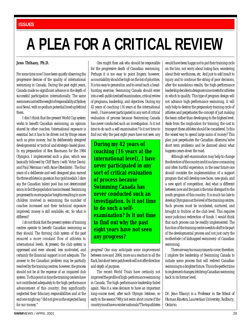# <span id="page-28-0"></span>**A PLEA FOR A CRITICAL REVIEW**

#### **Jeno Thihany, Ph.D.**

For some time now I have been quietly observing the progressive demise of the quality of international swimming in Canada. During the past eight years, Canada made no significant advance in the depth of successful participation internationally. The same swimmers carried the weight of responsibility at Sydney as at Seoul, with no podium potential lined up behind them.

I don't think that the present World Cup system works to benefit Canadian swimming, an opinion shared by other coaches. International exposure is essential but it has to be driven not by fringe issues such as prize money, but by deliberately designed developmental or tactical and strategic-based plans. In my preparation of Alex Baumann for the 1984 Olympics, I implemented such a plan, which was basically followed by Cliff Barry (with Victor Davis) and Paul Meronan (with Anne Ottenbrite). The four years of a deliberate and well-designed plan earned the three athletes in question four gold medals. I dare say the Canadian talent pool has not deteriorated since; in fact the population has increased. Swimming progressed to more popular heights resulting in more children involved in swimming; the number of coaches increased and their technical exposure improved; money is still available, etc. So what is different?

I do not think that the present system of training centres operate to benefit Canadian swimming as they should. The thriving club system of the past ensured a more constant flow of athletes to international levels. At present, the club system is oppressed and even abused, less motivated, and certainly the financial support is not adequate. The answer to the Canadian problem may be partially resolved by the training centres; however, the process should not be at the expense of an impaired club system. To this point in time the training centers have not contributed adequately to the high-performance advancement of this country; they significantly neglected their fiduciary responsibilities and at the end one might say "did not give us the expected bang for our money."

One might then ask who should be responsible for the progressive death of Canadian swimming. Perhaps it is too easy to point fingers; however, accountability should be high on the list of priorities. It is too easy to generalize, and to avoid such a headhunting exercise, Swimming Canada should enter into a well-publicized self examination, critical review of programs, leadership, and objectives. During my 42 years of coaching (16 years at the international level), I have never participated in any sort of critical evaluation of process because Swimming Canada has never conducted such an investigation. Is it not time to do such a self-examination? Is it not time to find out why the past eight years have not seen any

**During my 42 years of coaching (16 years at the international level), I have never participated in any sort of critical evaluation of process because Swimming Canada has never conducted such an investigation. Is it not time to do such a selfexamination? Is it not time to find out why the past eight years have not seen any progress?**

progress? One may anticipate some improvement between now and 2004, more as a reaction to all the flack, but short-term patchwork will not offer direction and depth of purpose.

The recent World Trials have certainly not improved the profile of high-performance swimming in Canada. The high-performance leadership failed again. Was it a wise decision to have an important long-course meet, after such Olympic letdown, so early in the season? Why not swim short course if the country must have a winter nationals? The top athletes would have been happy not to put their training cycle on the line, not worry about losing face, wondering about their worthiness, etc. And just to add insult to injury and to continue the string of poor decisions, after the scandalous results, the high-performance leadership decides to designate nine meets for athletes in which to qualify. This type of program design will not advance high-performance swimming, it will only help to destroy the preparatory training cycle of athletes and perpetuates the concept of just making the team rather than developing to the highest level. Aside from the implication for training, the cost to transport these athletes should be considered. Is this the wisest way to spend large sums of money? This plan just perpetuates the Canadian dilemma˜solve short term problems and be damned about what happens years down the road.

Although self-examination may help to change the direction of the country and it is a time-consuming and often hurtful experience, in the near future one should consider the implementation of a support program that will develop new faces, new goals, and a new spirit of competition. And what is different between now and the past is the total disregard to the youth program of this country. It is much too late to develop Olympians at the level of the training centres. Such process must be incubated, nurtured, and brought to fruition at the club level. This requires some judicious redirection of funds. I would think that such process can be readily implemented. The function of the training centre needs to shift to be part of the developmental process and not just carry the motherlode (of kidnapped swimmers) of Canadian swimming.

There are way too many issues to cover; therefore, I implore the leadership of Swimming Canada to initiate some process that will redirect Canadian swimming to a brighter future. This is the perfect time to implement changes; lets bring Canadian swimming back to its former level.

*Dr. Jeno Tihanyi is a Professor in the School of Human Kinetics, Laurentian University, Sudbury, Ontario.*